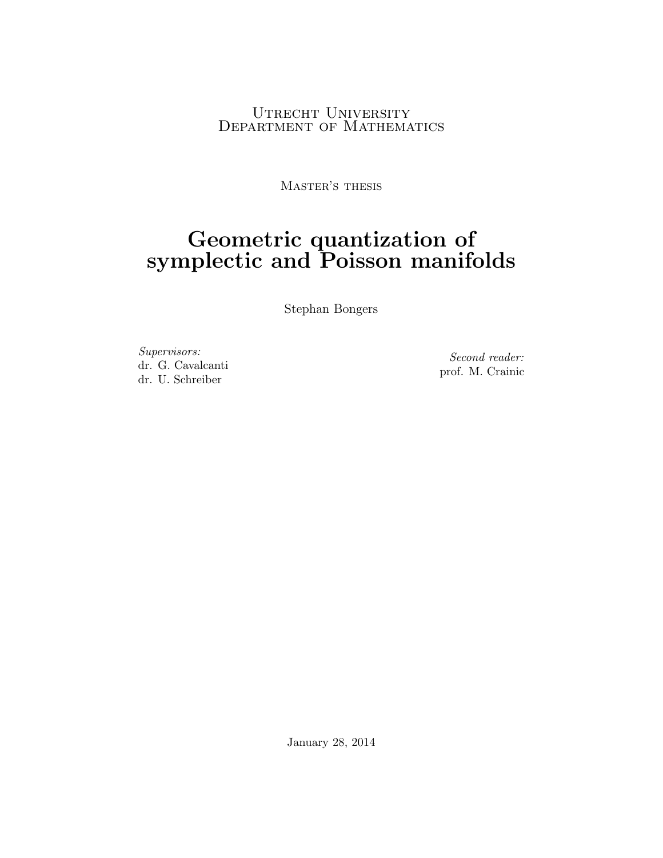### Utrecht University DEPARTMENT OF MATHEMATICS

Master's thesis

# Geometric quantization of symplectic and Poisson manifolds

Stephan Bongers

Supervisors: dr. G. Cavalcanti dr. U. Schreiber

Second reader: prof. M. Crainic

January 28, 2014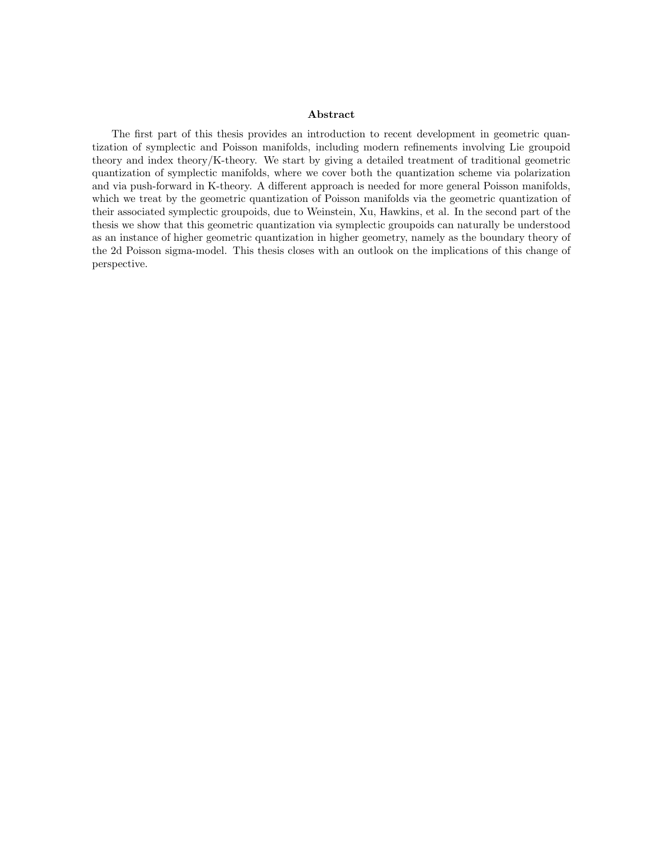### Abstract

The first part of this thesis provides an introduction to recent development in geometric quantization of symplectic and Poisson manifolds, including modern refinements involving Lie groupoid theory and index theory/K-theory. We start by giving a detailed treatment of traditional geometric quantization of symplectic manifolds, where we cover both the quantization scheme via polarization and via push-forward in K-theory. A different approach is needed for more general Poisson manifolds, which we treat by the geometric quantization of Poisson manifolds via the geometric quantization of their associated symplectic groupoids, due to Weinstein, Xu, Hawkins, et al. In the second part of the thesis we show that this geometric quantization via symplectic groupoids can naturally be understood as an instance of higher geometric quantization in higher geometry, namely as the boundary theory of the 2d Poisson sigma-model. This thesis closes with an outlook on the implications of this change of perspective.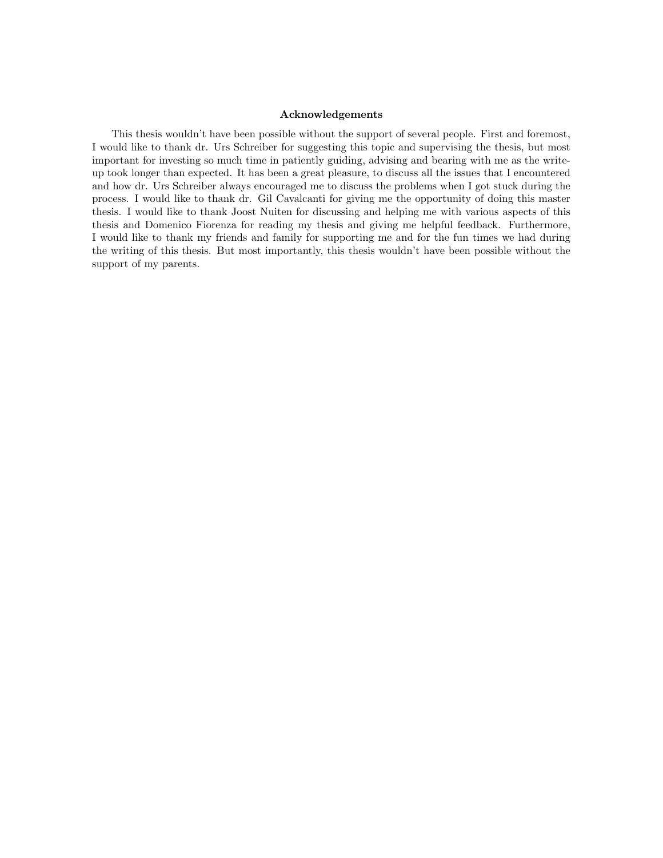### Acknowledgements

This thesis wouldn't have been possible without the support of several people. First and foremost, I would like to thank dr. Urs Schreiber for suggesting this topic and supervising the thesis, but most important for investing so much time in patiently guiding, advising and bearing with me as the writeup took longer than expected. It has been a great pleasure, to discuss all the issues that I encountered and how dr. Urs Schreiber always encouraged me to discuss the problems when I got stuck during the process. I would like to thank dr. Gil Cavalcanti for giving me the opportunity of doing this master thesis. I would like to thank Joost Nuiten for discussing and helping me with various aspects of this thesis and Domenico Fiorenza for reading my thesis and giving me helpful feedback. Furthermore, I would like to thank my friends and family for supporting me and for the fun times we had during the writing of this thesis. But most importantly, this thesis wouldn't have been possible without the support of my parents.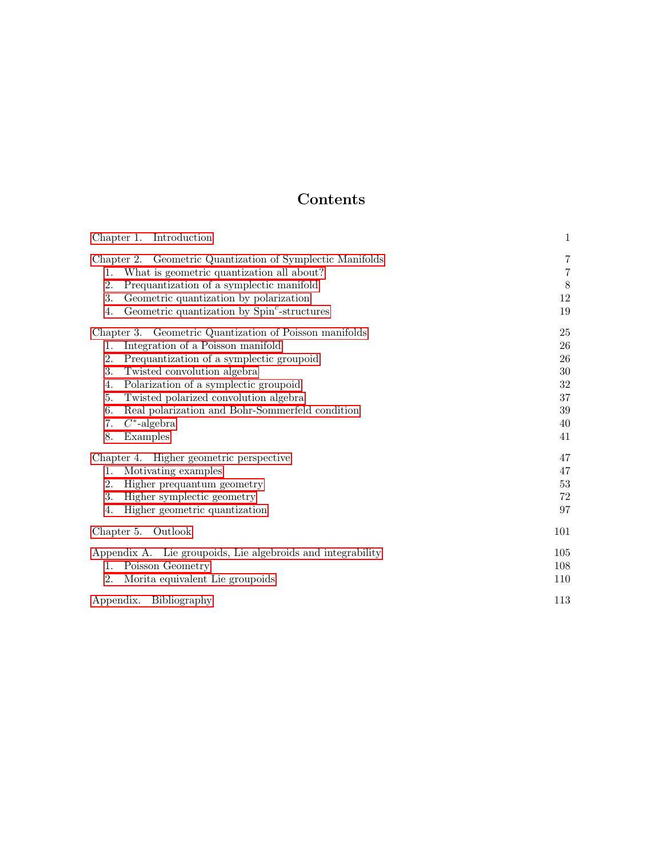## Contents

| Chapter 1. Introduction                                                                                                                                                                                                                                                                                                                   | $\mathbf{1}$                                           |
|-------------------------------------------------------------------------------------------------------------------------------------------------------------------------------------------------------------------------------------------------------------------------------------------------------------------------------------------|--------------------------------------------------------|
| Chapter 2. Geometric Quantization of Symplectic Manifolds<br>What is geometric quantization all about?<br>1.<br>Prequantization of a symplectic manifold<br>2.<br>3.<br>Geometric quantization by polarization<br>Geometric quantization by Spin <sup>c</sup> -structures<br>4.<br>Chapter 3. Geometric Quantization of Poisson manifolds | $\overline{7}$<br>$\!\!7$<br>$\,8\,$<br>12<br>19<br>25 |
| Integration of a Poisson manifold<br>1.                                                                                                                                                                                                                                                                                                   | 26                                                     |
| 2.<br>Prequantization of a symplectic groupoid<br>3.<br>Twisted convolution algebra                                                                                                                                                                                                                                                       | 26<br>30                                               |
| Polarization of a symplectic groupoid<br>4.<br>Twisted polarized convolution algebra<br>5.<br>Real polarization and Bohr-Sommerfeld condition<br>6.                                                                                                                                                                                       | 32<br>37<br>39                                         |
| $C^*$ -algebra<br>7.<br>8.<br>Examples                                                                                                                                                                                                                                                                                                    | 40<br>41                                               |
| Chapter 4. Higher geometric perspective<br>Motivating examples<br>1.<br>Higher prequantum geometry<br>2.<br>3.<br>Higher symplectic geometry<br>Higher geometric quantization<br>4.                                                                                                                                                       | 47<br>47<br>$53\,$<br>72<br>97                         |
| Chapter 5. Outlook                                                                                                                                                                                                                                                                                                                        | 101                                                    |
| Appendix A. Lie groupoids, Lie algebroids and integrability<br>Poisson Geometry<br>$\mathbf{1}$ .<br>Morita equivalent Lie groupoids<br>2.                                                                                                                                                                                                | 105<br>108<br>110                                      |
| Appendix. Bibliography                                                                                                                                                                                                                                                                                                                    | 113                                                    |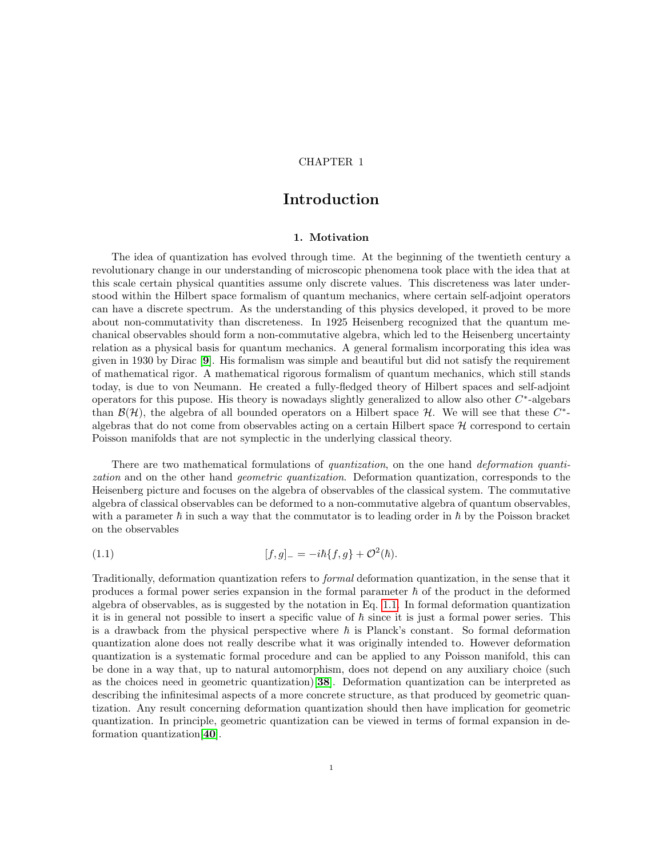### CHAPTER 1

### Introduction

### 1. Motivation

<span id="page-4-0"></span>The idea of quantization has evolved through time. At the beginning of the twentieth century a revolutionary change in our understanding of microscopic phenomena took place with the idea that at this scale certain physical quantities assume only discrete values. This discreteness was later understood within the Hilbert space formalism of quantum mechanics, where certain self-adjoint operators can have a discrete spectrum. As the understanding of this physics developed, it proved to be more about non-commutativity than discreteness. In 1925 Heisenberg recognized that the quantum mechanical observables should form a non-commutative algebra, which led to the Heisenberg uncertainty relation as a physical basis for quantum mechanics. A general formalism incorporating this idea was given in 1930 by Dirac [[9](#page-116-1)]. His formalism was simple and beautiful but did not satisfy the requirement of mathematical rigor. A mathematical rigorous formalism of quantum mechanics, which still stands today, is due to von Neumann. He created a fully-fledged theory of Hilbert spaces and self-adjoint operators for this pupose. His theory is nowadays slightly generalized to allow also other  $C^*$ -algebars than  $\mathcal{B}(\mathcal{H})$ , the algebra of all bounded operators on a Hilbert space  $\mathcal{H}$ . We will see that these  $C^*$ algebras that do not come from observables acting on a certain Hilbert space  $\mathcal H$  correspond to certain Poisson manifolds that are not symplectic in the underlying classical theory.

There are two mathematical formulations of *quantization*, on the one hand *deformation quanti*zation and on the other hand *geometric quantization*. Deformation quantization, corresponds to the Heisenberg picture and focuses on the algebra of observables of the classical system. The commutative algebra of classical observables can be deformed to a non-commutative algebra of quantum observables, with a parameter  $\hbar$  in such a way that the commutator is to leading order in  $\hbar$  by the Poisson bracket on the observables

<span id="page-4-1"></span>(1.1) 
$$
[f,g]_- = -i\hbar \{f,g\} + \mathcal{O}^2(\hbar).
$$

Traditionally, deformation quantization refers to formal deformation quantization, in the sense that it produces a formal power series expansion in the formal parameter  $\hbar$  of the product in the deformed algebra of observables, as is suggested by the notation in Eq. [1.1.](#page-4-1) In formal deformation quantization it is in general not possible to insert a specific value of  $\hbar$  since it is just a formal power series. This is a drawback from the physical perspective where  $\hbar$  is Planck's constant. So formal deformation quantization alone does not really describe what it was originally intended to. However deformation quantization is a systematic formal procedure and can be applied to any Poisson manifold, this can be done in a way that, up to natural automorphism, does not depend on any auxiliary choice (such as the choices need in geometric quantization)[[38](#page-117-0)]. Deformation quantization can be interpreted as describing the infinitesimal aspects of a more concrete structure, as that produced by geometric quantization. Any result concerning deformation quantization should then have implication for geometric quantization. In principle, geometric quantization can be viewed in terms of formal expansion in deformation quantization[[40](#page-117-1)].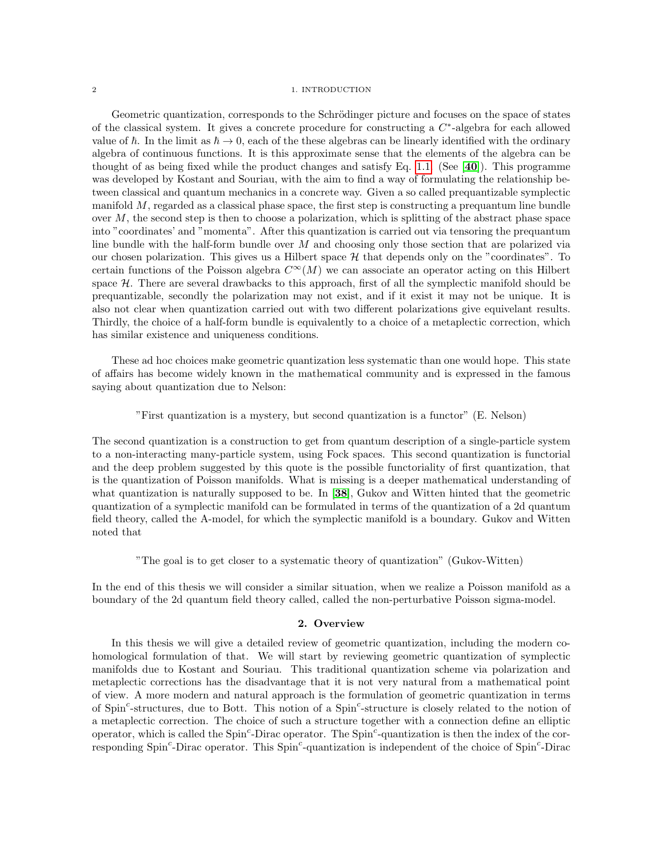### 2 1. INTRODUCTION

Geometric quantization, corresponds to the Schrödinger picture and focuses on the space of states of the classical system. It gives a concrete procedure for constructing a  $C^*$ -algebra for each allowed value of  $\hbar$ . In the limit as  $\hbar \to 0$ , each of the these algebras can be linearly identified with the ordinary algebra of continuous functions. It is this approximate sense that the elements of the algebra can be thought of as being fixed while the product changes and satisfy Eq. [1.1.](#page-4-1) (See [[40](#page-117-1)]). This programme was developed by Kostant and Souriau, with the aim to find a way of formulating the relationship between classical and quantum mechanics in a concrete way. Given a so called prequantizable symplectic manifold  $M$ , regarded as a classical phase space, the first step is constructing a prequantum line bundle over  $M$ , the second step is then to choose a polarization, which is splitting of the abstract phase space into "coordinates' and "momenta". After this quantization is carried out via tensoring the prequantum line bundle with the half-form bundle over M and choosing only those section that are polarized via our chosen polarization. This gives us a Hilbert space  $H$  that depends only on the "coordinates". To certain functions of the Poisson algebra  $C^{\infty}(M)$  we can associate an operator acting on this Hilbert space H. There are several drawbacks to this approach, first of all the symplectic manifold should be prequantizable, secondly the polarization may not exist, and if it exist it may not be unique. It is also not clear when quantization carried out with two different polarizations give equivelant results. Thirdly, the choice of a half-form bundle is equivalently to a choice of a metaplectic correction, which has similar existence and uniqueness conditions.

These ad hoc choices make geometric quantization less systematic than one would hope. This state of affairs has become widely known in the mathematical community and is expressed in the famous saying about quantization due to Nelson:

"First quantization is a mystery, but second quantization is a functor" (E. Nelson)

The second quantization is a construction to get from quantum description of a single-particle system to a non-interacting many-particle system, using Fock spaces. This second quantization is functorial and the deep problem suggested by this quote is the possible functoriality of first quantization, that is the quantization of Poisson manifolds. What is missing is a deeper mathematical understanding of what quantization is naturally supposed to be. In [[38](#page-117-0)], Gukov and Witten hinted that the geometric quantization of a symplectic manifold can be formulated in terms of the quantization of a 2d quantum field theory, called the A-model, for which the symplectic manifold is a boundary. Gukov and Witten noted that

"The goal is to get closer to a systematic theory of quantization" (Gukov-Witten)

In the end of this thesis we will consider a similar situation, when we realize a Poisson manifold as a boundary of the 2d quantum field theory called, called the non-perturbative Poisson sigma-model.

### 2. Overview

In this thesis we will give a detailed review of geometric quantization, including the modern cohomological formulation of that. We will start by reviewing geometric quantization of symplectic manifolds due to Kostant and Souriau. This traditional quantization scheme via polarization and metaplectic corrections has the disadvantage that it is not very natural from a mathematical point of view. A more modern and natural approach is the formulation of geometric quantization in terms of Spin<sup>c</sup>-structures, due to Bott. This notion of a Spin<sup>c</sup>-structure is closely related to the notion of a metaplectic correction. The choice of such a structure together with a connection define an elliptic operator, which is called the  $Spin^c$ -Dirac operator. The  $Spin^c$ -quantization is then the index of the corresponding Spin<sup>c</sup>-Dirac operator. This Spin<sup>c</sup>-quantization is independent of the choice of Spin<sup>c</sup>-Dirac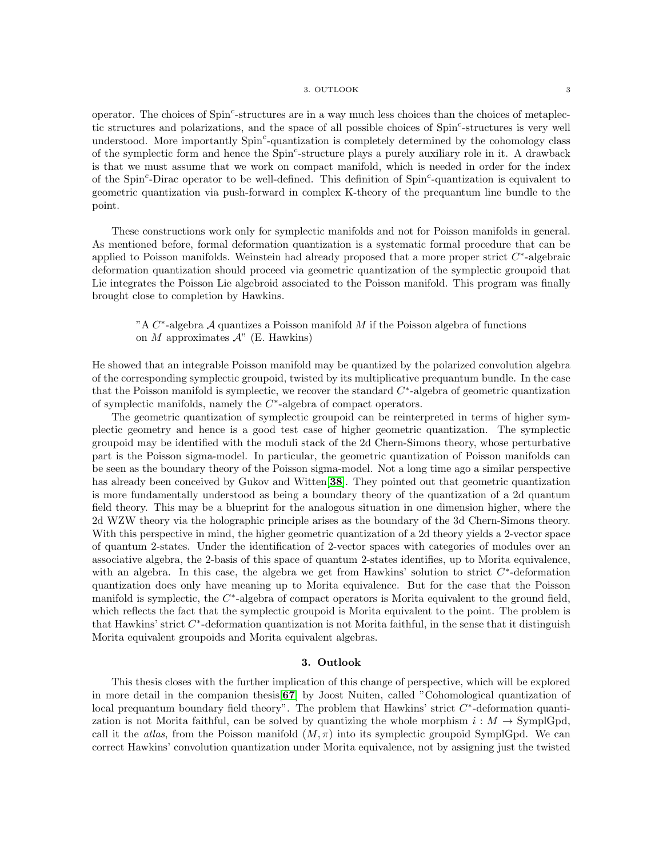### 3. OUTLOOK 3

operator. The choices of Spin<sup>c</sup>-structures are in a way much less choices than the choices of metaplectic structures and polarizations, and the space of all possible choices of  $Spin<sup>c</sup>$ -structures is very well understood. More importantly Spin<sup>c</sup>-quantization is completely determined by the cohomology class of the symplectic form and hence the Spin<sup>c</sup>-structure plays a purely auxiliary role in it. A drawback is that we must assume that we work on compact manifold, which is needed in order for the index of the Spin<sup>c</sup>-Dirac operator to be well-defined. This definition of Spin<sup>c</sup>-quantization is equivalent to geometric quantization via push-forward in complex K-theory of the prequantum line bundle to the point.

These constructions work only for symplectic manifolds and not for Poisson manifolds in general. As mentioned before, formal deformation quantization is a systematic formal procedure that can be applied to Poisson manifolds. Weinstein had already proposed that a more proper strict  $C^*$ -algebraic deformation quantization should proceed via geometric quantization of the symplectic groupoid that Lie integrates the Poisson Lie algebroid associated to the Poisson manifold. This program was finally brought close to completion by Hawkins.

"A  $C^*$ -algebra A quantizes a Poisson manifold M if the Poisson algebra of functions on M approximates  $\mathcal{A}$ " (E. Hawkins)

He showed that an integrable Poisson manifold may be quantized by the polarized convolution algebra of the corresponding symplectic groupoid, twisted by its multiplicative prequantum bundle. In the case that the Poisson manifold is symplectic, we recover the standard  $C^*$ -algebra of geometric quantization of symplectic manifolds, namely the  $C^*$ -algebra of compact operators.

The geometric quantization of symplectic groupoid can be reinterpreted in terms of higher symplectic geometry and hence is a good test case of higher geometric quantization. The symplectic groupoid may be identified with the moduli stack of the 2d Chern-Simons theory, whose perturbative part is the Poisson sigma-model. In particular, the geometric quantization of Poisson manifolds can be seen as the boundary theory of the Poisson sigma-model. Not a long time ago a similar perspective has already been conceived by Gukov and Witten<sup>[[38](#page-117-0)]</sup>. They pointed out that geometric quantization is more fundamentally understood as being a boundary theory of the quantization of a 2d quantum field theory. This may be a blueprint for the analogous situation in one dimension higher, where the 2d WZW theory via the holographic principle arises as the boundary of the 3d Chern-Simons theory. With this perspective in mind, the higher geometric quantization of a 2d theory yields a 2-vector space of quantum 2-states. Under the identification of 2-vector spaces with categories of modules over an associative algebra, the 2-basis of this space of quantum 2-states identifies, up to Morita equivalence, with an algebra. In this case, the algebra we get from Hawkins' solution to strict  $C^*$ -deformation quantization does only have meaning up to Morita equivalence. But for the case that the Poisson manifold is symplectic, the  $C^*$ -algebra of compact operators is Morita equivalent to the ground field, which reflects the fact that the symplectic groupoid is Morita equivalent to the point. The problem is that Hawkins' strict C ∗ -deformation quantization is not Morita faithful, in the sense that it distinguish Morita equivalent groupoids and Morita equivalent algebras.

### 3. Outlook

This thesis closes with the further implication of this change of perspective, which will be explored in more detail in the companion thesis[[67](#page-118-0)] by Joost Nuiten, called "Cohomological quantization of local prequantum boundary field theory". The problem that Hawkins' strict  $C^*$ -deformation quantization is not Morita faithful, can be solved by quantizing the whole morphism  $i : M \to \text{SymplGpd}$ , call it the *atlas*, from the Poisson manifold  $(M, \pi)$  into its symplectic groupoid SymplGpd. We can correct Hawkins' convolution quantization under Morita equivalence, not by assigning just the twisted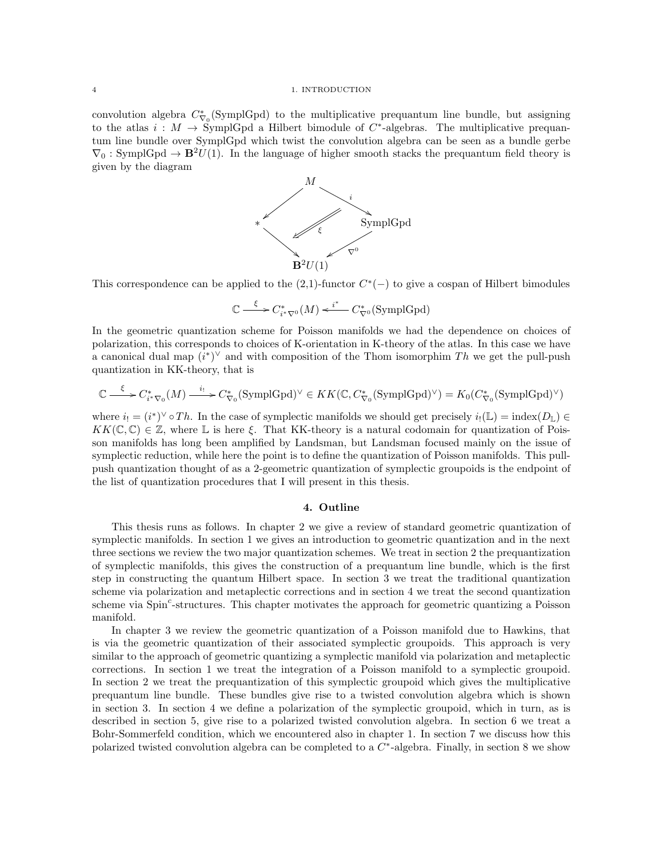#### 4 1. INTRODUCTION

convolution algebra  $C_{\nabla_0}^*$  (SymplGpd) to the multiplicative prequantum line bundle, but assigning to the atlas  $i : M \to \text{SymplGpd}$  a Hilbert bimodule of  $C^*$ -algebras. The multiplicative prequantum line bundle over SymplGpd which twist the convolution algebra can be seen as a bundle gerbe  $\nabla_0$ : SymplGpd  $\rightarrow \mathbf{B}^2 U(1)$ . In the language of higher smooth stacks the prequantum field theory is given by the diagram



This correspondence can be applied to the  $(2,1)$ -functor  $C^*(-)$  to give a cospan of Hilbert bimodules

$$
\mathbb{C} \xrightarrow{\xi} C_{i^* \nabla^0}^*(M) \xleftarrow{i^*} C_{\nabla^0}^*(\text{SymplGpd})
$$

In the geometric quantization scheme for Poisson manifolds we had the dependence on choices of polarization, this corresponds to choices of K-orientation in K-theory of the atlas. In this case we have a canonical dual map  $(i^*)^{\vee}$  and with composition of the Thom isomorphim Th we get the pull-push quantization in KK-theory, that is

$$
\mathbb{C} \xrightarrow{\xi} C_{i^* \nabla_0}^*(M) \xrightarrow{i_!} C_{\nabla_0}^*(\text{SymplGpd})^{\vee} \in KK(\mathbb{C}, C_{\nabla_0}^*(\text{SymplGpd})^{\vee}) = K_0(C_{\nabla_0}^*(\text{SymplGpd})^{\vee})
$$

where  $i_! = (i^*)^\vee \circ Th$ . In the case of symplectic manifolds we should get precisely  $i_!(\mathbb{L}) = \text{index}(D_{\mathbb{L}}) \in$  $KK(\mathbb{C}, \mathbb{C}) \in \mathbb{Z}$ , where L is here  $\xi$ . That KK-theory is a natural codomain for quantization of Poisson manifolds has long been amplified by Landsman, but Landsman focused mainly on the issue of symplectic reduction, while here the point is to define the quantization of Poisson manifolds. This pullpush quantization thought of as a 2-geometric quantization of symplectic groupoids is the endpoint of the list of quantization procedures that I will present in this thesis.

### 4. Outline

This thesis runs as follows. In chapter 2 we give a review of standard geometric quantization of symplectic manifolds. In section 1 we gives an introduction to geometric quantization and in the next three sections we review the two major quantization schemes. We treat in section 2 the prequantization of symplectic manifolds, this gives the construction of a prequantum line bundle, which is the first step in constructing the quantum Hilbert space. In section 3 we treat the traditional quantization scheme via polarization and metaplectic corrections and in section 4 we treat the second quantization scheme via Spin<sup>c</sup>-structures. This chapter motivates the approach for geometric quantizing a Poisson manifold.

In chapter 3 we review the geometric quantization of a Poisson manifold due to Hawkins, that is via the geometric quantization of their associated symplectic groupoids. This approach is very similar to the approach of geometric quantizing a symplectic manifold via polarization and metaplectic corrections. In section 1 we treat the integration of a Poisson manifold to a symplectic groupoid. In section 2 we treat the prequantization of this symplectic groupoid which gives the multiplicative prequantum line bundle. These bundles give rise to a twisted convolution algebra which is shown in section 3. In section 4 we define a polarization of the symplectic groupoid, which in turn, as is described in section 5, give rise to a polarized twisted convolution algebra. In section 6 we treat a Bohr-Sommerfeld condition, which we encountered also in chapter 1. In section 7 we discuss how this polarized twisted convolution algebra can be completed to a  $C^*$ -algebra. Finally, in section 8 we show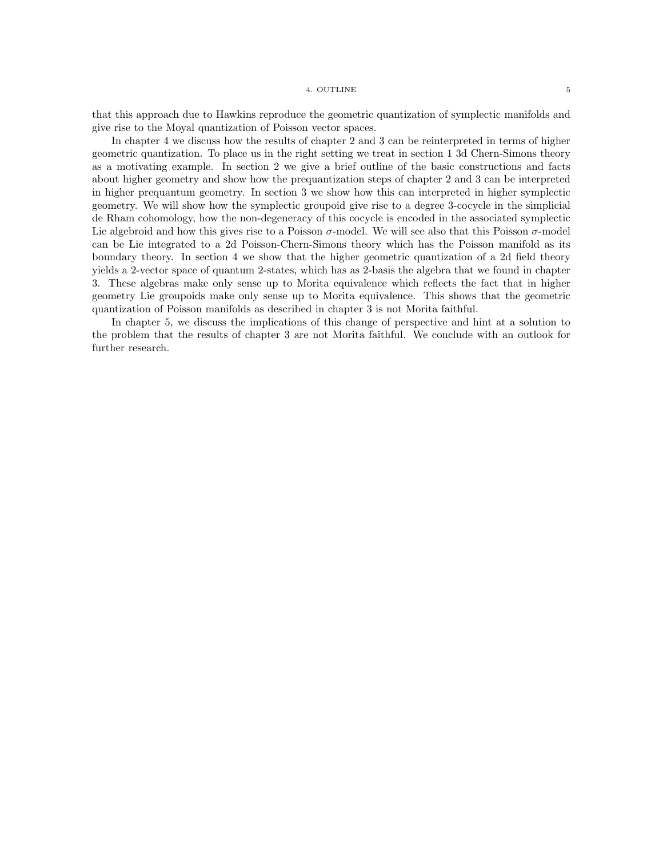that this approach due to Hawkins reproduce the geometric quantization of symplectic manifolds and give rise to the Moyal quantization of Poisson vector spaces.

In chapter 4 we discuss how the results of chapter 2 and 3 can be reinterpreted in terms of higher geometric quantization. To place us in the right setting we treat in section 1 3d Chern-Simons theory as a motivating example. In section 2 we give a brief outline of the basic constructions and facts about higher geometry and show how the prequantization steps of chapter 2 and 3 can be interpreted in higher prequantum geometry. In section 3 we show how this can interpreted in higher symplectic geometry. We will show how the symplectic groupoid give rise to a degree 3-cocycle in the simplicial de Rham cohomology, how the non-degeneracy of this cocycle is encoded in the associated symplectic Lie algebroid and how this gives rise to a Poisson  $\sigma$ -model. We will see also that this Poisson  $\sigma$ -model can be Lie integrated to a 2d Poisson-Chern-Simons theory which has the Poisson manifold as its boundary theory. In section 4 we show that the higher geometric quantization of a 2d field theory yields a 2-vector space of quantum 2-states, which has as 2-basis the algebra that we found in chapter 3. These algebras make only sense up to Morita equivalence which reflects the fact that in higher geometry Lie groupoids make only sense up to Morita equivalence. This shows that the geometric quantization of Poisson manifolds as described in chapter 3 is not Morita faithful.

In chapter 5, we discuss the implications of this change of perspective and hint at a solution to the problem that the results of chapter 3 are not Morita faithful. We conclude with an outlook for further research.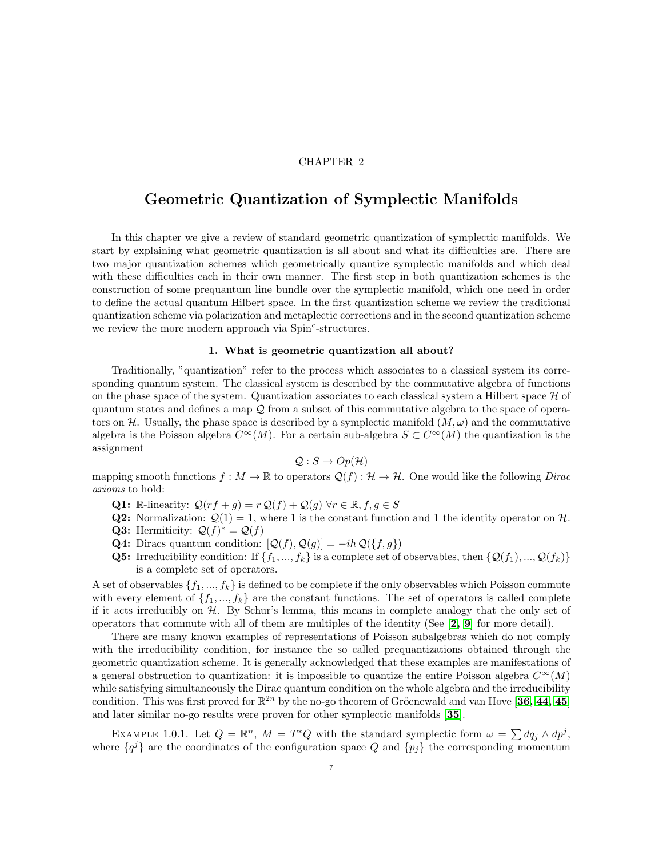### CHAPTER 2

### <span id="page-10-0"></span>Geometric Quantization of Symplectic Manifolds

In this chapter we give a review of standard geometric quantization of symplectic manifolds. We start by explaining what geometric quantization is all about and what its difficulties are. There are two major quantization schemes which geometrically quantize symplectic manifolds and which deal with these difficulties each in their own manner. The first step in both quantization schemes is the construction of some prequantum line bundle over the symplectic manifold, which one need in order to define the actual quantum Hilbert space. In the first quantization scheme we review the traditional quantization scheme via polarization and metaplectic corrections and in the second quantization scheme we review the more modern approach via Spin<sup>c</sup>-structures.

### 1. What is geometric quantization all about?

<span id="page-10-1"></span>Traditionally, "quantization" refer to the process which associates to a classical system its corresponding quantum system. The classical system is described by the commutative algebra of functions on the phase space of the system. Quantization associates to each classical system a Hilbert space  $\mathcal H$  of quantum states and defines a map Q from a subset of this commutative algebra to the space of operators on H. Usually, the phase space is described by a symplectic manifold  $(M, \omega)$  and the commutative algebra is the Poisson algebra  $C^{\infty}(M)$ . For a certain sub-algebra  $S \subset C^{\infty}(M)$  the quantization is the assignment

$$
\mathcal{Q}: S \to Op(\mathcal{H})
$$

mapping smooth functions  $f : M \to \mathbb{R}$  to operators  $\mathcal{Q}(f) : \mathcal{H} \to \mathcal{H}$ . One would like the following *Dirac* axioms to hold:

- Q1: R-linearity:  $\mathcal{Q}(rf+g) = r \mathcal{Q}(f) + \mathcal{Q}(g) \,\forall r \in \mathbb{R}, f, g \in S$
- **Q2:** Normalization:  $Q(1) = 1$ , where 1 is the constant function and 1 the identity operator on H.
- **Q3:** Hermiticity:  $Q(f)^* = Q(f)$
- **Q4:** Diracs quantum condition:  $[Q(f), Q(g)] = -i\hbar Q({f, g})$
- **Q5:** Irreducibility condition: If  $\{f_1, ..., f_k\}$  is a complete set of observables, then  $\{Q(f_1), ..., Q(f_k)\}$ is a complete set of operators.

A set of observables  $\{f_1, ..., f_k\}$  is defined to be complete if the only observables which Poisson commute with every element of  $\{f_1, ..., f_k\}$  are the constant functions. The set of operators is called complete if it acts irreducibly on  $H$ . By Schur's lemma, this means in complete analogy that the only set of operators that commute with all of them are multiples of the identity (See  $[2, 9]$  $[2, 9]$  $[2, 9]$  $[2, 9]$  for more detail).

There are many known examples of representations of Poisson subalgebras which do not comply with the irreducibility condition, for instance the so called prequantizations obtained through the geometric quantization scheme. It is generally acknowledged that these examples are manifestations of a general obstruction to quantization: it is impossible to quantize the entire Poisson algebra  $C^{\infty}(M)$ while satisfying simultaneously the Dirac quantum condition on the whole algebra and the irreducibility condition. This was first proved for  $\mathbb{R}^{2n}$  by the no-go theorem of Gröenewald and van Hove [[36,](#page-117-2) [44,](#page-117-3) [45](#page-117-4)] and later similar no-go results were proven for other symplectic manifolds [[35](#page-117-5)].

<span id="page-10-2"></span>EXAMPLE 1.0.1. Let  $Q = \mathbb{R}^n$ ,  $M = T^*Q$  with the standard symplectic form  $\omega = \sum dq_j \wedge dp^j$ , where  $\{q^{j}\}\$ are the coordinates of the configuration space Q and  $\{p_{j}\}\$ the corresponding momentum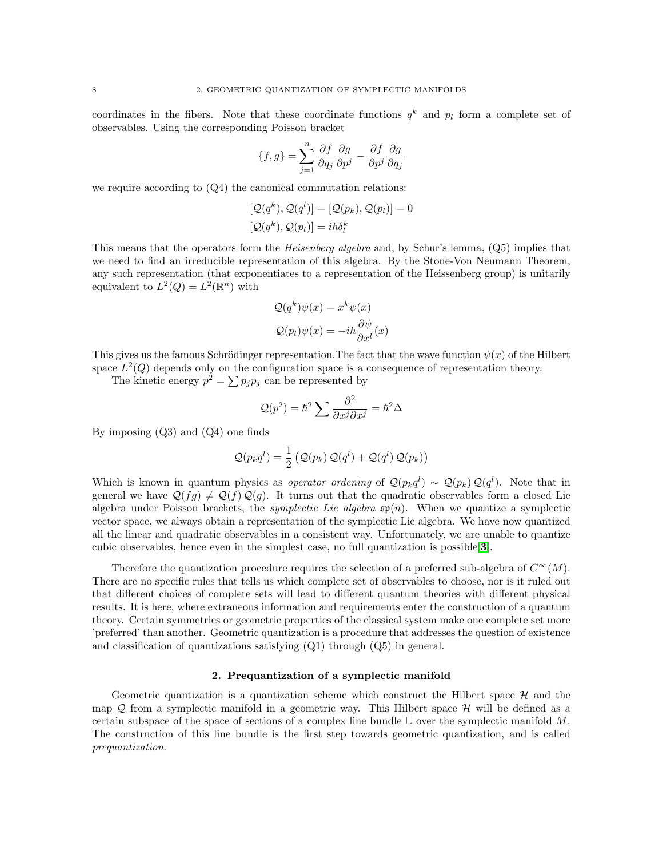coordinates in the fibers. Note that these coordinate functions  $q^k$  and  $p_l$  form a complete set of observables. Using the corresponding Poisson bracket

$$
\{f,g\}=\sum_{j=1}^n\frac{\partial f}{\partial q_j}\frac{\partial g}{\partial p^j}-\frac{\partial f}{\partial p^j}\frac{\partial g}{\partial q_j}
$$

we require according to  $(Q_4)$  the canonical commutation relations:

$$
[Q(q^k), Q(q^l)] = [Q(p_k), Q(p_l)] = 0
$$
  

$$
[Q(q^k), Q(p_l)] = i\hbar \delta_l^k
$$

This means that the operators form the Heisenberg algebra and, by Schur's lemma, (Q5) implies that we need to find an irreducible representation of this algebra. By the Stone-Von Neumann Theorem, any such representation (that exponentiates to a representation of the Heissenberg group) is unitarily equivalent to  $L^2(Q) = L^2(\mathbb{R}^n)$  with

$$
Q(q^k)\psi(x) = x^k \psi(x)
$$

$$
Q(p_l)\psi(x) = -i\hbar \frac{\partial \psi}{\partial x^l}(x)
$$

This gives us the famous Schrödinger representation. The fact that the wave function  $\psi(x)$  of the Hilbert space  $L^2(Q)$  depends only on the configuration space is a consequence of representation theory.

The kinetic energy  $p^2 = \sum p_j p_j$  can be represented by

$$
\mathcal{Q}(p^2) = \hbar^2 \sum \frac{\partial^2}{\partial x^j \partial x^j} = \hbar^2 \Delta
$$

By imposing (Q3) and (Q4) one finds

$$
\mathcal{Q}(p_k q^l) = \frac{1}{2} \left( \mathcal{Q}(p_k) \mathcal{Q}(q^l) + \mathcal{Q}(q^l) \mathcal{Q}(p_k) \right)
$$

Which is known in quantum physics as *operator ordening* of  $\mathcal{Q}(p_k q^l) \sim \mathcal{Q}(p_k) \mathcal{Q}(q^l)$ . Note that in general we have  $\mathcal{Q}(fg) \neq \mathcal{Q}(f) \mathcal{Q}(g)$ . It turns out that the quadratic observables form a closed Lie algebra under Poisson brackets, the *symplectic Lie algebra*  $\mathfrak{sp}(n)$ . When we quantize a symplectic vector space, we always obtain a representation of the symplectic Lie algebra. We have now quantized all the linear and quadratic observables in a consistent way. Unfortunately, we are unable to quantize cubic observables, hence even in the simplest case, no full quantization is possible[[3](#page-116-3)].

Therefore the quantization procedure requires the selection of a preferred sub-algebra of  $C^{\infty}(M)$ . There are no specific rules that tells us which complete set of observables to choose, nor is it ruled out that different choices of complete sets will lead to different quantum theories with different physical results. It is here, where extraneous information and requirements enter the construction of a quantum theory. Certain symmetries or geometric properties of the classical system make one complete set more 'preferred' than another. Geometric quantization is a procedure that addresses the question of existence and classification of quantizations satisfying (Q1) through (Q5) in general.

### 2. Prequantization of a symplectic manifold

<span id="page-11-0"></span>Geometric quantization is a quantization scheme which construct the Hilbert space  $\mathcal{H}$  and the map  $Q$  from a symplectic manifold in a geometric way. This Hilbert space  $H$  will be defined as a certain subspace of the space of sections of a complex line bundle  $\mathbb L$  over the symplectic manifold M. The construction of this line bundle is the first step towards geometric quantization, and is called prequantization.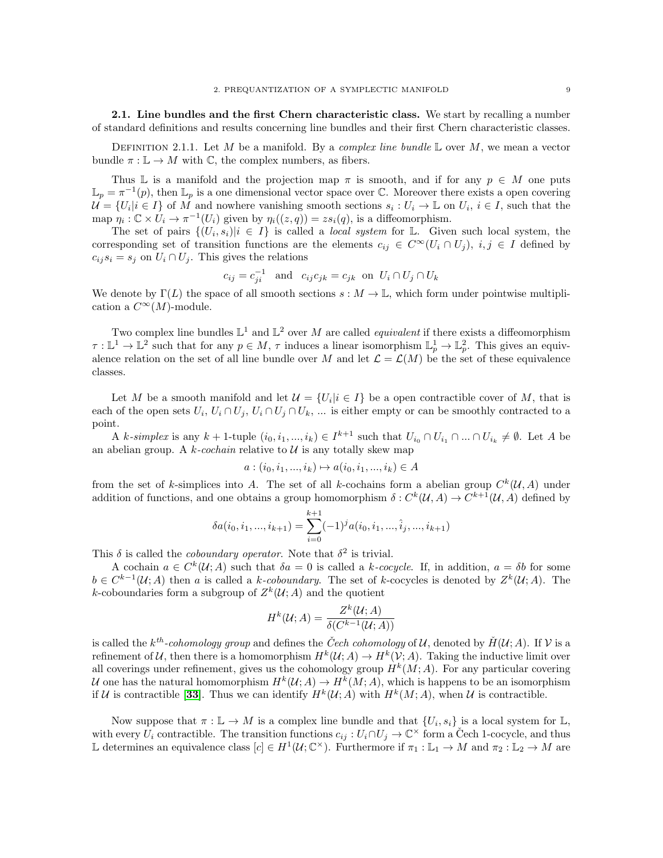2.1. Line bundles and the first Chern characteristic class. We start by recalling a number of standard definitions and results concerning line bundles and their first Chern characteristic classes.

DEFINITION 2.1.1. Let M be a manifold. By a *complex line bundle*  $\mathbb L$  over M, we mean a vector bundle  $\pi : \mathbb{L} \to M$  with C, the complex numbers, as fibers.

Thus L is a manifold and the projection map  $\pi$  is smooth, and if for any  $p \in M$  one puts  $\mathbb{L}_p = \pi^{-1}(p)$ , then  $\mathbb{L}_p$  is a one dimensional vector space over  $\mathbb{C}$ . Moreover there exists a open covering  $\mathcal{U} = \{U_i | i \in I\}$  of  $\overline{M}$  and nowhere vanishing smooth sections  $s_i : U_i \to \mathbb{L}$  on  $U_i$ ,  $i \in I$ , such that the map  $\eta_i: \mathbb{C} \times U_i \to \pi^{-1}(U_i)$  given by  $\eta_i((z, q)) = zs_i(q)$ , is a diffeomorphism.

The set of pairs  $\{(U_i, s_i)|i \in I\}$  is called a *local system* for L. Given such local system, the corresponding set of transition functions are the elements  $c_{ij} \in C^{\infty}(U_i \cap U_j)$ ,  $i, j \in I$  defined by  $c_{ij} s_i = s_j$  on  $U_i \cap U_j$ . This gives the relations

$$
c_{ij} = c_{ji}^{-1} \quad \text{and} \quad c_{ij}c_{jk} = c_{jk} \quad \text{on} \ \ U_i \cap U_j \cap U_k
$$

We denote by  $\Gamma(L)$  the space of all smooth sections  $s : M \to \mathbb{L}$ , which form under pointwise multiplication a  $C^{\infty}(M)$ -module.

Two complex line bundles  $\mathbb{L}^1$  and  $\mathbb{L}^2$  over M are called *equivalent* if there exists a diffeomorphism  $\tau : \mathbb{L}^1 \to \mathbb{L}^2$  such that for any  $p \in M$ ,  $\tau$  induces a linear isomorphism  $\mathbb{L}^1_p \to \mathbb{L}^2_p$ . This gives an equivalence relation on the set of all line bundle over M and let  $\mathcal{L} = \mathcal{L}(M)$  be the set of these equivalence classes.

Let M be a smooth manifold and let  $\mathcal{U} = \{U_i | i \in I\}$  be a open contractible cover of M, that is each of the open sets  $U_i, U_i \cap U_j, U_i \cap U_j \cap U_k, \dots$  is either empty or can be smoothly contracted to a point.

A k-simplex is any  $k+1$ -tuple  $(i_0, i_1, ..., i_k) \in I^{k+1}$  such that  $U_{i_0} \cap U_{i_1} \cap ... \cap U_{i_k} \neq \emptyset$ . Let A be an abelian group. A  $k$ -cochain relative to  $U$  is any totally skew map

$$
a: (i_0, i_1, ..., i_k) \mapsto a(i_0, i_1, ..., i_k) \in A
$$

from the set of k-simplices into A. The set of all k-cochains form a abelian group  $C^k(\mathcal{U},A)$  under addition of functions, and one obtains a group homomorphism  $\delta: C^k(\mathcal{U}, A) \to C^{k+1}(\mathcal{U}, A)$  defined by

$$
\delta a(i_0, i_1, ..., i_{k+1}) = \sum_{i=0}^{k+1} (-1)^j a(i_0, i_1, ..., \hat{i}_j, ..., i_{k+1})
$$

This  $\delta$  is called the *coboundary operator*. Note that  $\delta^2$  is trivial.

A cochain  $a \in C^k(\mathcal{U};A)$  such that  $\delta a = 0$  is called a k-cocycle. If, in addition,  $a = \delta b$  for some  $b \in C^{k-1}(\mathcal{U};A)$  then a is called a k-coboundary. The set of k-cocycles is denoted by  $Z^k(\mathcal{U};A)$ . The k-coboundaries form a subgroup of  $Z^k(\mathcal{U};A)$  and the quotient

$$
H^k(\mathcal{U};A) = \frac{Z^k(\mathcal{U};A)}{\delta(C^{k-1}(\mathcal{U};A))}
$$

is called the  $k^{th}$ -cohomology group and defines the Cech cohomology of U, denoted by  $H(\mathcal{U};A)$ . If V is a refinement of U, then there is a homomorphism  $H^k(\mathcal{U};A) \to H^k(\mathcal{V};A)$ . Taking the inductive limit over all coverings under refinement, gives us the cohomology group  $H^k(M; A)$ . For any particular covering U one has the natural homomorphism  $H^k(\mathcal{U};A) \to H^k(M;A)$ , which is happens to be an isomorphism if U is contractible [[33](#page-117-6)]. Thus we can identify  $H^k(\mathcal{U};A)$  with  $H^k(M;A)$ , when U is contractible.

Now suppose that  $\pi : \mathbb{L} \to M$  is a complex line bundle and that  $\{U_i, s_i\}$  is a local system for  $\mathbb{L}$ , with every  $U_i$  contractible. The transition functions  $c_{ij}: U_i \cap U_j \to \mathbb{C}^\times$  form a Cech 1-cocycle, and thus L determines an equivalence class  $[c] \in H^1(\mathcal{U}; \mathbb{C}^\times)$ . Furthermore if  $\pi_1 : \mathbb{L}_1 \to M$  and  $\pi_2 : \mathbb{L}_2 \to M$  are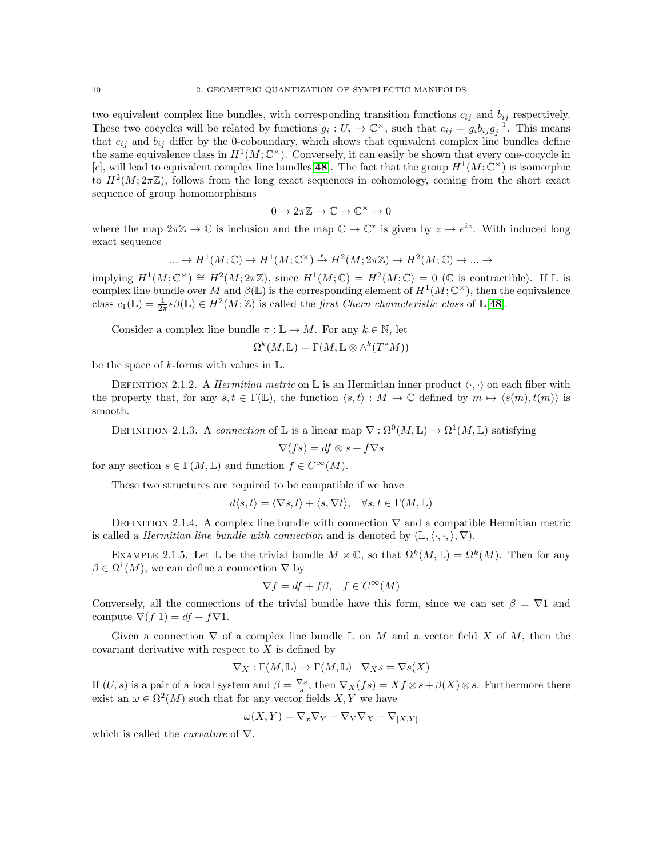two equivalent complex line bundles, with corresponding transition functions  $c_{ij}$  and  $b_{ij}$  respectively. These two cocycles will be related by functions  $g_i: U_i \to \mathbb{C}^\times$ , such that  $c_{ij} = g_i b_{ij} g_j^{-1}$ . This means that  $c_{ij}$  and  $b_{ij}$  differ by the 0-coboundary, which shows that equivalent complex line bundles define the same equivalence class in  $H^1(M; \mathbb{C}^{\times})$ . Conversely, it can easily be shown that every one-cocycle in [c], will lead to equivalent complex line bundles [[48](#page-117-7)]. The fact that the group  $H^1(M; \mathbb{C}^\times)$  is isomorphic to  $H^2(M; 2\pi\mathbb{Z})$ , follows from the long exact sequences in cohomology, coming from the short exact sequence of group homomorphisms

$$
0 \to 2\pi \mathbb{Z} \to \mathbb{C} \to \mathbb{C}^\times \to 0
$$

where the map  $2\pi\mathbb{Z} \to \mathbb{C}$  is inclusion and the map  $\mathbb{C} \to \mathbb{C}^*$  is given by  $z \mapsto e^{iz}$ . With induced long exact sequence

$$
\ldots \to H^1(M;\mathbb{C}) \to H^1(M;\mathbb{C}^\times) \stackrel{\epsilon}{\to} H^2(M;2\pi\mathbb{Z}) \to H^2(M;\mathbb{C}) \to \ldots \to
$$

implying  $H^1(M; \mathbb{C}^\times) \cong H^2(M; 2\pi \mathbb{Z})$ , since  $H^1(M; \mathbb{C}) = H^2(M; \mathbb{C}) = 0$  (C is contractible). If L is complex line bundle over M and  $\beta(\mathbb{L})$  is the corresponding element of  $H^1(M;\mathbb{C}^\times)$ , then the equivalence class  $c_1(\mathbb{L}) = \frac{1}{2\pi} \epsilon \beta(\mathbb{L}) \in H^2(M; \mathbb{Z})$  is called the *first Chern characteristic class* of  $\mathbb{L}[48]$  $\mathbb{L}[48]$  $\mathbb{L}[48]$ .

Consider a complex line bundle  $\pi : \mathbb{L} \to M$ . For any  $k \in \mathbb{N}$ , let

$$
\Omega^k(M, \mathbb{L}) = \Gamma(M, \mathbb{L} \otimes \wedge^k(T^*M))
$$

be the space of k-forms with values in  $\mathbb{L}$ .

DEFINITION 2.1.2. A *Hermitian metric* on L is an Hermitian inner product  $\langle \cdot, \cdot \rangle$  on each fiber with the property that, for any  $s, t \in \Gamma(\mathbb{L})$ , the function  $\langle s, t \rangle : M \to \mathbb{C}$  defined by  $m \mapsto \langle s(m), t(m) \rangle$  is smooth.

DEFINITION 2.1.3. A connection of L is a linear map  $\nabla : \Omega^0(M, \mathbb{L}) \to \Omega^1(M, \mathbb{L})$  satisfying

$$
\nabla(f s) = df \otimes s + f \nabla s
$$

for any section  $s \in \Gamma(M, \mathbb{L})$  and function  $f \in C^{\infty}(M)$ .

These two structures are required to be compatible if we have

$$
d\langle s,t\rangle = \langle \nabla s,t\rangle + \langle s,\nabla t\rangle, \quad \forall s,t \in \Gamma(M,\mathbb{L})
$$

DEFINITION 2.1.4. A complex line bundle with connection  $\nabla$  and a compatible Hermitian metric is called a *Hermitian line bundle with connection* and is denoted by  $(\mathbb{L}, \langle \cdot, \cdot, \rangle, \nabla)$ .

EXAMPLE 2.1.5. Let L be the trivial bundle  $M \times \mathbb{C}$ , so that  $\Omega^k(M, \mathbb{L}) = \Omega^k(M)$ . Then for any  $\beta \in \Omega^1(M)$ , we can define a connection  $\nabla$  by

$$
\nabla f = df + f\beta, \quad f \in C^{\infty}(M)
$$

Conversely, all the connections of the trivial bundle have this form, since we can set  $\beta = \nabla 1$  and compute  $\nabla(f\ 1) = df + f\nabla 1$ .

Given a connection  $\nabla$  of a complex line bundle L on M and a vector field X of M, then the covariant derivative with respect to  $X$  is defined by

$$
\nabla_X : \Gamma(M, \mathbb{L}) \to \Gamma(M, \mathbb{L}) \quad \nabla_X s = \nabla s(X)
$$

If  $(U, s)$  is a pair of a local system and  $\beta = \frac{\nabla s}{s}$ , then  $\nabla_X(fs) = Xf \otimes s + \beta(X) \otimes s$ . Furthermore there exist an  $\omega \in \Omega^2(M)$  such that for any vector fields  $X, Y$  we have

$$
\omega(X, Y) = \nabla_x \nabla_Y - \nabla_Y \nabla_X - \nabla_{[X, Y]}
$$

which is called the *curvature* of  $\nabla$ .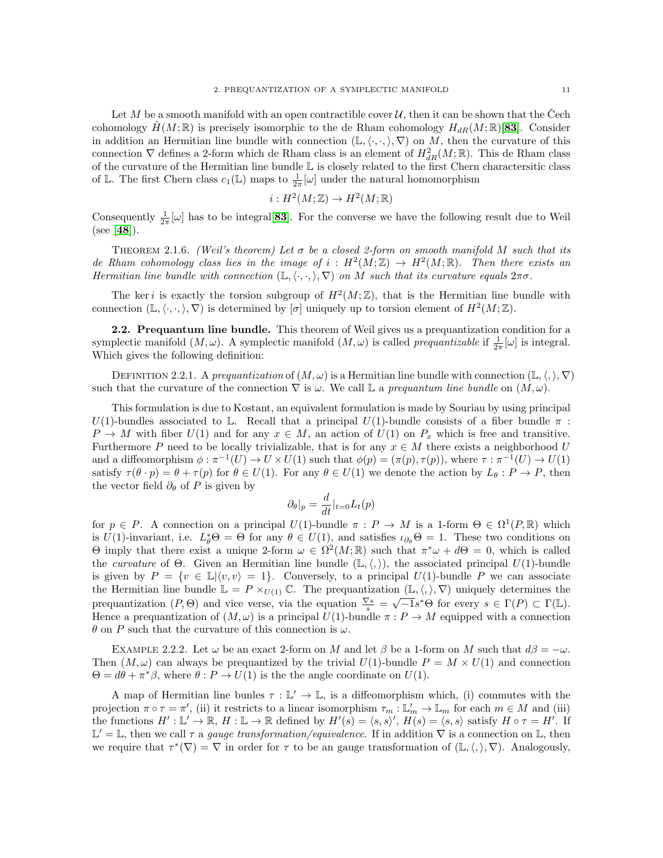Let M be a smooth manifold with an open contractible cover  $\mathcal{U}$ , then it can be shown that the Cech cohomology  $H(M;\mathbb{R})$  is precisely isomorphic to the de Rham cohomology  $H_{dR}(M;\mathbb{R})$ [[83](#page-118-1)]. Consider in addition an Hermitian line bundle with connection  $(\mathbb{L},\langle\cdot,\cdot,\rangle,\nabla)$  on M, then the curvature of this connection  $\nabla$  defines a 2-form which de Rham class is an element of  $H^2_{dR}(M;\mathbb{R})$ . This de Rham class of the curvature of the Hermitian line bundle L is closely related to the first Chern charactersitic class of L. The first Chern class  $c_1(\mathbb{L})$  maps to  $\frac{1}{2\pi}[\omega]$  under the natural homomorphism

$$
i: H^2(M; \mathbb{Z}) \to H^2(M; \mathbb{R})
$$

Consequently  $\frac{1}{2\pi}[\omega]$  has to be integral [[83](#page-118-1)]. For the converse we have the following result due to Weil (see [[48](#page-117-7)]).

THEOREM 2.1.6. (Weil's theorem) Let  $\sigma$  be a closed 2-form on smooth manifold M such that its de Rham cohomology class lies in the image of  $i : H^2(M;\mathbb{Z}) \to H^2(M;\mathbb{R})$ . Then there exists an Hermitian line bundle with connection  $(\mathbb{L}, \langle \cdot, \cdot \rangle, \nabla)$  on M such that its curvature equals  $2\pi\sigma$ .

The ker i is exactly the torsion subgroup of  $H^2(M;\mathbb{Z})$ , that is the Hermitian line bundle with connection  $(\mathbb{L}, \langle \cdot, \cdot, \rangle, \nabla)$  is determined by  $[\sigma]$  uniquely up to torsion element of  $H^2(M; \mathbb{Z})$ .

2.2. Prequantum line bundle. This theorem of Weil gives us a prequantization condition for a symplectic manifold  $(M, \omega)$ . A symplectic manifold  $(M, \omega)$  is called *prequantizable* if  $\frac{1}{2\pi}[\omega]$  is integral. Which gives the following definition:

DEFINITION 2.2.1. A prequantization of  $(M, \omega)$  is a Hermitian line bundle with connection  $(\mathbb{L}, \langle, \rangle, \nabla)$ such that the curvature of the connection  $\nabla$  is  $\omega$ . We call L a prequantum line bundle on  $(M, \omega)$ .

This formulation is due to Kostant, an equivalent formulation is made by Souriau by using principal U(1)-bundles associated to L. Recall that a principal U(1)-bundle consists of a fiber bundle  $\pi$ :  $P \to M$  with fiber  $U(1)$  and for any  $x \in M$ , an action of  $U(1)$  on  $P_x$  which is free and transitive. Furthermore P need to be locally trivializable, that is for any  $x \in M$  there exists a neighborhood U and a diffeomorphism  $\phi : \pi^{-1}(U) \to U \times U(1)$  such that  $\phi(p) = (\pi(p), \tau(p))$ , where  $\tau : \pi^{-1}(U) \to U(1)$ satisfy  $\tau(\theta \cdot p) = \theta + \tau(p)$  for  $\theta \in U(1)$ . For any  $\theta \in U(1)$  we denote the action by  $L_{\theta}: P \to P$ , then the vector field  $\partial_{\theta}$  of P is given by

$$
\partial_{\theta}|_{p} = \frac{d}{dt}|_{t=0}L_{t}(p)
$$

for  $p \in P$ . A connection on a principal  $U(1)$ -bundle  $\pi : P \to M$  is a 1-form  $\Theta \in \Omega^1(P,\mathbb{R})$  which is  $U(1)$ -invariant, i.e.  $L^*_{\theta} \Theta = \Theta$  for any  $\theta \in U(1)$ , and satisfies  $\iota_{\partial_{\theta}} \Theta = 1$ . These two conditions on  $\Theta$  imply that there exist a unique 2-form  $\omega \in \Omega^2(M;\mathbb{R})$  such that  $\pi^*\omega + d\Theta = 0$ , which is called the curvature of  $\Theta$ . Given an Hermitian line bundle  $(L,\langle,\rangle)$ , the associated principal  $U(1)$ -bundle is given by  $P = \{v \in \mathbb{L}|\langle v,v \rangle = 1\}$ . Conversely, to a principal  $U(1)$ -bundle P we can associate the Hermitian line bundle  $\mathbb{L} = P \times_{U(1)} \mathbb{C}$ . The prequantization  $(\mathbb{L}, \langle, \rangle, \nabla)$  uniquely determines the the Hermitian line bundle  $\mathbb{L} = I \times U(1)$  C. The prequantization  $(\mathbb{L}, \setminus, \setminus, \setminus)$  uniquely determines the prequantization  $(P, Θ)$  and vice verse, via the equation  $\frac{\nabla s}{s} = \sqrt{-1}s^*Θ$  for every  $s \in \Gamma(P) \subset \Gamma(\mathbb{L})$ Hence a prequantization of  $(M, \omega)$  is a principal  $U(1)$ -bundle  $\pi : P \to M$  equipped with a connection  $\theta$  on P such that the curvature of this connection is  $\omega$ .

EXAMPLE 2.2.2. Let  $\omega$  be an exact 2-form on M and let  $\beta$  be a 1-form on M such that  $d\beta = -\omega$ . Then  $(M, \omega)$  can always be prequantized by the trivial  $U(1)$ -bundle  $P = M \times U(1)$  and connection  $\Theta = d\theta + \pi^* \beta$ , where  $\theta : P \to U(1)$  is the the angle coordinate on  $U(1)$ .

A map of Hermitian line bunles  $\tau : \mathbb{L}' \to \mathbb{L}$ , is a diffeomorphism which, (i) commutes with the projection  $\pi \circ \tau = \pi'$ , (ii) it restricts to a linear isomorphism  $\tau_m : \mathbb{L}'_m \to \mathbb{L}_m$  for each  $m \in M$  and (iii) the functions  $H': \mathbb{L}' \to \mathbb{R}$ ,  $H: \mathbb{L} \to \mathbb{R}$  defined by  $H'(s) = \langle s, s \rangle'$ ,  $H(s) = \langle s, s \rangle$  satisfy  $H \circ \tau = H'$ . If  $\mathbb{L}' = \mathbb{L}$ , then we call  $\tau$  a gauge transformation/equivalence. If in addition  $\nabla$  is a connection on  $\mathbb{L}$ , then we require that  $\tau^*(\nabla) = \nabla$  in order for  $\tau$  to be an gauge transformation of  $(\mathbb{L}, \langle, \rangle, \nabla)$ . Analogously,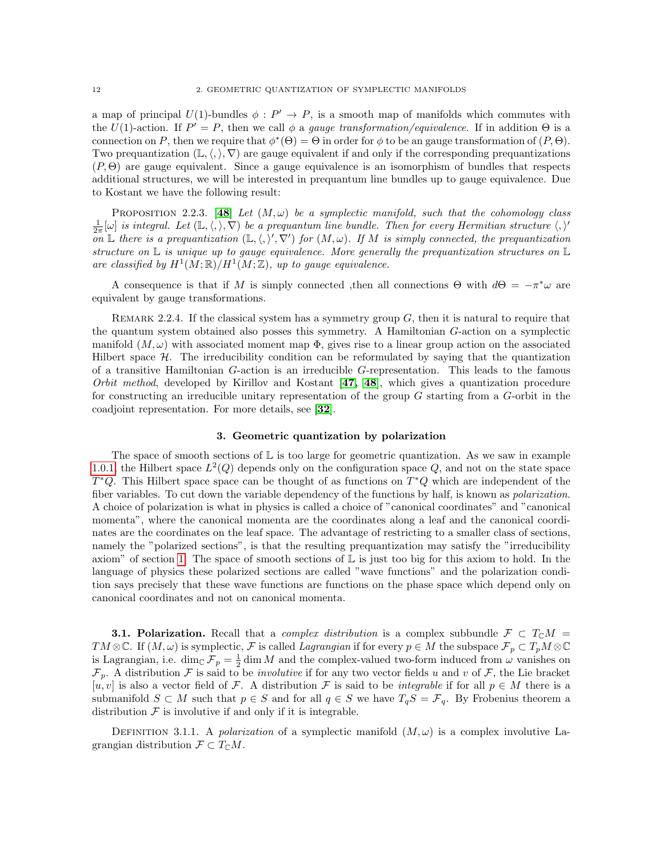a map of principal  $U(1)$ -bundles  $\phi : P' \to P$ , is a smooth map of manifolds which commutes with the U(1)-action. If  $P' = P$ , then we call  $\phi$  a gauge transformation/equivalence. If in addition  $\Theta$  is a connection on P, then we require that  $\phi^*(\Theta) = \Theta$  in order for  $\phi$  to be an gauge transformation of  $(P, \Theta)$ . Two prequantization  $(\mathbb{L}, \langle, \rangle, \nabla)$  are gauge equivalent if and only if the corresponding prequantizations  $(P, \Theta)$  are gauge equivalent. Since a gauge equivalence is an isomorphism of bundles that respects additional structures, we will be interested in prequantum line bundles up to gauge equivalence. Due to Kostant we have the following result:

<span id="page-15-1"></span>PROPOSITION 2.2.3. [[48](#page-117-7)] Let  $(M, \omega)$  be a symplectic manifold, such that the cohomology class  $\frac{1}{2\pi}[\omega]$  is integral. Let  $(\mathbb{L}, \langle, \rangle, \nabla)$  be a prequantum line bundle. Then for every Hermitian structure  $\langle, \rangle'$ on L there is a prequantization  $(\mathbb{L}, \langle, \rangle', \nabla')$  for  $(M, \omega)$ . If M is simply connected, the prequantization structure on  $\mathbb L$  is unique up to gauge equivalence. More generally the prequantization structures on  $\mathbb L$ are classified by  $H^1(M;\mathbb{R})/H^1(M;\mathbb{Z})$ , up to gauge equivalence.

A consequence is that if M is simply connected ,then all connections  $\Theta$  with  $d\Theta = -\pi^*\omega$  are equivalent by gauge transformations.

REMARK 2.2.4. If the classical system has a symmetry group  $G$ , then it is natural to require that the quantum system obtained also posses this symmetry. A Hamiltonian G-action on a symplectic manifold  $(M, \omega)$  with associated moment map  $\Phi$ , gives rise to a linear group action on the associated Hilbert space  $H$ . The irreducibility condition can be reformulated by saying that the quantization of a transitive Hamiltonian G-action is an irreducible G-representation. This leads to the famous Orbit method, developed by Kirillov and Kostant  $[47, 48]$  $[47, 48]$  $[47, 48]$  $[47, 48]$ , which gives a quantization procedure for constructing an irreducible unitary representation of the group  $G$  starting from a  $G$ -orbit in the coadjoint representation. For more details, see [[32](#page-117-9)].

### 3. Geometric quantization by polarization

<span id="page-15-0"></span>The space of smooth sections of  $\mathbb L$  is too large for geometric quantization. As we saw in example [1.0.1,](#page-10-2) the Hilbert space  $L^2(Q)$  depends only on the configuration space Q, and not on the state space  $T^*Q$ . This Hilbert space space can be thought of as functions on  $T^*Q$  which are independent of the fiber variables. To cut down the variable dependency of the functions by half, is known as *polarization*. A choice of polarization is what in physics is called a choice of "canonical coordinates" and "canonical momenta", where the canonical momenta are the coordinates along a leaf and the canonical coordinates are the coordinates on the leaf space. The advantage of restricting to a smaller class of sections, namely the "polarized sections", is that the resulting prequantization may satisfy the "irreducibility axiom" of section [1.](#page-10-1) The space of smooth sections of  $\mathbb L$  is just too big for this axiom to hold. In the language of physics these polarized sections are called "wave functions" and the polarization condition says precisely that these wave functions are functions on the phase space which depend only on canonical coordinates and not on canonical momenta.

**3.1. Polarization.** Recall that a *complex distribution* is a complex subbundle  $\mathcal{F} \subset T_{\mathbb{C}}M$ TM  $\otimes \mathbb{C}$ . If  $(M,\omega)$  is symplectic, F is called Lagrangian if for every  $p \in M$  the subspace  $\mathcal{F}_p \subset T_pM \otimes \mathbb{C}$ is Lagrangian, i.e.  $\dim_{\mathbb{C}} \mathcal{F}_p = \frac{1}{2} \dim M$  and the complex-valued two-form induced from  $\omega$  vanishes on  $\mathcal{F}_p$ . A distribution  $\mathcal F$  is said to be *involutive* if for any two vector fields u and v of  $\mathcal F$ , the Lie bracket [u, v] is also a vector field of F. A distribution F is said to be *integrable* if for all  $p \in M$  there is a submanifold  $S \subset M$  such that  $p \in S$  and for all  $q \in S$  we have  $T_qS = \mathcal{F}_q$ . By Frobenius theorem a distribution  $\mathcal F$  is involutive if and only if it is integrable.

DEFINITION 3.1.1. A polarization of a symplectic manifold  $(M, \omega)$  is a complex involutive Lagrangian distribution  $\mathcal{F} \subset T_{\mathbb{C}}M$ .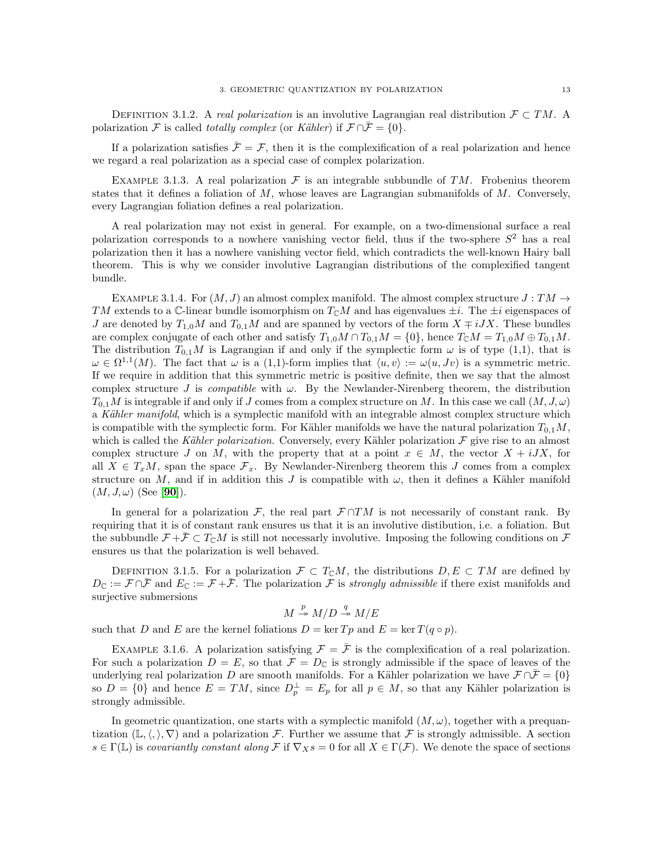DEFINITION 3.1.2. A real polarization is an involutive Lagrangian real distribution  $\mathcal{F} \subset TM$ . A polarization F is called totally complex (or Kähler) if  $\mathcal{F} \cap \overline{\mathcal{F}} = \{0\}.$ 

If a polarization satisfies  $\bar{\mathcal{F}} = \mathcal{F}$ , then it is the complexification of a real polarization and hence we regard a real polarization as a special case of complex polarization.

EXAMPLE 3.1.3. A real polarization  $\mathcal F$  is an integrable subbundle of TM. Frobenius theorem states that it defines a foliation of  $M$ , whose leaves are Lagrangian submanifolds of  $M$ . Conversely, every Lagrangian foliation defines a real polarization.

A real polarization may not exist in general. For example, on a two-dimensional surface a real polarization corresponds to a nowhere vanishing vector field, thus if the two-sphere  $S^2$  has a real polarization then it has a nowhere vanishing vector field, which contradicts the well-known Hairy ball theorem. This is why we consider involutive Lagrangian distributions of the complexified tangent bundle.

<span id="page-16-0"></span>EXAMPLE 3.1.4. For  $(M, J)$  an almost complex manifold. The almost complex structure  $J: TM \rightarrow$ TM extends to a C-linear bundle isomorphism on  $T_{\mathbb{C}}M$  and has eigenvalues  $\pm i$ . The  $\pm i$  eigenspaces of J are denoted by  $T_{1,0}M$  and  $T_{0,1}M$  and are spanned by vectors of the form  $X \neq iJX$ . These bundles are complex conjugate of each other and satisfy  $T_{1,0}M \cap T_{0,1}M = \{0\}$ , hence  $T_{\mathbb{C}}M = T_{1,0}M \oplus T_{0,1}M$ . The distribution  $T_{0,1}M$  is Lagrangian if and only if the symplectic form  $\omega$  is of type (1,1), that is  $\omega \in \Omega^{1,1}(M)$ . The fact that  $\omega$  is a (1,1)-form implies that  $\langle u, v \rangle := \omega(u, Jv)$  is a symmetric metric. If we require in addition that this symmetric metric is positive definite, then we say that the almost complex structure J is *compatible* with  $\omega$ . By the Newlander-Nirenberg theorem, the distribution  $T_{0,1}M$  is integrable if and only if J comes from a complex structure on M. In this case we call  $(M, J, \omega)$ a Kähler manifold, which is a symplectic manifold with an integrable almost complex structure which is compatible with the symplectic form. For Kähler manifolds we have the natural polarization  $T_{0,1}M$ , which is called the Kähler polarization. Conversely, every Kähler polarization  $\mathcal F$  give rise to an almost complex structure J on M, with the property that at a point  $x \in M$ , the vector  $X + iJX$ , for all  $X \in T_xM$ , span the space  $\mathcal{F}_x$ . By Newlander-Nirenberg theorem this J comes from a complex structure on M, and if in addition this J is compatible with  $\omega$ , then it defines a Kähler manifold  $(M, J, \omega)$  (See [[90](#page-118-2)]).

In general for a polarization  $\mathcal{F}$ , the real part  $\mathcal{F} \cap TM$  is not necessarily of constant rank. By requiring that it is of constant rank ensures us that it is an involutive distibution, i.e. a foliation. But the subbundle  $\mathcal{F} + \mathcal{F} \subset T_{\mathbb{C}}M$  is still not necessarly involutive. Imposing the following conditions on  $\mathcal{F}$ ensures us that the polarization is well behaved.

DEFINITION 3.1.5. For a polarization  $\mathcal{F} \subset T_{\mathbb{C}}M$ , the distributions  $D, E \subset TM$  are defined by  $D_{\mathbb{C}} := \mathcal{F} \cap \bar{\mathcal{F}}$  and  $E_{\mathbb{C}} := \mathcal{F} + \bar{\mathcal{F}}$ . The polarization  $\mathcal{F}$  is strongly admissible if there exist manifolds and surjective submersions

$$
M \stackrel{p}{\twoheadrightarrow} M/D \stackrel{q}{\twoheadrightarrow} M/E
$$

such that D and E are the kernel foliations  $D = \ker T p$  and  $E = \ker T (q \circ p)$ .

EXAMPLE 3.1.6. A polarization satisfying  $\mathcal{F} = \bar{\mathcal{F}}$  is the complexification of a real polarization. For such a polarization  $D = E$ , so that  $\mathcal{F} = D_{\mathbb{C}}$  is strongly admissible if the space of leaves of the underlying real polarization D are smooth manifolds. For a Kähler polarization we have  $\mathcal{F} \cap \bar{\mathcal{F}} = \{0\}$ so  $D = \{0\}$  and hence  $E = TM$ , since  $D_p^{\perp} = E_p$  for all  $p \in M$ , so that any Kähler polarization is strongly admissible.

In geometric quantization, one starts with a symplectic manifold  $(M, \omega)$ , together with a prequantization  $(\mathbb{L},\langle,\rangle,\nabla)$  and a polarization F. Further we assume that F is strongly admissible. A section  $s \in \Gamma(\mathbb{L})$  is covariantly constant along F if  $\nabla_X s = 0$  for all  $X \in \Gamma(\mathcal{F})$ . We denote the space of sections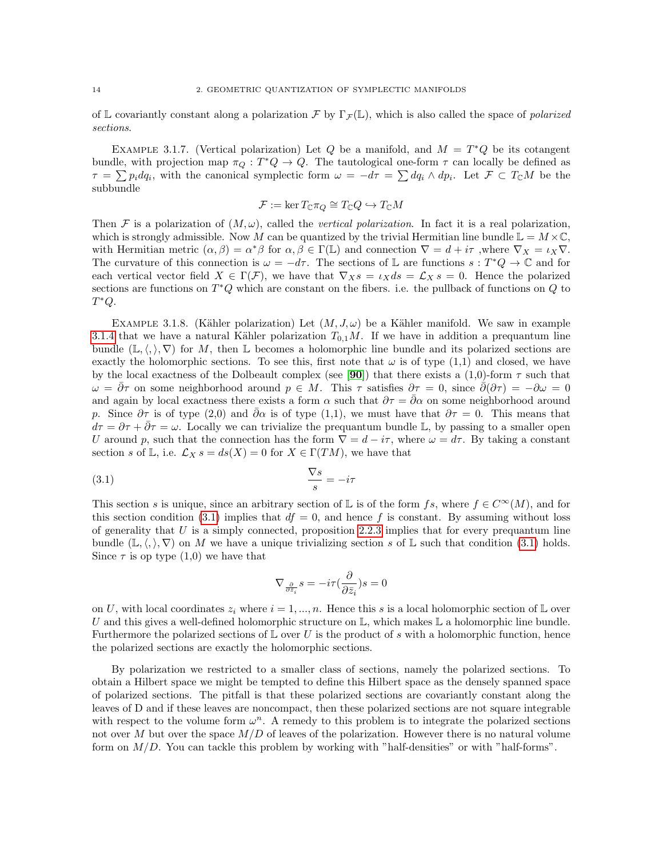of L covariantly constant along a polarization F by  $\Gamma_{\mathcal{F}}(\mathbb{L})$ , which is also called the space of *polarized* sections.

EXAMPLE 3.1.7. (Vertical polarization) Let Q be a manifold, and  $M = T^*Q$  be its cotangent bundle, with projection map  $\pi_Q : T^*Q \to Q$ . The tautological one-form  $\tau$  can locally be defined as  $\tau = \sum p_i dq_i$ , with the canonical symplectic form  $\omega = -d\tau = \sum dq_i \wedge dp_i$ . Let  $\mathcal{F} \subset T_{\mathbb{C}}M$  be the subbundle

$$
\mathcal{F} := \ker T_{\mathbb{C}} \pi_Q \cong T_{\mathbb{C}} Q \hookrightarrow T_{\mathbb{C}} M
$$

Then F is a polarization of  $(M, \omega)$ , called the vertical polarization. In fact it is a real polarization, which is strongly admissible. Now M can be quantized by the trivial Hermitian line bundle  $\mathbb{L} = M \times \mathbb{C}$ , with Hermitian metric  $(\alpha, \beta) = \alpha^* \beta$  for  $\alpha, \beta \in \Gamma(\mathbb{L})$  and connection  $\nabla = d + i\tau$ , where  $\nabla_X = \iota_X \nabla$ . The curvature of this connection is  $\omega = -d\tau$ . The sections of L are functions  $s : T^*Q \to \mathbb{C}$  and for each vertical vector field  $X \in \Gamma(\mathcal{F})$ , we have that  $\nabla_X s = \iota_X ds = \mathcal{L}_X s = 0$ . Hence the polarized sections are functions on  $T^*Q$  which are constant on the fibers. i.e. the pullback of functions on  $Q$  to  $T^*Q$ .

EXAMPLE 3.1.8. (Kähler polarization) Let  $(M, J, \omega)$  be a Kähler manifold. We saw in example [3.1.4](#page-16-0) that we have a natural Kähler polarization  $T_{0,1}M$ . If we have in addition a prequantum line bundle  $(\mathbb{L},\langle,\rangle,\nabla)$  for M, then L becomes a holomorphic line bundle and its polarized sections are exactly the holomorphic sections. To see this, first note that  $\omega$  is of type (1,1) and closed, we have by the local exactness of the Dolbeault complex (see [[90](#page-118-2)]) that there exists a (1,0)-form  $\tau$  such that  $\omega = \bar{\partial}\tau$  on some neighborhood around  $p \in M$ . This  $\tau$  satisfies  $\partial \tau = 0$ , since  $\bar{\partial}(\partial \tau) = -\partial \omega = 0$ and again by local exactness there exists a form  $\alpha$  such that  $\partial \tau = \overline{\partial} \alpha$  on some neighborhood around p. Since  $\partial \tau$  is of type (2,0) and  $\bar{\partial} \alpha$  is of type (1,1), we must have that  $\partial \tau = 0$ . This means that  $d\tau = \partial \tau + \partial \tau = \omega$ . Locally we can trivialize the prequantum bundle L, by passing to a smaller open U around p, such that the connection has the form  $\nabla = d - i\tau$ , where  $\omega = d\tau$ . By taking a constant section s of L, i.e.  $\mathcal{L}_X s = ds(X) = 0$  for  $X \in \Gamma(TM)$ , we have that

<span id="page-17-0"></span>
$$
\frac{\nabla s}{s} = -i\tau
$$

This section s is unique, since an arbitrary section of L is of the form fs, where  $f \in C^{\infty}(M)$ , and for this section condition [\(3.1\)](#page-17-0) implies that  $df = 0$ , and hence f is constant. By assuming without loss of generality that  $U$  is a simply connected, proposition [2.2.3](#page-15-1) implies that for every prequantum line bundle  $(\mathbb{L},\langle,\rangle,\nabla)$  on M we have a unique trivializing section s of L such that condition [\(3.1\)](#page-17-0) holds. Since  $\tau$  is op type  $(1,0)$  we have that

$$
\nabla_{\frac{\partial}{\partial \bar{z}_i}}s=-i\tau\big(\frac{\partial}{\partial \bar{z}_i}\big)s=0
$$

on U, with local coordinates  $z_i$  where  $i = 1, ..., n$ . Hence this s is a local holomorphic section of L over U and this gives a well-defined holomorphic structure on  $\mathbb{L}$ , which makes  $\mathbb{L}$  a holomorphic line bundle. Furthermore the polarized sections of  $\mathbb L$  over U is the product of s with a holomorphic function, hence the polarized sections are exactly the holomorphic sections.

By polarization we restricted to a smaller class of sections, namely the polarized sections. To obtain a Hilbert space we might be tempted to define this Hilbert space as the densely spanned space of polarized sections. The pitfall is that these polarized sections are covariantly constant along the leaves of D and if these leaves are noncompact, then these polarized sections are not square integrable with respect to the volume form  $\omega^n$ . A remedy to this problem is to integrate the polarized sections not over M but over the space  $M/D$  of leaves of the polarization. However there is no natural volume form on  $M/D$ . You can tackle this problem by working with "half-densities" or with "half-forms".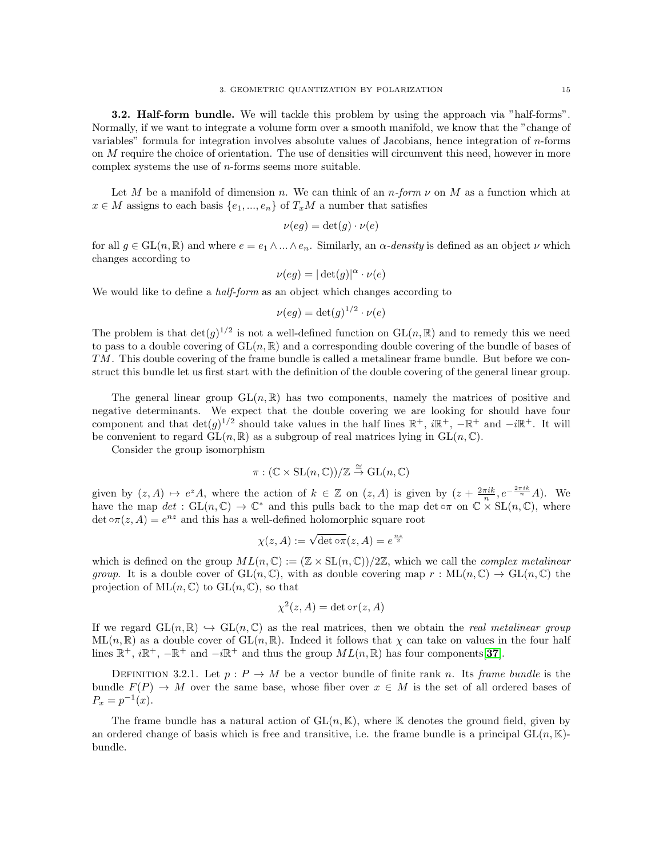3.2. Half-form bundle. We will tackle this problem by using the approach via "half-forms". Normally, if we want to integrate a volume form over a smooth manifold, we know that the "change of variables" formula for integration involves absolute values of Jacobians, hence integration of n-forms on M require the choice of orientation. The use of densities will circumvent this need, however in more complex systems the use of  $n$ -forms seems more suitable.

Let M be a manifold of dimension n. We can think of an  $n$ -form  $\nu$  on M as a function which at  $x \in M$  assigns to each basis  $\{e_1, ..., e_n\}$  of  $T_xM$  a number that satisfies

$$
\nu(eg) = \det(g) \cdot \nu(e)
$$

for all  $g \in GL(n, \mathbb{R})$  and where  $e = e_1 \wedge ... \wedge e_n$ . Similarly, an  $\alpha$ -density is defined as an object  $\nu$  which changes according to

$$
\nu(eg) = |\det(g)|^{\alpha} \cdot \nu(e)
$$

We would like to define a *half-form* as an object which changes according to

$$
\nu(eg) = \det(g)^{1/2} \cdot \nu(e)
$$

The problem is that  $\det(g)^{1/2}$  is not a well-defined function on  $GL(n,\mathbb{R})$  and to remedy this we need to pass to a double covering of  $GL(n, \mathbb{R})$  and a corresponding double covering of the bundle of bases of TM. This double covering of the frame bundle is called a metalinear frame bundle. But before we construct this bundle let us first start with the definition of the double covering of the general linear group.

The general linear group  $GL(n,\mathbb{R})$  has two components, namely the matrices of positive and negative determinants. We expect that the double covering we are looking for should have four component and that  $\det(g)^{1/2}$  should take values in the half lines  $\mathbb{R}^+$ ,  $i\mathbb{R}^+$ ,  $-\mathbb{R}^+$  and  $-i\mathbb{R}^+$ . It will be convenient to regard  $GL(n, \mathbb{R})$  as a subgroup of real matrices lying in  $GL(n, \mathbb{C})$ .

Consider the group isomorphism

$$
\pi: (\mathbb{C} \times SL(n, \mathbb{C})) / \mathbb{Z} \stackrel{\cong}{\to} GL(n, \mathbb{C})
$$

given by  $(z, A) \mapsto e^z A$ , where the action of  $k \in \mathbb{Z}$  on  $(z, A)$  is given by  $(z + \frac{2\pi i k}{n}, e^{-\frac{2\pi i k}{n}} A)$ . We have the map  $det : GL(n, \mathbb{C}) \to \mathbb{C}^*$  and this pulls back to the map  $det \circ \pi$  on  $\mathbb{C} \times SL(n, \mathbb{C})$ , where  $\det \circ \pi(z, A) = e^{nz}$  and this has a well-defined holomorphic square root

$$
\chi(z, A) := \sqrt{\det \circ \pi}(z, A) = e^{\frac{nz}{2}}
$$

which is defined on the group  $ML(n, \mathbb{C}) := (\mathbb{Z} \times SL(n, \mathbb{C})) / 2\mathbb{Z}$ , which we call the *complex metalinear group.* It is a double cover of  $GL(n,\mathbb{C})$ , with as double covering map  $r : ML(n,\mathbb{C}) \to GL(n,\mathbb{C})$  the projection of  $\text{ML}(n, \mathbb{C})$  to  $\text{GL}(n, \mathbb{C})$ , so that

$$
\chi^2(z, A) = \det \circ r(z, A)
$$

If we regard  $GL(n, \mathbb{R}) \hookrightarrow GL(n, \mathbb{C})$  as the real matrices, then we obtain the *real metalinear group*  $ML(n, \mathbb{R})$  as a double cover of  $GL(n, \mathbb{R})$ . Indeed it follows that  $\chi$  can take on values in the four half lines  $\mathbb{R}^+$ ,  $i\mathbb{R}^+$ ,  $-\mathbb{R}^+$  and  $-i\mathbb{R}^+$  and thus the group  $ML(n, \mathbb{R})$  has four components [[37](#page-117-10)].

DEFINITION 3.2.1. Let  $p : P \to M$  be a vector bundle of finite rank n. Its frame bundle is the bundle  $F(P) \to M$  over the same base, whose fiber over  $x \in M$  is the set of all ordered bases of  $P_x = p^{-1}(x)$ .

The frame bundle has a natural action of  $GL(n, K)$ , where K denotes the ground field, given by an ordered change of basis which is free and transitive, i.e. the frame bundle is a principal  $GL(n, K)$ bundle.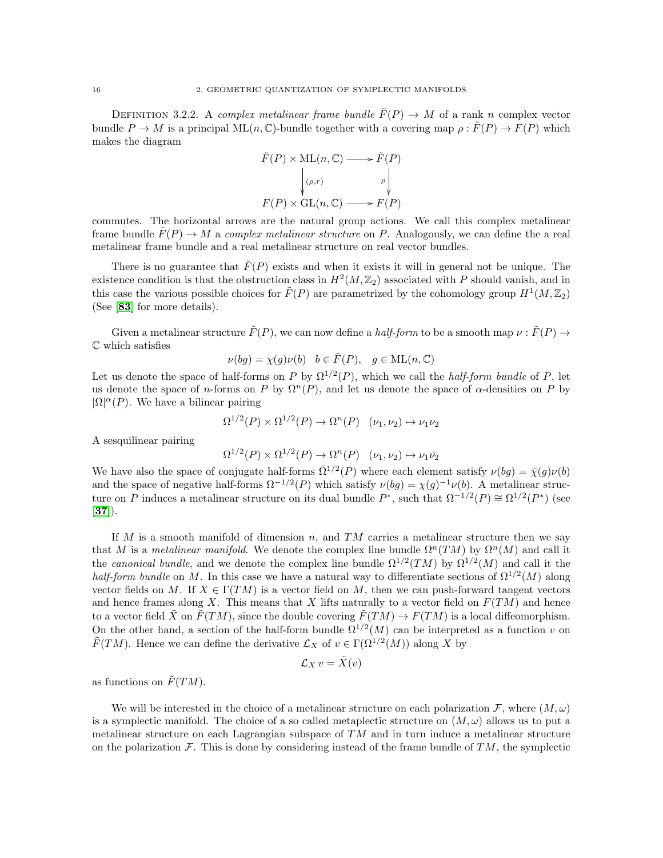DEFINITION 3.2.2. A complex metalinear frame bundle  $\hat{F}(P) \to M$  of a rank n complex vector bundle  $P \to M$  is a principal ML $(n, \mathbb{C})$ -bundle together with a covering map  $\rho : \tilde{F}(P) \to F(P)$  which makes the diagram

$$
\tilde{F}(P) \times ML(n, \mathbb{C}) \longrightarrow \tilde{F}(P)
$$
\n
$$
\downarrow ( \rho, r ) \qquad \rho \downarrow
$$
\n
$$
F(P) \times GL(n, \mathbb{C}) \longrightarrow F(P)
$$

commutes. The horizontal arrows are the natural group actions. We call this complex metalinear frame bundle  $\hat{F}(P) \to M$  a *complex metalinear structure* on P. Analogously, we can define the a real metalinear frame bundle and a real metalinear structure on real vector bundles.

There is no guarantee that  $\tilde{F}(P)$  exists and when it exists it will in general not be unique. The existence condition is that the obstruction class in  $H^2(M, \mathbb{Z}_2)$  associated with P should vanish, and in this case the various possible choices for  $\tilde{F}(P)$  are parametrized by the cohomology group  $H^1(M, \mathbb{Z}_2)$ (See [[83](#page-118-1)] for more details).

Given a metalinear structure  $\tilde{F}(P)$ , we can now define a half-form to be a smooth map  $\nu : \tilde{F}(P) \to$ C which satisfies

$$
\nu(bg) = \chi(g)\nu(b) \quad b \in \tilde{F}(P), \quad g \in \text{ML}(n, \mathbb{C})
$$

Let us denote the space of half-forms on P by  $\Omega^{1/2}(P)$ , which we call the *half-form bundle* of P, let us denote the space of n-forms on P by  $\Omega^{n}(P)$ , and let us denote the space of  $\alpha$ -densities on P by  $|\Omega|^{\alpha}(P)$ . We have a bilinear pairing

$$
\Omega^{1/2}(P) \times \Omega^{1/2}(P) \to \Omega^n(P) \quad (\nu_1, \nu_2) \mapsto \nu_1 \nu_2
$$

A sesquilinear pairing

$$
\Omega^{1/2}(P) \times \Omega^{1/2}(P) \to \Omega^n(P) \quad (\nu_1, \nu_2) \mapsto \nu_1 \bar{\nu_2}
$$

We have also the space of conjugate half-forms  $\overline{\Omega}^{1/2}(P)$  where each element satisfy  $\nu(bg) = \overline{\chi}(g)\nu(b)$ and the space of negative half-forms  $\Omega^{-1/2}(P)$  which satisfy  $\nu(bg) = \chi(g)^{-1}\nu(b)$ . A metalinear structure on P induces a metalinear structure on its dual bundle  $P^*$ , such that  $\Omega^{-1/2}(P) \cong \Omega^{1/2}(P^*)$  (see  $[37]$  $[37]$  $[37]$ .

If M is a smooth manifold of dimension n, and  $TM$  carries a metalinear structure then we say that M is a metalinear manifold. We denote the complex line bundle  $\Omega^n(TM)$  by  $\Omega^n(M)$  and call it the *canonical bundle*, and we denote the complex line bundle  $\Omega^{1/2}(TM)$  by  $\Omega^{1/2}(M)$  and call it the half-form bundle on M. In this case we have a natural way to differentiate sections of  $\Omega^{1/2}(M)$  along vector fields on M. If  $X \in \Gamma(TM)$  is a vector field on M, then we can push-forward tangent vectors and hence frames along X. This means that X lifts naturally to a vector field on  $F(TM)$  and hence to a vector field  $\tilde{X}$  on  $\tilde{F}(TM)$ , since the double covering  $\tilde{F}(TM) \to F(TM)$  is a local diffeomorphism. On the other hand, a section of the half-form bundle  $\Omega^{1/2}(M)$  can be interpreted as a function v on  $\widetilde{F}(TM)$ . Hence we can define the derivative  $\mathcal{L}_X$  of  $v \in \Gamma(\Omega^{1/2}(M))$  along X by

$$
\mathcal{L}_X\,v=\tilde{X}(v)
$$

as functions on  $\tilde{F}(TM)$ .

We will be interested in the choice of a metalinear structure on each polarization F, where  $(M, \omega)$ is a symplectic manifold. The choice of a so called metaplectic structure on  $(M, \omega)$  allows us to put a metalinear structure on each Lagrangian subspace of  $TM$  and in turn induce a metalinear structure on the polarization  $\mathcal{F}$ . This is done by considering instead of the frame bundle of  $TM$ , the symplectic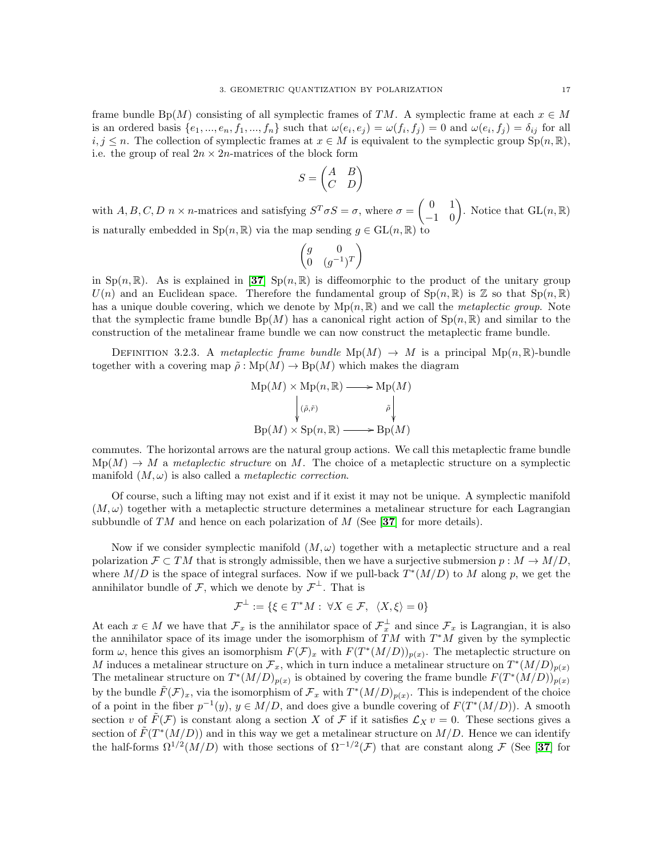frame bundle Bp(M) consisting of all symplectic frames of TM. A symplectic frame at each  $x \in M$ is an ordered basis  $\{e_1, ..., e_n, f_1, ..., f_n\}$  such that  $\omega(e_i, e_j) = \omega(f_i, f_j) = 0$  and  $\omega(e_i, f_j) = \delta_{ij}$  for all  $i, j \leq n$ . The collection of symplectic frames at  $x \in M$  is equivalent to the symplectic group  $Sp(n, \mathbb{R})$ , i.e. the group of real  $2n \times 2n$ -matrices of the block form

$$
S = \begin{pmatrix} A & B \\ C & D \end{pmatrix}
$$

with  $A, B, C, D \nrightarrow n$ -matrices and satisfying  $S^T \sigma S = \sigma$ , where  $\sigma = \begin{pmatrix} 0 & 1 \\ -1 & 0 \end{pmatrix}$ . Notice that  $GL(n, \mathbb{R})$ is naturally embedded in  $\text{Sp}(n,\mathbb{R})$  via the map sending  $g \in \text{GL}(n,\mathbb{R})$  to

$$
\begin{pmatrix} g & 0 \\ 0 & (g^{-1})^T \end{pmatrix}
$$

in  $Sp(n,\mathbb{R})$ . As is explained in [[37](#page-117-10)]  $Sp(n,\mathbb{R})$  is diffeomorphic to the product of the unitary group  $U(n)$  and an Euclidean space. Therefore the fundamental group of  $Sp(n,\mathbb{R})$  is  $\mathbb Z$  so that  $Sp(n,\mathbb{R})$ has a unique double covering, which we denote by  $Mp(n, \mathbb{R})$  and we call the *metaplectic group*. Note that the symplectic frame bundle  $Bp(M)$  has a canonical right action of  $Sp(n, \mathbb{R})$  and similar to the construction of the metalinear frame bundle we can now construct the metaplectic frame bundle.

DEFINITION 3.2.3. A metaplectic frame bundle  $Mp(M) \rightarrow M$  is a principal  $Mp(n, \mathbb{R})$ -bundle together with a covering map  $\tilde{\rho}$ : Mp $(M) \rightarrow$  Bp $(M)$  which makes the diagram

$$
Mp(M) \times Mp(n, \mathbb{R}) \longrightarrow Mp(M)
$$
  

$$
\downarrow (\tilde{\rho}, \tilde{r}) \qquad \qquad \tilde{\rho} \downarrow
$$
  

$$
Bp(M) \times Sp(n, \mathbb{R}) \longrightarrow Bp(M)
$$

commutes. The horizontal arrows are the natural group actions. We call this metaplectic frame bundle  $Mp(M) \to M$  a metaplectic structure on M. The choice of a metaplectic structure on a symplectic manifold  $(M, \omega)$  is also called a *metaplectic correction*.

Of course, such a lifting may not exist and if it exist it may not be unique. A symplectic manifold  $(M, \omega)$  together with a metaplectic structure determines a metalinear structure for each Lagrangian subbundle of TM and hence on each polarization of M (See [[37](#page-117-10)] for more details).

Now if we consider symplectic manifold  $(M, \omega)$  together with a metaplectic structure and a real polarization  $\mathcal{F} \subset TM$  that is strongly admissible, then we have a surjective submersion  $p : M \to M/D$ , where  $M/D$  is the space of integral surfaces. Now if we pull-back  $T^*(M/D)$  to M along p, we get the annihilator bundle of  $\mathcal{F}$ , which we denote by  $\mathcal{F}^{\perp}$ . That is

$$
\mathcal{F}^{\perp} := \{ \xi \in T^*M : \ \forall X \in \mathcal{F}, \ \ \langle X, \xi \rangle = 0 \}
$$

At each  $x \in M$  we have that  $\mathcal{F}_x$  is the annihilator space of  $\mathcal{F}_x^{\perp}$  and since  $\mathcal{F}_x$  is Lagrangian, it is also the annihilator space of its image under the isomorphism of  $TM$  with  $T^*M$  given by the symplectic form  $\omega$ , hence this gives an isomorphism  $F(\mathcal{F})_x$  with  $F(T^*(M/D))_{p(x)}$ . The metaplectic structure on M induces a metalinear structure on  $\mathcal{F}_x$ , which in turn induce a metalinear structure on  $T^*(M/D)_{p(x)}$ The metalinear structure on  $T^*(M/D)_{p(x)}$  is obtained by covering the frame bundle  $F(T^*(M/D))_{p(x)}$ by the bundle  $\tilde{F}(\mathcal{F})_x$ , via the isomorphism of  $\mathcal{F}_x$  with  $T^*(M/D)_{p(x)}$ . This is independent of the choice of a point in the fiber  $p^{-1}(y)$ ,  $y \in M/D$ , and does give a bundle covering of  $F(T^*(M/D))$ . A smooth section v of  $\tilde{F}(\mathcal{F})$  is constant along a section X of F if it satisfies  $\mathcal{L}_X v = 0$ . These sections gives a section of  $\tilde{F}(T^*(M/D))$  and in this way we get a metalinear structure on  $M/D$ . Hence we can identify the half-forms  $\Omega^{1/2}(M/D)$  with those sections of  $\Omega^{-1/2}(\mathcal{F})$  that are constant along  $\mathcal F$  (See [[37](#page-117-10)] for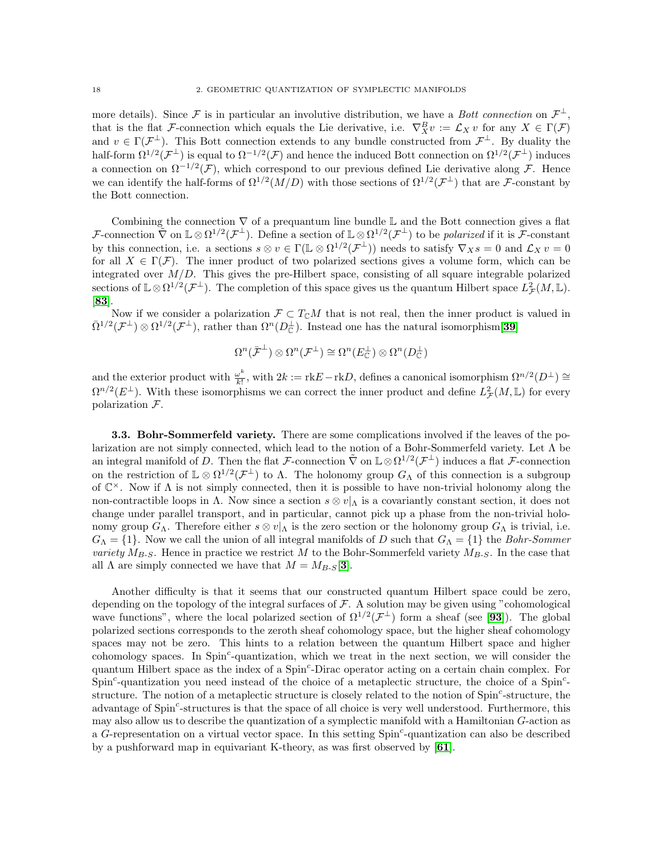more details). Since F is in particular an involutive distribution, we have a *Bott connection* on  $\mathcal{F}^{\perp}$ , that is the flat F-connection which equals the Lie derivative, i.e.  $\nabla_X^B v := \mathcal{L}_X v$  for any  $X \in \Gamma(\mathcal{F})$ and  $v \in \Gamma(\mathcal{F}^{\perp})$ . This Bott connection extends to any bundle constructed from  $\mathcal{F}^{\perp}$ . By duality the half-form  $\Omega^{1/2}(\mathcal{F}^{\perp})$  is equal to  $\Omega^{-1/2}(\mathcal{F})$  and hence the induced Bott connection on  $\Omega^{1/2}(\mathcal{F}^{\perp})$  induces a connection on  $\Omega^{-1/2}(\mathcal{F})$ , which correspond to our previous defined Lie derivative along F. Hence we can identify the half-forms of  $\Omega^{1/2}(M/D)$  with those sections of  $\Omega^{1/2}(\mathcal{F}^{\perp})$  that are F-constant by the Bott connection.

Combining the connection  $\nabla$  of a prequantum line bundle L and the Bott connection gives a flat F-connection  $\tilde{\nabla}$  on  $\mathbb{L} \otimes \Omega^{1/2}(\mathcal{F}^{\perp})$ . Define a section of  $\mathbb{L} \otimes \Omega^{1/2}(\mathcal{F}^{\perp})$  to be *polarized* if it is F-constant by this connection, i.e. a sections  $s \otimes v \in \Gamma(\mathbb{L} \otimes \Omega^{1/2}(\mathcal{F}^{\perp}))$  needs to satisfy  $\nabla_X s = 0$  and  $\mathcal{L}_X v = 0$ for all  $X \in \Gamma(\mathcal{F})$ . The inner product of two polarized sections gives a volume form, which can be integrated over  $M/D$ . This gives the pre-Hilbert space, consisting of all square integrable polarized sections of  $\mathbb{L}\otimes\Omega^{1/2}(\mathcal{F}^{\perp})$ . The completion of this space gives us the quantum Hilbert space  $L^2_{\mathcal{F}}(M,\mathbb{L})$ . [[83](#page-118-1)].

Now if we consider a polarization  $\mathcal{F} \subset T_{\mathbb{C}}M$  that is not real, then the inner product is valued in  $\bar{\Omega}^{1/2}(\mathcal{F}^{\perp})\otimes\Omega^{1/2}(\mathcal{F}^{\perp})$ , rather than  $\Omega^{n}(D_{\mathbb{C}}^{\perp})$ . Instead one has the natural isomorphism [[39](#page-117-11)]

$$
\Omega^n(\bar{\mathcal{F}}^\perp) \otimes \Omega^n(\mathcal{F}^\perp) \cong \Omega^n(E_{\mathbb{C}}^\perp) \otimes \Omega^n(D_{\mathbb{C}}^\perp)
$$

and the exterior product with  $\frac{\omega^k}{k!}$  $\frac{\omega^k}{k!}$ , with  $2k := \text{rk} E - \text{rk} D$ , defines a canonical isomorphism  $\Omega^{n/2}(D^{\perp}) \cong$  $\Omega^{n/2}(E^{\perp})$ . With these isomorphisms we can correct the inner product and define  $L^2_{\mathcal{F}}(M,\mathbb{L})$  for every polarization F.

3.3. Bohr-Sommerfeld variety. There are some complications involved if the leaves of the polarization are not simply connected, which lead to the notion of a Bohr-Sommerfeld variety. Let Λ be an integral manifold of D. Then the flat F-connection  $\tilde{\nabla}$  on  $\mathbb{L}\otimes\Omega^{1/2}(\mathcal{F}^{\perp})$  induces a flat F-connection on the restriction of  $\mathbb{L} \otimes \Omega^{1/2}(\mathcal{F}^{\perp})$  to  $\Lambda$ . The holonomy group  $G_{\Lambda}$  of this connection is a subgroup of  $\mathbb{C}^{\times}$ . Now if  $\Lambda$  is not simply connected, then it is possible to have non-trivial holonomy along the non-contractible loops in Λ. Now since a section  $s \otimes v|_{\Lambda}$  is a covariantly constant section, it does not change under parallel transport, and in particular, cannot pick up a phase from the non-trivial holonomy group  $G_\Lambda$ . Therefore either  $s \otimes v|_\Lambda$  is the zero section or the holonomy group  $G_\Lambda$  is trivial, i.e.  $G_{\Lambda} = \{1\}$ . Now we call the union of all integral manifolds of D such that  $G_{\Lambda} = \{1\}$  the Bohr-Sommer variety  $M_{B-S}$ . Hence in practice we restrict M to the Bohr-Sommerfeld variety  $M_{B-S}$ . In the case that all  $\Lambda$  are simply connected we have that  $M = M_{B-S}[\mathbf{3}]$  $M = M_{B-S}[\mathbf{3}]$  $M = M_{B-S}[\mathbf{3}]$ .

Another difficulty is that it seems that our constructed quantum Hilbert space could be zero, depending on the topology of the integral surfaces of  $\mathcal F$ . A solution may be given using "cohomological" wave functions", where the local polarized section of  $\Omega^{1/2}(\mathcal{F}^{\perp})$  form a sheaf (see [[93](#page-118-3)]). The global polarized sections corresponds to the zeroth sheaf cohomology space, but the higher sheaf cohomology spaces may not be zero. This hints to a relation between the quantum Hilbert space and higher cohomology spaces. In Spin<sup>c</sup>-quantization, which we treat in the next section, we will consider the quantum Hilbert space as the index of a Spin<sup>c</sup>-Dirac operator acting on a certain chain complex. For  $Spin<sup>c</sup>$ -quantization you need instead of the choice of a metaplectic structure, the choice of a Spin<sup>c</sup>structure. The notion of a metaplectic structure is closely related to the notion of Spin<sup>c</sup>-structure, the advantage of Spin<sup>c</sup>-structures is that the space of all choice is very well understood. Furthermore, this may also allow us to describe the quantization of a symplectic manifold with a Hamiltonian G-action as a G-representation on a virtual vector space. In this setting Spin<sup>c</sup>-quantization can also be described by a pushforward map in equivariant K-theory, as was first observed by [[61](#page-117-12)].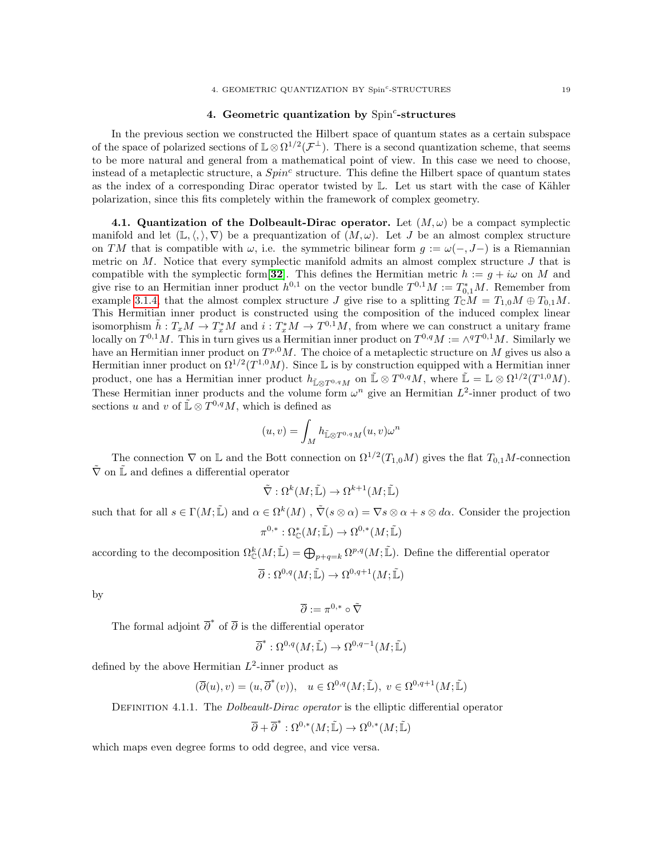### 4. Geometric quantization by  $Spin<sup>c</sup>$ -structures

<span id="page-22-0"></span>In the previous section we constructed the Hilbert space of quantum states as a certain subspace of the space of polarized sections of  $\mathbb{L}\otimes\Omega^{1/2}(\mathcal{F}^{\perp})$ . There is a second quantization scheme, that seems to be more natural and general from a mathematical point of view. In this case we need to choose, instead of a metaplectic structure, a  $Spin<sup>c</sup>$  structure. This define the Hilbert space of quantum states as the index of a corresponding Dirac operator twisted by  $\mathbb{L}$ . Let us start with the case of Kähler polarization, since this fits completely within the framework of complex geometry.

4.1. Quantization of the Dolbeault-Dirac operator. Let  $(M, \omega)$  be a compact symplectic manifold and let  $(\mathbb{L}, \langle, \rangle, \nabla)$  be a prequantization of  $(M, \omega)$ . Let J be an almost complex structure on TM that is compatible with  $\omega$ , i.e. the symmetric bilinear form  $q := \omega(-, J-)$  is a Riemannian metric on  $M$ . Notice that every symplectic manifold admits an almost complex structure  $J$  that is compatible with the symplectic form [[32](#page-117-9)]. This defines the Hermitian metric  $h := g + i\omega$  on M and give rise to an Hermitian inner product  $h^{0,1}$  on the vector bundle  $T^{0,1}M := T_{0,1}^*M$ . Remember from example [3.1.4,](#page-16-0) that the almost complex structure J give rise to a splitting  $T_{\mathbb{C}}M = T_{1,0}M \oplus T_{0,1}M$ . This Hermitian inner product is constructed using the composition of the induced complex linear isomorphism  $\tilde{h}: T_xM \to T_x^*M$  and  $i: T_x^*M \to T^{0,1}M$ , from where we can construct a unitary frame locally on  $T^{0,1}M$ . This in turn gives us a Hermitian inner product on  $T^{0,q}M := \wedge^q T^{0,1}M$ . Similarly we have an Hermitian inner product on  $T^{p,0}M$ . The choice of a metaplectic structure on M gives us also a Hermitian inner product on  $\Omega^{1/2}(T^{1,0}M)$ . Since L is by construction equipped with a Hermitian inner product, one has a Hermitian inner product  $h_{\tilde{L}\otimes T^{0,q}M}$  on  $\tilde{\mathbb{L}} \otimes T^{0,q}M$ , where  $\tilde{\mathbb{L}} = \mathbb{L} \otimes \Omega^{1/2}(T^{1,0}M)$ . These Hermitian inner products and the volume form  $\omega^n$  give an Hermitian  $L^2$ -inner product of two sections u and v of  $\mathbb{L} \otimes T^{0,q}M$ , which is defined as

$$
(u,v)=\int_M h_{\tilde{\mathbb{L}}\otimes T^{0,q}M}(u,v)\omega^n
$$

The connection  $\nabla$  on L and the Bott connection on  $\Omega^{1/2}(T_{1,0}M)$  gives the flat  $T_{0,1}M$ -connection  $\tilde{\nabla}$  on  $\tilde{\mathbb{L}}$  and defines a differential operator

$$
\tilde{\nabla}: \Omega^k(M; \tilde{\mathbb{L}}) \to \Omega^{k+1}(M; \tilde{\mathbb{L}})
$$

such that for all  $s \in \Gamma(M; \tilde{\mathbb{L}})$  and  $\alpha \in \Omega^k(M)$ ,  $\tilde{\nabla}(s \otimes \alpha) = \nabla s \otimes \alpha + s \otimes d\alpha$ . Consider the projection

$$
\pi^{0,*} : \Omega^*_{\mathbb{C}}(M;\tilde{\mathbb{L}}) \to \Omega^{0,*}(M;\tilde{\mathbb{L}})
$$

according to the decomposition  $\Omega_{\mathbb{C}}^{k}(M;\mathbb{L}) = \bigoplus_{p+q=k} \Omega^{p,q}(M;\mathbb{L})$ . Define the differential operator

$$
\overline{\partial}: \Omega^{0,q}(M; \tilde{\mathbb{L}}) \to \Omega^{0,q+1}(M; \tilde{\mathbb{L}})
$$

by

$$
\overline{\partial}:=\pi^{0,*}\circ\tilde{\nabla}
$$

The formal adjoint  $\overline{\partial}^*$  of  $\overline{\partial}$  is the differential operator

$$
\overline{\partial}^* : \Omega^{0,q}(M; \tilde{\mathbb{L}}) \to \Omega^{0,q-1}(M; \tilde{\mathbb{L}})
$$

defined by the above Hermitian  $L^2$ -inner product as

$$
(\overline{\partial}(u),v)=(u,\overline{\partial}^{*}(v)),\quad u\in \Omega^{0,q}(M;\tilde{\mathbb{L}}),\;v\in \Omega^{0,q+1}(M;\tilde{\mathbb{L}})
$$

DEFINITION 4.1.1. The *Dolbeault-Dirac operator* is the elliptic differential operator

$$
\overline{\partial} + \overline{\partial}^* : \Omega^{0,*}(M;\widetilde{\mathbb{L}}) \to \Omega^{0,*}(M;\widetilde{\mathbb{L}})
$$

which maps even degree forms to odd degree, and vice versa.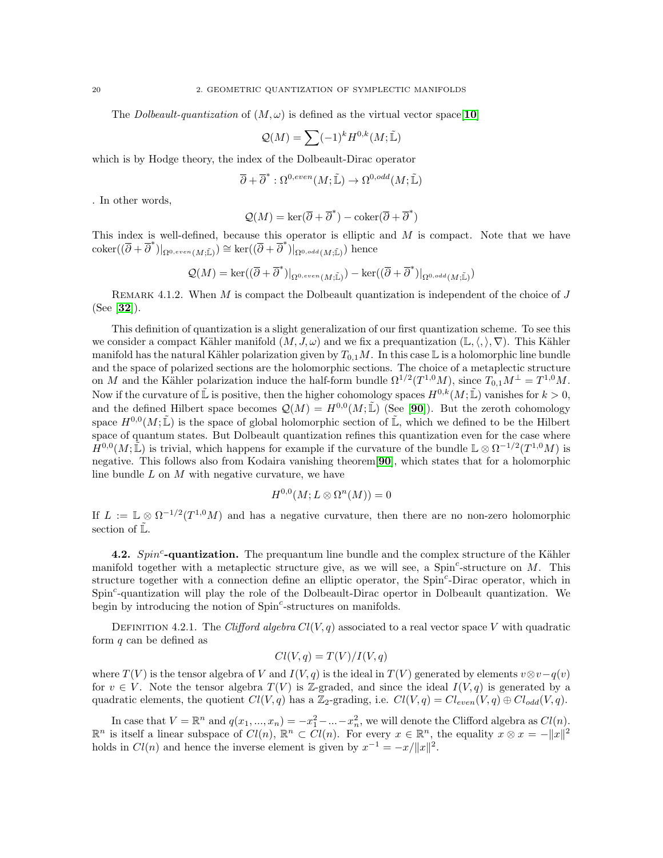The *Dolbeault-quantization* of  $(M, \omega)$  is defined as the virtual vector space [[10](#page-116-4)]

$$
\mathcal{Q}(M) = \sum (-1)^k H^{0,k}(M; \tilde{\mathbb{L}})
$$

which is by Hodge theory, the index of the Dolbeault-Dirac operator

$$
\overline{\partial} + \overline{\partial}^* : \Omega^{0,even}(M;\tilde{\mathbb{L}}) \to \Omega^{0,odd}(M;\tilde{\mathbb{L}})
$$

. In other words,

$$
\mathcal{Q}(M) = \ker(\overline{\partial} + \overline{\partial}^*) - \text{coker}(\overline{\partial} + \overline{\partial}^*)
$$

This index is well-defined, because this operator is elliptic and  $M$  is compact. Note that we have  $\operatorname{coker}((\overline{\partial} + \overline{\partial}^*)|_{\Omega^{0,even}(M;\mathbb{\tilde{L}})}) \cong \ker((\overline{\partial} + \overline{\partial}^*)|_{\Omega^{0,odd}(M;\mathbb{\tilde{L}})})$  hence

$$
\mathcal{Q}(M)=\ker((\overline{\partial}+\overline{\partial}^*)|_{\Omega^{0,even}(M;\widetilde{\mathbb{L}})})-\ker((\overline{\partial}+\overline{\partial}^*)|_{\Omega^{0,odd}(M;\widetilde{\mathbb{L}})})
$$

REMARK 4.1.2. When M is compact the Dolbeault quantization is independent of the choice of  $J$ (See [[32](#page-117-9)]).

This definition of quantization is a slight generalization of our first quantization scheme. To see this we consider a compact Kähler manifold  $(M, J, \omega)$  and we fix a prequantization  $(\mathbb{L}, \langle, \rangle, \nabla)$ . This Kähler manifold has the natural Kähler polarization given by  $T_{0,1}M$ . In this case L is a holomorphic line bundle and the space of polarized sections are the holomorphic sections. The choice of a metaplectic structure on M and the Kähler polarization induce the half-form bundle  $\Omega^{1/2}(T^{1,0}M)$ , since  $T_{0,1}M^{\perp} = T^{1,0}M$ . Now if the curvature of  $\mathbb{\tilde{L}}$  is positive, then the higher cohomology spaces  $H^{0,k}(M;\mathbb{\tilde{L}})$  vanishes for  $k > 0$ , and the defined Hilbert space becomes  $\mathcal{Q}(M) = H^{0,0}(M;\tilde{\mathbb{L}})$  (See [[90](#page-118-2)]). But the zeroth cohomology space  $H^{0,0}(M;\mathbb{L})$  is the space of global holomorphic section of  $\mathbb{L}$ , which we defined to be the Hilbert space of quantum states. But Dolbeault quantization refines this quantization even for the case where  $H^{0,0}(M;\tilde{\mathbb{L}})$  is trivial, which happens for example if the curvature of the bundle  $\mathbb{L}\otimes \Omega^{-1/2}(T^{1,0}M)$  is negative. This follows also from Kodaira vanishing theorem[[90](#page-118-2)], which states that for a holomorphic line bundle  $L$  on  $M$  with negative curvature, we have

### $H^{0,0}(M;L\otimes \Omega^n(M))=0$

If  $L := \mathbb{L} \otimes \Omega^{-1/2}(T^{1,0}M)$  and has a negative curvature, then there are no non-zero holomorphic section of  $\tilde{\mathbb{L}}$ .

4.2.  $Spin<sup>c</sup>$ -quantization. The prequantum line bundle and the complex structure of the Kähler manifold together with a metaplectic structure give, as we will see, a  $Spin<sup>c</sup>$ -structure on M. This structure together with a connection define an elliptic operator, the Spin<sup>c</sup>-Dirac operator, which in Spin<sup>c</sup>-quantization will play the role of the Dolbeault-Dirac opertor in Dolbeault quantization. We begin by introducing the notion of Spin<sup>c</sup>-structures on manifolds.

DEFINITION 4.2.1. The Clifford algebra  $Cl(V, q)$  associated to a real vector space V with quadratic form  $q$  can be defined as

$$
Cl(V, q) = T(V)/I(V, q)
$$

where  $T(V)$  is the tensor algebra of V and  $I(V, q)$  is the ideal in  $T(V)$  generated by elements  $v \otimes v - q(v)$ for  $v \in V$ . Note the tensor algebra  $T(V)$  is Z-graded, and since the ideal  $I(V, q)$  is generated by a quadratic elements, the quotient  $Cl(V, q)$  has a Z<sub>2</sub>-grading, i.e.  $Cl(V, q) = Cl_{even}(V, q) \oplus Cl_{odd}(V, q)$ .

In case that  $V = \mathbb{R}^n$  and  $q(x_1, ..., x_n) = -x_1^2 - ... - x_n^2$ , we will denote the Clifford algebra as  $Cl(n)$ .  $\mathbb{R}^n$  is itself a linear subspace of  $Cl(n)$ ,  $\mathbb{R}^n \subset Cl(n)$ . For every  $x \in \mathbb{R}^n$ , the equality  $x \otimes x = -||x||^2$ holds in  $Cl(n)$  and hence the inverse element is given by  $x^{-1} = -x/||x||^2$ .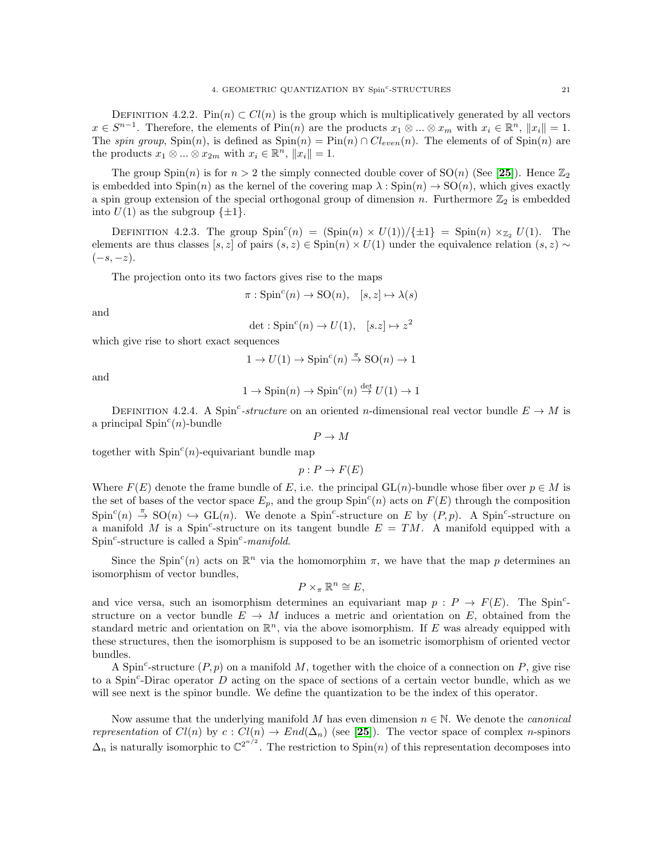DEFINITION 4.2.2. Pin(n) ⊂  $Cl(n)$  is the group which is multiplicatively generated by all vectors  $x \in S^{n-1}$ . Therefore, the elements of  $\text{Pin}(n)$  are the products  $x_1 \otimes ... \otimes x_m$  with  $x_i \in \mathbb{R}^n$ ,  $||x_i|| = 1$ . The spin group,  $\text{Spin}(n)$ , is defined as  $\text{Spin}(n) = \text{Pin}(n) \cap Cl_{even}(n)$ . The elements of of  $\text{Spin}(n)$  are the products  $x_1 \otimes \ldots \otimes x_{2m}$  with  $x_i \in \mathbb{R}^n$ ,  $||x_i|| = 1$ .

The group  $Spin(n)$  is for  $n > 2$  the simply connected double cover of  $SO(n)$  (See [[25](#page-116-5)]). Hence  $\mathbb{Z}_2$ is embedded into  $Spin(n)$  as the kernel of the covering map  $\lambda : Spin(n) \to SO(n)$ , which gives exactly a spin group extension of the special orthogonal group of dimension n. Furthermore  $\mathbb{Z}_2$  is embedded into  $U(1)$  as the subgroup  $\{\pm 1\}$ .

DEFINITION 4.2.3. The group  $Spin<sup>c</sup>(n) = (Spin(n) \times U(1))/\{\pm 1\} = Spin(n) \times_{\mathbb{Z}_2} U(1)$ . The elements are thus classes [s, z] of pairs  $(s, z) \in \text{Spin}(n) \times U(1)$  under the equivalence relation  $(s, z) \sim$  $(-s, -z)$ .

The projection onto its two factors gives rise to the maps

$$
\pi: \operatorname{Spin}^c(n) \to \operatorname{SO}(n), \quad [s, z] \mapsto \lambda(s)
$$

and

 $\det : \mathrm{Spin}^c(n) \to U(1), \quad [s.z] \mapsto z^2$ 

which give rise to short exact sequences

$$
1 \rightarrow U(1) \rightarrow Spin^{c}(n) \stackrel{\pi}{\rightarrow} SO(n) \rightarrow 1
$$

and

$$
1 \rightarrow Spin(n) \rightarrow Spin^{c}(n) \stackrel{\text{det}}{\rightarrow} U(1) \rightarrow 1
$$

DEFINITION 4.2.4. A Spin<sup>c</sup>-structure on an oriented n-dimensional real vector bundle  $E \to M$  is a principal  $Spin<sup>c</sup>(n)$ -bundle

 $P \to M$ 

together with  $Spin<sup>c</sup>(n)$ -equivariant bundle map

 $p: P \to F(E)$ 

Where  $F(E)$  denote the frame bundle of E, i.e. the principal GL(n)-bundle whose fiber over  $p \in M$  is the set of bases of the vector space  $E_p$ , and the group  $Spin<sup>c</sup>(n)$  acts on  $F(E)$  through the composition  $Spin<sup>c</sup>(n) \stackrel{\pi}{\rightarrow} SO(n) \hookrightarrow GL(n)$ . We denote a Spin<sup>c</sup>-structure on E by  $(P, p)$ . A Spin<sup>c</sup>-structure on a manifold M is a Spin<sup>c</sup>-structure on its tangent bundle  $E = TM$ . A manifold equipped with a Spin<sup>c</sup>-structure is called a Spin<sup>c</sup>-manifold.

Since the Spin<sup>c</sup>(n) acts on  $\mathbb{R}^n$  via the homomorphim  $\pi$ , we have that the map p determines an isomorphism of vector bundles,

$$
P \times_{\pi} \mathbb{R}^n \cong E,
$$

and vice versa, such an isomorphism determines an equivariant map  $p : P \to F(E)$ . The Spin<sup>c</sup>structure on a vector bundle  $E \to M$  induces a metric and orientation on E, obtained from the standard metric and orientation on  $\mathbb{R}^n$ , via the above isomorphism. If E was already equipped with these structures, then the isomorphism is supposed to be an isometric isomorphism of oriented vector bundles.

A Spin<sup>c</sup>-structure  $(P, p)$  on a manifold M, together with the choice of a connection on P, give rise to a Spin<sup>c</sup>-Dirac operator  $D$  acting on the space of sections of a certain vector bundle, which as we will see next is the spinor bundle. We define the quantization to be the index of this operator.

Now assume that the underlying manifold M has even dimension  $n \in \mathbb{N}$ . We denote the *canonical* representation of  $Cl(n)$  by  $c: Cl(n) \to End(\Delta_n)$  (see [[25](#page-116-5)]). The vector space of complex n-spinors  $\Delta_n$  is naturally isomorphic to  $\mathbb{C}^{2^{n/2}}$ . The restriction to Spin(n) of this representation decomposes into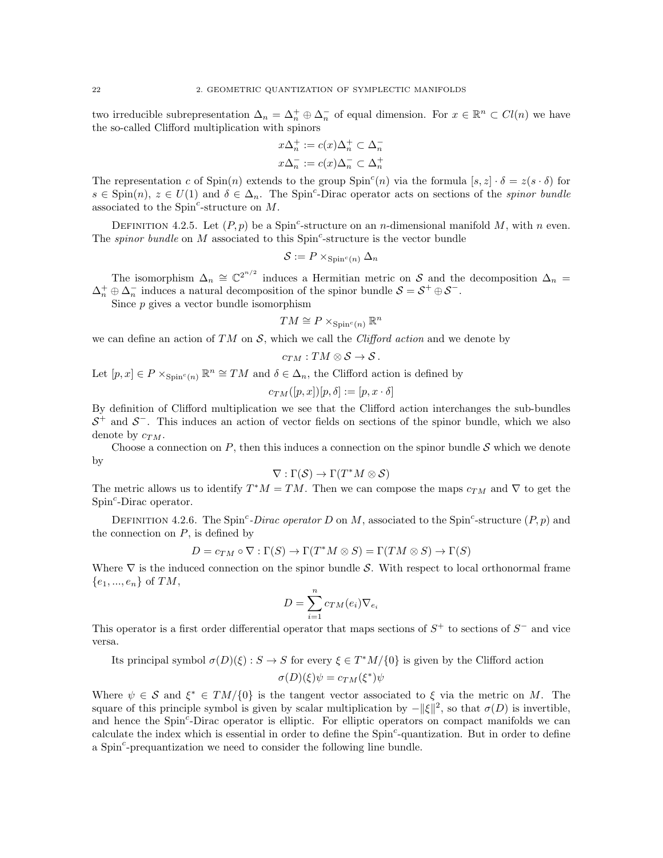two irreducible subrepresentation  $\Delta_n = \Delta_n^+ \oplus \Delta_n^-$  of equal dimension. For  $x \in \mathbb{R}^n \subset Cl(n)$  we have the so-called Clifford multiplication with spinors

$$
x\Delta_n^+ := c(x)\Delta_n^+ \subset \Delta_n^-
$$
  

$$
x\Delta_n^- := c(x)\Delta_n^- \subset \Delta_n^+
$$

The representation c of  $\text{Spin}(n)$  extends to the group  $\text{Spin}^c(n)$  via the formula  $[s, z] \cdot \delta = z(s \cdot \delta)$  for  $s \in \text{Spin}(n)$ ,  $z \in U(1)$  and  $\delta \in \Delta_n$ . The Spin<sup>c</sup>-Dirac operator acts on sections of the *spinor bundle* associated to the  $Spin^c$ -structure on  $M$ .

DEFINITION 4.2.5. Let  $(P, p)$  be a Spin<sup>c</sup>-structure on an *n*-dimensional manifold M, with *n* even. The *spinor bundle* on  $M$  associated to this  $Spin<sup>c</sup>$ -structure is the vector bundle

$$
\mathcal{S}:=P\times_{{\rm Spin}^c(n)}\Delta_n
$$

The isomorphism  $\Delta_n \cong \mathbb{C}^{2^{n/2}}$  induces a Hermitian metric on S and the decomposition  $\Delta_n =$  $\Delta_n^+ \oplus \Delta_n^-$  induces a natural decomposition of the spinor bundle  $S = S^+ \oplus S^-$ .

Since  $p$  gives a vector bundle isomorphism

$$
TM \cong P \times_{\text{Spin}^c(n)} \mathbb{R}^n
$$

we can define an action of  $TM$  on  $\mathcal{S}$ , which we call the *Clifford action* and we denote by

$$
c_{TM}:TM\otimes\mathcal{S}\to\mathcal{S}.
$$

Let  $[p, x] \in P \times_{\text{Spin}^c(n)} \mathbb{R}^n \cong TM$  and  $\delta \in \Delta_n$ , the Clifford action is defined by

$$
c_{TM}([p, x])[p, \delta]:=[p, x \cdot \delta]
$$

By definition of Clifford multiplication we see that the Clifford action interchanges the sub-bundles  $S^+$  and  $S^-$ . This induces an action of vector fields on sections of the spinor bundle, which we also denote by  $c_{TM}$ .

Choose a connection on  $P$ , then this induces a connection on the spinor bundle  $S$  which we denote by

$$
\nabla : \Gamma(\mathcal{S}) \to \Gamma(T^*M \otimes \mathcal{S})
$$

The metric allows us to identify  $T^*M = TM$ . Then we can compose the maps  $c_{TM}$  and  $\nabla$  to get the Spin<sup>c</sup>-Dirac operator.

DEFINITION 4.2.6. The Spin<sup>c</sup>-Dirac operator D on M, associated to the Spin<sup>c</sup>-structure  $(P, p)$  and the connection on  $P$ , is defined by

$$
D = c_{TM} \circ \nabla : \Gamma(S) \to \Gamma(T^*M \otimes S) = \Gamma(TM \otimes S) \to \Gamma(S)
$$

Where  $\nabla$  is the induced connection on the spinor bundle S. With respect to local orthonormal frame  ${e_1, ..., e_n}$  of  $TM$ ,

$$
D = \sum_{i=1}^{n} c_{TM}(e_i) \nabla_{e_i}
$$

This operator is a first order differential operator that maps sections of  $S^+$  to sections of  $S^-$  and vice versa.

Its principal symbol  $\sigma(D)(\xi): S \to S$  for every  $\xi \in T^*M/\{0\}$  is given by the Clifford action

$$
\sigma(D)(\xi)\psi = c_{TM}(\xi^*)\psi
$$

Where  $\psi \in \mathcal{S}$  and  $\xi^* \in TM/\{0\}$  is the tangent vector associated to  $\xi$  via the metric on M. The square of this principle symbol is given by scalar multiplication by  $-\|\xi\|^2$ , so that  $\sigma(D)$  is invertible, and hence the Spin<sup>c</sup>-Dirac operator is elliptic. For elliptic operators on compact manifolds we can calculate the index which is essential in order to define the Spin<sup>c</sup>-quantization. But in order to define a  $Spin<sup>c</sup>$ -prequantization we need to consider the following line bundle.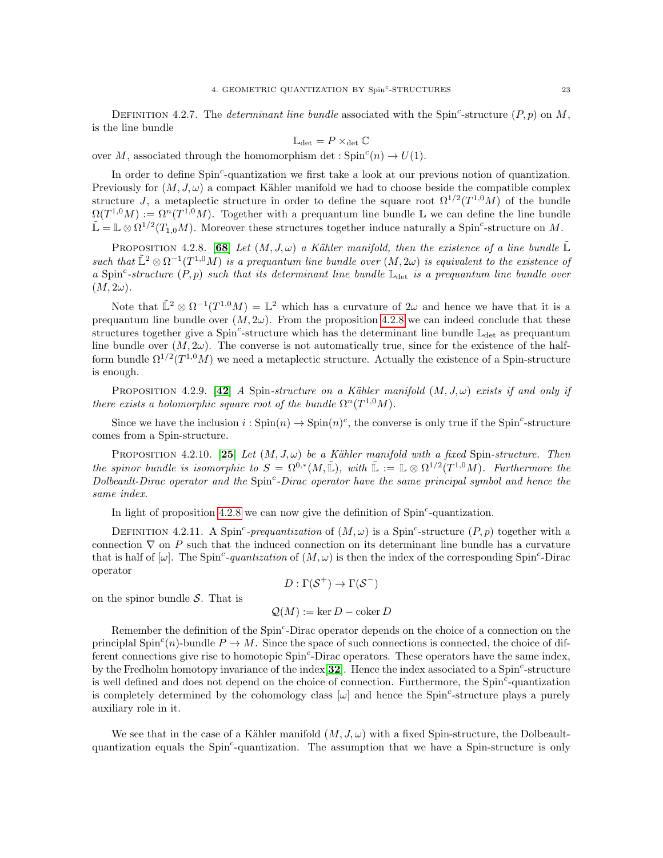DEFINITION 4.2.7. The *determinant line bundle* associated with the Spin<sup>c</sup>-structure  $(P, p)$  on M, is the line bundle

$$
\mathbb{L}_{\text{det}}=P\times_{\text{det}}\mathbb{C}
$$

over M, associated through the homomorphism det :  $Spin<sup>c</sup>(n) \rightarrow U(1)$ .

In order to define Spin<sup>c</sup>-quantization we first take a look at our previous notion of quantization. Previously for  $(M, J, \omega)$  a compact Kähler manifold we had to choose beside the compatible complex structure J, a metaplectic structure in order to define the square root  $\Omega^{1/2}(T^{1,0}M)$  of the bundle  $\Omega(T^{1,0}M) := \Omega^{n}(T^{1,0}M)$ . Together with a prequantum line bundle L we can define the line bundle  $\mathbb{L} = \mathbb{L} \otimes \Omega^{1/2}(T_{1,0}M)$ . Moreover these structures together induce naturally a Spin<sup>c</sup>-structure on M.

<span id="page-26-0"></span>PROPOSITION 4.2.8. [[68](#page-118-4)] Let  $(M, J, \omega)$  a Kähler manifold, then the existence of a line bundle  $\mathbb{L}$ such that  $\mathbb{L}^2 \otimes \Omega^{-1}(T^{1,0}M)$  is a prequantum line bundle over  $(M, 2\omega)$  is equivalent to the existence of a Spin<sup>c</sup>-structure  $(P, p)$  such that its determinant line bundle  $\mathbb{L}_{\text{det}}$  is a prequantum line bundle over  $(M, 2\omega).$ 

Note that  $\mathbb{L}^2 \otimes \Omega^{-1}(T^{1,0}M) = \mathbb{L}^2$  which has a curvature of  $2\omega$  and hence we have that it is a prequantum line bundle over  $(M, 2\omega)$ . From the proposition [4.2.8](#page-26-0) we can indeed conclude that these structures together give a  $Spin^c$ -structure which has the determinant line bundle  $\mathbb{L}_{\text{det}}$  as prequantum line bundle over  $(M, 2\omega)$ . The converse is not automatically true, since for the existence of the halfform bundle  $\Omega^{1/2}(T^{1,0}M)$  we need a metaplectic structure. Actually the existence of a Spin-structure is enough.

PROPOSITION 4.2.9. [[42](#page-117-13)] A Spin-structure on a Kähler manifold  $(M, J, \omega)$  exists if and only if there exists a holomorphic square root of the bundle  $\Omega^n(T^{1,0}M)$ .

Since we have the inclusion  $i: Spin(n) \to Spin(n)^c$ , the converse is only true if the Spin<sup>c</sup>-structure comes from a Spin-structure.

PROPOSITION 4.2.10. [[25](#page-116-5)] Let  $(M, J, \omega)$  be a Kähler manifold with a fixed Spin-structure. Then the spinor bundle is isomorphic to  $S = \Omega^{0,*}(M, \mathbb{L}),$  with  $\mathbb{L} := \mathbb{L} \otimes \Omega^{1/2}(T^{1,0}M)$ . Furthermore the Dolbeault-Dirac operator and the Spin<sup>c</sup>-Dirac operator have the same principal symbol and hence the same index.

In light of proposition [4.2.8](#page-26-0) we can now give the definition of Spin<sup>c</sup>-quantization.

DEFINITION 4.2.11. A Spin<sup>c</sup>-prequantization of  $(M, \omega)$  is a Spin<sup>c</sup>-structure  $(P, p)$  together with a connection  $\nabla$  on P such that the induced connection on its determinant line bundle has a curvature that is half of  $[\omega]$ . The Spin<sup>c</sup>-quantization of  $(M, \omega)$  is then the index of the corresponding Spin<sup>c</sup>-Dirac operator

$$
D: \Gamma(\mathcal{S}^+) \to \Gamma(\mathcal{S}^-)
$$

on the spinor bundle  $S$ . That is

$$
Q(M) := \ker D - \operatorname{coker} D
$$

Remember the definition of the Spin<sup>c</sup>-Dirac operator depends on the choice of a connection on the principlal  $Spin<sup>c</sup>(n)$ -bundle  $P \to M$ . Since the space of such connections is connected, the choice of different connections give rise to homotopic Spin<sup>c</sup>-Dirac operators. These operators have the same index, by the Fredholm homotopy invariance of the index  $[32]$  $[32]$  $[32]$ . Hence the index associated to a Spin<sup>c</sup>-structure is well defined and does not depend on the choice of connection. Furthermore, the Spin<sup>c</sup>-quantization is completely determined by the cohomology class  $[\omega]$  and hence the Spin<sup>c</sup>-structure plays a purely auxiliary role in it.

We see that in the case of a Kähler manifold  $(M, J, \omega)$  with a fixed Spin-structure, the Dolbeaultquantization equals the Spin<sup>c</sup>-quantization. The assumption that we have a Spin-structure is only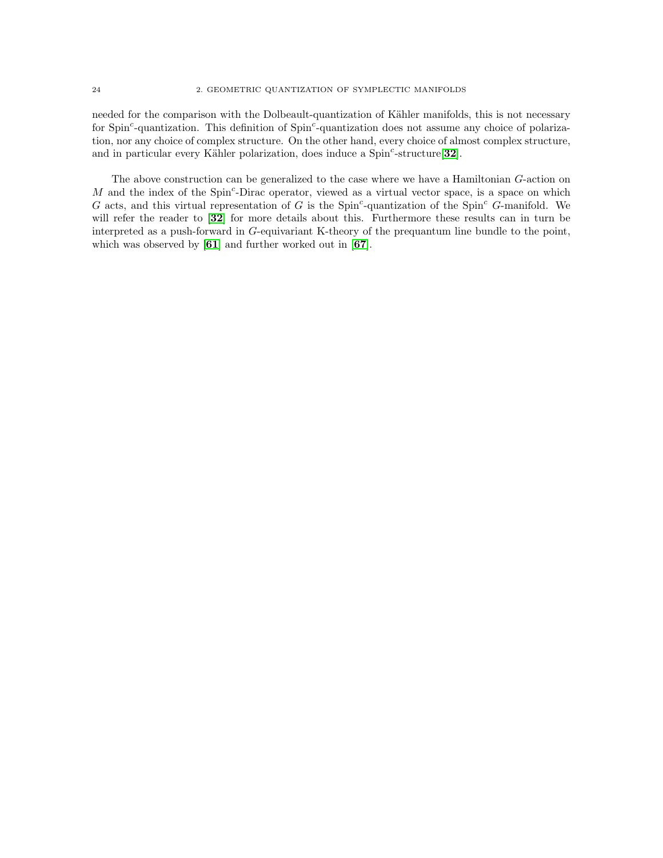needed for the comparison with the Dolbeault-quantization of Kähler manifolds, this is not necessary for Spin<sup>c</sup>-quantization. This definition of Spin<sup>c</sup>-quantization does not assume any choice of polarization, nor any choice of complex structure. On the other hand, every choice of almost complex structure, and in particular every Kähler polarization, does induce a  $Spin<sup>c</sup>$ -structure [[32](#page-117-9)].

The above construction can be generalized to the case where we have a Hamiltonian G-action on  $M$  and the index of the Spin<sup>c</sup>-Dirac operator, viewed as a virtual vector space, is a space on which G acts, and this virtual representation of G is the Spin<sup>c</sup>-quantization of the Spin<sup>c</sup> G-manifold. We will refer the reader to [[32](#page-117-9)] for more details about this. Furthermore these results can in turn be interpreted as a push-forward in G-equivariant K-theory of the prequantum line bundle to the point, which was observed by [[61](#page-117-12)] and further worked out in [[67](#page-118-0)].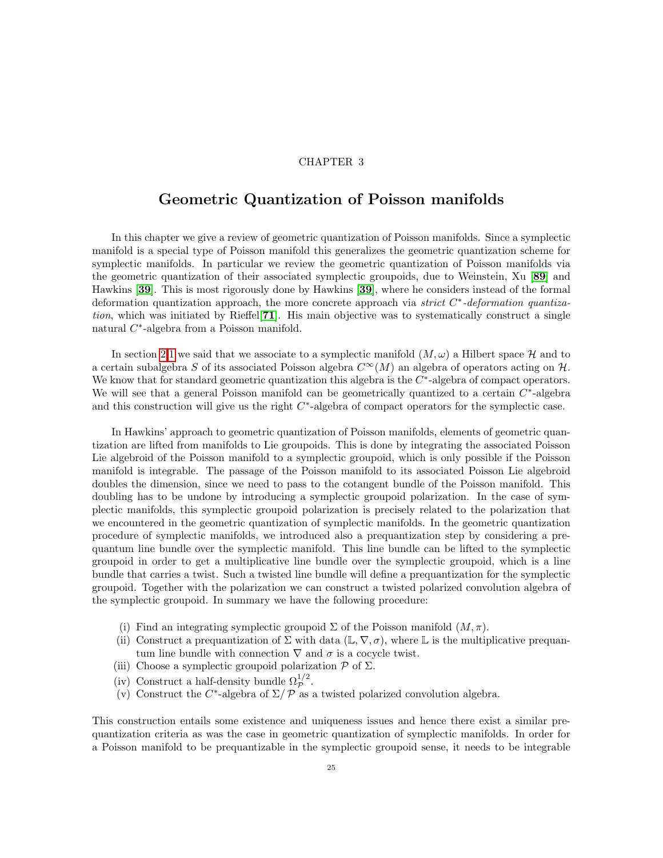### CHAPTER 3

### <span id="page-28-0"></span>Geometric Quantization of Poisson manifolds

In this chapter we give a review of geometric quantization of Poisson manifolds. Since a symplectic manifold is a special type of Poisson manifold this generalizes the geometric quantization scheme for symplectic manifolds. In particular we review the geometric quantization of Poisson manifolds via the geometric quantization of their associated symplectic groupoids, due to Weinstein, Xu [[89](#page-118-5)] and Hawkins [[39](#page-117-11)]. This is most rigorously done by Hawkins [[39](#page-117-11)], where he considers instead of the formal deformation quantization approach, the more concrete approach via strict  $C^*$ -deformation quantiza-tion, which was initiated by Rieffel<sup>[[71](#page-118-6)]</sup>. His main objective was to systematically construct a single natural C<sup>\*</sup>-algebra from a Poisson manifold.

In section [2](#page-10-0)[.1](#page-10-1) we said that we associate to a symplectic manifold  $(M, \omega)$  a Hilbert space H and to a certain subalgebra S of its associated Poisson algebra  $C^{\infty}(M)$  an algebra of operators acting on H. We know that for standard geometric quantization this algebra is the  $C^*$ -algebra of compact operators. We will see that a general Poisson manifold can be geometrically quantized to a certain  $C^*$ -algebra and this construction will give us the right  $C^*$ -algebra of compact operators for the symplectic case.

In Hawkins' approach to geometric quantization of Poisson manifolds, elements of geometric quantization are lifted from manifolds to Lie groupoids. This is done by integrating the associated Poisson Lie algebroid of the Poisson manifold to a symplectic groupoid, which is only possible if the Poisson manifold is integrable. The passage of the Poisson manifold to its associated Poisson Lie algebroid doubles the dimension, since we need to pass to the cotangent bundle of the Poisson manifold. This doubling has to be undone by introducing a symplectic groupoid polarization. In the case of symplectic manifolds, this symplectic groupoid polarization is precisely related to the polarization that we encountered in the geometric quantization of symplectic manifolds. In the geometric quantization procedure of symplectic manifolds, we introduced also a prequantization step by considering a prequantum line bundle over the symplectic manifold. This line bundle can be lifted to the symplectic groupoid in order to get a multiplicative line bundle over the symplectic groupoid, which is a line bundle that carries a twist. Such a twisted line bundle will define a prequantization for the symplectic groupoid. Together with the polarization we can construct a twisted polarized convolution algebra of the symplectic groupoid. In summary we have the following procedure:

- (i) Find an integrating symplectic groupoid  $\Sigma$  of the Poisson manifold  $(M, \pi)$ .
- (ii) Construct a prequantization of  $\Sigma$  with data (L,  $\nabla$ ,  $\sigma$ ), where L is the multiplicative prequantum line bundle with connection  $\nabla$  and  $\sigma$  is a cocycle twist.
- (iii) Choose a symplectic groupoid polarization  $P$  of  $\Sigma$ .
- (iv) Construct a half-density bundle  $\Omega_{\mathcal{P}}^{1/2}$ .
- (v) Construct the C<sup>\*</sup>-algebra of  $\Sigma / P$  as a twisted polarized convolution algebra.

This construction entails some existence and uniqueness issues and hence there exist a similar prequantization criteria as was the case in geometric quantization of symplectic manifolds. In order for a Poisson manifold to be prequantizable in the symplectic groupoid sense, it needs to be integrable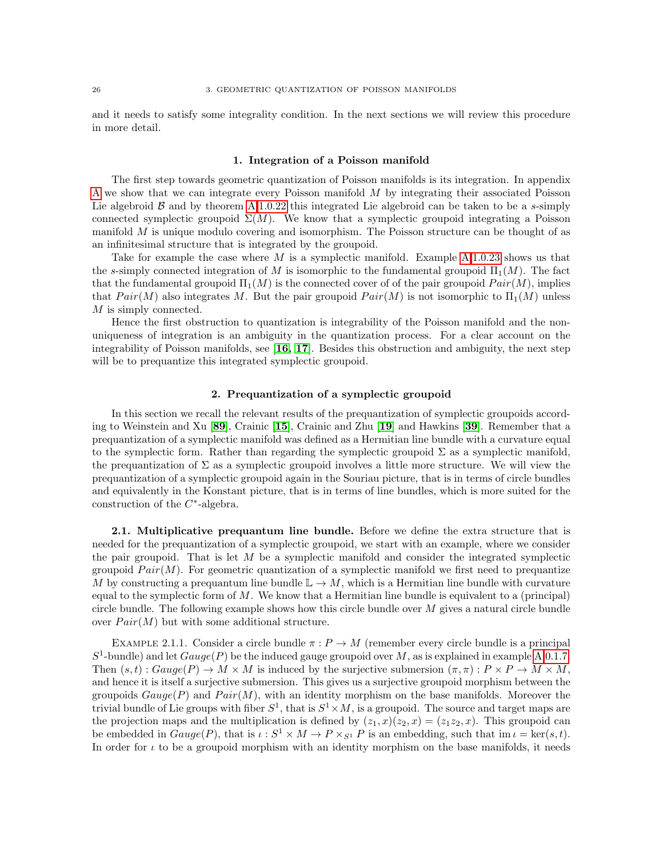and it needs to satisfy some integrality condition. In the next sections we will review this procedure in more detail.

### 1. Integration of a Poisson manifold

<span id="page-29-0"></span>The first step towards geometric quantization of Poisson manifolds is its integration. In appendix [A](#page-108-0) we show that we can integrate every Poisson manifold M by integrating their associated Poisson Lie algebroid  $\beta$  and by theorem [A](#page-108-0)[.1.0.22](#page-112-0) this integrated Lie algebroid can be taken to be a s-simply connected symplectic groupoid  $\Sigma(M)$ . We know that a symplectic groupoid integrating a Poisson manifold  $M$  is unique modulo covering and isomorphism. The Poisson structure can be thought of as an infinitesimal structure that is integrated by the groupoid.

Take for example the case where M is a symplectic manifold. Example  $A.1.0.23$  $A.1.0.23$  shows us that the s-simply connected integration of M is isomorphic to the fundamental groupoid  $\Pi_1(M)$ . The fact that the fundamental groupoid  $\Pi_1(M)$  is the connected cover of of the pair groupoid  $Pair(M)$ , implies that  $Pair(M)$  also integrates M. But the pair groupoid  $Pair(M)$  is not isomorphic to  $\Pi_1(M)$  unless M is simply connected.

Hence the first obstruction to quantization is integrability of the Poisson manifold and the nonuniqueness of integration is an ambiguity in the quantization process. For a clear account on the integrability of Poisson manifolds, see [[16,](#page-116-6) [17](#page-116-7)]. Besides this obstruction and ambiguity, the next step will be to prequantize this integrated symplectic groupoid.

### 2. Prequantization of a symplectic groupoid

<span id="page-29-1"></span>In this section we recall the relevant results of the prequantization of symplectic groupoids according to Weinstein and Xu [[89](#page-118-5)], Crainic [[15](#page-116-8)], Crainic and Zhu [[19](#page-116-9)] and Hawkins [[39](#page-117-11)]. Remember that a prequantization of a symplectic manifold was defined as a Hermitian line bundle with a curvature equal to the symplectic form. Rather than regarding the symplectic groupoid  $\Sigma$  as a symplectic manifold, the prequantization of  $\Sigma$  as a symplectic groupoid involves a little more structure. We will view the prequantization of a symplectic groupoid again in the Souriau picture, that is in terms of circle bundles and equivalently in the Konstant picture, that is in terms of line bundles, which is more suited for the construction of the  $C^*$ -algebra.

2.1. Multiplicative prequantum line bundle. Before we define the extra structure that is needed for the prequantization of a symplectic groupoid, we start with an example, where we consider the pair groupoid. That is let  $M$  be a symplectic manifold and consider the integrated symplectic groupoid  $Pair(M)$ . For geometric quantization of a symplectic manifold we first need to prequantize M by constructing a prequantum line bundle  $\mathbb{L} \to M$ , which is a Hermitian line bundle with curvature equal to the symplectic form of M. We know that a Hermitian line bundle is equivalent to a (principal) circle bundle. The following example shows how this circle bundle over  $M$  gives a natural circle bundle over  $Pair(M)$  but with some additional structure.

<span id="page-29-2"></span>EXAMPLE 2.1.1. Consider a circle bundle  $\pi$ :  $P \to M$  (remember every circle bundle is a principal  $S^1$ -bundle) and let  $Gauge(P)$  be the induced gauge groupoid over M, as is explained in example [A.](#page-108-0)[0.1.7.](#page-109-0) Then  $(s, t)$ :  $Gauge(P) \to M \times M$  is induced by the surjective submersion  $(\pi, \pi)$ :  $P \times P \to M \times M$ , and hence it is itself a surjective submersion. This gives us a surjective groupoid morphism between the groupoids  $Gauge(P)$  and  $Pair(M)$ , with an identity morphism on the base manifolds. Moreover the trivial bundle of Lie groups with fiber  $S^1$ , that is  $S^1 \times M$ , is a groupoid. The source and target maps are the projection maps and the multiplication is defined by  $(z_1, x)(z_2, x) = (z_1z_2, x)$ . This groupoid can be embedded in  $Gauge(P)$ , that is  $\iota : S^1 \times M \to P \times_{S^1} P$  is an embedding, such that im  $\iota = \ker(s, t)$ . In order for  $\iota$  to be a groupoid morphism with an identity morphism on the base manifolds, it needs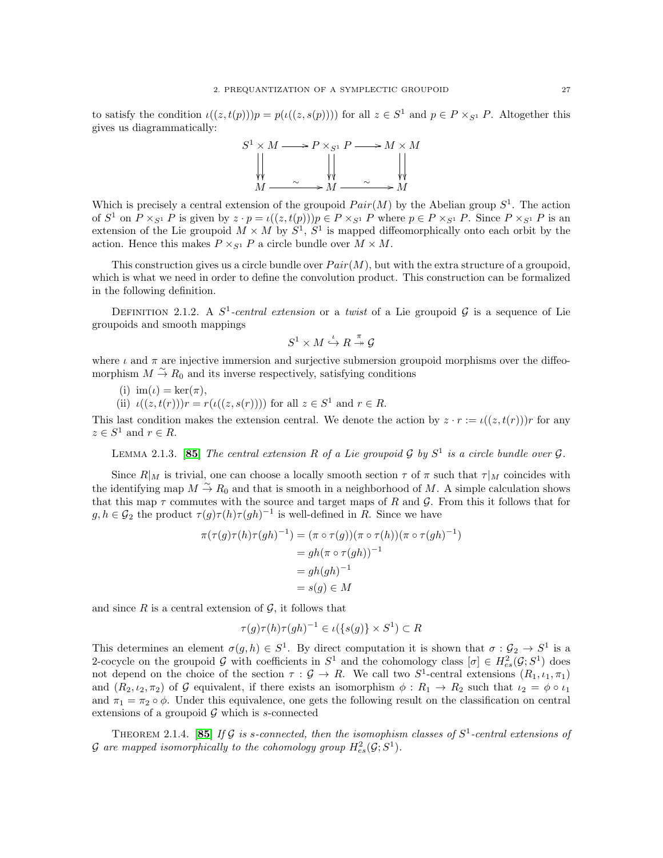to satisfy the condition  $\iota((z, t(p)))p = p(\iota((z, s(p))))$  for all  $z \in S^1$  and  $p \in P \times_{S^1} P$ . Altogether this gives us diagrammatically:



Which is precisely a central extension of the groupoid  $Pair(M)$  by the Abelian group  $S<sup>1</sup>$ . The action of  $S^1$  on  $P \times_{S^1} P$  is given by  $z \cdot p = \iota((z, t(p)))p \in P \times_{S^1} P$  where  $p \in P \times_{S^1} P$ . Since  $P \times_{S^1} P$  is an extension of the Lie groupoid  $M \times M$  by  $S^1$ ,  $S^1$  is mapped diffeomorphically onto each orbit by the action. Hence this makes  $P \times_{S^1} P$  a circle bundle over  $M \times M$ .

This construction gives us a circle bundle over  $Pair(M)$ , but with the extra structure of a groupoid, which is what we need in order to define the convolution product. This construction can be formalized in the following definition.

DEFINITION 2.1.2. A  $S^1$ -central extension or a twist of a Lie groupoid  $\mathcal G$  is a sequence of Lie groupoids and smooth mappings

$$
S^1\times M\stackrel{\iota}{\hookrightarrow}R\stackrel{\pi}{\twoheadrightarrow}\mathcal{G}
$$

where  $\iota$  and  $\pi$  are injective immersion and surjective submersion groupoid morphisms over the diffeomorphism  $M \stackrel{\sim}{\to} R_0$  and its inverse respectively, satisfying conditions

(i)  $\text{im}(\iota) = \text{ker}(\pi)$ ,

(ii)  $\iota((z, t(r)))r = r(\iota((z, s(r))))$  for all  $z \in S^1$  and  $r \in R$ .

This last condition makes the extension central. We denote the action by  $z \cdot r := \iota((z, t(r)))r$  for any  $z \in S^1$  and  $r \in R$ .

LEMMA 2.1.3. [[85](#page-118-7)] The central extension R of a Lie groupoid G by  $S^1$  is a circle bundle over G.

Since  $R|_M$  is trivial, one can choose a locally smooth section  $\tau$  of  $\pi$  such that  $\tau|_M$  coincides with the identifying map  $M \stackrel{\sim}{\to} R_0$  and that is smooth in a neighborhood of M. A simple calculation shows that this map  $\tau$  commutes with the source and target maps of R and G. From this it follows that for  $g, h \in \mathcal{G}_2$  the product  $\tau(g)\tau(h)\tau(gh)^{-1}$  is well-defined in R. Since we have

$$
\pi(\tau(g)\tau(h)\tau(gh)^{-1}) = (\pi \circ \tau(g))(\pi \circ \tau(h))(\pi \circ \tau(gh)^{-1})
$$
  
=  $gh(\pi \circ \tau(gh))^{-1}$   
=  $gh(gh)^{-1}$   
=  $s(g) \in M$ 

and since  $R$  is a central extension of  $\mathcal{G}$ , it follows that

$$
\tau(g)\tau(h)\tau(gh)^{-1} \in \iota(\{s(g)\} \times S^1) \subset R
$$

This determines an element  $\sigma(g, h) \in S^1$ . By direct computation it is shown that  $\sigma : \mathcal{G}_2 \to S^1$  is a 2-cocycle on the groupoid G with coefficients in  $S^1$  and the cohomology class  $[\sigma] \in H^2_{es}(\mathcal{G}; S^1)$  does not depend on the choice of the section  $\tau : \mathcal{G} \to R$ . We call two  $S^1$ -central extensions  $(R_1, \iota_1, \pi_1)$ and  $(R_2, \iota_2, \pi_2)$  of G equivalent, if there exists an isomorphism  $\phi: R_1 \to R_2$  such that  $\iota_2 = \phi \circ \iota_1$ and  $\pi_1 = \pi_2 \circ \phi$ . Under this equivalence, one gets the following result on the classification on central extensions of a groupoid  $\mathcal G$  which is s-connected

THEOREM 2.1.4. [[85](#page-118-7)] If G is s-connected, then the isomophism classes of  $S^1$ -central extensions of  $\mathcal G$  are mapped isomorphically to the cohomology group  $H^2_{es}(\mathcal G; S^1)$ .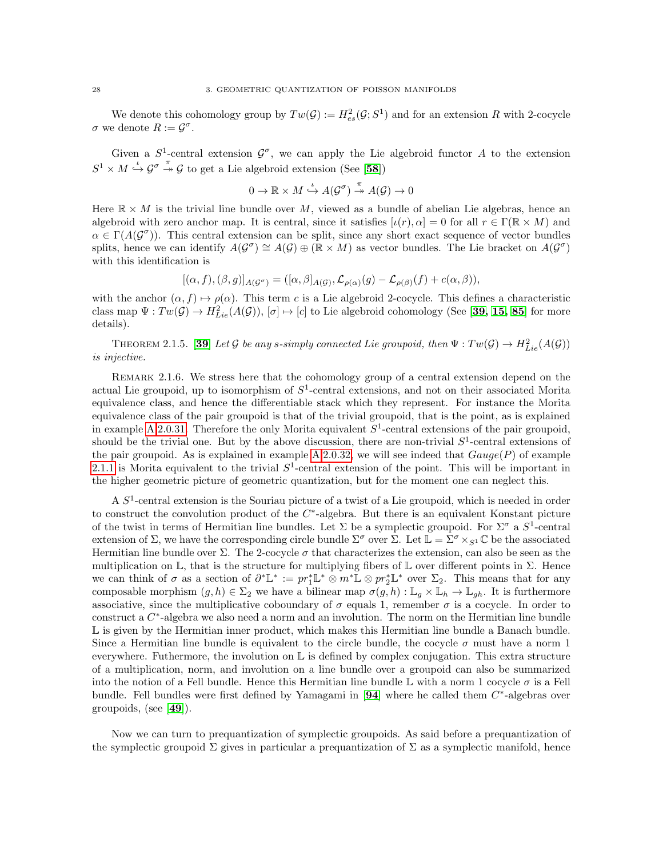We denote this cohomology group by  $Tw(G) := H_{es}^2(G; S^1)$  and for an extension R with 2-cocycle  $\sigma$  we denote  $R := \mathcal{G}^{\sigma}$ .

Given a  $S^1$ -central extension  $\mathcal{G}^{\sigma}$ , we can apply the Lie algebroid functor A to the extension  $S^1 \times M \overset{\iota}{\hookrightarrow} \mathcal{G}^{\sigma} \overset{\pi}{\twoheadrightarrow} \mathcal{G}$  to get a Lie algebroid extension (See [[58](#page-117-14)])

$$
0 \to \mathbb{R} \times M \stackrel{\iota}{\hookrightarrow} A(\mathcal{G}^{\sigma}) \stackrel{\pi}{\to} A(\mathcal{G}) \to 0
$$

Here  $\mathbb{R} \times M$  is the trivial line bundle over M, viewed as a bundle of abelian Lie algebras, hence an algebroid with zero anchor map. It is central, since it satisfies  $[\iota(r), \alpha] = 0$  for all  $r \in \Gamma(\mathbb{R} \times M)$  and  $\alpha \in \Gamma(A(\mathcal{G}^{\sigma}))$ . This central extension can be split, since any short exact sequence of vector bundles splits, hence we can identify  $A(G^{\sigma}) \cong A(G) \oplus (\mathbb{R} \times M)$  as vector bundles. The Lie bracket on  $A(G^{\sigma})$ with this identification is

$$
[(\alpha, f), (\beta, g)]_{A(\mathcal{G}^{\sigma})} = ([\alpha, \beta]_{A(\mathcal{G})}, \mathcal{L}_{\rho(\alpha)}(g) - \mathcal{L}_{\rho(\beta)}(f) + c(\alpha, \beta)),
$$

with the anchor  $(\alpha, f) \mapsto \rho(\alpha)$ . This term c is a Lie algebroid 2-cocycle. This defines a characteristic class map  $\Psi: Tw(\mathcal{G}) \to H^2_{Lie}(A(\mathcal{G})), [\sigma] \mapsto [c]$  to Lie algebroid cohomology (See [[39,](#page-117-11) [15,](#page-116-8) [85](#page-118-7)] for more details).

<span id="page-31-0"></span>THEOREM 2.1.5. [[39](#page-117-11)] Let G be any s-simply connected Lie groupoid, then  $\Psi: Tw(\mathcal{G}) \to H^2_{Lie}(A(\mathcal{G}))$ is injective.

REMARK 2.1.6. We stress here that the cohomology group of a central extension depend on the actual Lie groupoid, up to isomorphism of  $S<sup>1</sup>$ -central extensions, and not on their associated Morita equivalence class, and hence the differentiable stack which they represent. For instance the Morita equivalence class of the pair groupoid is that of the trivial groupoid, that is the point, as is explained in example [A.](#page-108-0)[2.0.31.](#page-115-0) Therefore the only Morita equivalent  $S^1$ -central extensions of the pair groupoid, should be the trivial one. But by the above discussion, there are non-trivial  $S^1$ -central extensions of the pair groupoid. As is explained in example [A.](#page-108-0)[2.0.32,](#page-115-1) we will see indeed that  $Gauge(P)$  of example [2.1.1](#page-29-2) is Morita equivalent to the trivial  $S^1$ -central extension of the point. This will be important in the higher geometric picture of geometric quantization, but for the moment one can neglect this.

A  $S<sup>1</sup>$ -central extension is the Souriau picture of a twist of a Lie groupoid, which is needed in order to construct the convolution product of the  $C^*$ -algebra. But there is an equivalent Konstant picture of the twist in terms of Hermitian line bundles. Let  $\Sigma$  be a symplectic groupoid. For  $\Sigma^{\sigma}$  a  $S^1$ -central extension of  $\Sigma$ , we have the corresponding circle bundle  $\Sigma^{\sigma}$  over  $\Sigma$ . Let  $\mathbb{L} = \Sigma^{\sigma} \times_{S^1} \mathbb{C}$  be the associated Hermitian line bundle over  $\Sigma$ . The 2-cocycle  $\sigma$  that characterizes the extension, can also be seen as the multiplication on  $\mathbb{L}$ , that is the structure for multiplying fibers of  $\mathbb{L}$  over different points in  $\Sigma$ . Hence we can think of  $\sigma$  as a section of  $\partial^* \mathbb{L}^* := pr_1^* \mathbb{L}^* \otimes m^* \mathbb{L} \otimes pr_2^* \mathbb{L}^*$  over  $\Sigma_2$ . This means that for any composable morphism  $(g, h) \in \Sigma_2$  we have a bilinear map  $\sigma(g, h) : \mathbb{L}_g \times \mathbb{L}_h \to \mathbb{L}_{gh}$ . It is furthermore associative, since the multiplicative coboundary of  $\sigma$  equals 1, remember  $\sigma$  is a cocycle. In order to construct a  $C^*$ -algebra we also need a norm and an involution. The norm on the Hermitian line bundle  $\mathbb L$  is given by the Hermitian inner product, which makes this Hermitian line bundle a Banach bundle. Since a Hermitian line bundle is equivalent to the circle bundle, the cocycle  $\sigma$  must have a norm 1 everywhere. Futhermore, the involution on  $\mathbb L$  is defined by complex conjugation. This extra structure of a multiplication, norm, and involution on a line bundle over a groupoid can also be summarized into the notion of a Fell bundle. Hence this Hermitian line bundle  $\mathbb L$  with a norm 1 cocycle  $\sigma$  is a Fell bundle. Fell bundles were first defined by Yamagami in  $[94]$  $[94]$  $[94]$  where he called them  $C^*$ -algebras over groupoids, (see [[49](#page-117-15)]).

Now we can turn to prequantization of symplectic groupoids. As said before a prequantization of the symplectic groupoid  $\Sigma$  gives in particular a prequantization of  $\Sigma$  as a symplectic manifold, hence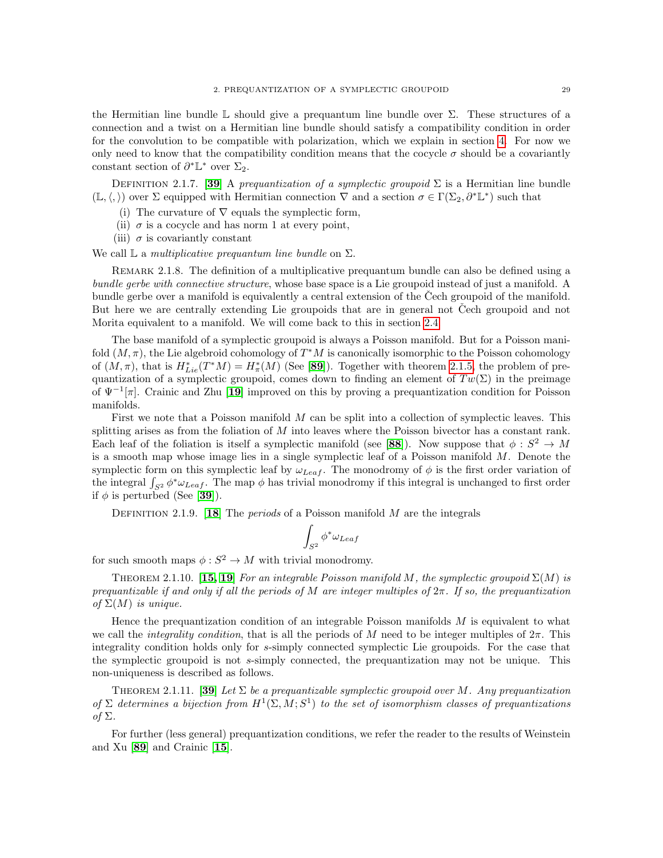the Hermitian line bundle  $\mathbb L$  should give a prequantum line bundle over  $\Sigma$ . These structures of a connection and a twist on a Hermitian line bundle should satisfy a compatibility condition in order for the convolution to be compatible with polarization, which we explain in section [4.](#page-35-0) For now we only need to know that the compatibility condition means that the cocycle  $\sigma$  should be a covariantly constant section of  $\partial^* \mathbb{L}^*$  over  $\Sigma_2$ .

DEFINITION 2.1.7. [[39](#page-117-11)] A prequantization of a symplectic groupoid  $\Sigma$  is a Hermitian line bundle  $(\mathbb{L}, \langle, \rangle)$  over  $\Sigma$  equipped with Hermitian connection  $\nabla$  and a section  $\sigma \in \Gamma(\Sigma_2, \partial^* \mathbb{L}^*)$  such that

- (i) The curvature of  $\nabla$  equals the symplectic form,
- (ii)  $\sigma$  is a cocycle and has norm 1 at every point,
- (iii)  $\sigma$  is covariantly constant

We call  $\mathbb L$  a *multiplicative prequantum line bundle* on  $\Sigma$ .

REMARK 2.1.8. The definition of a multiplicative prequantum bundle can also be defined using a bundle gerbe with connective structure, whose base space is a Lie groupoid instead of just a manifold. A bundle gerbe over a manifold is equivalently a central extension of the Cech groupoid of the manifold. But here we are centrally extending Lie groupoids that are in general not Čech groupoid and not Morita equivalent to a manifold. We will come back to this in section [2.4.](#page-66-0)

The base manifold of a symplectic groupoid is always a Poisson manifold. But for a Poisson manifold  $(M, \pi)$ , the Lie algebroid cohomology of  $T^*M$  is canonically isomorphic to the Poisson cohomology of  $(M, \pi)$ , that is  $H_{Lie}^*(T^*M) = H_{\pi}^*(M)$  (See [[89](#page-118-5)]). Together with theorem [2.1.5,](#page-31-0) the problem of prequantization of a symplectic groupoid, comes down to finding an element of  $Tw(\Sigma)$  in the preimage of  $\Psi^{-1}[\pi]$ . Crainic and Zhu [[19](#page-116-9)] improved on this by proving a prequantization condition for Poisson manifolds.

First we note that a Poisson manifold M can be split into a collection of symplectic leaves. This splitting arises as from the foliation of M into leaves where the Poisson bivector has a constant rank. Each leaf of the foliation is itself a symplectic manifold (see [[88](#page-118-9)]). Now suppose that  $\phi : S^2 \to M$ is a smooth map whose image lies in a single symplectic leaf of a Poisson manifold  $M$ . Denote the symplectic form on this symplectic leaf by  $\omega_{Leaf}$ . The monodromy of  $\phi$  is the first order variation of the integral  $\int_{S^2} \phi^* \omega_{Leaf}$ . The map  $\phi$  has trivial monodromy if this integral is unchanged to first order if  $\phi$  is perturbed (See [[39](#page-117-11)]).

DEFINITION 2.1.9. [[18](#page-116-10)] The *periods* of a Poisson manifold  $M$  are the integrals

$$
\int_{S^2} \phi^* \omega_{Leaf}
$$

for such smooth maps  $\phi: S^2 \to M$  with trivial monodromy.

THEOREM 2.1.10. [[15,](#page-116-8) [19](#page-116-9)] For an integrable Poisson manifold M, the symplectic groupoid  $\Sigma(M)$  is prequantizable if and only if all the periods of M are integer multiples of  $2\pi$ . If so, the prequantization of  $\Sigma(M)$  is unique.

Hence the prequantization condition of an integrable Poisson manifolds  $M$  is equivalent to what we call the *integrality condition*, that is all the periods of M need to be integer multiples of  $2\pi$ . This integrality condition holds only for s-simply connected symplectic Lie groupoids. For the case that the symplectic groupoid is not s-simply connected, the prequantization may not be unique. This non-uniqueness is described as follows.

THEOREM 2.1.11. [[39](#page-117-11)] Let  $\Sigma$  be a prequantizable symplectic groupoid over M. Any prequantization of  $\Sigma$  determines a bijection from  $H^1(\Sigma, M; S^1)$  to the set of isomorphism classes of prequantizations of Σ.

For further (less general) prequantization conditions, we refer the reader to the results of Weinstein and Xu [[89](#page-118-5)] and Crainic [[15](#page-116-8)].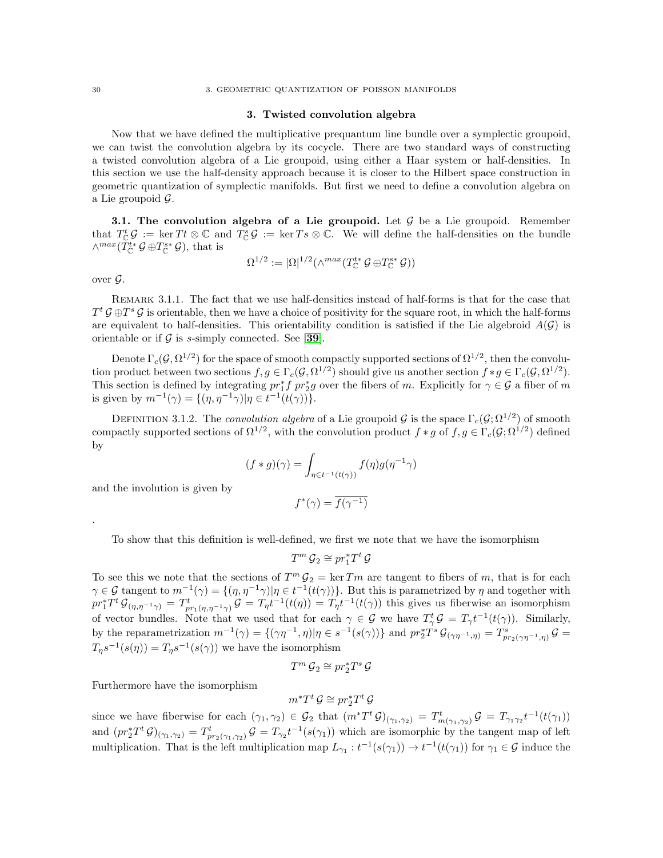### 3. Twisted convolution algebra

<span id="page-33-0"></span>Now that we have defined the multiplicative prequantum line bundle over a symplectic groupoid, we can twist the convolution algebra by its cocycle. There are two standard ways of constructing a twisted convolution algebra of a Lie groupoid, using either a Haar system or half-densities. In this section we use the half-density approach because it is closer to the Hilbert space construction in geometric quantization of symplectic manifolds. But first we need to define a convolution algebra on a Lie groupoid  $\mathcal{G}$ .

**3.1. The convolution algebra of a Lie groupoid.** Let  $\mathcal{G}$  be a Lie groupoid. Remember that  $T_{\mathbb{C}}^t \mathcal{G} := \ker T t \otimes \mathbb{C}$  and  $T_{\mathbb{C}}^s \mathcal{G} := \ker T s \otimes \mathbb{C}$ . We will define the half-densities on the bundle  $\wedge^{max}(T_{\mathbb{C}}^{t*}\mathcal{G} \oplus T_{\mathbb{C}}^{s*}\mathcal{G}),$  that is

$$
\Omega^{1/2} := |\Omega|^{1/2} (\wedge^{max}(T_{\mathbb{C}}^{t*} \mathcal{G} \oplus T_{\mathbb{C}}^{s*} \mathcal{G}))
$$

over  $\mathcal{G}$ .

.

Remark 3.1.1. The fact that we use half-densities instead of half-forms is that for the case that  $T^t \mathcal{G} \oplus T^s \mathcal{G}$  is orientable, then we have a choice of positivity for the square root, in which the half-forms are equivalent to half-densities. This orientability condition is satisfied if the Lie algebroid  $A(\mathcal{G})$  is orientable or if  $G$  is s-simply connected. See [[39](#page-117-11)].

Denote  $\Gamma_c(\mathcal{G}, \Omega^{1/2})$  for the space of smooth compactly supported sections of  $\Omega^{1/2}$ , then the convolution product between two sections  $f, g \in \Gamma_c(\mathcal{G}, \Omega^{1/2})$  should give us another section  $f * g \in \Gamma_c(\mathcal{G}, \Omega^{1/2})$ . This section is defined by integrating  $pr_1^* f pr_2^* g$  over the fibers of m. Explicitly for  $\gamma \in \mathcal{G}$  a fiber of m is given by  $m^{-1}(\gamma) = \{(\eta, \eta^{-1}\gamma)|\eta \in t^{-1}(t(\gamma))\}.$ 

DEFINITION 3.1.2. The *convolution algebra* of a Lie groupoid G is the space  $\Gamma_c(\mathcal{G}; \Omega^{1/2})$  of smooth compactly supported sections of  $\Omega^{1/2}$ , with the convolution product  $f * g$  of  $f, g \in \Gamma_c(\mathcal{G}; \Omega^{1/2})$  defined by

$$
(f * g)(\gamma) = \int_{\eta \in t^{-1}(t(\gamma))} f(\eta)g(\eta^{-1}\gamma)
$$

and the involution is given by

$$
f^*(\gamma)=\overline{f(\gamma^{-1})}
$$

To show that this definition is well-defined, we first we note that we have the isomorphism

$$
T^m\,\mathcal{G}_2\cong pr_1^*T^t\,\mathcal{G}
$$

To see this we note that the sections of  $T^m \mathcal{G}_2 = \ker T_m$  are tangent to fibers of m, that is for each  $\gamma \in \mathcal{G}$  tangent to  $m^{-1}(\gamma) = \{(\eta, \eta^{-1}\gamma) | \eta \in t^{-1}(t(\gamma))\}$ . But this is parametrized by  $\eta$  and together with  $pr_1^*T^t \mathcal{G}_{(\eta,\eta^{-1}\gamma)} = T^t_{pr_1(\eta,\eta^{-1}\gamma)} \mathcal{G} = T_{\eta}t^{-1}(t(\eta)) = T_{\eta}t^{-1}(t(\gamma))$  this gives us fiberwise an isomorphism of vector bundles. Note that we used that for each  $\gamma \in \mathcal{G}$  we have  $T_{\gamma}^t \mathcal{G} = T_{\gamma} t^{-1}(t(\gamma))$ . Similarly, by the reparametrization  $m^{-1}(\gamma) = \{(\gamma\eta^{-1}, \eta)|\eta \in s^{-1}(s(\gamma))\}$  and  $pr_2^*T^s \mathcal{G}_{(\gamma\eta^{-1}, \eta)} = T^s_{pr_2(\gamma\eta^{-1}, \eta)} \mathcal{G} =$  $T_{\eta}s^{-1}(s(\eta)) = T_{\eta}s^{-1}(s(\gamma))$  we have the isomorphism

$$
T^m\,\mathcal{G}_2\cong pr_2^*T^s\,\mathcal{G}
$$

Furthermore have the isomorphism

$$
m^*T^t\, \mathcal{G} \cong pr_2^*T^t\, \mathcal{G}
$$

since we have fiberwise for each  $(\gamma_1, \gamma_2) \in \mathcal{G}_2$  that  $(m^*T^t \mathcal{G})_{(\gamma_1, \gamma_2)} = T^t_{m(\gamma_1, \gamma_2)} \mathcal{G} = T_{\gamma_1 \gamma_2} t^{-1}(t(\gamma_1))$ and  $(pr_2^*T^t\mathcal{G})_{(\gamma_1,\gamma_2)}=T^t_{pr_2(\gamma_1,\gamma_2)}\mathcal{G}=T_{\gamma_2}t^{-1}(s(\gamma_1))$  which are isomorphic by the tangent map of left multiplication. That is the left multiplication map  $L_{\gamma_1}: t^{-1}(s(\gamma_1)) \to t^{-1}(t(\gamma_1))$  for  $\gamma_1 \in \mathcal{G}$  induce the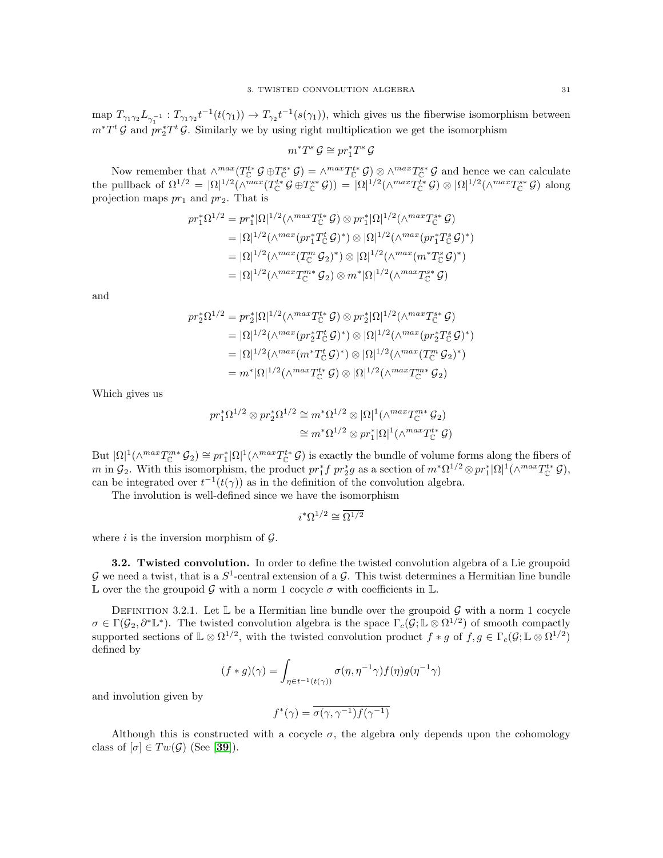map  $T_{\gamma_1\gamma_2}L_{\gamma_1^{-1}}: T_{\gamma_1\gamma_2}t^{-1}(t(\gamma_1)) \to T_{\gamma_2}t^{-1}(s(\gamma_1)),$  which gives us the fiberwise isomorphism between  $m^*T^t \mathcal{G}$  and  $pr_2^*T^t \mathcal{G}$ . Similarly we by using right multiplication we get the isomorphism

 $m^*T^s \mathcal{G} \cong pr_1^*T^s \mathcal{G}$ 

Now remember that  $\wedge^{max}(T_{\mathbb{C}}^{t*}\mathcal{G}) \oplus T_{\mathbb{C}}^{s*}\mathcal{G}) = \wedge^{max}T_{\mathbb{C}}^{t*}\mathcal{G}$   $\otimes \wedge^{max}T_{\mathbb{C}}^{s*}\mathcal{G}$  and hence we can calculate the pullback of  $\Omega^{1/2} = |\Omega|^{1/2} (\wedge^{max}(T_{\mathbb{C}}^{t*} \mathcal{G} \oplus T_{\mathbb{C}}^{s*} \mathcal{G})) = |\Omega|^{1/2} (\wedge^{max} T_{\mathbb{C}}^{t*} \mathcal{G}) \otimes |\Omega|^{1/2} (\wedge^{max} T_{\mathbb{C}}^{s*} \mathcal{G})$  along projection maps  $pr_1$  and  $pr_2$ . That is

$$
pr_1^*\Omega^{1/2} = pr_1^*|\Omega|^{1/2}(\wedge^{max}T_{\mathbb{C}}^{t*}\mathcal{G}) \otimes pr_1^*|\Omega|^{1/2}(\wedge^{max}T_{\mathbb{C}}^{s*}\mathcal{G})
$$
  
\n
$$
= |\Omega|^{1/2}(\wedge^{max}(pr_1^*T_{\mathbb{C}}^{\mathcal{G}}\mathcal{G})^*) \otimes |\Omega|^{1/2}(\wedge^{max}(pr_1^*T_{\mathbb{C}}^{\mathcal{G}}\mathcal{G})^*)
$$
  
\n
$$
= |\Omega|^{1/2}(\wedge^{max}(T_{\mathbb{C}}^m\mathcal{G}_2)^*) \otimes |\Omega|^{1/2}(\wedge^{max}(m^*T_{\mathbb{C}}^{\mathcal{G}}\mathcal{G})^*)
$$
  
\n
$$
= |\Omega|^{1/2}(\wedge^{max}T_{\mathbb{C}}^{m*}\mathcal{G}_2) \otimes m^*|\Omega|^{1/2}(\wedge^{max}T_{\mathbb{C}}^{\mathcal{G*}}\mathcal{G})
$$

and

$$
pr_2^*\Omega^{1/2} = pr_2^*|\Omega|^{1/2}(\wedge^{max}T_{\mathbb{C}}^{t*}\mathcal{G}) \otimes pr_2^*|\Omega|^{1/2}(\wedge^{max}T_{\mathbb{C}}^{s*}\mathcal{G})
$$
  
\n
$$
= |\Omega|^{1/2}(\wedge^{max}(pr_2^*T_{\mathbb{C}}^t\mathcal{G})^*) \otimes |\Omega|^{1/2}(\wedge^{max}(pr_2^*T_{\mathbb{C}}^s\mathcal{G})^*)
$$
  
\n
$$
= |\Omega|^{1/2}(\wedge^{max}(m^*T_{\mathbb{C}}^t\mathcal{G})^*) \otimes |\Omega|^{1/2}(\wedge^{max}(T_{\mathbb{C}}^m\mathcal{G}_2)^*)
$$
  
\n
$$
= m^*|\Omega|^{1/2}(\wedge^{max}T_{\mathbb{C}}^{t*}\mathcal{G}) \otimes |\Omega|^{1/2}(\wedge^{max}T_{\mathbb{C}}^{m*}\mathcal{G}_2)
$$

Which gives us

$$
pr_1^*\Omega^{1/2} \otimes pr_2^*\Omega^{1/2} \cong m^*\Omega^{1/2} \otimes |\Omega|^1(\wedge^{max}T_{\mathbb{C}}^{m*}\mathcal{G}_2)
$$
  

$$
\cong m^*\Omega^{1/2} \otimes pr_1^*|\Omega|^1(\wedge^{max}T_{\mathbb{C}}^{t*}\mathcal{G})
$$

But  $|\Omega|^1(\wedge^{max}T_{\mathbb{C}}^{m*}\mathcal{G}_2) \cong pr_1^*|\Omega|^1(\wedge^{max}T_{\mathbb{C}}^{t*}\mathcal{G})$  is exactly the bundle of volume forms along the fibers of  $m$  in  $\mathcal{G}_2$ . With this isomorphism, the product  $pr_1^* f pr_2^* g$  as a section of  $m^* \Omega^{1/2} \otimes pr_1^* |\Omega|^1 (\wedge^{max} T_{\mathbb{C}}^{t*} \mathcal{G}),$ can be integrated over  $t^{-1}(t(\gamma))$  as in the definition of the convolution algebra.

The involution is well-defined since we have the isomorphism

$$
i^*\Omega^{1/2}\cong \overline{\Omega^{1/2}}
$$

where i is the inversion morphism of  $\mathcal{G}$ .

3.2. Twisted convolution. In order to define the twisted convolution algebra of a Lie groupoid G we need a twist, that is a  $S^1$ -central extension of a G. This twist determines a Hermitian line bundle L over the the groupoid G with a norm 1 cocycle  $\sigma$  with coefficients in L.

DEFINITION 3.2.1. Let  $\mathbb L$  be a Hermitian line bundle over the groupoid G with a norm 1 cocycle  $\sigma \in \Gamma(\mathcal{G}_2, \partial^* \mathbb{L}^*)$ . The twisted convolution algebra is the space  $\Gamma_c(\mathcal{G}; \mathbb{L} \otimes \Omega^{1/2})$  of smooth compactly supported sections of  $\mathbb{L}\otimes\Omega^{1/2}$ , with the twisted convolution product  $f*g$  of  $f,g\in\Gamma_c(\mathcal{G};\mathbb{L}\otimes\Omega^{1/2})$ defined by

$$
(f * g)(\gamma) = \int_{\eta \in t^{-1}(t(\gamma))} \sigma(\eta, \eta^{-1} \gamma) f(\eta) g(\eta^{-1} \gamma)
$$

and involution given by

$$
f^*(\gamma)=\overline{\sigma(\gamma,\gamma^{-1})f(\gamma^{-1})}
$$

Although this is constructed with a cocycle  $\sigma$ , the algebra only depends upon the cohomology class of  $[\sigma] \in Tw(\mathcal{G})$  (See [[39](#page-117-11)]).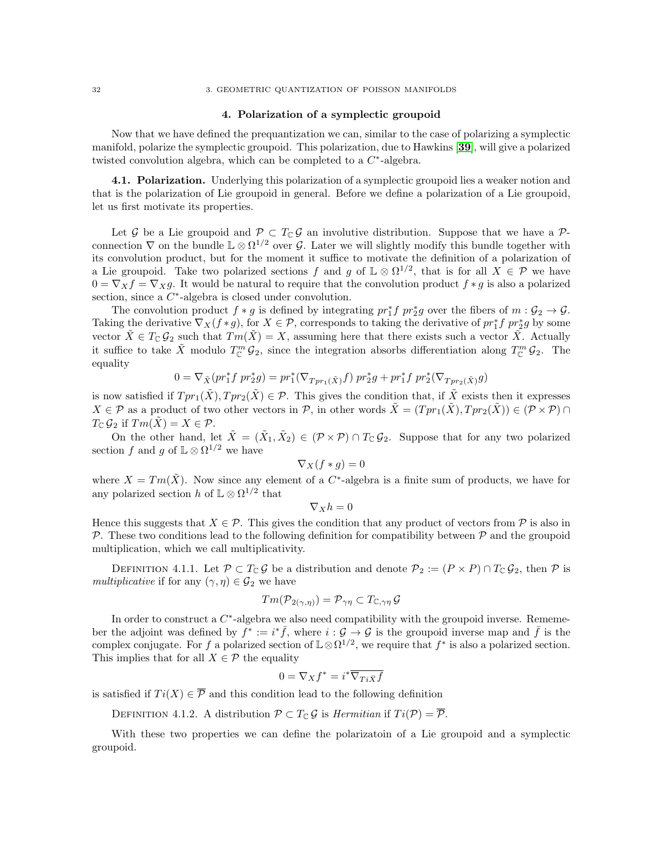#### <span id="page-35-0"></span>32 3. GEOMETRIC QUANTIZATION OF POISSON MANIFOLDS

### 4. Polarization of a symplectic groupoid

Now that we have defined the prequantization we can, similar to the case of polarizing a symplectic manifold, polarize the symplectic groupoid. This polarization, due to Hawkins [[39](#page-117-11)], will give a polarized twisted convolution algebra, which can be completed to a  $C^*$ -algebra.

4.1. Polarization. Underlying this polarization of a symplectic groupoid lies a weaker notion and that is the polarization of Lie groupoid in general. Before we define a polarization of a Lie groupoid, let us first motivate its properties.

Let G be a Lie groupoid and  $\mathcal{P} \subset T_{\mathbb{C}}\mathcal{G}$  an involutive distribution. Suppose that we have a  $\mathcal{P}$ connection  $\nabla$  on the bundle  $\mathbb{L} \otimes \Omega^{1/2}$  over  $\mathcal{G}$ . Later we will slightly modify this bundle together with its convolution product, but for the moment it suffice to motivate the definition of a polarization of a Lie groupoid. Take two polarized sections f and g of  $\mathbb{L} \otimes \Omega^{1/2}$ , that is for all  $X \in \mathcal{P}$  we have  $0 = \nabla_X f = \nabla_X g$ . It would be natural to require that the convolution product  $f * g$  is also a polarized section, since a  $C^*$ -algebra is closed under convolution.

The convolution product  $f * g$  is defined by integrating  $pr_1^* f pr_2^* g$  over the fibers of  $m : \mathcal{G}_2 \to \mathcal{G}$ . Taking the derivative  $\nabla_X(f*g)$ , for  $X \in \mathcal{P}$ , corresponds to taking the derivative of  $pr_1^*f pr_2^*g$  by some vector  $\tilde{X} \in T_{\mathbb{C}} \mathcal{G}_2$  such that  $Tm(\tilde{X}) = X$ , assuming here that there exists such a vector  $\tilde{X}$ . Actually it suffice to take  $\tilde{X}$  modulo  $T_{\mathbb{C}}^m \mathcal{G}_2$ , since the integration absorbs differentiation along  $T_{\mathbb{C}}^m \mathcal{G}_2$ . The equality

$$
0 = \nabla_{\tilde{X}}(pr_1^*f~pr_2^*g) = pr_1^*(\nabla_{Tpr_1(\tilde{X})}f)~pr_2^*g + pr_1^*f~pr_2^*(\nabla_{Tpr_2(\tilde{X})}g)
$$

is now satisfied if  $Tpr_1(\tilde{X}), Tpr_2(\tilde{X}) \in \mathcal{P}$ . This gives the condition that, if  $\tilde{X}$  exists then it expresses  $X \in \mathcal{P}$  as a product of two other vectors in P, in other words  $\tilde{X} = (Tpr_1(\tilde{X}), Tpr_2(\tilde{X})) \in (\mathcal{P} \times \mathcal{P}) \cap$  $T_{\mathbb{C}} \mathcal{G}_2$  if  $Tm(\tilde{X}) = X \in \mathcal{P}$ .

On the other hand, let  $\tilde{X} = (\tilde{X}_1, \tilde{X}_2) \in (\mathcal{P} \times \mathcal{P}) \cap T_{\mathbb{C}} \mathcal{G}_2$ . Suppose that for any two polarized section f and g of  $\mathbb{L} \otimes \Omega^{1/2}$  we have

$$
\nabla_X(f*g)=0
$$

where  $X = Tm(\tilde{X})$ . Now since any element of a C<sup>\*</sup>-algebra is a finite sum of products, we have for any polarized section h of  $\mathbb{L} \otimes \Omega^{1/2}$  that

$$
\nabla_X h = 0
$$

Hence this suggests that  $X \in \mathcal{P}$ . This gives the condition that any product of vectors from  $\mathcal{P}$  is also in  $P$ . These two conditions lead to the following definition for compatibility between  $P$  and the groupoid multiplication, which we call multiplicativity.

DEFINITION 4.1.1. Let  $\mathcal{P} \subset T_{\mathbb{C}} \mathcal{G}$  be a distribution and denote  $\mathcal{P}_2 := (P \times P) \cap T_{\mathbb{C}} \mathcal{G}_2$ , then  $\mathcal P$  is multiplicative if for any  $(\gamma, \eta) \in \mathcal{G}_2$  we have

$$
Tm(\mathcal{P}_{2(\gamma,\eta)}) = \mathcal{P}_{\gamma\eta} \subset T_{\mathbb{C},\gamma\eta} \mathcal{G}
$$

In order to construct a  $C^*$ -algebra we also need compatibility with the groupoid inverse. Rememeber the adjoint was defined by  $f^* := i^* \bar{f}$ , where  $i : \mathcal{G} \to \mathcal{G}$  is the groupoid inverse map and  $\bar{f}$  is the complex conjugate. For f a polarized section of  $\mathbb{L}\otimes\Omega^{1/2}$ , we require that f<sup>\*</sup> is also a polarized section. This implies that for all  $X \in \mathcal{P}$  the equality

$$
0 = \nabla_X f^* = i^* \overline{\nabla_{Ti\bar{X}} f}
$$

is satisfied if  $Ti(X) \in \overline{\mathcal{P}}$  and this condition lead to the following definition

DEFINITION 4.1.2. A distribution  $\mathcal{P} \subset T_{\mathbb{C}} \mathcal{G}$  is *Hermitian* if  $Ti(\mathcal{P}) = \overline{\mathcal{P}}$ .

With these two properties we can define the polarizatoin of a Lie groupoid and a symplectic groupoid.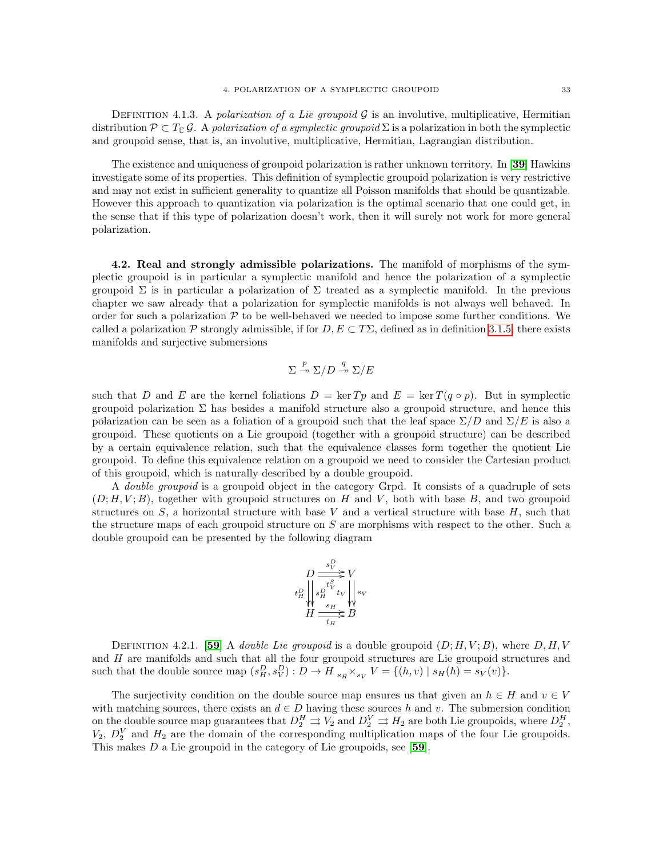DEFINITION 4.1.3. A polarization of a Lie groupoid  $\mathcal G$  is an involutive, multiplicative, Hermitian distribution  $\mathcal{P} \subset T_{\mathbb{C}} \mathcal{G}$ . A polarization of a symplectic groupoid  $\Sigma$  is a polarization in both the symplectic and groupoid sense, that is, an involutive, multiplicative, Hermitian, Lagrangian distribution.

The existence and uniqueness of groupoid polarization is rather unknown territory. In [[39](#page-117-0)] Hawkins investigate some of its properties. This definition of symplectic groupoid polarization is very restrictive and may not exist in sufficient generality to quantize all Poisson manifolds that should be quantizable. However this approach to quantization via polarization is the optimal scenario that one could get, in the sense that if this type of polarization doesn't work, then it will surely not work for more general polarization.

4.2. Real and strongly admissible polarizations. The manifold of morphisms of the symplectic groupoid is in particular a symplectic manifold and hence the polarization of a symplectic groupoid Σ is in particular a polarization of Σ treated as a symplectic manifold. In the previous chapter we saw already that a polarization for symplectic manifolds is not always well behaved. In order for such a polarization  $P$  to be well-behaved we needed to impose some further conditions. We called a polarization P strongly admissible, if for  $D, E \subset T\Sigma$ , defined as in definition [3.1.5,](#page-16-0) there exists manifolds and surjective submersions

$$
\Sigma \stackrel{p}{\twoheadrightarrow} \Sigma/D \stackrel{q}{\twoheadrightarrow} \Sigma/E
$$

such that D and E are the kernel foliations  $D = \ker T p$  and  $E = \ker T (q \circ p)$ . But in symplectic groupoid polarization  $\Sigma$  has besides a manifold structure also a groupoid structure, and hence this polarization can be seen as a foliation of a groupoid such that the leaf space  $\Sigma/D$  and  $\Sigma/E$  is also a groupoid. These quotients on a Lie groupoid (together with a groupoid structure) can be described by a certain equivalence relation, such that the equivalence classes form together the quotient Lie groupoid. To define this equivalence relation on a groupoid we need to consider the Cartesian product of this groupoid, which is naturally described by a double groupoid.

A double groupoid is a groupoid object in the category Grpd. It consists of a quadruple of sets  $(D; H, V; B)$ , together with groupoid structures on H and V, both with base B, and two groupoid structures on  $S$ , a horizontal structure with base  $V$  and a vertical structure with base  $H$ , such that the structure maps of each groupoid structure on S are morphisms with respect to the other. Such a double groupoid can be presented by the following diagram

$$
\begin{array}{c}\nD \xrightarrow{s_V^D} V \\
D \xrightarrow{t_S^S} V \\
t_H^D \downarrow s_H^{\nu} t_V \downarrow s_W \\
H \xrightarrow{s_H} B\n\end{array}
$$

DEFINITION 4.2.1. [[59](#page-117-1)] A *double Lie groupoid* is a double groupoid  $(D; H, V; B)$ , where  $D, H, V$ and  $H$  are manifolds and such that all the four groupoid structures are Lie groupoid structures and such that the double source map  $(s_H^D, s_V^D)$  :  $D \to H_{s_H} \times_{s_V} V = \{(h, v) \mid s_H(h) = s_V(v)\}.$ 

The surjectivity condition on the double source map ensures us that given an  $h \in H$  and  $v \in V$ with matching sources, there exists an  $d \in D$  having these sources h and v. The submersion condition on the double source map guarantees that  $D_2^H \rightrightarrows V_2$  and  $D_2^V \rightrightarrows H_2$  are both Lie groupoids, where  $D_2^H$ ,  $V_2, D_2^V$  and  $H_2$  are the domain of the corresponding multiplication maps of the four Lie groupoids. This makes D a Lie groupoid in the category of Lie groupoids, see [[59](#page-117-1)].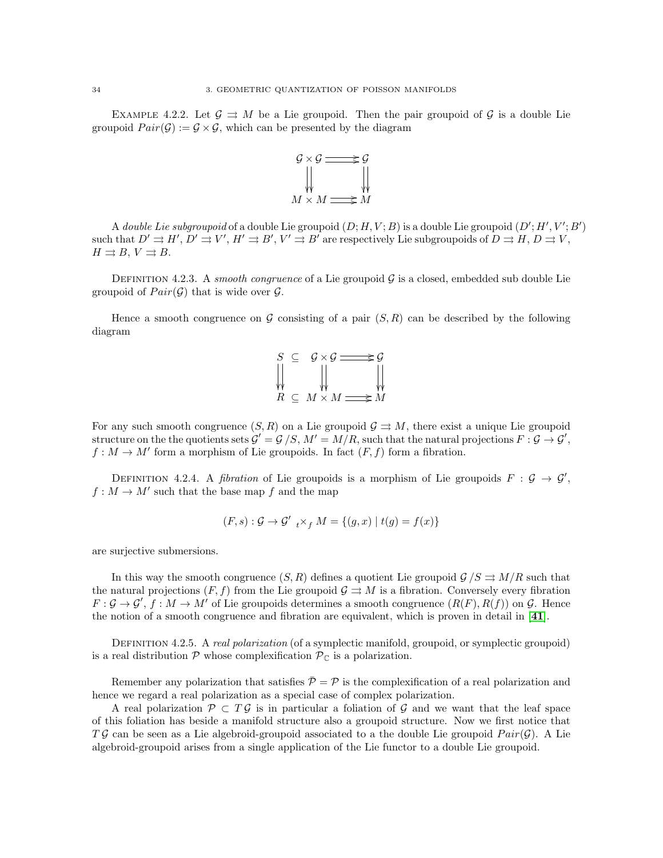EXAMPLE 4.2.2. Let  $\mathcal{G} \Rightarrow M$  be a Lie groupoid. Then the pair groupoid of  $\mathcal{G}$  is a double Lie groupoid  $Pair(\mathcal{G}) := \mathcal{G} \times \mathcal{G}$ , which can be presented by the diagram



A *double Lie subgroupoid* of a double Lie groupoid  $(D; H, V; B)$  is a double Lie groupoid  $(D'; H', V'; B')$ such that  $D' \rightrightarrows H', D' \rightrightarrows V', H' \rightrightarrows B', V' \rightrightarrows B'$  are respectively Lie subgroupoids of  $D \rightrightarrows H, D \rightrightarrows V$ ,  $H \rightrightarrows B, V \rightrightarrows B.$ 

DEFINITION 4.2.3. A smooth congruence of a Lie groupoid  $\mathcal G$  is a closed, embedded sub double Lie groupoid of  $Pair(G)$  that is wide over G.

Hence a smooth congruence on  $G$  consisting of a pair  $(S, R)$  can be described by the following diagram



For any such smooth congruence  $(S, R)$  on a Lie groupoid  $G \rightrightarrows M$ , there exist a unique Lie groupoid structure on the the quotients sets  $\mathcal{G}' = \mathcal{G}/S$ ,  $M' = M/R$ , such that the natural projections  $F : \mathcal{G} \to \mathcal{G}'$ ,  $f: M \to M'$  form a morphism of Lie groupoids. In fact  $(F, f)$  form a fibration.

DEFINITION 4.2.4. A *fibration* of Lie groupoids is a morphism of Lie groupoids  $F : \mathcal{G} \to \mathcal{G}'$ ,  $f: M \to M'$  such that the base map f and the map

$$
(F, s) : \mathcal{G} \to \mathcal{G}'_{t} \times_{f} M = \{(g, x) | t(g) = f(x) \}
$$

are surjective submersions.

In this way the smooth congruence  $(S, R)$  defines a quotient Lie groupoid  $\mathcal{G}/S \rightrightarrows M/R$  such that the natural projections  $(F, f)$  from the Lie groupoid  $\mathcal{G} \rightrightarrows M$  is a fibration. Conversely every fibration  $F: \mathcal{G} \to \mathcal{G}', f: M \to M'$  of Lie groupoids determines a smooth congruence  $(R(F), R(f))$  on  $\mathcal{G}$ . Hence the notion of a smooth congruence and fibration are equivalent, which is proven in detail in [[41](#page-117-2)].

DEFINITION 4.2.5. A real polarization (of a symplectic manifold, groupoid, or symplectic groupoid) is a real distribution  $P$  whose complexification  $P_{\mathbb{C}}$  is a polarization.

Remember any polarization that satisfies  $\bar{\mathcal{P}} = \mathcal{P}$  is the complexification of a real polarization and hence we regard a real polarization as a special case of complex polarization.

A real polarization  $\mathcal{P} \subset T\mathcal{G}$  is in particular a foliation of  $\mathcal{G}$  and we want that the leaf space of this foliation has beside a manifold structure also a groupoid structure. Now we first notice that TG can be seen as a Lie algebroid-groupoid associated to a the double Lie groupoid  $Pair(G)$ . A Lie algebroid-groupoid arises from a single application of the Lie functor to a double Lie groupoid.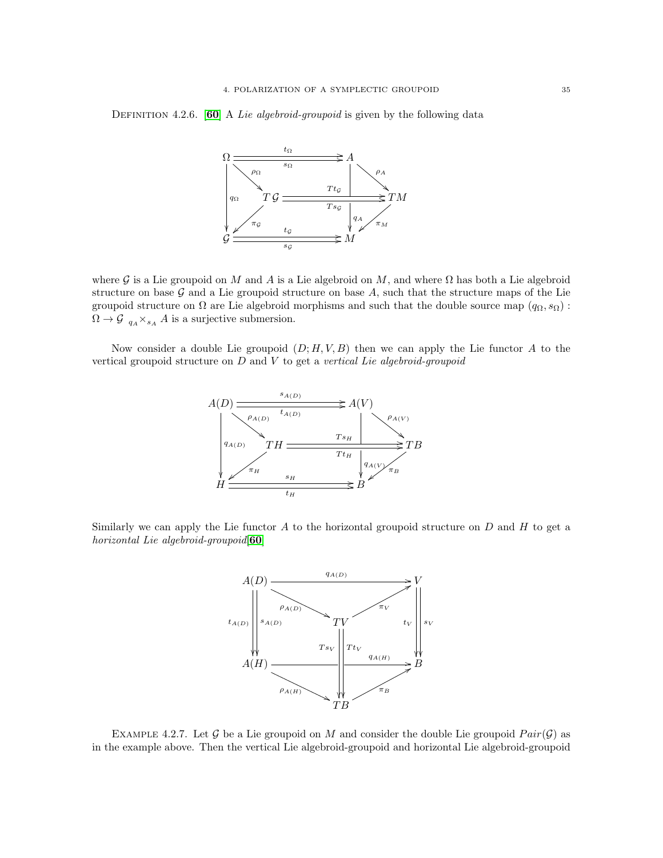## DEFINITION 4.2.6. [[60](#page-117-3)] A Lie algebroid-groupoid is given by the following data



where G is a Lie groupoid on M and A is a Lie algebroid on M, and where  $\Omega$  has both a Lie algebroid structure on base  $G$  and a Lie groupoid structure on base  $A$ , such that the structure maps of the Lie groupoid structure on  $\Omega$  are Lie algebroid morphisms and such that the double source map  $(q_{\Omega}, s_{\Omega})$ :  $\Omega \to \mathcal{G}_{qA} \times_{sA} A$  is a surjective submersion.

Now consider a double Lie groupoid  $(D; H, V, B)$  then we can apply the Lie functor A to the vertical groupoid structure on  $D$  and  $V$  to get a vertical Lie algebroid-groupoid



Similarly we can apply the Lie functor  $A$  to the horizontal groupoid structure on  $D$  and  $H$  to get a horizontal Lie algebroid-groupoid[[60](#page-117-3)]



EXAMPLE 4.2.7. Let G be a Lie groupoid on M and consider the double Lie groupoid  $Pair(G)$  as in the example above. Then the vertical Lie algebroid-groupoid and horizontal Lie algebroid-groupoid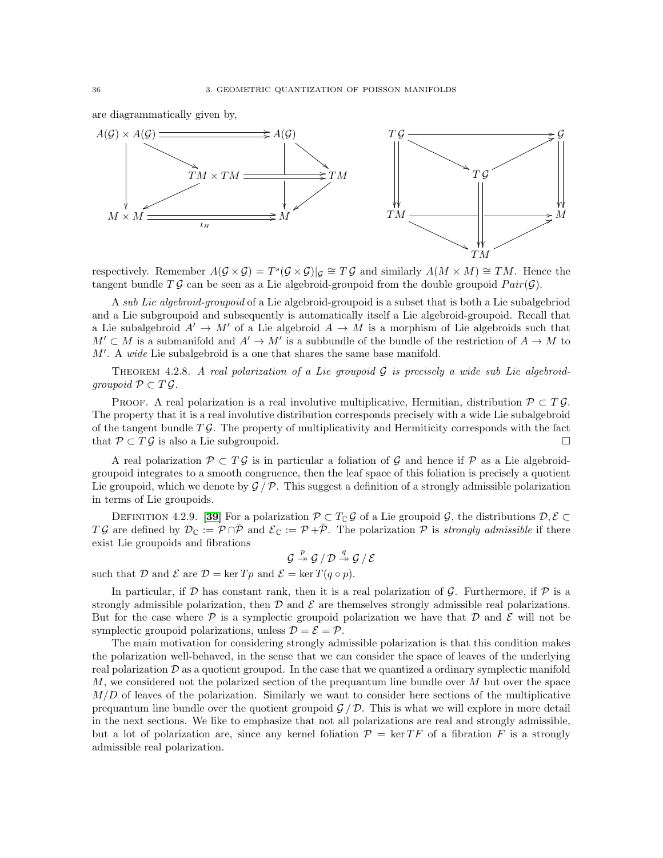are diagrammatically given by,



respectively. Remember  $A(G \times G) = T^{s}(G \times G)|_{G} \cong T \mathcal{G}$  and similarly  $A(M \times M) \cong TM$ . Hence the tangent bundle  $T\mathcal{G}$  can be seen as a Lie algebroid-groupoid from the double groupoid  $Pair(\mathcal{G})$ .

A sub Lie algebroid-groupoid of a Lie algebroid-groupoid is a subset that is both a Lie subalgebriod and a Lie subgroupoid and subsequently is automatically itself a Lie algebroid-groupoid. Recall that a Lie subalgebroid  $A' \to M'$  of a Lie algebroid  $A \to M$  is a morphism of Lie algebroids such that  $M' \subset M$  is a submanifold and  $A' \to M'$  is a subbundle of the bundle of the restriction of  $A \to M$  to  $M'$ . A wide Lie subalgebroid is a one that shares the same base manifold.

THEOREM 4.2.8. A real polarization of a Lie groupoid  $\mathcal G$  is precisely a wide sub Lie algebroidgroupoid  $\mathcal{P} \subset T \mathcal{G}$ .

PROOF. A real polarization is a real involutive multiplicative, Hermitian, distribution  $\mathcal{P} \subset T\mathcal{G}$ . The property that it is a real involutive distribution corresponds precisely with a wide Lie subalgebroid of the tangent bundle  $T\mathcal{G}$ . The property of multiplicativity and Hermiticity corresponds with the fact that  $P \subset T \mathcal{G}$  is also a Lie subgroupoid.

A real polarization  $\mathcal{P} \subset T\mathcal{G}$  is in particular a foliation of  $\mathcal{G}$  and hence if  $\mathcal{P}$  as a Lie algebroidgroupoid integrates to a smooth congruence, then the leaf space of this foliation is precisely a quotient Lie groupoid, which we denote by  $\mathcal{G}/\mathcal{P}$ . This suggest a definition of a strongly admissible polarization in terms of Lie groupoids.

DEFINITION 4.2.9. [[39](#page-117-0)] For a polarization  $\mathcal{P} \subset T_{\mathbb{C}} \mathcal{G}$  of a Lie groupoid  $\mathcal{G}$ , the distributions  $\mathcal{D}, \mathcal{E} \subset$ TG are defined by  $\mathcal{D}_{\mathbb{C}} := \mathcal{P} \cap \bar{\mathcal{P}}$  and  $\mathcal{E}_{\mathbb{C}} := \mathcal{P} + \bar{\mathcal{P}}$ . The polarization  $\mathcal{P}$  is strongly admissible if there exist Lie groupoids and fibrations

$$
\mathcal{G} \stackrel{p}{\twoheadrightarrow} \mathcal{G} / \mathcal{D} \stackrel{q}{\twoheadrightarrow} \mathcal{G} / \mathcal{E}
$$

such that D and E are  $\mathcal{D} = \ker T p$  and  $\mathcal{E} = \ker T (q \circ p)$ .

In particular, if  $\mathcal D$  has constant rank, then it is a real polarization of  $\mathcal G$ . Furthermore, if  $\mathcal P$  is a strongly admissible polarization, then  $\mathcal D$  and  $\mathcal E$  are themselves strongly admissible real polarizations. But for the case where  $\mathcal P$  is a symplectic groupoid polarization we have that  $\mathcal D$  and  $\mathcal E$  will not be symplectic groupoid polarizations, unless  $\mathcal{D} = \mathcal{E} = \mathcal{P}$ .

The main motivation for considering strongly admissible polarization is that this condition makes the polarization well-behaved, in the sense that we can consider the space of leaves of the underlying real polarization  $\mathcal D$  as a quotient groupod. In the case that we quantized a ordinary symplectic manifold M, we considered not the polarized section of the prequantum line bundle over  $M$  but over the space  $M/D$  of leaves of the polarization. Similarly we want to consider here sections of the multiplicative prequantum line bundle over the quotient groupoid  $\mathcal{G}/\mathcal{D}$ . This is what we will explore in more detail in the next sections. We like to emphasize that not all polarizations are real and strongly admissible, but a lot of polarization are, since any kernel foliation  $\mathcal{P} = \ker TF$  of a fibration F is a strongly admissible real polarization.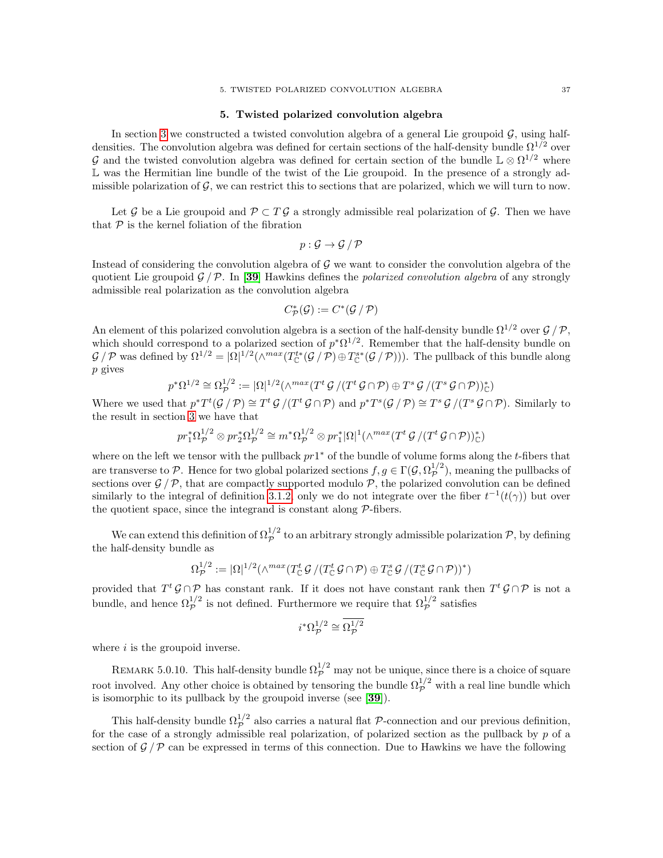#### 5. Twisted polarized convolution algebra

In section [3](#page-33-0) we constructed a twisted convolution algebra of a general Lie groupoid  $\mathcal{G}$ , using halfdensities. The convolution algebra was defined for certain sections of the half-density bundle  $\Omega^{1/2}$  over G and the twisted convolution algebra was defined for certain section of the bundle  $\mathbb{L} \otimes \Omega^{1/2}$  where L was the Hermitian line bundle of the twist of the Lie groupoid. In the presence of a strongly admissible polarization of  $\mathcal{G}$ , we can restrict this to sections that are polarized, which we will turn to now.

Let G be a Lie groupoid and  $\mathcal{P} \subset T \mathcal{G}$  a strongly admissible real polarization of G. Then we have that  $P$  is the kernel foliation of the fibration

$$
p: \mathcal{G} \to \mathcal{G} / \mathcal{P}
$$

Instead of considering the convolution algebra of  $\mathcal G$  we want to consider the convolution algebra of the quotient Lie groupoid  $\mathcal{G}/\mathcal{P}$ . In [[39](#page-117-0)] Hawkins defines the *polarized convolution algebra* of any strongly admissible real polarization as the convolution algebra

$$
C^*_{\mathcal{P}}(\mathcal{G}):=C^*(\mathcal{G}\,/\,\mathcal{P})
$$

An element of this polarized convolution algebra is a section of the half-density bundle  $\Omega^{1/2}$  over  $\mathcal{G}/\mathcal{P}$ , which should correspond to a polarized section of  $p^*\Omega^{1/2}$ . Remember that the half-density bundle on  $\mathcal{G}/\mathcal{P}$  was defined by  $\Omega^{1/2} = |\Omega|^{1/2} (\wedge^{max}(T_{\mathbb{C}}^{*}(\mathcal{G}/\mathcal{P}) \oplus T_{\mathbb{C}}^{*}(\mathcal{G}/\mathcal{P})))$ . The pullback of this bundle along p gives

$$
p^*\Omega^{1/2}\cong\Omega^{1/2}_\mathcal{P}:=|\Omega|^{1/2}(\wedge^{max}(T^t\,\mathcal{G}/(T^t\,\mathcal{G}\cap\mathcal{P})\oplus T^s\,\mathcal{G}/(T^s\,\mathcal{G}\cap\mathcal{P}))_\mathbb{C}^*)
$$

Where we used that  $p^*T^t(G/p) \cong T^tG/(T^tG \cap \mathcal{P})$  and  $p^*T^s(G/p) \cong T^sG/(T^sG \cap \mathcal{P})$ . Similarly to the result in section [3](#page-33-0) we have that

$$
pr_1^*\Omega_{\mathcal{P}}^{1/2} \otimes pr_2^*\Omega_{\mathcal{P}}^{1/2} \cong m^*\Omega_{\mathcal{P}}^{1/2} \otimes pr_1^*|\Omega|^1(\wedge^{max}(T^t \mathcal{G}/(T^t \mathcal{G}\cap \mathcal{P}))^*_{\mathbb{C}})
$$

where on the left we tensor with the pullback  $pr1^*$  of the bundle of volume forms along the t-fibers that are transverse to P. Hence for two global polarized sections  $f, g \in \Gamma(\mathcal{G}, \Omega_{\mathcal{P}}^{1/2})$  $\mathcal{P}^{1/2}$ , meaning the pullbacks of sections over  $\mathcal{G}/\mathcal{P}$ , that are compactly supported modulo  $\mathcal{P}$ , the polarized convolution can be defined similarly to the integral of definition [3.1.2,](#page-33-1) only we do not integrate over the fiber  $t^{-1}(t(\gamma))$  but over the quotient space, since the integrand is constant along  $\mathcal{P}\text{-fibers.}$ 

We can extend this definition of  $\Omega_{\cal P}^{1/2}$  to an arbitrary strongly admissible polarization  ${\cal P}$ , by defining the half-density bundle as

$$
\Omega^{1/2}_\mathcal{P} := |\Omega|^{1/2} (\wedge^{max} (T^t_\mathbb{C} \mathcal{G}) / (T^t_\mathbb{C} \mathcal{G} \cap \mathcal{P}) \oplus T^s_\mathbb{C} \mathcal{G} / (T^s_\mathbb{C} \mathcal{G} \cap \mathcal{P}))^*)
$$

provided that  $T^t \mathcal{G} \cap \mathcal{P}$  has constant rank. If it does not have constant rank then  $T^t \mathcal{G} \cap \mathcal{P}$  is not a bundle, and hence  $\Omega_p^{1/2}$  is not defined. Furthermore we require that  $\Omega_p^{1/2}$  satisfies

$$
i^*\Omega_{\mathcal{P}}^{1/2} \cong \overline{\Omega_{\mathcal{P}}^{1/2}}
$$

where  $i$  is the groupoid inverse.

REMARK 5.0.10. This half-density bundle  $\Omega_{\cal P}^{1/2}$  may not be unique, since there is a choice of square root involved. Any other choice is obtained by tensoring the bundle  $\Omega_{\cal P}^{1/2}$  with a real line bundle which is isomorphic to its pullback by the groupoid inverse (see [[39](#page-117-0)]).

This half-density bundle  $\Omega_{\cal P}^{1/2}$  also carries a natural flat  $\cal P$ -connection and our previous definition, for the case of a strongly admissible real polarization, of polarized section as the pullback by  $p$  of a section of  $\mathcal{G}/\mathcal{P}$  can be expressed in terms of this connection. Due to Hawkins we have the following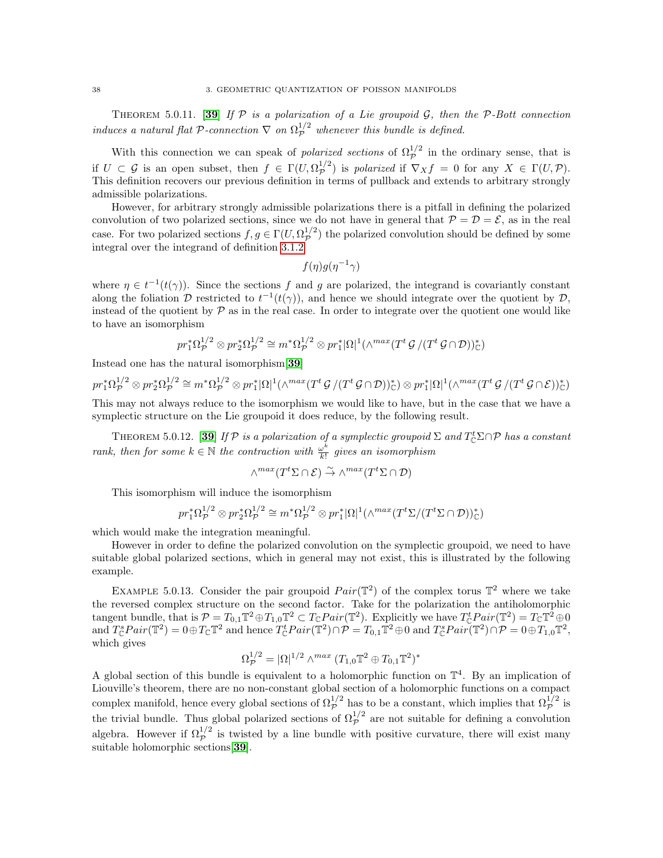THEOREM 5.0.11. [[39](#page-117-0)] If  $P$  is a polarization of a Lie groupoid  $G$ , then the  $P$ -Bott connection induces a natural flat P-connection  $\nabla$  on  $\Omega_{\mathcal{P}}^{1/2}$  whenever this bundle is defined.

With this connection we can speak of *polarized sections* of  $\Omega_p^{1/2}$  in the ordinary sense, that is if  $U \subset \mathcal{G}$  is an open subset, then  $f \in \Gamma(U, \Omega_{\mathcal{P}}^{1/2})$  $\mathcal{P}^{1/2}$ ) is polarized if  $\nabla_X f = 0$  for any  $X \in \Gamma(U, \mathcal{P})$ . This definition recovers our previous definition in terms of pullback and extends to arbitrary strongly admissible polarizations.

However, for arbitrary strongly admissible polarizations there is a pitfall in defining the polarized convolution of two polarized sections, since we do not have in general that  $P = D = \mathcal{E}$ , as in the real case. For two polarized sections  $f, g \in \Gamma(U, \Omega_{\mathcal{P}}^{1/2})$  $p^{1/2}$  the polarized convolution should be defined by some integral over the integrand of definition [3.1.2](#page-33-1)

$$
f(\eta)g(\eta^{-1}\gamma)
$$

where  $\eta \in t^{-1}(t(\gamma))$ . Since the sections f and g are polarized, the integrand is covariantly constant along the foliation D restricted to  $t^{-1}(t(\gamma))$ , and hence we should integrate over the quotient by D, instead of the quotient by  $\mathcal P$  as in the real case. In order to integrate over the quotient one would like to have an isomorphism

$$
pr_1^*\Omega_{\mathcal{P}}^{1/2} \otimes pr_2^*\Omega_{\mathcal{P}}^{1/2} \cong m^*\Omega_{\mathcal{P}}^{1/2} \otimes pr_1^*|\Omega|^1(\wedge^{max}(T^t \mathcal{G}/(T^t \mathcal{G}\cap \mathcal{D}))^*_{\mathbb{C}})
$$

Instead one has the natural isomorphism[[39](#page-117-0)]

$$
pr_1^*\Omega_{\mathcal{P}}^{1/2} \otimes pr_2^*\Omega_{\mathcal{P}}^{1/2} \cong m^*\Omega_{\mathcal{P}}^{1/2} \otimes pr_1^*|\Omega|^1(\wedge^{max}(T^t\mathcal{G}/(T^t\mathcal{G}\cap \mathcal{D}))^*_{\mathbb{C}}) \otimes pr_1^*|\Omega|^1(\wedge^{max}(T^t\mathcal{G}/(T^t\mathcal{G}\cap \mathcal{E}))^*_{\mathbb{C}})
$$

This may not always reduce to the isomorphism we would like to have, but in the case that we have a symplectic structure on the Lie groupoid it does reduce, by the following result.

THEOREM 5.0.12. [[39](#page-117-0)] If  $\mathcal P$  is a polarization of a symplectic groupoid  $\Sigma$  and  $T_{\mathbb C}^t \Sigma \cap \mathcal P$  has a constant rank, then for some  $k \in \mathbb{N}$  the contraction with  $\frac{\omega^k}{k!}$  $\frac{\omega^n}{k!}$  gives an isomorphism

$$
\wedge^{max}(T^t \Sigma \cap \mathcal{E}) \stackrel{\sim}{\to} \wedge^{max}(T^t \Sigma \cap \mathcal{D})
$$

This isomorphism will induce the isomorphism

$$
pr_1^*\Omega_{\mathcal{P}}^{1/2} \otimes pr_2^*\Omega_{\mathcal{P}}^{1/2} \cong m^*\Omega_{\mathcal{P}}^{1/2} \otimes pr_1^*|\Omega|^1(\wedge^{max}(T^t\Sigma/(T^t\Sigma \cap \mathcal{D}))^*_{\mathbb{C}})
$$

which would make the integration meaningful.

However in order to define the polarized convolution on the symplectic groupoid, we need to have suitable global polarized sections, which in general may not exist, this is illustrated by the following example.

EXAMPLE 5.0.13. Consider the pair groupoid  $Pair(\mathbb{T}^2)$  of the complex torus  $\mathbb{T}^2$  where we take the reversed complex structure on the second factor. Take for the polarization the antiholomorphic tangent bundle, that is  $\mathcal{P} = T_{0,1} \mathbb{T}^2 \oplus T_{1,0} \mathbb{T}^2 \subset T_{\mathbb{C}} \text{Pair}(\mathbb{T}^2)$ . Explicitly we have  $T_{\mathbb{C}}^t \text{Pair}(\mathbb{T}^2) = T_{\mathbb{C}} \mathbb{T}^2 \oplus 0$ and  $T_{\mathbb{C}}^sPair(\mathbb{T}^2) = 0 \oplus T_{\mathbb{C}}\mathbb{T}^2$  and hence  $T_{\mathbb{C}}^tPair(\mathbb{T}^2) \cap \mathcal{P} = T_{0,1}\mathbb{T}^2 \oplus 0$  and  $T_{\mathbb{C}}^sPair(\mathbb{T}^2) \cap \mathcal{P} = 0 \oplus T_{1,0}\mathbb{T}^2$ , which gives

$$
\Omega_{\mathcal{P}}^{1/2} = |\Omega|^{1/2} \wedge^{max} (T_{1,0} \mathbb{T}^2 \oplus T_{0,1} \mathbb{T}^2)^*
$$

A global section of this bundle is equivalent to a holomorphic function on  $\mathbb{T}^4$ . By an implication of Liouville's theorem, there are no non-constant global section of a holomorphic functions on a compact complex manifold, hence every global sections of  $\Omega_p^{1/2}$  has to be a constant, which implies that  $\Omega_p^{1/2}$  is the trivial bundle. Thus global polarized sections of  $\Omega_{\cal P}^{1/2}$  are not suitable for defining a convolution algebra. However if  $\Omega_p^{1/2}$  is twisted by a line bundle with positive curvature, there will exist many suitable holomorphic sections[[39](#page-117-0)].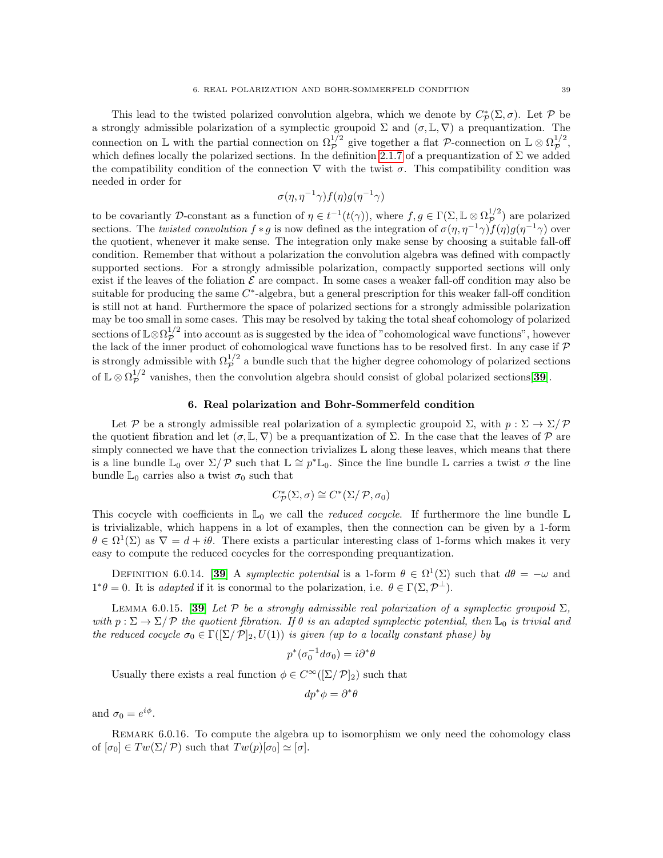This lead to the twisted polarized convolution algebra, which we denote by  $C^*_{\mathcal{P}}(\Sigma, \sigma)$ . Let P be a strongly admissible polarization of a symplectic groupoid  $\Sigma$  and  $(\sigma, \mathbb{L}, \nabla)$  a prequantization. The connection on  $\mathbb{L}$  with the partial connection on  $\Omega_{\mathcal{P}}^{1/2}$  give together a flat P-connection on  $\mathbb{L} \otimes \Omega_{\mathcal{P}}^{1/2}$  $\mathcal{P}^{1/2}$ , which defines locally the polarized sections. In the definition [2.1.7](#page-32-0) of a prequantization of  $\Sigma$  we added the compatibility condition of the connection  $\nabla$  with the twist  $\sigma$ . This compatibility condition was needed in order for

$$
\sigma(\eta,\eta^{-1}\gamma)f(\eta)g(\eta^{-1}\gamma)
$$

to be covariantly D-constant as a function of  $\eta \in t^{-1}(t(\gamma))$ , where  $f, g \in \Gamma(\Sigma, \mathbb{L} \otimes \Omega_{\mathcal{D}}^{1/2})$  $p^{\frac{1}{2}}$  are polarized sections. The twisted convolution  $f * g$  is now defined as the integration of  $\sigma(\eta, \eta^{-1}\gamma) f(\eta)g(\eta^{-1}\gamma)$  over the quotient, whenever it make sense. The integration only make sense by choosing a suitable fall-off condition. Remember that without a polarization the convolution algebra was defined with compactly supported sections. For a strongly admissible polarization, compactly supported sections will only exist if the leaves of the foliation  $\mathcal E$  are compact. In some cases a weaker fall-off condition may also be suitable for producing the same  $C^*$ -algebra, but a general prescription for this weaker fall-off condition is still not at hand. Furthermore the space of polarized sections for a strongly admissible polarization may be too small in some cases. This may be resolved by taking the total sheaf cohomology of polarized sections of  $\mathbb{L}\otimes\Omega_{\mathcal{P}}^{1/2}$  $p^{\frac{1}{2}}$  into account as is suggested by the idea of "cohomological wave functions", however the lack of the inner product of cohomological wave functions has to be resolved first. In any case if  $P$ is strongly admissible with  $\Omega_{\cal P}^{1/2}$  a bundle such that the higher degree cohomology of polarized sections of  $\mathbb{L} \otimes \Omega_{\mathcal{P}}^{1/2}$  $p^{\frac{1}{2}}$  vanishes, then the convolution algebra should consist of global polarized sections [[39](#page-117-0)].

## 6. Real polarization and Bohr-Sommerfeld condition

Let P be a strongly admissible real polarization of a symplectic groupoid  $\Sigma$ , with  $p : \Sigma \to \Sigma/\mathcal{P}$ the quotient fibration and let  $(\sigma, \mathbb{L}, \nabla)$  be a prequantization of  $\Sigma$ . In the case that the leaves of  $\mathcal P$  are simply connected we have that the connection trivializes  $\mathbb L$  along these leaves, which means that there is a line bundle  $\mathbb{L}_0$  over  $\Sigma/P$  such that  $\mathbb{L} \cong p^* \mathbb{L}_0$ . Since the line bundle  $\mathbb{L}$  carries a twist  $\sigma$  the line bundle  $\mathbb{L}_0$  carries also a twist  $\sigma_0$  such that

$$
C^*_\mathcal{P}(\Sigma,\sigma)\cong C^*(\Sigma/\mathcal{P},\sigma_0)
$$

This cocycle with coefficients in  $\mathbb{L}_0$  we call the *reduced cocycle*. If furthermore the line bundle  $\mathbb{L}$ is trivializable, which happens in a lot of examples, then the connection can be given by a 1-form  $\theta \in \Omega^1(\Sigma)$  as  $\nabla = d + i\theta$ . There exists a particular interesting class of 1-forms which makes it very easy to compute the reduced cocycles for the corresponding prequantization.

DEFINITION 6.0.14. [[39](#page-117-0)] A symplectic potential is a 1-form  $\theta \in \Omega^1(\Sigma)$  such that  $d\theta = -\omega$  and  $1^*\theta = 0$ . It is adapted if it is conormal to the polarization, i.e.  $\theta \in \Gamma(\Sigma, \mathcal{P}^{\perp})$ .

LEMMA 6.0.15. [[39](#page-117-0)] Let  $\mathcal P$  be a strongly admissible real polarization of a symplectic groupoid  $\Sigma$ , with  $p: \Sigma \to \Sigma / \mathcal{P}$  the quotient fibration. If  $\theta$  is an adapted symplectic potential, then  $\mathbb{L}_0$  is trivial and the reduced cocycle  $\sigma_0 \in \Gamma([\Sigma/\mathcal{P}]_2, U(1))$  is given (up to a locally constant phase) by

$$
p^*(\sigma_0^{-1}d\sigma_0) = i\partial^*\theta
$$

Usually there exists a real function  $\phi \in C^{\infty}([\Sigma/\mathcal{P}]_2)$  such that

$$
dp^*\phi=\partial^*\theta
$$

and  $\sigma_0 = e^{i\phi}$ .

REMARK 6.0.16. To compute the algebra up to isomorphism we only need the cohomology class of  $[\sigma_0] \in Tw(\Sigma/\mathcal{P})$  such that  $Tw(p)[\sigma_0] \simeq [\sigma]$ .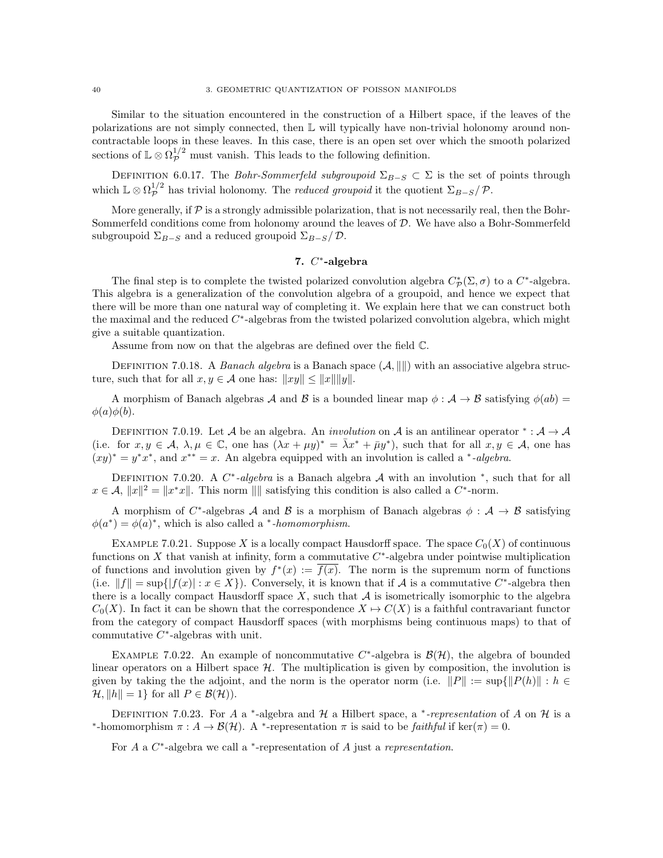Similar to the situation encountered in the construction of a Hilbert space, if the leaves of the polarizations are not simply connected, then L will typically have non-trivial holonomy around noncontractable loops in these leaves. In this case, there is an open set over which the smooth polarized sections of  $\mathbb{L} \otimes \Omega_{\mathcal{P}}^{1/2}$  must vanish. This leads to the following definition.

DEFINITION 6.0.17. The Bohr-Sommerfeld subgroupoid  $\Sigma_{B-S} \subset \Sigma$  is the set of points through which  $\mathbb{L} \otimes \Omega_{\mathcal{P}}^{1/2}$  $\mathcal{P}^{1/2}$  has trivial holonomy. The *reduced groupoid* it the quotient  $\Sigma_{B-S}/\mathcal{P}$ .

More generally, if  $\mathcal P$  is a strongly admissible polarization, that is not necessarily real, then the Bohr-Sommerfeld conditions come from holonomy around the leaves of  $D$ . We have also a Bohr-Sommerfeld subgroupoid  $\Sigma_{B-S}$  and a reduced groupoid  $\Sigma_{B-S}/\mathcal{D}$ .

## 7.  $C^*$ -algebra

The final step is to complete the twisted polarized convolution algebra  $C^*_{\mathcal{P}}(\Sigma, \sigma)$  to a  $C^*$ -algebra. This algebra is a generalization of the convolution algebra of a groupoid, and hence we expect that there will be more than one natural way of completing it. We explain here that we can construct both the maximal and the reduced  $C^*$ -algebras from the twisted polarized convolution algebra, which might give a suitable quantization.

Assume from now on that the algebras are defined over the field C.

DEFINITION 7.0.18. A Banach algebra is a Banach space  $(A, \|\|)$  with an associative algebra structure, such that for all  $x, y \in \mathcal{A}$  one has:  $||xy|| \le ||x|| ||y||$ .

A morphism of Banach algebras A and B is a bounded linear map  $\phi : \mathcal{A} \to \mathcal{B}$  satisfying  $\phi(ab) =$  $\phi(a)\phi(b)$ .

DEFINITION 7.0.19. Let A be an algebra. An *involution* on A is an antilinear operator  $* : A \rightarrow A$ (i.e. for  $x, y \in \mathcal{A}, \lambda, \mu \in \mathbb{C}$ , one has  $(\lambda x + \mu y)^* = \overline{\lambda} x^* + \overline{\mu} y^*$ ), such that for all  $x, y \in \mathcal{A}$ , one has  $(xy)^* = y^*x^*$ , and  $x^{**} = x$ . An algebra equipped with an involution is called a \*-algebra.

DEFINITION 7.0.20. A  $C^*$ -algebra is a Banach algebra A with an involution  $^*$ , such that for all  $x \in \mathcal{A}, \|x\|^2 = \|x^*x\|.$  This norm  $\|\|$  satisfying this condition is also called a  $C^*$ -norm.

A morphism of C<sup>\*</sup>-algebras A and B is a morphism of Banach algebras  $\phi : A \rightarrow B$  satisfying  $\phi(a^*) = \phi(a)^*$ , which is also called a \*-homomorphism.

EXAMPLE 7.0.21. Suppose X is a locally compact Hausdorff space. The space  $C_0(X)$  of continuous functions on  $X$  that vanish at infinity, form a commutative  $C^*$ -algebra under pointwise multiplication of functions and involution given by  $f^*(x) := \overline{f(x)}$ . The norm is the supremum norm of functions (i.e.  $||f|| = \sup{ |f(x)| : x \in X }$ ). Conversely, it is known that if A is a commutative C<sup>\*</sup>-algebra then there is a locally compact Hausdorff space  $X$ , such that  $A$  is isometrically isomorphic to the algebra  $C_0(X)$ . In fact it can be shown that the correspondence  $X \mapsto C(X)$  is a faithful contravariant functor from the category of compact Hausdorff spaces (with morphisms being continuous maps) to that of commutative  $C^*$ -algebras with unit.

EXAMPLE 7.0.22. An example of noncommutative  $C^*$ -algebra is  $\mathcal{B}(\mathcal{H})$ , the algebra of bounded linear operators on a Hilbert space  $H$ . The multiplication is given by composition, the involution is given by taking the the adjoint, and the norm is the operator norm (i.e.  $||P|| := \sup{||P(h)|| : h \in$  $\mathcal{H}, \|h\| = 1$  for all  $P \in \mathcal{B}(\mathcal{H})$ ).

DEFINITION 7.0.23. For A a <sup>\*</sup>-algebra and H a Hilbert space, a <sup>\*</sup>-representation of A on H is a \*-homomorphism  $\pi : A \to \mathcal{B}(\mathcal{H})$ . A \*-representation  $\pi$  is said to be *faithful* if ker( $\pi$ ) = 0.

For  $A$  a  $C^*$ -algebra we call a  $*$ -representation of  $A$  just a representation.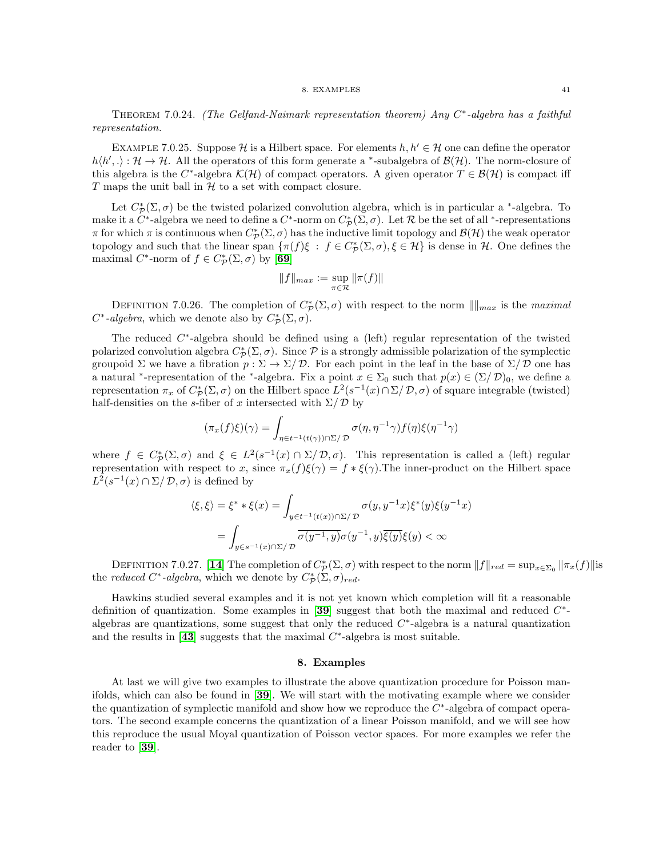THEOREM 7.0.24. (The Gelfand-Naimark representation theorem) Any  $C^*$ -algebra has a faithful representation.

EXAMPLE 7.0.25. Suppose H is a Hilbert space. For elements  $h, h' \in \mathcal{H}$  one can define the operator  $h\langle h',\cdot\rangle : \mathcal{H} \to \mathcal{H}$ . All the operators of this form generate a \*-subalgebra of  $\mathcal{B}(\mathcal{H})$ . The norm-closure of this algebra is the C<sup>\*</sup>-algebra  $\mathcal{K}(\mathcal{H})$  of compact operators. A given operator  $T \in \mathcal{B}(\mathcal{H})$  is compact iff T maps the unit ball in  $H$  to a set with compact closure.

Let  $C^*_{\mathcal{P}}(\Sigma, \sigma)$  be the twisted polarized convolution algebra, which is in particular a <sup>\*</sup>-algebra. To make it a  $C^*$ -algebra we need to define a  $C^*$ -norm on  $C^*_{\mathcal{P}}(\Sigma, \sigma)$ . Let  $\mathcal R$  be the set of all \*-representations  $\pi$  for which  $\pi$  is continuous when  $C^*_{\mathcal{P}}(\Sigma, \sigma)$  has the inductive limit topology and  $\mathcal{B}(\mathcal{H})$  the weak operator topology and such that the linear span  $\{\pi(f)\xi : f \in C^*_\mathcal{P}(\Sigma, \sigma), \xi \in \mathcal{H}\}\$ is dense in  $\mathcal{H}$ . One defines the maximal  $C^*$ -norm of  $f \in C^*_{\mathcal{P}}(\Sigma, \sigma)$  by [[69](#page-118-0)]

$$
||f||_{max} := \sup_{\pi \in \mathcal{R}} ||\pi(f)||
$$

DEFINITION 7.0.26. The completion of  $C^*_{\mathcal{P}}(\Sigma,\sigma)$  with respect to the norm  $\|\|_{max}$  is the maximal  $C^*$ -algebra, which we denote also by  $C^*_\mathcal{P}(\Sigma, \sigma)$ .

The reduced  $C^*$ -algebra should be defined using a (left) regular representation of the twisted polarized convolution algebra  $C^*_{\mathcal{P}}(\Sigma, \sigma)$ . Since  $\mathcal P$  is a strongly admissible polarization of the symplectic groupoid  $\Sigma$  we have a fibration  $p : \Sigma \to \Sigma/\mathcal{D}$ . For each point in the leaf in the base of  $\Sigma/\mathcal{D}$  one has a natural <sup>\*</sup>-representation of the <sup>\*</sup>-algebra. Fix a point  $x \in \Sigma_0$  such that  $p(x) \in (\Sigma/\mathcal{D})_0$ , we define a representation  $\pi_x$  of  $C^*_{\mathcal{P}}(\Sigma, \sigma)$  on the Hilbert space  $L^2(s^{-1}(x) \cap \Sigma / \mathcal{D}, \sigma)$  of square integrable (twisted) half-densities on the s-fiber of x intersected with  $\Sigma/\mathcal{D}$  by

$$
(\pi_x(f)\xi)(\gamma) = \int_{\eta \in t^{-1}(t(\gamma)) \cap \Sigma / \mathcal{D}} \sigma(\eta, \eta^{-1} \gamma) f(\eta) \xi(\eta^{-1} \gamma)
$$

where  $f \in C^*_\mathcal{P}(\Sigma, \sigma)$  and  $\xi \in L^2(s^{-1}(x) \cap \Sigma / \mathcal{D}, \sigma)$ . This representation is called a (left) regular representation with respect to x, since  $\pi_x(f)\xi(\gamma) = f * \xi(\gamma)$ . The inner-product on the Hilbert space  $L^2(s^{-1}(x) \cap \Sigma / \mathcal{D}, \sigma)$  is defined by

$$
\langle \xi, \xi \rangle = \xi^* * \xi(x) = \int_{y \in t^{-1}(t(x)) \cap \Sigma / \mathcal{D}} \sigma(y, y^{-1}x) \xi^*(y) \xi(y^{-1}x)
$$

$$
= \int_{y \in s^{-1}(x) \cap \Sigma / \mathcal{D}} \overline{\sigma(y^{-1}, y)} \sigma(y^{-1}, y) \overline{\xi(y)} \xi(y) < \infty
$$

DEFINITION 7.0.27. [[14](#page-116-0)] The completion of  $C^*_{\mathcal{P}}(\Sigma, \sigma)$  with respect to the norm  $||f||_{red} = \sup_{x \in \Sigma_0} ||\pi_x(f)||$  is the *reduced* C<sup>\*</sup>-algebra, which we denote by  $C^*_{\mathcal{P}}(\Sigma, \sigma)_{red}$ .

Hawkins studied several examples and it is not yet known which completion will fit a reasonable definition of quantization. Some examples in [[39](#page-117-0)] suggest that both the maximal and reduced  $C^*$ algebras are quantizations, some suggest that only the reduced  $C^*$ -algebra is a natural quantization and the results in [[43](#page-117-4)] suggests that the maximal  $C^*$ -algebra is most suitable.

#### 8. Examples

At last we will give two examples to illustrate the above quantization procedure for Poisson manifolds, which can also be found in [[39](#page-117-0)]. We will start with the motivating example where we consider the quantization of symplectic manifold and show how we reproduce the  $C^*$ -algebra of compact operators. The second example concerns the quantization of a linear Poisson manifold, and we will see how this reproduce the usual Moyal quantization of Poisson vector spaces. For more examples we refer the reader to [[39](#page-117-0)].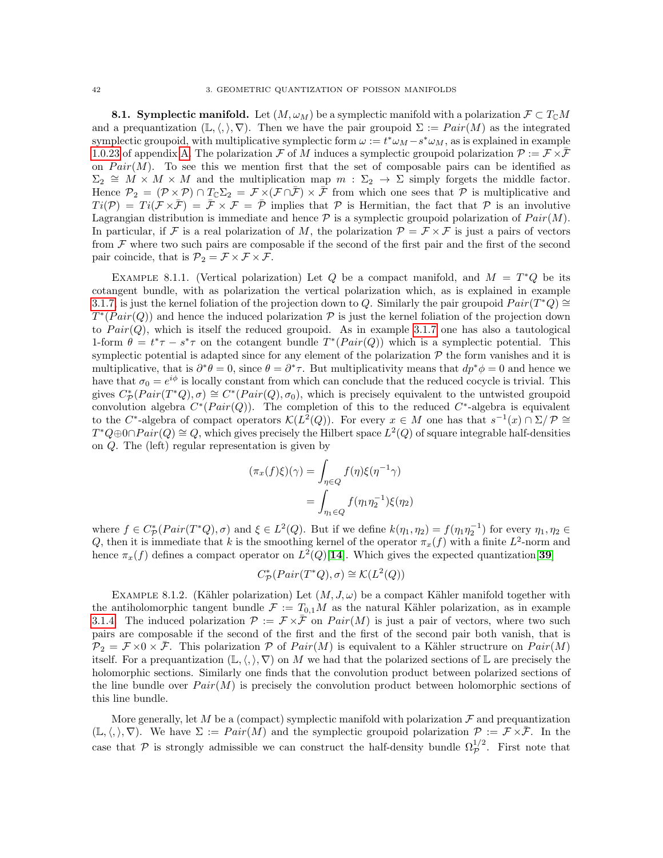**8.1. Symplectic manifold.** Let  $(M, \omega_M)$  be a symplectic manifold with a polarization  $\mathcal{F} \subset T_{\mathbb{C}}M$ and a prequantization  $(\mathbb{L}, \langle, \rangle, \nabla)$ . Then we have the pair groupoid  $\Sigma := Pair(M)$  as the integrated symplectic groupoid, with multiplicative symplectic form  $\omega := t^* \omega_M - s^* \omega_M$ , as is explained in example [1.0.23](#page-112-0) of appendix [A.](#page-108-0) The polarization F of M induces a symplectic groupoid polarization  $\mathcal{P} := \mathcal{F} \times \overline{\mathcal{F}}$ on  $Pair(M)$ . To see this we mention first that the set of composable pairs can be identified as  $\Sigma_2 \cong \overrightarrow{M} \times \overrightarrow{M}$  and the multiplication map  $m : \Sigma_2 \to \Sigma$  simply forgets the middle factor. Hence  $\mathcal{P}_2 = (\mathcal{P} \times \mathcal{P}) \cap T_{\mathbb{C}}\Sigma_2 = \mathcal{F} \times (\mathcal{F} \cap \overline{\mathcal{F}}) \times \overline{\mathcal{F}}$  from which one sees that  $\mathcal{P}$  is multiplicative and  $Ti(\mathcal{P}) = Ti(\mathcal{F} \times \mathcal{F}) = \mathcal{F} \times \mathcal{F} = \mathcal{P}$  implies that  $\mathcal{P}$  is Hermitian, the fact that  $\mathcal{P}$  is an involutive Lagrangian distribution is immediate and hence  $P$  is a symplectic groupoid polarization of  $Pair(M)$ . In particular, if F is a real polarization of M, the polarization  $\mathcal{P} = \mathcal{F} \times \mathcal{F}$  is just a pairs of vectors from  $\mathcal F$  where two such pairs are composable if the second of the first pair and the first of the second pair coincide, that is  $\mathcal{P}_2 = \mathcal{F} \times \mathcal{F} \times \mathcal{F}$ .

EXAMPLE 8.1.1. (Vertical polarization) Let Q be a compact manifold, and  $M = T^*Q$  be its cotangent bundle, with as polarization the vertical polarization which, as is explained in example [3.1.7,](#page-17-0) is just the kernel foliation of the projection down to Q. Similarly the pair groupoid  $Pair(T^*Q) \cong$  $T^*(Pair(Q))$  and hence the induced polarization  $P$  is just the kernel foliation of the projection down to  $Pair(Q)$ , which is itself the reduced groupoid. As in example [3.1.7](#page-17-0) one has also a tautological 1-form  $\theta = t^* \tau - s^* \tau$  on the cotangent bundle  $T^*(Pair(Q))$  which is a symplectic potential. This symplectic potential is adapted since for any element of the polarization  $P$  the form vanishes and it is multiplicative, that is  $\partial^* \theta = 0$ , since  $\theta = \partial^* \tau$ . But multiplicativity means that  $dp^* \phi = 0$  and hence we have that  $\sigma_0 = e^{i\phi}$  is locally constant from which can conclude that the reduced cocycle is trivial. This gives  $C^*_{\cal P}(Pair(T^*Q), \sigma) \cong C^*(Pair(Q), \sigma_0)$ , which is precisely equivalent to the untwisted groupoid convolution algebra  $C^*(Pair(Q))$ . The completion of this to the reduced  $C^*$ -algebra is equivalent to the C<sup>\*</sup>-algebra of compact operators  $\mathcal{K}(L^2(Q))$ . For every  $x \in M$  one has that  $s^{-1}(x) \cap \Sigma/\mathcal{P} \cong$  $T^*Q \oplus 0 \cap Pair(Q) \cong Q$ , which gives precisely the Hilbert space  $L^2(Q)$  of square integrable half-densities on Q. The (left) regular representation is given by

$$
(\pi_x(f)\xi)(\gamma) = \int_{\eta \in Q} f(\eta)\xi(\eta^{-1}\gamma)
$$

$$
= \int_{\eta_1 \in Q} f(\eta_1 \eta_2^{-1})\xi(\eta_2)
$$

where  $f \in C^*_{\mathcal{P}}(Pair(T^*Q), \sigma)$  and  $\xi \in L^2(Q)$ . But if we define  $k(\eta_1, \eta_2) = f(\eta_1 \eta_2^{-1})$  for every  $\eta_1, \eta_2 \in$ Q, then it is immediate that k is the smoothing kernel of the operator  $\pi_x(f)$  with a finite  $L^2$ -norm and hence  $\pi_x(f)$  defines a compact operator on  $L^2(Q)[14]$  $L^2(Q)[14]$  $L^2(Q)[14]$ . Which gives the expected quantization [[39](#page-117-0)]

$$
C^*_\mathcal{P}(Pair(T^*Q), \sigma) \cong \mathcal{K}(L^2(Q))
$$

EXAMPLE 8.1.2. (Kähler polarization) Let  $(M, J, \omega)$  be a compact Kähler manifold together with the antiholomorphic tangent bundle  $\mathcal{F} := T_{0,1}M$  as the natural Kähler polarization, as in example [3.1.4.](#page-16-1) The induced polarization  $\mathcal{P} := \mathcal{F} \times \bar{\mathcal{F}}$  on  $Pair(M)$  is just a pair of vectors, where two such pairs are composable if the second of the first and the first of the second pair both vanish, that is  $\mathcal{P}_2 = \mathcal{F} \times 0 \times \bar{\mathcal{F}}$ . This polarization  $\mathcal{P}$  of  $Pair(M)$  is equivalent to a Kähler structrure on  $Pair(M)$ itself. For a prequantization  $(\mathbb{L}, \langle, \rangle, \nabla)$  on M we had that the polarized sections of  $\mathbb{L}$  are precisely the holomorphic sections. Similarly one finds that the convolution product between polarized sections of the line bundle over  $Pair(M)$  is precisely the convolution product between holomorphic sections of this line bundle.

More generally, let M be a (compact) symplectic manifold with polarization  $\mathcal F$  and prequantization  $(\mathbb{L}, \langle, \rangle, \nabla)$ . We have  $\Sigma := Pair(M)$  and the symplectic groupoid polarization  $\mathcal{P} := \mathcal{F} \times \overline{\mathcal{F}}$ . In the case that  $P$  is strongly admissible we can construct the half-density bundle  $\Omega_p^{1/2}$ . First note that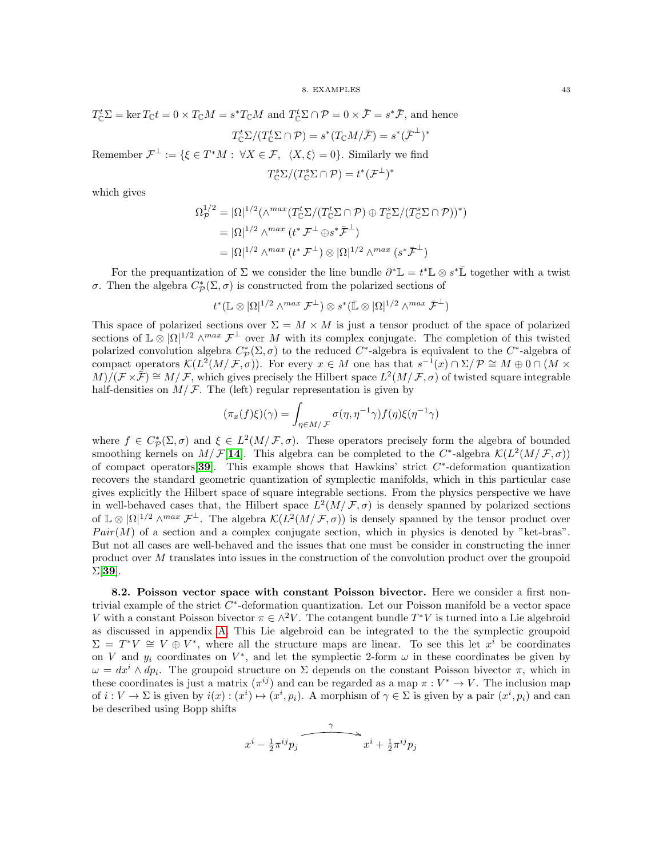$$
T_{\mathbb{C}}^{t}\Sigma = \ker T_{\mathbb{C}}t = 0 \times T_{\mathbb{C}}M = s^*T_{\mathbb{C}}M \text{ and } T_{\mathbb{C}}^{t}\Sigma \cap \mathcal{P} = 0 \times \bar{\mathcal{F}} = s^*\bar{\mathcal{F}}, \text{ and hence}
$$

$$
T_{\mathbb{C}}^{t}\Sigma/(T_{\mathbb{C}}^{t}\Sigma \cap \mathcal{P}) = s^*(T_{\mathbb{C}}M/\bar{\mathcal{F}}) = s^*(\bar{\mathcal{F}}^{\perp})^*
$$
  
Remember  $\mathcal{F}^{\perp} := \{\xi \in T^*M : \forall X \in \mathcal{F}, \ \langle X, \xi \rangle = 0\}$ . Similarly we find
$$
T_{\mathbb{C}}^{s}\Sigma/(T_{\mathbb{C}}^{s}\Sigma \cap \mathcal{P}) = t^*(\mathcal{F}^{\perp})^*
$$

which gives

$$
\Omega_{\mathcal{P}}^{1/2} = |\Omega|^{1/2} (\wedge^{max} (T_{\mathbb{C}}^{t} \Sigma / (T_{\mathbb{C}}^{t} \Sigma \cap \mathcal{P}) \oplus T_{\mathbb{C}}^{s} \Sigma / (T_{\mathbb{C}}^{s} \Sigma \cap \mathcal{P}))^{*})
$$
  
= |\Omega|^{1/2} \wedge^{max} (t^{\*} \mathcal{F}^{\perp} \oplus s^{\*} \mathcal{F}^{\perp})  
= |\Omega|^{1/2} \wedge^{max} (t^{\*} \mathcal{F}^{\perp}) \otimes |\Omega|^{1/2} \wedge^{max} (s^{\*} \mathcal{F}^{\perp})

For the prequantization of  $\Sigma$  we consider the line bundle  $\partial^* \mathbb{L} = t^* \mathbb{L} \otimes s^* \mathbb{L}$  together with a twist σ. Then the algebra  $C^*_{\mathcal{P}}(\Sigma, \sigma)$  is constructed from the polarized sections of

$$
t^*(\mathbb{L}\otimes |\Omega|^{1/2}\wedge^{max}\mathcal{F}^\perp)\otimes s^*(\bar{\mathbb{L}}\otimes |\Omega|^{1/2}\wedge^{max}\bar{\mathcal{F}}^\perp)
$$

This space of polarized sections over  $\Sigma = M \times M$  is just a tensor product of the space of polarized sections of  $\mathbb{L}\otimes |\Omega|^{1/2} \wedge^{max} \mathcal{F}^{\perp}$  over M with its complex conjugate. The completion of this twisted polarized convolution algebra  $C^*_{\mathcal{P}}(\Sigma, \sigma)$  to the reduced  $C^*$ -algebra is equivalent to the  $C^*$ -algebra of compact operators  $\mathcal{K}(L^2(M/\mathcal{F}, \sigma))$ . For every  $x \in M$  one has that  $s^{-1}(x) \cap \Sigma/\mathcal{P} \cong M \oplus 0 \cap (M \times$  $M/(\mathcal{F} \times \bar{\mathcal{F}}) \cong M/\mathcal{F}$ , which gives precisely the Hilbert space  $L^2(M/\mathcal{F}, \sigma)$  of twisted square integrable half-densities on  $M/F$ . The (left) regular representation is given by

$$
(\pi_x(f)\xi)(\gamma) = \int_{\eta \in M/\mathcal{F}} \sigma(\eta, \eta^{-1}\gamma) f(\eta) \xi(\eta^{-1}\gamma)
$$

where  $f \in C^*_\mathcal{P}(\Sigma, \sigma)$  and  $\xi \in L^2(M/\mathcal{F}, \sigma)$ . These operators precisely form the algebra of bounded smoothing kernels on  $M/F[14]$  $M/F[14]$  $M/F[14]$ . This algebra can be completed to the C<sup>\*</sup>-algebra  $\mathcal{K}(L^2(M/\mathcal{F}, \sigma))$ of compact operators [[39](#page-117-0)]. This example shows that Hawkins' strict  $C^*$ -deformation quantization recovers the standard geometric quantization of symplectic manifolds, which in this particular case gives explicitly the Hilbert space of square integrable sections. From the physics perspective we have in well-behaved cases that, the Hilbert space  $L^2(M/\mathcal{F}, \sigma)$  is densely spanned by polarized sections of  $\mathbb{L}\otimes |\Omega|^{1/2} \wedge^{max} \mathcal{F}^{\perp}$ . The algebra  $\mathcal{K}(L^2(M/\mathcal{F},\sigma))$  is densely spanned by the tensor product over  $Pair(M)$  of a section and a complex conjugate section, which in physics is denoted by "ket-bras". But not all cases are well-behaved and the issues that one must be consider in constructing the inner product over M translates into issues in the construction of the convolution product over the groupoid  $\Sigma$ [[39](#page-117-0)].

8.2. Poisson vector space with constant Poisson bivector. Here we consider a first nontrivial example of the strict  $C^*$ -deformation quantization. Let our Poisson manifold be a vector space V with a constant Poisson bivector  $\pi \in \wedge^2 V$ . The cotangent bundle  $T^*V$  is turned into a Lie algebroid as discussed in appendix [A.](#page-108-0) This Lie algebroid can be integrated to the the symplectic groupoid  $\Sigma = T^*V \cong V \oplus V^*$ , where all the structure maps are linear. To see this let  $x^i$  be coordinates on V and  $y_i$  coordinates on  $V^*$ , and let the symplectic 2-form  $\omega$  in these coordinates be given by  $\omega = dx^i \wedge dp_i$ . The groupoid structure on  $\Sigma$  depends on the constant Poisson bivector  $\pi$ , which in these coordinates is just a matrix  $(\pi^{ij})$  and can be regarded as a map  $\pi: V^* \to V$ . The inclusion map of  $i: V \to \Sigma$  is given by  $i(x): (x^i) \mapsto (x^i, p_i)$ . A morphism of  $\gamma \in \Sigma$  is given by a pair  $(x^i, p_i)$  and can be described using Bopp shifts

$$
x^{i} - \frac{1}{2}\pi^{ij}p_j \overbrace{\qquad \qquad }^{ \gamma} x^{i} + \frac{1}{2}\pi^{ij}p_j
$$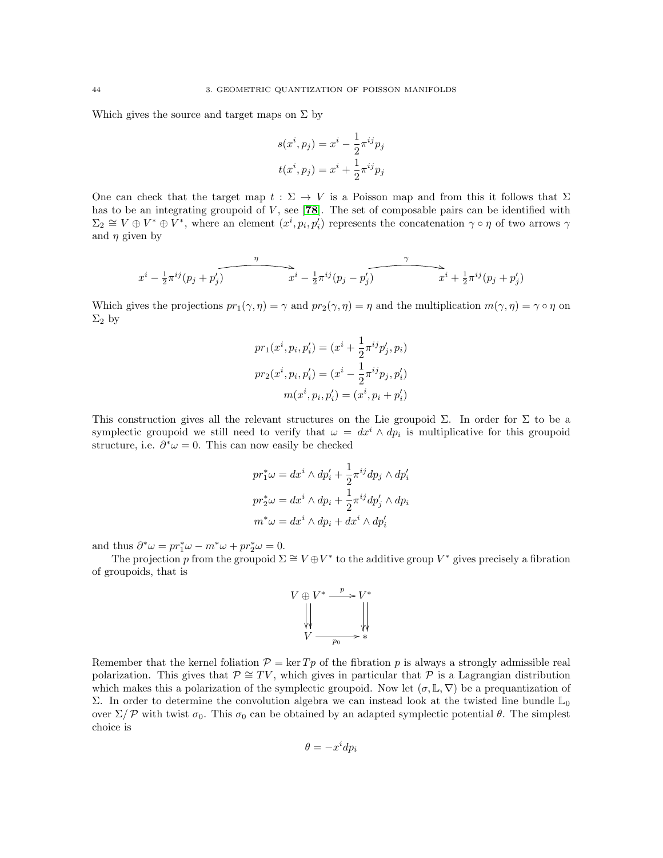Which gives the source and target maps on  $\Sigma$  by

$$
s(xi, pj) = xi - \frac{1}{2}\piij pj
$$

$$
t(xi, pj) = xi + \frac{1}{2}\piij pj
$$

One can check that the target map  $t : \Sigma \to V$  is a Poisson map and from this it follows that  $\Sigma$ has to be an integrating groupoid of  $V$ , see [[78](#page-118-1)]. The set of composable pairs can be identified with  $\Sigma_2 \cong V \oplus V^* \oplus V^*$ , where an element  $(x^i, p_i, p'_i)$  represents the concatenation  $\gamma \circ \eta$  of two arrows  $\gamma$ and  $\eta$  given by

$$
x^{i} - \frac{1}{2}\pi^{ij}(p_j + p'_j)
$$
\n
$$
x^{i} - \frac{1}{2}\pi^{ij}(p_j - p'_j)
$$
\n
$$
x^{i} + \frac{1}{2}\pi^{ij}(p_j + p'_j)
$$

Which gives the projections  $pr_1(\gamma, \eta) = \gamma$  and  $pr_2(\gamma, \eta) = \eta$  and the multiplication  $m(\gamma, \eta) = \gamma \circ \eta$  on  $\Sigma_2$  by

$$
pr_1(x^i, p_i, p'_i) = (x^i + \frac{1}{2}\pi^{ij}p'_j, p_i)
$$

$$
pr_2(x^i, p_i, p'_i) = (x^i - \frac{1}{2}\pi^{ij}p_j, p'_i)
$$

$$
m(x^i, p_i, p'_i) = (x^i, p_i + p'_i)
$$

This construction gives all the relevant structures on the Lie groupoid  $\Sigma$ . In order for  $\Sigma$  to be a symplectic groupoid we still need to verify that  $\omega = dx^i \wedge dp_i$  is multiplicative for this groupoid structure, i.e.  $\partial^* \omega = 0$ . This can now easily be checked

$$
pr_1^*\omega = dx^i \wedge dp'_i + \frac{1}{2}\pi^{ij}dp_j \wedge dp'_i
$$

$$
pr_2^*\omega = dx^i \wedge dp_i + \frac{1}{2}\pi^{ij}dp'_j \wedge dp_i
$$

$$
m^*\omega = dx^i \wedge dp_i + dx^i \wedge dp'_i
$$

and thus  $\partial^* \omega = pr_1^* \omega - m^* \omega + pr_2^* \omega = 0.$ 

The projection p from the groupoid  $\Sigma \cong V \oplus V^*$  to the additive group  $V^*$  gives precisely a fibration of groupoids, that is



Remember that the kernel foliation  $\mathcal{P} = \ker T p$  of the fibration p is always a strongly admissible real polarization. This gives that  $\mathcal{P} \cong TV$ , which gives in particular that P is a Lagrangian distribution which makes this a polarization of the symplectic groupoid. Now let  $(\sigma, \mathbb{L}, \nabla)$  be a prequantization of Σ. In order to determine the convolution algebra we can instead look at the twisted line bundle  $\mathbb{L}_0$ over  $\Sigma / P$  with twist  $\sigma_0$ . This  $\sigma_0$  can be obtained by an adapted symplectic potential θ. The simplest choice is

$$
\theta = -x^i dp_i
$$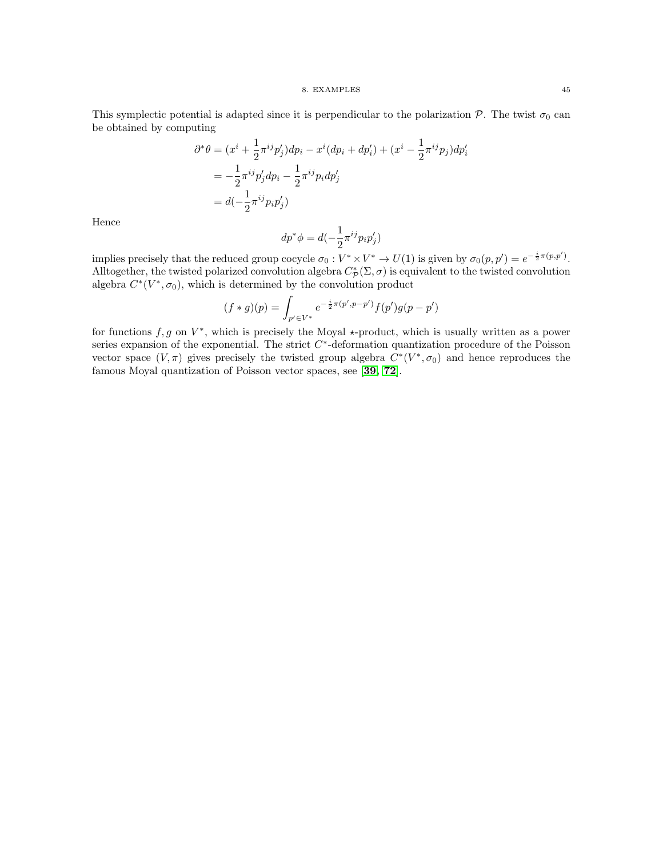#### 8. EXAMPLES 45

This symplectic potential is adapted since it is perpendicular to the polarization  $P$ . The twist  $\sigma_0$  can be obtained by computing

$$
\partial^* \theta = (x^i + \frac{1}{2} \pi^{ij} p'_j) dp_i - x^i (dp_i + dp'_i) + (x^i - \frac{1}{2} \pi^{ij} p_j) dp'_i
$$
  
=  $-\frac{1}{2} \pi^{ij} p'_j dp_i - \frac{1}{2} \pi^{ij} p_i dp'_j$   
=  $d(-\frac{1}{2} \pi^{ij} p_i p'_j)$ 

Hence

$$
dp^*\phi = d(-\frac{1}{2}\pi^{ij}p_ip'_j)
$$

implies precisely that the reduced group cocycle  $\sigma_0: V^* \times V^* \to U(1)$  is given by  $\sigma_0(p, p') = e^{-\frac{i}{2}\pi(p, p')}$ . Alltogether, the twisted polarized convolution algebra  $C^*_{\mathcal{P}}(\Sigma, \sigma)$  is equivalent to the twisted convolution algebra  $C^*(V^*, \sigma_0)$ , which is determined by the convolution product

$$
(f * g)(p) = \int_{p' \in V^*} e^{-\frac{i}{2}\pi(p', p - p')} f(p')g(p - p')
$$

for functions  $f, g$  on  $V^*$ , which is precisely the Moyal  $\star$ -product, which is usually written as a power series expansion of the exponential. The strict  $C^*$ -deformation quantization procedure of the Poisson vector space  $(V, \pi)$  gives precisely the twisted group algebra  $C^*(V^*, \sigma_0)$  and hence reproduces the famous Moyal quantization of Poisson vector spaces, see [[39,](#page-117-0) [72](#page-118-2)].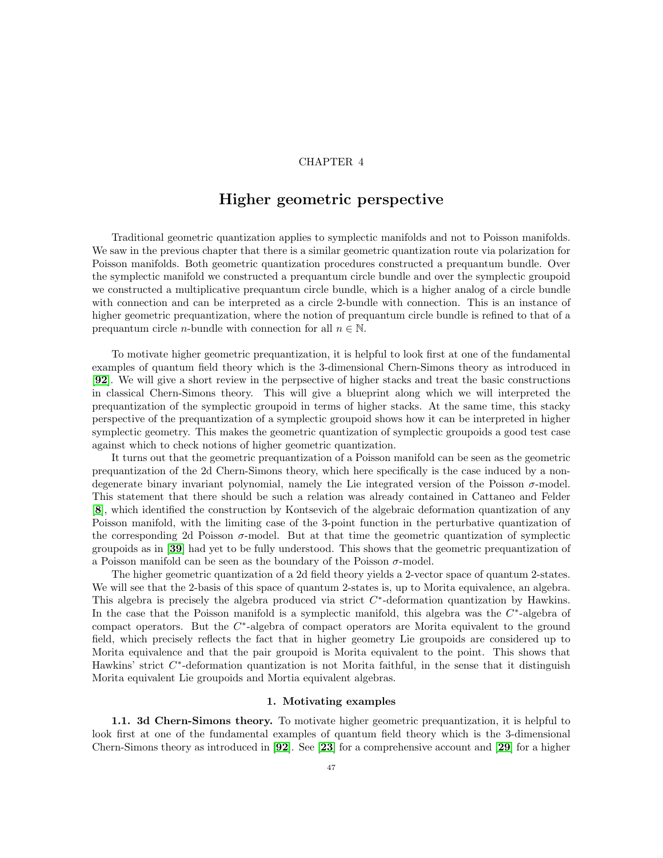## CHAPTER 4

# Higher geometric perspective

Traditional geometric quantization applies to symplectic manifolds and not to Poisson manifolds. We saw in the previous chapter that there is a similar geometric quantization route via polarization for Poisson manifolds. Both geometric quantization procedures constructed a prequantum bundle. Over the symplectic manifold we constructed a prequantum circle bundle and over the symplectic groupoid we constructed a multiplicative prequantum circle bundle, which is a higher analog of a circle bundle with connection and can be interpreted as a circle 2-bundle with connection. This is an instance of higher geometric prequantization, where the notion of prequantum circle bundle is refined to that of a prequantum circle *n*-bundle with connection for all  $n \in \mathbb{N}$ .

To motivate higher geometric prequantization, it is helpful to look first at one of the fundamental examples of quantum field theory which is the 3-dimensional Chern-Simons theory as introduced in [[92](#page-118-3)]. We will give a short review in the perpsective of higher stacks and treat the basic constructions in classical Chern-Simons theory. This will give a blueprint along which we will interpreted the prequantization of the symplectic groupoid in terms of higher stacks. At the same time, this stacky perspective of the prequantization of a symplectic groupoid shows how it can be interpreted in higher symplectic geometry. This makes the geometric quantization of symplectic groupoids a good test case against which to check notions of higher geometric quantization.

It turns out that the geometric prequantization of a Poisson manifold can be seen as the geometric prequantization of the 2d Chern-Simons theory, which here specifically is the case induced by a nondegenerate binary invariant polynomial, namely the Lie integrated version of the Poisson  $\sigma$ -model. This statement that there should be such a relation was already contained in Cattaneo and Felder [[8](#page-116-1)], which identified the construction by Kontsevich of the algebraic deformation quantization of any Poisson manifold, with the limiting case of the 3-point function in the perturbative quantization of the corresponding 2d Poisson  $\sigma$ -model. But at that time the geometric quantization of symplectic groupoids as in [[39](#page-117-0)] had yet to be fully understood. This shows that the geometric prequantization of a Poisson manifold can be seen as the boundary of the Poisson  $\sigma$ -model.

The higher geometric quantization of a 2d field theory yields a 2-vector space of quantum 2-states. We will see that the 2-basis of this space of quantum 2-states is, up to Morita equivalence, an algebra. This algebra is precisely the algebra produced via strict  $C^*$ -deformation quantization by Hawkins. In the case that the Poisson manifold is a symplectic manifold, this algebra was the  $C^*$ -algebra of compact operators. But the  $C^*$ -algebra of compact operators are Morita equivalent to the ground field, which precisely reflects the fact that in higher geometry Lie groupoids are considered up to Morita equivalence and that the pair groupoid is Morita equivalent to the point. This shows that Hawkins' strict  $C^*$ -deformation quantization is not Morita faithful, in the sense that it distinguish Morita equivalent Lie groupoids and Mortia equivalent algebras.

#### 1. Motivating examples

1.1. 3d Chern-Simons theory. To motivate higher geometric prequantization, it is helpful to look first at one of the fundamental examples of quantum field theory which is the 3-dimensional Chern-Simons theory as introduced in [[92](#page-118-3)]. See [[23](#page-116-2)] for a comprehensive account and [[29](#page-117-5)] for a higher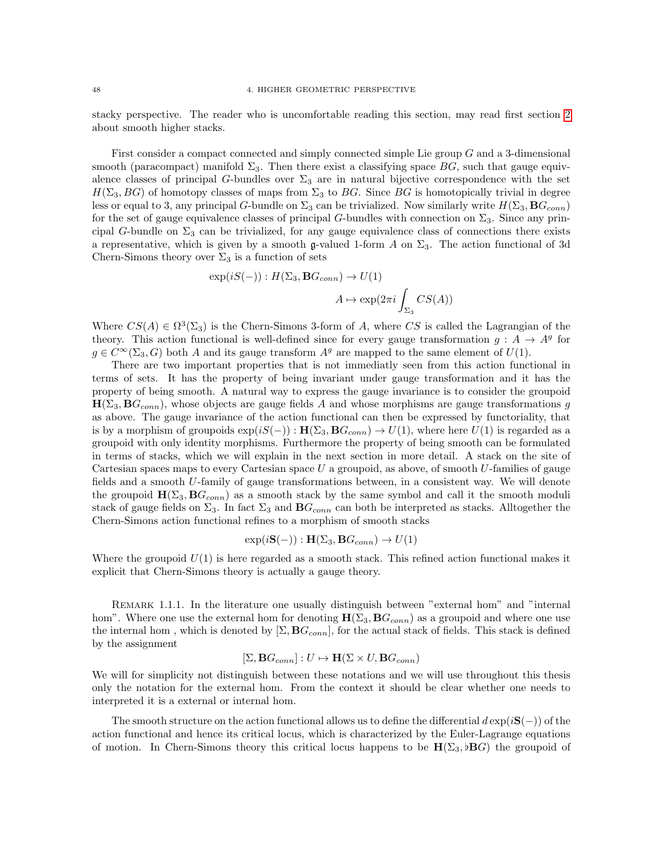stacky perspective. The reader who is uncomfortable reading this section, may read first section [2](#page-56-0) about smooth higher stacks.

First consider a compact connected and simply connected simple Lie group G and a 3-dimensional smooth (paracompact) manifold  $\Sigma_3$ . Then there exist a classifying space BG, such that gauge equivalence classes of principal G-bundles over  $\Sigma_3$  are in natural bijective correspondence with the set  $H(\Sigma_3, BG)$  of homotopy classes of maps from  $\Sigma_3$  to BG. Since BG is homotopically trivial in degree less or equal to 3, any principal G-bundle on  $\Sigma_3$  can be trivialized. Now similarly write  $H(\Sigma_3, \mathbf{B}G_{conn})$ for the set of gauge equivalence classes of principal G-bundles with connection on  $\Sigma_3$ . Since any principal G-bundle on  $\Sigma_3$  can be trivialized, for any gauge equivalence class of connections there exists a representative, which is given by a smooth g-valued 1-form A on  $\Sigma_3$ . The action functional of 3d Chern-Simons theory over  $\Sigma_3$  is a function of sets

$$
\exp(iS(-)) : H(\Sigma_3, \mathbf{B}G_{conn}) \to U(1)
$$

$$
A \mapsto \exp(2\pi i \int_{\Sigma_3} CS(A))
$$

Where  $CS(A) \in \Omega^3(\Sigma_3)$  is the Chern-Simons 3-form of A, where CS is called the Lagrangian of the theory. This action functional is well-defined since for every gauge transformation  $g: A \rightarrow A^g$  for  $g \in C^{\infty}(\Sigma_3, G)$  both A and its gauge transform  $A^g$  are mapped to the same element of  $U(1)$ .

There are two important properties that is not immediatly seen from this action functional in terms of sets. It has the property of being invariant under gauge transformation and it has the property of being smooth. A natural way to express the gauge invariance is to consider the groupoid  $H(\Sigma_3, BG_{conn})$ , whose objects are gauge fields A and whose morphisms are gauge transformations g as above. The gauge invariance of the action functional can then be expressed by functoriality, that is by a morphism of groupoids  $\exp(iS(-)) : \mathbf{H}(\Sigma_3, \mathbf{B}G_{conn}) \to U(1)$ , where here  $U(1)$  is regarded as a groupoid with only identity morphisms. Furthermore the property of being smooth can be formulated in terms of stacks, which we will explain in the next section in more detail. A stack on the site of Cartesian spaces maps to every Cartesian space  $U$  a groupoid, as above, of smooth  $U$ -families of gauge fields and a smooth U-family of gauge transformations between, in a consistent way. We will denote the groupoid  $\mathbf{H}(\Sigma_3, \mathbf{B}G_{conn})$  as a smooth stack by the same symbol and call it the smooth moduli stack of gauge fields on  $\Sigma_3$ . In fact  $\Sigma_3$  and  $\mathbf{B}G_{conn}$  can both be interpreted as stacks. Alltogether the Chern-Simons action functional refines to a morphism of smooth stacks

$$
\exp(i\mathbf{S}(-)) : \mathbf{H}(\Sigma_3, \mathbf{B}(\Sigma_{conn}) \to U(1))
$$

Where the groupoid  $U(1)$  is here regarded as a smooth stack. This refined action functional makes it explicit that Chern-Simons theory is actually a gauge theory.

REMARK 1.1.1. In the literature one usually distinguish between "external hom" and "internal hom". Where one use the external hom for denoting  $H(\Sigma_3, BG_{conn})$  as a groupoid and where one use the internal hom, which is denoted by  $[\Sigma, \mathbf{B}G_{conn}]$ , for the actual stack of fields. This stack is defined by the assignment

$$
[\Sigma, \mathbf{B} G_{conn}] : U \mapsto \mathbf{H}(\Sigma \times U, \mathbf{B} G_{conn})
$$

We will for simplicity not distinguish between these notations and we will use throughout this thesis only the notation for the external hom. From the context it should be clear whether one needs to interpreted it is a external or internal hom.

The smooth structure on the action functional allows us to define the differential  $d \exp(iS(-))$  of the action functional and hence its critical locus, which is characterized by the Euler-Lagrange equations of motion. In Chern-Simons theory this critical locus happens to be  $H(\Sigma_3, B)$  the groupoid of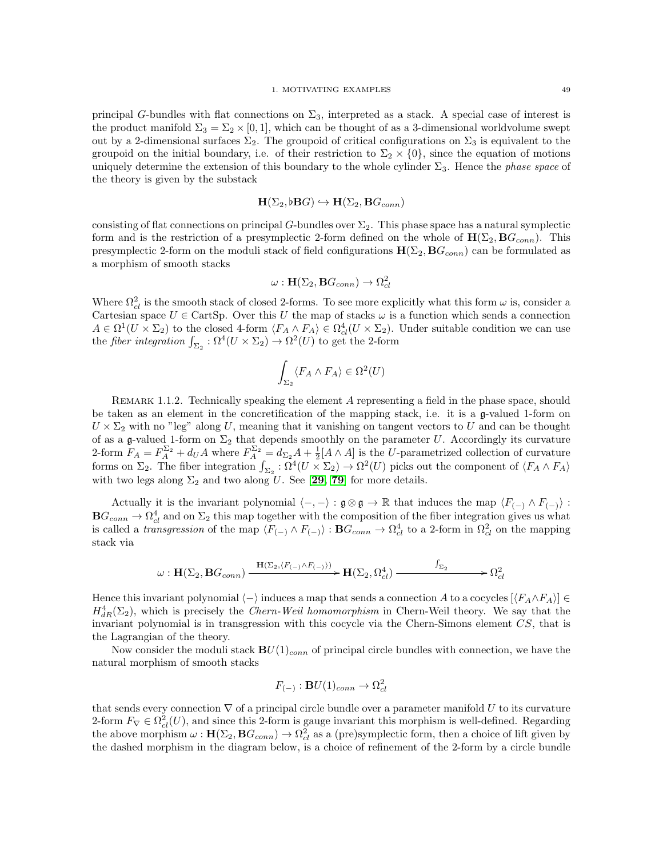principal G-bundles with flat connections on  $\Sigma_3$ , interpreted as a stack. A special case of interest is the product manifold  $\Sigma_3 = \Sigma_2 \times [0,1]$ , which can be thought of as a 3-dimensional worldvolume swept out by a 2-dimensional surfaces  $\Sigma_2$ . The groupoid of critical configurations on  $\Sigma_3$  is equivalent to the groupoid on the initial boundary, i.e. of their restriction to  $\Sigma_2 \times \{0\}$ , since the equation of motions uniquely determine the extension of this boundary to the whole cylinder  $\Sigma_3$ . Hence the *phase space* of the theory is given by the substack

$$
\mathbf{H}(\Sigma_2, \flat \mathbf{B} G) \hookrightarrow \mathbf{H}(\Sigma_2, \mathbf{B} G_{conn})
$$

consisting of flat connections on principal G-bundles over  $\Sigma_2$ . This phase space has a natural symplectic form and is the restriction of a presymplectic 2-form defined on the whole of  $\mathbf{H}(\Sigma_2, \mathbf{B}G_{conn})$ . This presymplectic 2-form on the moduli stack of field configurations  $\mathbf{H}(\Sigma_2, \mathbf{B}G_{conn})$  can be formulated as a morphism of smooth stacks

$$
\omega: \mathbf{H}(\Sigma_2, \mathbf{B} G_{conn}) \to \Omega_{cl}^2
$$

Where  $\Omega_{cl}^2$  is the smooth stack of closed 2-forms. To see more explicitly what this form  $\omega$  is, consider a Cartesian space  $U \in \text{CartSp}$ . Over this U the map of stacks  $\omega$  is a function which sends a connection  $A \in \Omega^1(U \times \Sigma_2)$  to the closed 4-form  $\langle F_A \wedge F_A \rangle \in \Omega^4_{cl}(U \times \Sigma_2)$ . Under suitable condition we can use the *fiber integration*  $\int_{\Sigma_2} : \Omega^4(U \times \Sigma_2) \to \Omega^2(U)$  to get the 2-form

$$
\int_{\Sigma_2} \langle F_A \wedge F_A \rangle \in \Omega^2(U)
$$

REMARK 1.1.2. Technically speaking the element A representing a field in the phase space, should be taken as an element in the concretification of the mapping stack, i.e. it is a g-valued 1-form on  $U \times \Sigma_2$  with no "leg" along U, meaning that it vanishing on tangent vectors to U and can be thought of as a g-valued 1-form on  $\Sigma_2$  that depends smoothly on the parameter U. Accordingly its curvature 2-form  $F_A = F_A^{\Sigma_2} + d_U A$  where  $F_A^{\Sigma_2} = d_{\Sigma_2} A + \frac{1}{2}[A \wedge A]$  is the U-parametrized collection of curvature forms on  $\Sigma_2$ . The fiber integration  $\int_{\Sigma_2} : \Omega^4(U \times \Sigma_2) \to \Omega^2(U)$  picks out the component of  $\langle F_A \wedge F_A \rangle$ with two legs along  $\Sigma_2$  and two along U. See [[29,](#page-117-5) [79](#page-118-4)] for more details.

Actually it is the invariant polynomial  $\langle -, - \rangle : \mathfrak{g} \otimes \mathfrak{g} \to \mathbb{R}$  that induces the map  $\langle F_{(-)} \wedge F_{(-)} \rangle$ :  $BG_{conn} \to \Omega^4_{cl}$  and on  $\Sigma_2$  this map together with the composition of the fiber integration gives us what is called a *transgression* of the map  $\langle F_{(-)} \wedge F_{(-)} \rangle : \mathbf{B}G_{conn} \to \Omega^4_{cl}$  to a 2-form in  $\Omega^2_{cl}$  on the mapping stack via

$$
\omega: \mathbf{H}(\Sigma_2, \mathbf{B}G_{conn}) \xrightarrow{\mathbf{H}(\Sigma_2, \langle F_{(-)} \wedge F_{(-)} \rangle)} \mathbf{H}(\Sigma_2, \Omega_{cl}^4) \xrightarrow{\int_{\Sigma_2}} \Omega_{cl}^2
$$

Hence this invariant polynomial  $\langle - \rangle$  induces a map that sends a connection A to a cocycles  $[\langle F_A \wedge F_A \rangle] \in$  $H_{dR}^4(\Sigma_2)$ , which is precisely the *Chern-Weil homomorphism* in Chern-Weil theory. We say that the invariant polynomial is in transgression with this cocycle via the Chern-Simons element CS, that is the Lagrangian of the theory.

Now consider the moduli stack  $BU(1)_{conn}$  of principal circle bundles with connection, we have the natural morphism of smooth stacks

$$
F_{(-)} : \mathbf{B}U(1)_{conn} \to \Omega^2_{cl}
$$

that sends every connection  $\nabla$  of a principal circle bundle over a parameter manifold U to its curvature 2-form  $F_{\nabla} \in \Omega^2_{cl}(U)$ , and since this 2-form is gauge invariant this morphism is well-defined. Regarding the above morphism  $\omega : \mathbf{H}(\Sigma_2, \mathbf{B}G_{conn}) \to \Omega_{cl}^2$  as a (pre)symplectic form, then a choice of lift given by the dashed morphism in the diagram below, is a choice of refinement of the 2-form by a circle bundle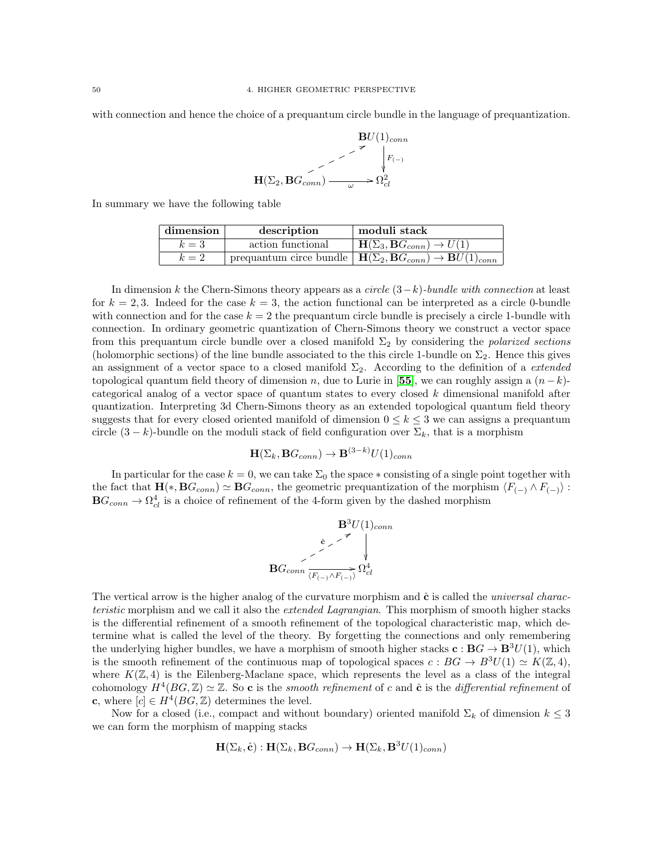with connection and hence the choice of a prequantum circle bundle in the language of prequantization.

$$
\mathbf{B}U(1)_{conn}
$$
  
\n
$$
\longrightarrow
$$
  
\n
$$
\uparrow
$$
  
\n
$$
\uparrow
$$
  
\n
$$
F_{(-)}
$$
  
\n
$$
\downarrow
$$
  
\n
$$
\downarrow
$$
  
\n
$$
F_{(-)}
$$
  
\n
$$
\downarrow
$$
  
\n
$$
\downarrow
$$
  
\n
$$
F_{(-)}
$$
  
\n
$$
\downarrow
$$
  
\n
$$
F_{(-)}
$$

In summary we have the following table

| dimension | description       | moduli stack                                                                                                 |
|-----------|-------------------|--------------------------------------------------------------------------------------------------------------|
| $k=3$     | action functional | $\mathbf{H}(\Sigma_3, \mathbf{B} G_{conn}) \rightarrow U(1)$                                                 |
| $k=2$     |                   | prequantum circe bundle $\vert \mathbf{H}(\Sigma_2, \mathbf{B} G_{conn}) \rightarrow \mathbf{B} U(1)_{conn}$ |

In dimension k the Chern-Simons theory appears as a *circle*  $(3-k)$ -bundle with connection at least for  $k = 2, 3$ . Indeed for the case  $k = 3$ , the action functional can be interpreted as a circle 0-bundle with connection and for the case  $k = 2$  the prequantum circle bundle is precisely a circle 1-bundle with connection. In ordinary geometric quantization of Chern-Simons theory we construct a vector space from this prequantum circle bundle over a closed manifold  $\Sigma_2$  by considering the *polarized sections* (holomorphic sections) of the line bundle associated to the this circle 1-bundle on  $\Sigma_2$ . Hence this gives an assignment of a vector space to a closed manifold  $\Sigma_2$ . According to the definition of a *extended* topological quantum field theory of dimension n, due to Lurie in [[55](#page-117-6)], we can roughly assign a  $(n-k)$ categorical analog of a vector space of quantum states to every closed  $k$  dimensional manifold after quantization. Interpreting 3d Chern-Simons theory as an extended topological quantum field theory suggests that for every closed oriented manifold of dimension  $0 \leq k \leq 3$  we can assigns a prequantum circle  $(3 - k)$ -bundle on the moduli stack of field configuration over  $\Sigma_k$ , that is a morphism

$$
\mathbf{H}(\Sigma_k, \mathbf{B} G_{conn}) \to \mathbf{B}^{(3-k)} U(1)_{conn}
$$

In particular for the case  $k = 0$ , we can take  $\Sigma_0$  the space  $*$  consisting of a single point together with the fact that  $\mathbf{H}(*, \mathbf{B}G_{conn}) \simeq \mathbf{B}G_{conn}$ , the geometric prequantization of the morphism  $\langle F_{(-)} \wedge F_{(-)} \rangle$ :  $\mathbf{B}G_{conn} \rightarrow \Omega^4_{cl}$  is a choice of refinement of the 4-form given by the dashed morphism

$$
\mathbf{B}^{3}U(1)_{conn}
$$

$$
\mathbf{B}G_{conn} \xrightarrow{\hat{\mathbf{c}} \nearrow \qquad \qquad \downarrow}_{C} \mathbf{B}G_{conn}
$$

The vertical arrow is the higher analog of the curvature morphism and  $\hat{c}$  is called the *universal charac*teristic morphism and we call it also the *extended Lagrangian*. This morphism of smooth higher stacks is the differential refinement of a smooth refinement of the topological characteristic map, which determine what is called the level of the theory. By forgetting the connections and only remembering the underlying higher bundles, we have a morphism of smooth higher stacks  $c : BG \to B^3U(1)$ , which is the smooth refinement of the continuous map of topological spaces  $c : BG \to B^3U(1) \simeq K(\mathbb{Z}, 4),$ where  $K(\mathbb{Z}, 4)$  is the Eilenberg-Maclane space, which represents the level as a class of the integral cohomology  $H^4(BG, \mathbb{Z}) \simeq \mathbb{Z}$ . So c is the smooth refinement of c and ĉ is the differential refinement of **c**, where  $[c] \in H^4(BG, \mathbb{Z})$  determines the level.

Now for a closed (i.e., compact and without boundary) oriented manifold  $\Sigma_k$  of dimension  $k \leq 3$ we can form the morphism of mapping stacks

$$
\mathbf{H}(\Sigma_k, \hat{\mathbf{c}}): \mathbf{H}(\Sigma_k, \mathbf{B} G_{conn}) \to \mathbf{H}(\Sigma_k, \mathbf{B}^3 U(1)_{conn})
$$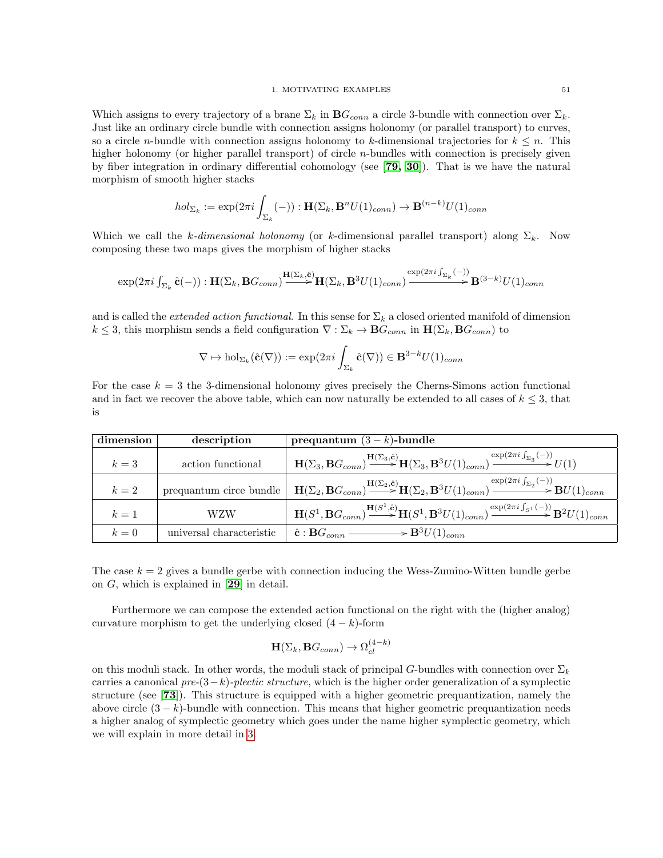Which assigns to every trajectory of a brane  $\Sigma_k$  in  $\mathbf{B}G_{conn}$  a circle 3-bundle with connection over  $\Sigma_k$ . Just like an ordinary circle bundle with connection assigns holonomy (or parallel transport) to curves, so a circle *n*-bundle with connection assigns holonomy to k-dimensional trajectories for  $k \leq n$ . This higher holonomy (or higher parallel transport) of circle  $n$ -bundles with connection is precisely given by fiber integration in ordinary differential cohomology (see [[79,](#page-118-4) [30](#page-117-7)]). That is we have the natural morphism of smooth higher stacks

$$
hol_{\Sigma_k} := \exp(2\pi i \int_{\Sigma_k} (-)) : \mathbf{H}(\Sigma_k, \mathbf{B}^n U(1)_{conn}) \to \mathbf{B}^{(n-k)} U(1)_{conn}
$$

Which we call the k-dimensional holonomy (or k-dimensional parallel transport) along  $\Sigma_k$ . Now composing these two maps gives the morphism of higher stacks

$$
\exp(2\pi i \int_{\Sigma_k} \hat{\mathbf{c}}(-)) : \mathbf{H}(\Sigma_k, \mathbf{B}G_{conn}) \xrightarrow{\mathbf{H}(\Sigma_k, \hat{\mathbf{c}})} \mathbf{H}(\Sigma_k, \mathbf{B}^3 U(1)_{conn}) \xrightarrow{\exp(2\pi i \int_{\Sigma_k} (-))} \mathbf{B}^{(3-k)} U(1)_{conn}
$$

and is called the *extended action functional*. In this sense for  $\Sigma_k$  a closed oriented manifold of dimension  $k \leq 3$ , this morphism sends a field configuration  $\nabla : \Sigma_k \to \mathbf{B} G_{conn}$  in  $\mathbf{H}(\Sigma_k, \mathbf{B} G_{conn})$  to

$$
\nabla \mapsto \mathrm{hol}_{\Sigma_k}(\hat{\mathbf{c}}(\nabla)) := \exp(2\pi i \int_{\Sigma_k} \hat{\mathbf{c}}(\nabla)) \in \mathbf{B}^{3-k} U(1)_{conn}
$$

For the case  $k = 3$  the 3-dimensional holonomy gives precisely the Cherns-Simons action functional and in fact we recover the above table, which can now naturally be extended to all cases of  $k \leq 3$ , that is

| dimension | description              | prequantum $(3 - k)$ -bundle                                                                                                                                                                                                    |
|-----------|--------------------------|---------------------------------------------------------------------------------------------------------------------------------------------------------------------------------------------------------------------------------|
| $k=3$     | action functional        | $\mathbf{H}(\Sigma_3,\mathbf{B} G_{conn})\!\!\overset{\mathbf{H}(\Sigma_3,\hat{\mathbf{c}})}{\longrightarrow}\!\!\mathbf{H}(\Sigma_3,\mathbf{B}^3U(1)_{conn})\!\!\overset{\exp(2\pi i\int_{\Sigma_3}(-))}{\longrightarrow}U(1)$ |
| $k=2$     | prequantum circe bundle  | $\mathbf{H}(\Sigma_2,\mathbf{B} G_{conn})\textstyle{\mathbf{H}(\Sigma_2,\hat{\mathbf{e}})\mathbf{H}(\Sigma_2,\mathbf{B}^3 U(1)_{conn})}\xrightarrow{\exp(2\pi i \int_{\Sigma_2}(-))}\mathbf{B} U(1)_{conn}$                     |
| $k=1$     | <b>WZW</b>               | $H(S^1, BG_{conn}) \xrightarrow{H(S^1, \hat{e})} H(S^1, B^3U(1)_{conn}) \xrightarrow{\exp(2\pi i \int_{S^1} (-))} B^2U(1)_{conn}$                                                                                               |
| $k=0$     | universal characteristic | $\hat{\mathbf{c}} : \mathbf{B} G_{conn} \longrightarrow \mathbf{B}^3 U(1)_{conn}$                                                                                                                                               |

The case  $k = 2$  gives a bundle gerbe with connection inducing the Wess-Zumino-Witten bundle gerbe on  $G$ , which is explained in [[29](#page-117-5)] in detail.

Furthermore we can compose the extended action functional on the right with the (higher analog) curvature morphism to get the underlying closed  $(4 - k)$ -form

$$
\mathbf{H}(\Sigma_k,\mathbf{B} G_{conn}) \to \Omega_{cl}^{(4-k)}
$$

on this moduli stack. In other words, the moduli stack of principal G-bundles with connection over  $\Sigma_k$ carries a canonical pre- $(3-k)$ -plectic structure, which is the higher order generalization of a symplectic structure (see [[73](#page-118-5)]). This structure is equipped with a higher geometric prequantization, namely the above circle  $(3 - k)$ -bundle with connection. This means that higher geometric prequantization needs a higher analog of symplectic geometry which goes under the name higher symplectic geometry, which we will explain in more detail in [3.](#page-75-0)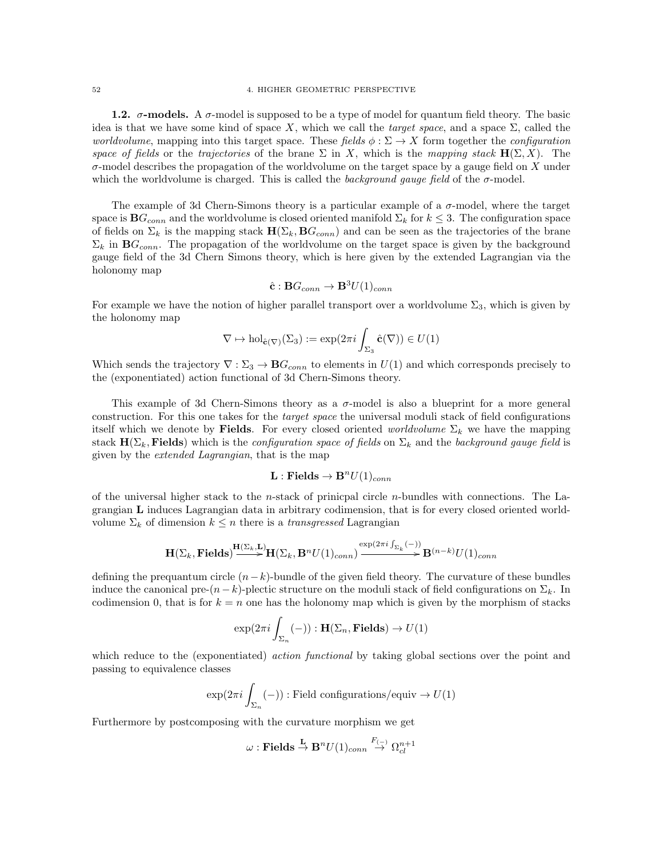1.2.  $\sigma$ -models. A  $\sigma$ -model is supposed to be a type of model for quantum field theory. The basic idea is that we have some kind of space X, which we call the *target space*, and a space  $\Sigma$ , called the worldvolume, mapping into this target space. These fields  $\phi : \Sigma \to X$  form together the configuration space of fields or the trajectories of the brane  $\Sigma$  in X, which is the mapping stack  $H(\Sigma, X)$ . The  $\sigma$ -model describes the propagation of the worldvolume on the target space by a gauge field on X under which the worldvolume is charged. This is called the *background gauge field* of the  $\sigma$ -model.

The example of 3d Chern-Simons theory is a particular example of a  $\sigma$ -model, where the target space is  $BG_{conn}$  and the worldvolume is closed oriented manifold  $\Sigma_k$  for  $k \leq 3$ . The configuration space of fields on  $\Sigma_k$  is the mapping stack  $\mathbf{H}(\Sigma_k, \mathbf{B}G_{conn})$  and can be seen as the trajectories of the brane  $\Sigma_k$  in  $\mathbf{B}G_{conn}$ . The propagation of the worldvolume on the target space is given by the background gauge field of the 3d Chern Simons theory, which is here given by the extended Lagrangian via the holonomy map

$$
\hat{\mathbf{c}}: \mathbf{B} G_{conn} \to \mathbf{B}^3 U(1)_{conn}
$$

For example we have the notion of higher parallel transport over a worldvolume  $\Sigma_3$ , which is given by the holonomy map

$$
\nabla \mapsto \mathrm{hol}_{\hat{\mathbf{c}}(\nabla)}(\Sigma_3) := \exp(2\pi i \int_{\Sigma_3} \hat{\mathbf{c}}(\nabla)) \in U(1)
$$

Which sends the trajectory  $\nabla : \Sigma_3 \to \mathbf{B} G_{conn}$  to elements in  $U(1)$  and which corresponds precisely to the (exponentiated) action functional of 3d Chern-Simons theory.

This example of 3d Chern-Simons theory as a σ-model is also a blueprint for a more general construction. For this one takes for the target space the universal moduli stack of field configurations itself which we denote by Fields. For every closed oriented *worldvolume*  $\Sigma_k$  we have the mapping stack  $H(\Sigma_k,$  Fields) which is the *configuration space of fields* on  $\Sigma_k$  and the background gauge field is given by the extended Lagrangian, that is the map

## $\mathbf{L} : \mathbf{Fields} \to \mathbf{B}^n U(1)_{conn}$

of the universal higher stack to the *n*-stack of prinicpal circle *n*-bundles with connections. The Lagrangian L induces Lagrangian data in arbitrary codimension, that is for every closed oriented worldvolume  $\Sigma_k$  of dimension  $k \leq n$  there is a *transgressed* Lagrangian

$$
\mathbf{H}(\Sigma_k, \mathbf{Fields}) \stackrel{\mathbf{H}(\Sigma_k, \mathbf{L})}{\longrightarrow} \mathbf{H}(\Sigma_k, \mathbf{B}^n U(1)_{conn}) \stackrel{\exp(2\pi i \int_{\Sigma_k} (-))}{\longrightarrow} \mathbf{B}^{(n-k)} U(1)_{conn}
$$

defining the prequantum circle  $(n-k)$ -bundle of the given field theory. The curvature of these bundles induce the canonical pre- $(n-k)$ -plectic structure on the moduli stack of field configurations on  $\Sigma_k$ . In codimension 0, that is for  $k = n$  one has the holonomy map which is given by the morphism of stacks

$$
\exp(2\pi i \int_{\Sigma_n} (-)) : \mathbf{H}(\Sigma_n, \mathbf{Fields}) \to U(1)
$$

which reduce to the (exponentiated) *action functional* by taking global sections over the point and passing to equivalence classes

$$
\exp(2\pi i \int_{\Sigma_n} (-)) : \text{Field configurations/equiv} \to U(1)
$$

Furthermore by postcomposing with the curvature morphism we get

$$
\omega: \mathbf{Fields} \stackrel{\mathbf{L}}{\rightarrow} \mathbf{B}^n U(1)_{conn} \stackrel{F_{(-)}}{\rightarrow} \Omega^{n+1}_{cl}
$$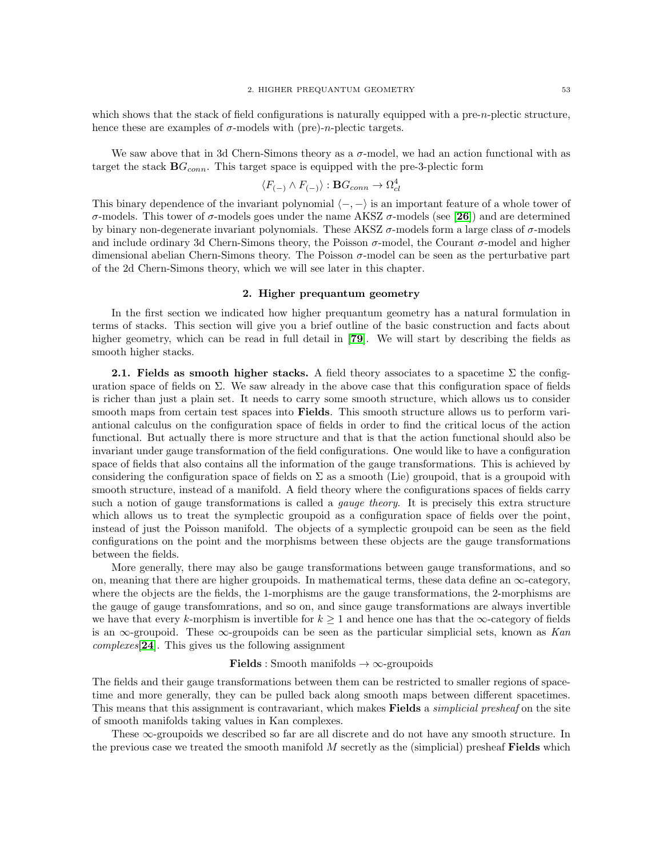which shows that the stack of field configurations is naturally equipped with a pre-n-plectic structure, hence these are examples of  $\sigma$ -models with (pre)-*n*-plectic targets.

We saw above that in 3d Chern-Simons theory as a  $\sigma$ -model, we had an action functional with as target the stack  $BG_{conn}$ . This target space is equipped with the pre-3-plectic form

$$
\langle F_{(-)} \wedge F_{(-)} \rangle : \mathbf{B} G_{conn} \to \Omega^4_{cl}
$$

This binary dependence of the invariant polynomial  $\langle -, - \rangle$  is an important feature of a whole tower of σ-models. This tower of σ-models goes under the name AKSZ σ-models (see [[26](#page-116-3)]) and are determined by binary non-degenerate invariant polynomials. These AKSZ  $\sigma$ -models form a large class of  $\sigma$ -models and include ordinary 3d Chern-Simons theory, the Poisson  $\sigma$ -model, the Courant  $\sigma$ -model and higher dimensional abelian Chern-Simons theory. The Poisson  $\sigma$ -model can be seen as the perturbative part of the 2d Chern-Simons theory, which we will see later in this chapter.

## 2. Higher prequantum geometry

<span id="page-56-0"></span>In the first section we indicated how higher prequantum geometry has a natural formulation in terms of stacks. This section will give you a brief outline of the basic construction and facts about higher geometry, which can be read in full detail in [[79](#page-118-4)]. We will start by describing the fields as smooth higher stacks.

**2.1. Fields as smooth higher stacks.** A field theory associates to a spacetime  $\Sigma$  the configuration space of fields on  $\Sigma$ . We saw already in the above case that this configuration space of fields is richer than just a plain set. It needs to carry some smooth structure, which allows us to consider smooth maps from certain test spaces into **Fields**. This smooth structure allows us to perform variantional calculus on the configuration space of fields in order to find the critical locus of the action functional. But actually there is more structure and that is that the action functional should also be invariant under gauge transformation of the field configurations. One would like to have a configuration space of fields that also contains all the information of the gauge transformations. This is achieved by considering the configuration space of fields on  $\Sigma$  as a smooth (Lie) groupoid, that is a groupoid with smooth structure, instead of a manifold. A field theory where the configurations spaces of fields carry such a notion of gauge transformations is called a gauge theory. It is precisely this extra structure which allows us to treat the symplectic groupoid as a configuration space of fields over the point, instead of just the Poisson manifold. The objects of a symplectic groupoid can be seen as the field configurations on the point and the morphisms between these objects are the gauge transformations between the fields.

More generally, there may also be gauge transformations between gauge transformations, and so on, meaning that there are higher groupoids. In mathematical terms, these data define an  $\infty$ -category, where the objects are the fields, the 1-morphisms are the gauge transformations, the 2-morphisms are the gauge of gauge transfomrations, and so on, and since gauge transformations are always invertible we have that every k-morphism is invertible for  $k \geq 1$  and hence one has that the  $\infty$ -category of fields is an  $\infty$ -groupoid. These  $\infty$ -groupoids can be seen as the particular simplicial sets, known as Kan complexes[[24](#page-116-4)]. This gives us the following assignment

#### **Fields** : Smooth manifolds  $\rightarrow \infty$ -groupoids

The fields and their gauge transformations between them can be restricted to smaller regions of spacetime and more generally, they can be pulled back along smooth maps between different spacetimes. This means that this assignment is contravariant, which makes Fields a *simplicial presheaf* on the site of smooth manifolds taking values in Kan complexes.

These  $\infty$ -groupoids we described so far are all discrete and do not have any smooth structure. In the previous case we treated the smooth manifold  $M$  secretly as the (simplicial) presheaf **Fields** which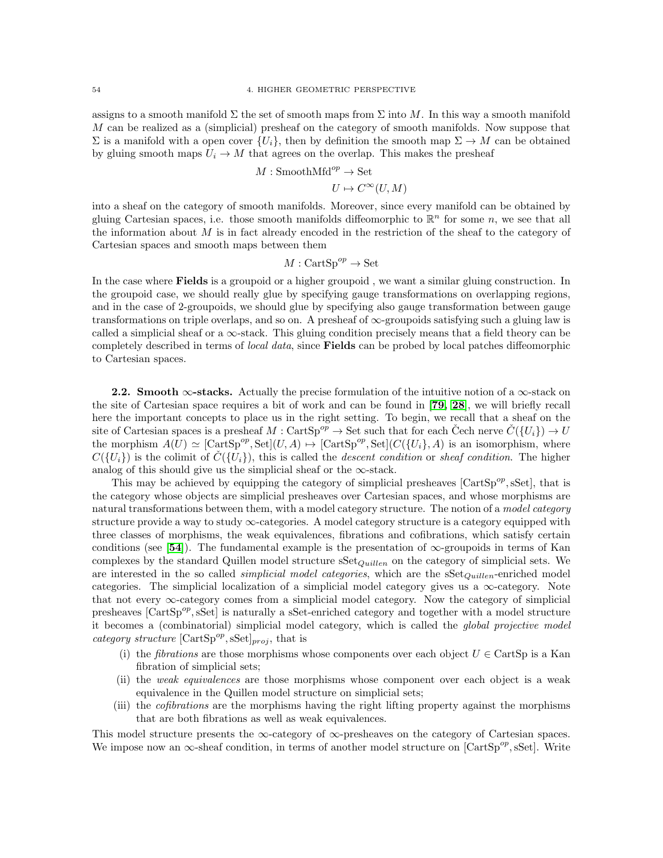assigns to a smooth manifold  $\Sigma$  the set of smooth maps from  $\Sigma$  into M. In this way a smooth manifold M can be realized as a (simplicial) presheaf on the category of smooth manifolds. Now suppose that  $\Sigma$  is a manifold with a open cover  $\{U_i\}$ , then by definition the smooth map  $\Sigma \to M$  can be obtained by gluing smooth maps  $U_i \to M$  that agrees on the overlap. This makes the presheaf

$$
M: \mathsf{SmoothMfd}^{op} \to \mathsf{Set}
$$

$$
U \mapsto C^{\infty}(U, M)
$$

into a sheaf on the category of smooth manifolds. Moreover, since every manifold can be obtained by gluing Cartesian spaces, i.e. those smooth manifolds diffeomorphic to  $\mathbb{R}^n$  for some n, we see that all the information about  $M$  is in fact already encoded in the restriction of the sheaf to the category of Cartesian spaces and smooth maps between them

$$
M:\operatorname{CartSp}^{op}\to\operatorname{Set}
$$

In the case where Fields is a groupoid or a higher groupoid , we want a similar gluing construction. In the groupoid case, we should really glue by specifying gauge transformations on overlapping regions, and in the case of 2-groupoids, we should glue by specifying also gauge transformation between gauge transformations on triple overlaps, and so on. A presheaf of  $\infty$ -groupoids satisfying such a gluing law is called a simplicial sheaf or a  $\infty$ -stack. This gluing condition precisely means that a field theory can be completely described in terms of *local data*, since **Fields** can be probed by local patches diffeomorphic to Cartesian spaces.

2.2. Smooth  $\infty$ -stacks. Actually the precise formulation of the intuitive notion of a  $\infty$ -stack on the site of Cartesian space requires a bit of work and can be found in [[79,](#page-118-4) [28](#page-117-8)], we will briefly recall here the important concepts to place us in the right setting. To begin, we recall that a sheaf on the site of Cartesian spaces is a presheaf  $M : \text{CartSp}^{op} \to \text{Set}$  such that for each Čech nerve  $\check{C}({U_i}) \to U$ the morphism  $A(U) \simeq [\text{CartSp}^{op}, \text{Set}](U, A) \mapsto [\text{CartSp}^{op}, \text{Set}](C(\{U_i\}, A))$  is an isomorphism, where  $C({U_i})$  is the colimit of  $C({U_i})$ , this is called the descent condition or sheaf condition. The higher analog of this should give us the simplicial sheaf or the  $\infty$ -stack.

This may be achieved by equipping the category of simplicial presheaves  $[CartSp<sup>op</sup>, sSet]$ , that is the category whose objects are simplicial presheaves over Cartesian spaces, and whose morphisms are natural transformations between them, with a model category structure. The notion of a model category structure provide a way to study  $\infty$ -categories. A model category structure is a category equipped with three classes of morphisms, the weak equivalences, fibrations and cofibrations, which satisfy certain conditions (see [[54](#page-117-9)]). The fundamental example is the presentation of  $\infty$ -groupoids in terms of Kan complexes by the standard Quillen model structure  $S\text{et}_{Quillen}$  on the category of simplicial sets. We are interested in the so called *simplicial model categories*, which are the  $S\text{Set}_{Quillen}$ -enriched model categories. The simplicial localization of a simplicial model category gives us a  $\infty$ -category. Note that not every ∞-category comes from a simplicial model category. Now the category of simplicial presheaves [CartSp<sup>op</sup>, sSet] is naturally a sSet-enriched category and together with a model structure it becomes a (combinatorial) simplicial model category, which is called the global projective model category structure  $[\text{CartSp}^{op}, \text{sSet}]_{proj}$ , that is

- (i) the *fibrations* are those morphisms whose components over each object  $U \in \text{CartSp}$  is a Kan fibration of simplicial sets;
- (ii) the weak equivalences are those morphisms whose component over each object is a weak equivalence in the Quillen model structure on simplicial sets;
- (iii) the cofibrations are the morphisms having the right lifting property against the morphisms that are both fibrations as well as weak equivalences.

This model structure presents the  $\infty$ -category of  $\infty$ -presheaves on the category of Cartesian spaces. We impose now an  $\infty$ -sheaf condition, in terms of another model structure on [CartSp<sup>op</sup>, sSet]. Write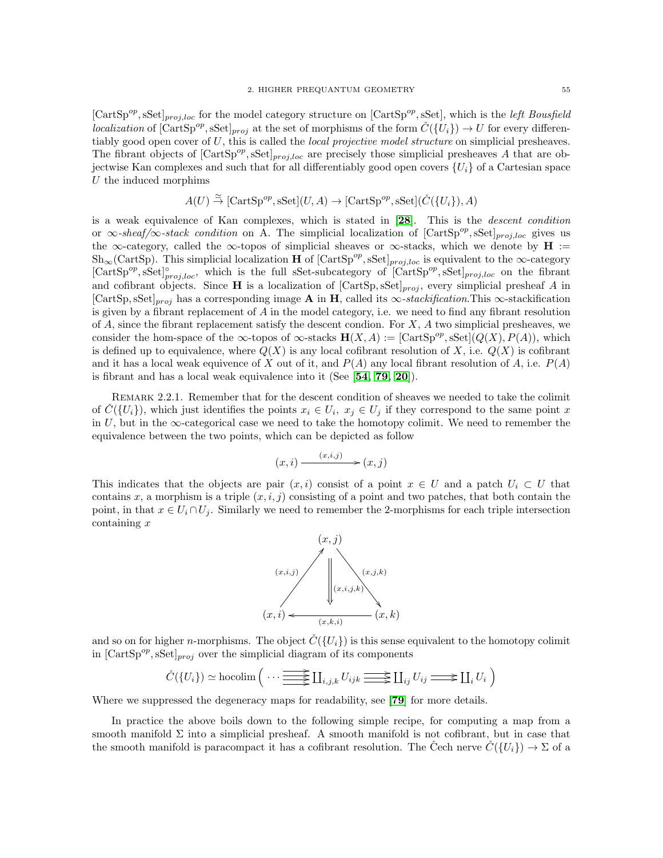[CartSp<sup>op</sup>, sSet]<sub>proj,loc</sub> for the model category structure on [CartSp<sup>op</sup>, sSet], which is the *left Bousfield* localization of  $[\text{CartSp}^{op}, \text{sSet}]_{proj}$  at the set of morphisms of the form  $\check{C}(\{U_i\}) \to U$  for every differentiably good open cover of  $U$ , this is called the *local projective model structure* on simplicial presheaves. The fibrant objects of  $[CartSp<sup>op</sup>, sSet]_{proj,loc}$  are precisely those simplicial presheaves A that are objectwise Kan complexes and such that for all differentiably good open covers  $\{U_i\}$  of a Cartesian space U the induced morphims

$$
A(U) \stackrel{\simeq}{\rightarrow} [\text{CartSp}^{op}, \text{sSet}](U, A) \rightarrow [\text{CartSp}^{op}, \text{sSet}](\check{C}(\{U_i\}), A)
$$

is a weak equivalence of Kan complexes, which is stated in [[28](#page-117-8)]. This is the descent condition or  $\infty$ -sheaf/ $\infty$ -stack condition on A. The simplicial localization of [CartSp<sup>op</sup>, sSet]<sub>proj,loc</sub> gives us the  $\infty$ -category, called the  $\infty$ -topos of simplicial sheaves or  $\infty$ -stacks, which we denote by  $H :=$  $\mathrm{Sh}_{\infty}(\mathrm{CartSp})$ . This simplicial localization **H** of  $[\mathrm{CartSp}^{op}, s\mathrm{Set}]_{proj,loc}$  is equivalent to the  $\infty$ -category  $[CartSp<sup>op</sup>, sSet]<sup>o</sup><sub>proj,loc</sub>$ , which is the full sSet-subcategory of  $[CartSp<sup>op</sup>, sSet]<sub>proj,loc</sub>$  on the fibrant and cofibrant objects. Since H is a localization of  $[CartSp, sSet]_{proj}$ , every simplicial presheaf A in [CartSp, sSet]<sub>proj</sub> has a corresponding image A in H, called its  $\infty$ -stackification.This  $\infty$ -stackification is given by a fibrant replacement of  $A$  in the model category, i.e. we need to find any fibrant resolution of A, since the fibrant replacement satisfy the descent condion. For  $X$ , A two simplicial presheaves, we consider the hom-space of the  $\infty$ -topos of  $\infty$ -stacks  $\mathbf{H}(X, A) := [\text{CartSp}^{op}, \text{sSet}](Q(X), P(A)),$  which is defined up to equivalence, where  $Q(X)$  is any local cofibrant resolution of X, i.e.  $Q(X)$  is cofibrant and it has a local weak equivence of X out of it, and  $P(A)$  any local fibrant resolution of A, i.e.  $P(A)$ is fibrant and has a local weak equivalence into it (See  $[54, 79, 20]$  $[54, 79, 20]$  $[54, 79, 20]$  $[54, 79, 20]$  $[54, 79, 20]$ ).

Remark 2.2.1. Remember that for the descent condition of sheaves we needed to take the colimit of  $\check{C}(\{U_i\})$ , which just identifies the points  $x_i \in U_i$ ,  $x_j \in U_j$  if they correspond to the same point x in  $U$ , but in the  $\infty$ -categorical case we need to take the homotopy colimit. We need to remember the equivalence between the two points, which can be depicted as follow

$$
(x,i) \xrightarrow{(x,i,j)} (x,j)
$$

This indicates that the objects are pair  $(x, i)$  consist of a point  $x \in U$  and a patch  $U_i \subset U$  that contains x, a morphism is a triple  $(x, i, j)$  consisting of a point and two patches, that both contain the point, in that  $x \in U_i \cap U_j$ . Similarly we need to remember the 2-morphisms for each triple intersection containing x



and so on for higher *n*-morphisms. The object  $\hat{C}(\{U_i\})$  is this sense equivalent to the homotopy colimit in  $[\text{CartSp}^{op}, \text{sSet}]_{proj}$  over the simplicial diagram of its components

$$
\check{C}(\{U_i\}) \simeq \text{hocolim} \left( \cdots \frac{\text{max}}{\text{max}} \coprod_{i,j,k} U_{ijk} \frac{\text{max}}{\text{max}} \coprod_{ij} U_{ij} \frac{\text{max}}{\text{max}} \coprod_i U_i \right)
$$

Where we suppressed the degeneracy maps for readability, see [[79](#page-118-4)] for more details.

In practice the above boils down to the following simple recipe, for computing a map from a smooth manifold  $\Sigma$  into a simplicial presheaf. A smooth manifold is not cofibrant, but in case that the smooth manifold is paracompact it has a cofibrant resolution. The Cech nerve  $\tilde{C}(\{U_i\}) \to \Sigma$  of a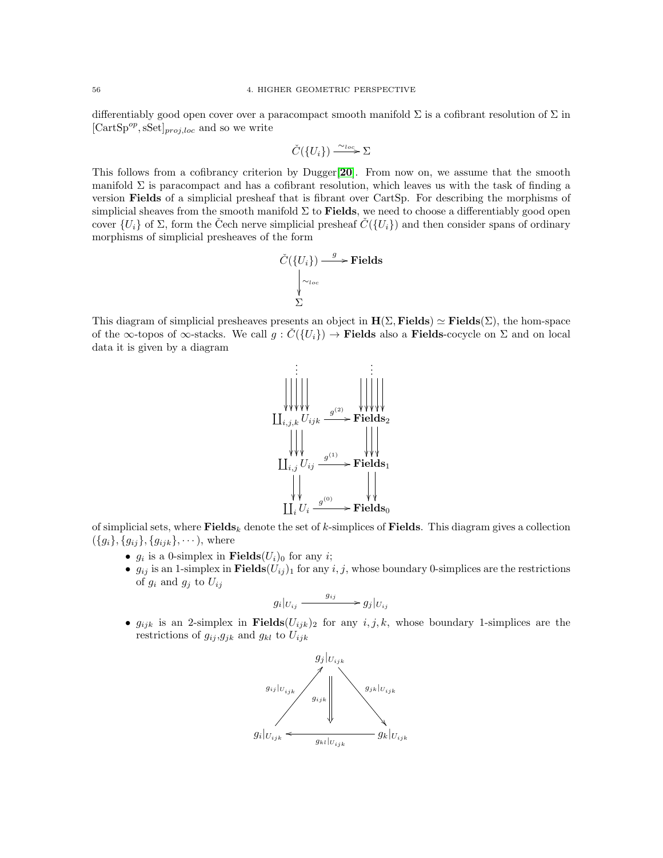differentiably good open cover over a paracompact smooth manifold  $\Sigma$  is a cofibrant resolution of  $\Sigma$  in  $[CartSp<sup>op</sup>, sSet]_{proj,loc}$  and so we write

$$
\check{C}(\{U_i\}) \xrightarrow{\sim_{loc}} \Sigma
$$

This follows from a cofibrancy criterion by Dugger[[20](#page-116-5)]. From now on, we assume that the smooth manifold  $\Sigma$  is paracompact and has a cofibrant resolution, which leaves us with the task of finding a version Fields of a simplicial presheaf that is fibrant over CartSp. For describing the morphisms of simplicial sheaves from the smooth manifold  $\Sigma$  to **Fields**, we need to choose a differentiably good open cover  $\{U_i\}$  of  $\Sigma$ , form the Čech nerve simplicial presheaf  $\tilde{C}(\{U_i\})$  and then consider spans of ordinary morphisms of simplicial presheaves of the form

$$
\check{C}(\{U_i\}) \xrightarrow{g} \text{Fields}
$$
\n
$$
\downarrow^{\sim_{loc}} \Sigma
$$

This diagram of simplicial presheaves presents an object in  $H(\Sigma, \text{Fields}) \simeq \text{Fields}(\Sigma)$ , the hom-space of the  $\infty$ -topos of  $\infty$ -stacks. We call  $g: C({U_i}) \to$  Fields also a Fields-cocycle on  $\Sigma$  and on local data it is given by a diagram



of simplicial sets, where  $\mathbf{Fields}_k$  denote the set of k-simplices of Fields. This diagram gives a collection  $({g_i}, {g_{ij}}, {g_{ijk}}, \dots)$ , where

- $g_i$  is a 0-simplex in **Fields** $(U_i)_0$  for any *i*;
- $g_{ij}$  is an 1-simplex in Fields $(U_{ij})_1$  for any  $i, j$ , whose boundary 0-simplices are the restrictions of  $g_i$  and  $g_j$  to  $U_{ij}$

$$
g_i|_{U_{ij}} \xrightarrow{g_{ij}} g_j|_{U_{ij}}
$$

•  $g_{ijk}$  is an 2-simplex in Fields $(U_{ijk})_2$  for any  $i, j, k$ , whose boundary 1-simplices are the restrictions of  $g_{ij}, g_{jk}$  and  $g_{kl}$  to  $U_{ijk}$ 

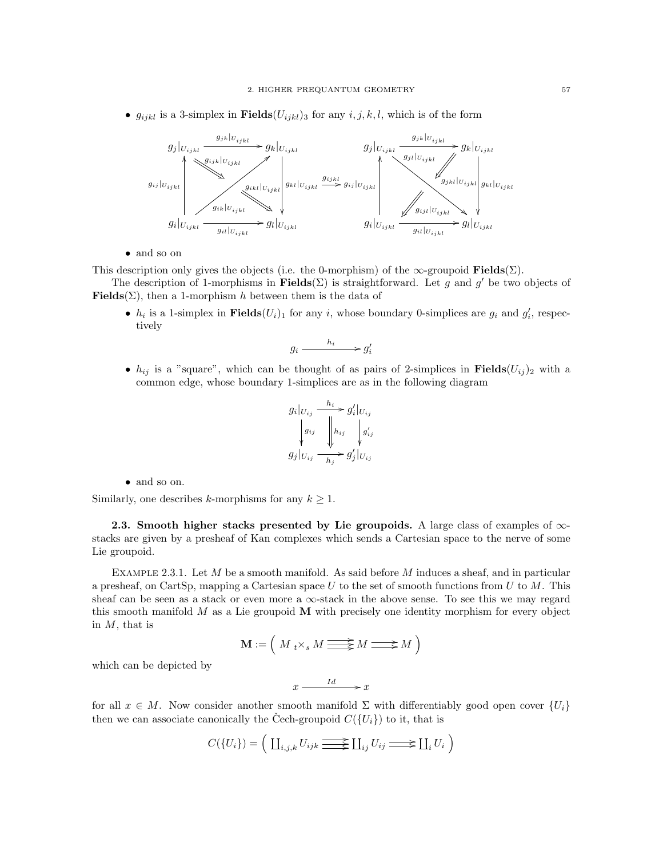•  $g_{ijkl}$  is a 3-simplex in **Fields** $(U_{ijkl})_3$  for any  $i, j, k, l$ , which is of the form



• and so on

This description only gives the objects (i.e. the 0-morphism) of the  $\infty$ -groupoid **Fields**( $\Sigma$ ).

The description of 1-morphisms in **Fields**( $\Sigma$ ) is straightforward. Let g and g' be two objects of Fields( $\Sigma$ ), then a 1-morphism h between them is the data of

•  $h_i$  is a 1-simplex in **Fields** $(U_i)_1$  for any i, whose boundary 0-simplices are  $g_i$  and  $g'_i$ , respectively

$$
g_i \xrightarrow{h_i} g'_i
$$

•  $h_{ij}$  is a "square", which can be thought of as pairs of 2-simplices in Fields $(U_{ij})_2$  with a common edge, whose boundary 1-simplices are as in the following diagram

$$
g_i|_{U_{ij}} \xrightarrow{h_i} g'_i|_{U_{ij}}
$$
  
\n
$$
\downarrow g_{ij} \qquad \qquad g_{i,j} \qquad \downarrow g'_{ij}
$$
  
\n
$$
g_j|_{U_{ij}} \xrightarrow[h_j \to g'_j|_{U_{ij}}
$$

• and so on.

Similarly, one describes k-morphisms for any  $k \geq 1$ .

2.3. Smooth higher stacks presented by Lie groupoids. A large class of examples of  $\infty$ stacks are given by a presheaf of Kan complexes which sends a Cartesian space to the nerve of some Lie groupoid.

<span id="page-60-0"></span>EXAMPLE 2.3.1. Let  $M$  be a smooth manifold. As said before  $M$  induces a sheaf, and in particular a presheaf, on CartSp, mapping a Cartesian space U to the set of smooth functions from U to  $M$ . This sheaf can be seen as a stack or even more a  $\infty$ -stack in the above sense. To see this we may regard this smooth manifold  $M$  as a Lie groupoid  $\bf{M}$  with precisely one identity morphism for every object in  $M$ , that is

$$
\mathbf{M} := \left( \ M \underset{t}{\star} \underset{s}{\star} M \Longrightarrow M \Longrightarrow M \right)
$$

which can be depicted by

$$
x \xrightarrow{\qquad Id} x
$$

for all  $x \in M$ . Now consider another smooth manifold  $\Sigma$  with differentiably good open cover  $\{U_i\}$ then we can associate canonically the Čech-groupoid  $C({U_i})$  to it, that is

$$
C({Ui}) = \Big( \coprod_{i,j,k} U_{ijk} \equiv \text{if } U_{ij} \equiv \text{if } U_i \Big)
$$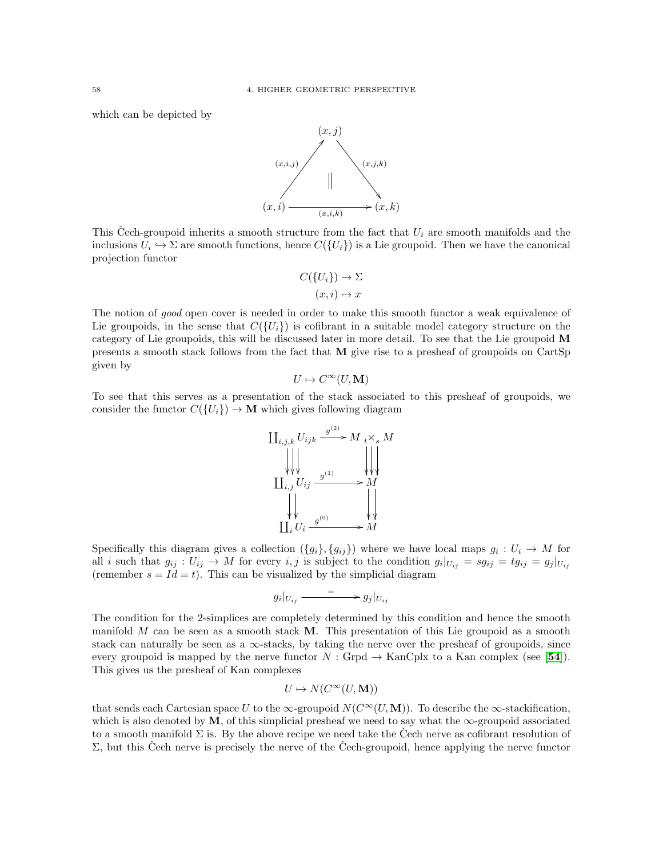which can be depicted by



This Čech-groupoid inherits a smooth structure from the fact that  $U_i$  are smooth manifolds and the inclusions  $U_i \hookrightarrow \Sigma$  are smooth functions, hence  $C({U_i})$  is a Lie groupoid. Then we have the canonical projection functor

$$
C({Ui}) \to \Sigma
$$

$$
(x,i) \mapsto x
$$

The notion of good open cover is needed in order to make this smooth functor a weak equivalence of Lie groupoids, in the sense that  $C({U_i})$  is cofibrant in a suitable model category structure on the category of Lie groupoids, this will be discussed later in more detail. To see that the Lie groupoid M presents a smooth stack follows from the fact that M give rise to a presheaf of groupoids on CartSp given by

$$
U \mapsto C^{\infty}(U, \mathbf{M})
$$

To see that this serves as a presentation of the stack associated to this presheaf of groupoids, we consider the functor  $C({U_i}) \to M$  which gives following diagram



Specifically this diagram gives a collection  $({g_i},{g_{ij}})$  where we have local maps  $g_i: U_i \to M$  for all i such that  $g_{ij}: U_{ij} \to M$  for every  $i, j$  is subject to the condition  $g_i|_{U_{ij}} = sg_{ij} = tg_{ij} = g_j|_{U_{ij}}$ (remember  $s = Id = t$ ). This can be visualized by the simplicial diagram

$$
g_i|_{U_{ij}} \xrightarrow{}
$$
  $g_j|_{U_{ij}}$ 

The condition for the 2-simplices are completely determined by this condition and hence the smooth manifold  $M$  can be seen as a smooth stack  $M$ . This presentation of this Lie groupoid as a smooth stack can naturally be seen as a  $\infty$ -stacks, by taking the nerve over the presheaf of groupoids, since every groupoid is mapped by the nerve functor  $N : \text{Grpd} \to \text{KanCplx}$  to a Kan complex (see [[54](#page-117-9)]). This gives us the presheaf of Kan complexes

$$
U \mapsto N(C^{\infty}(U, \mathbf{M}))
$$

that sends each Cartesian space U to the  $\infty$ -groupoid  $N(C^{\infty}(U, M))$ . To describe the  $\infty$ -stackification, which is also denoted by  $M$ , of this simplicial presheaf we need to say what the  $\infty$ -groupoid associated to a smooth manifold  $\Sigma$  is. By the above recipe we need take the Cech nerve as cofibrant resolution of  $\Sigma$ , but this Cech nerve is precisely the nerve of the Cech-groupoid, hence applying the nerve functor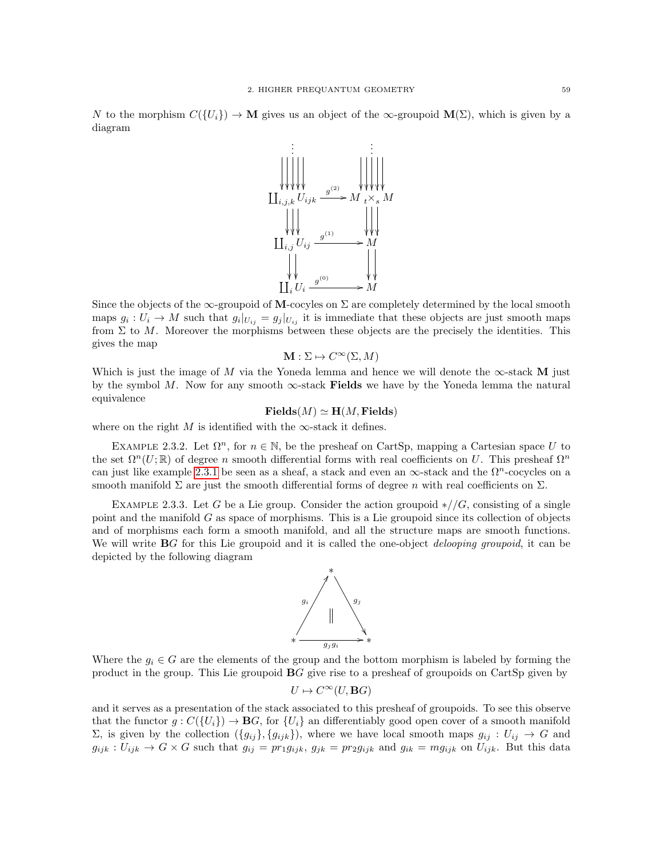N to the morphism  $C({U_i}) \to M$  gives us an object of the  $\infty$ -groupoid  $M(\Sigma)$ , which is given by a diagram



Since the objects of the  $\infty$ -groupoid of M-cocyles on  $\Sigma$  are completely determined by the local smooth maps  $g_i: U_i \to M$  such that  $g_i|_{U_{ij}} = g_j|_{U_{ij}}$  it is immediate that these objects are just smooth maps from  $\Sigma$  to M. Moreover the morphisms between these objects are the precisely the identities. This gives the map

$$
\mathbf{M} : \Sigma \mapsto C^{\infty}(\Sigma, M)
$$

Which is just the image of M via the Yoneda lemma and hence we will denote the  $\infty$ -stack M just by the symbol M. Now for any smooth  $\infty$ -stack Fields we have by the Yoneda lemma the natural equivalence

$$
Fields(M) \simeq H(M, Fields)
$$

where on the right M is identified with the  $\infty$ -stack it defines.

EXAMPLE 2.3.2. Let  $\Omega^n$ , for  $n \in \mathbb{N}$ , be the presheaf on CartSp, mapping a Cartesian space U to the set  $\Omega^n(U;\mathbb{R})$  of degree n smooth differential forms with real coefficients on U. This presheaf  $\Omega^n$ can just like example [2.3.1](#page-60-0) be seen as a sheaf, a stack and even an  $\infty$ -stack and the  $\Omega^n$ -cocycles on a smooth manifold  $\Sigma$  are just the smooth differential forms of degree n with real coefficients on  $\Sigma$ .

<span id="page-62-0"></span>EXAMPLE 2.3.3. Let G be a Lie group. Consider the action groupoid  $\frac{\epsilon}{G}$ , consisting of a single point and the manifold  $G$  as space of morphisms. This is a Lie groupoid since its collection of objects and of morphisms each form a smooth manifold, and all the structure maps are smooth functions. We will write **B**G for this Lie groupoid and it is called the one-object *delooping groupoid*, it can be depicted by the following diagram



Where the  $g_i \in G$  are the elements of the group and the bottom morphism is labeled by forming the product in the group. This Lie groupoid BG give rise to a presheaf of groupoids on CartSp given by

$$
U \mapsto C^{\infty}(U, \mathbf{B}G)
$$

and it serves as a presentation of the stack associated to this presheaf of groupoids. To see this observe that the functor  $g: C({U_i}) \to BG$ , for  ${U_i}$  an differentiably good open cover of a smooth manifold  $Σ$ , is given by the collection  $({g_{ij}}, {g_{ijk}})$ , where we have local smooth maps  $g_{ij} : U_{ij} → G$  and  $g_{ijk}: U_{ijk} \to G \times G$  such that  $g_{ij} = pr_1g_{ijk}, g_{jk} = pr_2g_{ijk}$  and  $g_{ik} = mg_{ijk}$  on  $U_{ijk}$ . But this data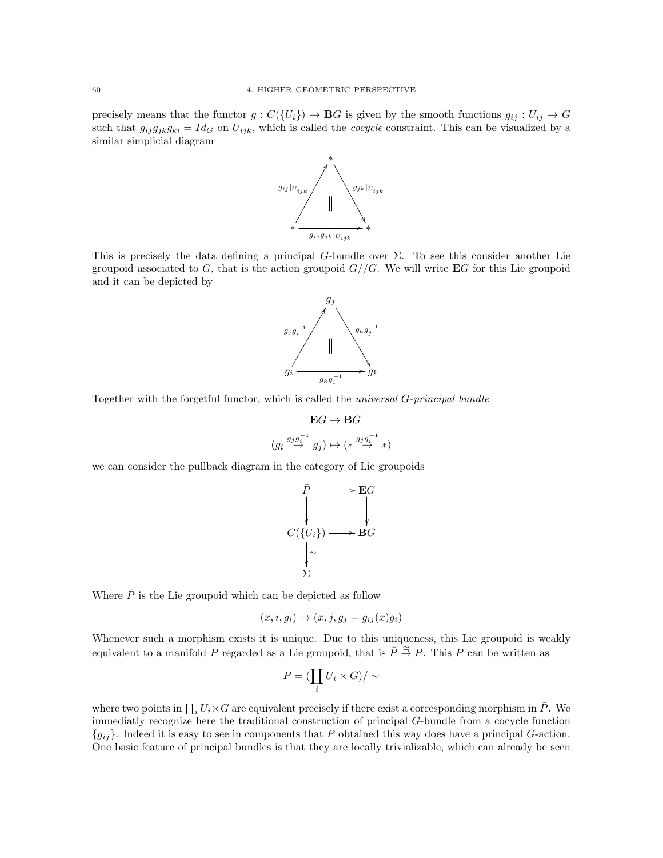precisely means that the functor  $g: C({U_i}) \to \mathbf{B}G$  is given by the smooth functions  $g_{ij}: U_{ij} \to G$ such that  $g_{ij}g_{jk}g_{ki} = Id_G$  on  $U_{ijk}$ , which is called the *cocycle* constraint. This can be visualized by a similar simplicial diagram



This is precisely the data defining a principal G-bundle over  $\Sigma$ . To see this consider another Lie groupoid associated to G, that is the action groupoid  $G//G$ . We will write **E**G for this Lie groupoid and it can be depicted by



Together with the forgetful functor, which is called the universal G-principal bundle

$$
\begin{aligned} \mathbf{E} G &\rightarrow \mathbf{B} G \\ \big(g_i \overset{g_j g_i^{-1}}{\rightarrow} g_j\big) &\mapsto \big(\ast \overset{g_j g_i^{-1}}{\rightarrow} \ast\big) \end{aligned}
$$

we can consider the pullback diagram in the category of Lie groupoids

$$
\begin{array}{ccc}\n\bar{P} & \longrightarrow & \mathbf{E}G \\
\downarrow & & \downarrow \\
C(\{U_i\}) & \longrightarrow & \mathbf{B}G \\
\downarrow & & \searrow \\
\sum\n\end{array}
$$

Where  $\overline{P}$  is the Lie groupoid which can be depicted as follow

$$
(x,i,g_i) \rightarrow (x,j,g_j = g_{ij}(x)g_i)
$$

Whenever such a morphism exists it is unique. Due to this uniqueness, this Lie groupoid is weakly equivalent to a manifold P regarded as a Lie groupoid, that is  $\bar{P} \stackrel{\simeq}{\rightarrow} P$ . This P can be written as

$$
P = (\coprod_i U_i \times G) / \sim
$$

where two points in  $\coprod_i U_i \times G$  are equivalent precisely if there exist a corresponding morphism in  $\overline{P}$ . We immediatly recognize here the traditional construction of principal G-bundle from a cocycle function  ${g_{ii}}$ . Indeed it is easy to see in components that P obtained this way does have a principal G-action. One basic feature of principal bundles is that they are locally trivializable, which can already be seen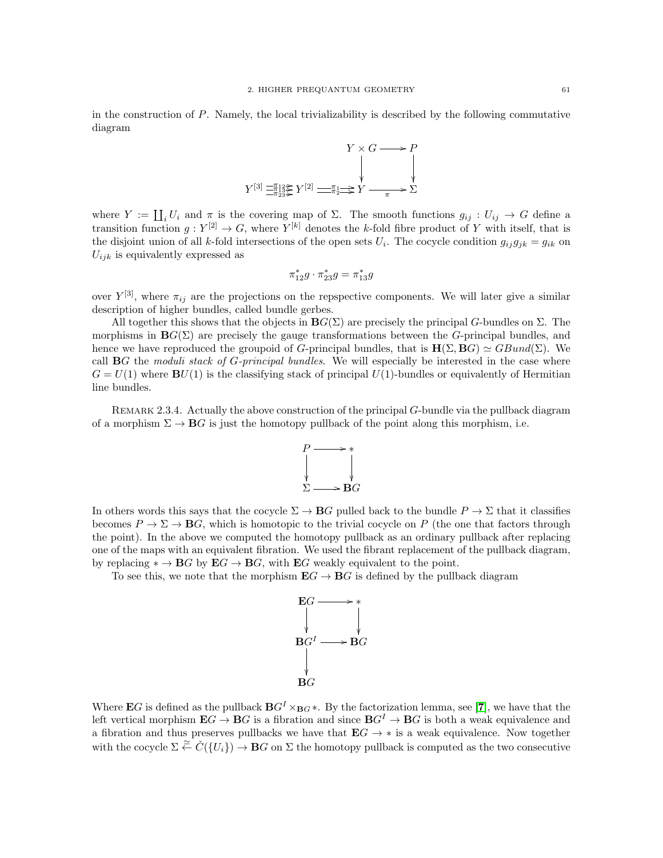in the construction of P. Namely, the local trivializability is described by the following commutative diagram



where  $Y := \coprod_i U_i$  and  $\pi$  is the covering map of  $\Sigma$ . The smooth functions  $g_{ij} : U_{ij} \to G$  define a transition function  $g: Y^{[2]} \to G$ , where  $Y^{[k]}$  denotes the k-fold fibre product of Y with itself, that is the disjoint union of all k-fold intersections of the open sets  $U_i$ . The cocycle condition  $g_{ij}g_{jk} = g_{ik}$  on  $U_{ijk}$  is equivalently expressed as

$$
\pi_{12}^*g\cdot \pi_{23}^*g=\pi_{13}^*g
$$

over  $Y^{[3]}$ , where  $\pi_{ij}$  are the projections on the repspective components. We will later give a similar description of higher bundles, called bundle gerbes.

All together this shows that the objects in  $\mathbf{B}G(\Sigma)$  are precisely the principal G-bundles on  $\Sigma$ . The morphisms in  $\mathbf{B}G(\Sigma)$  are precisely the gauge transformations between the G-principal bundles, and hence we have reproduced the groupoid of G-principal bundles, that is  $H(\Sigma, BG) \simeq GBund(\Sigma)$ . We call  $\bf{B}G$  the moduli stack of G-principal bundles. We will especially be interested in the case where  $G = U(1)$  where  $BU(1)$  is the classifying stack of principal  $U(1)$ -bundles or equivalently of Hermitian line bundles.

REMARK 2.3.4. Actually the above construction of the principal G-bundle via the pullback diagram of a morphism  $\Sigma \to \mathbf{B}G$  is just the homotopy pullback of the point along this morphism, i.e.



In others words this says that the cocycle  $\Sigma \to BG$  pulled back to the bundle  $P \to \Sigma$  that it classifies becomes  $P \to \Sigma \to BG$ , which is homotopic to the trivial cocycle on P (the one that factors through the point). In the above we computed the homotopy pullback as an ordinary pullback after replacing one of the maps with an equivalent fibration. We used the fibrant replacement of the pullback diagram, by replacing  $* \to BG$  by  $EG \to BG$ , with  $EG$  weakly equivalent to the point.

To see this, we note that the morphism  $\mathbf{E}G \to \mathbf{B}G$  is defined by the pullback diagram



Where EG is defined as the pullback  $BG^I \times_{BG} *$ . By the factorization lemma, see [[7](#page-116-6)], we have that the left vertical morphism  $\mathbf{E}G \to \mathbf{B}G$  is a fibration and since  $\mathbf{B}G^I \to \mathbf{B}G$  is both a weak equivalence and a fibration and thus preserves pullbacks we have that  $EG \rightarrow *$  is a weak equivalence. Now together with the cocycle  $\Sigma \stackrel{\simeq}{\leftarrow} C({U_i}) \rightarrow \mathbf{B}G$  on  $\Sigma$  the homotopy pullback is computed as the two consecutive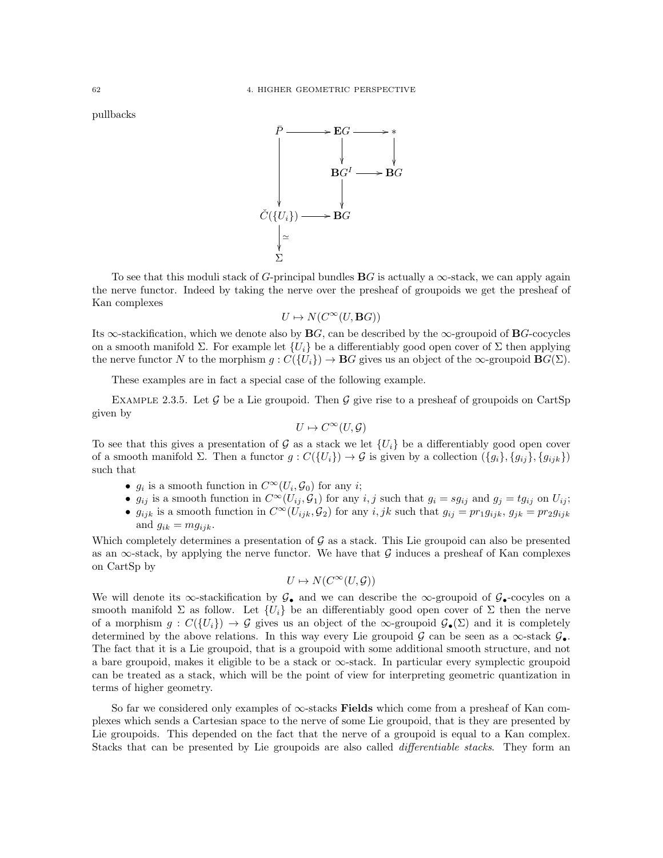pullbacks



To see that this moduli stack of G-principal bundles  $BG$  is actually a  $\infty$ -stack, we can apply again the nerve functor. Indeed by taking the nerve over the presheaf of groupoids we get the presheaf of Kan complexes

$$
U \mapsto N(C^{\infty}(U, \mathbf{B}G))
$$

Its  $\infty$ -stackification, which we denote also by **B**G, can be described by the  $\infty$ -groupoid of **B**G-cocycles on a smooth manifold  $\Sigma$ . For example let  $\{U_i\}$  be a differentiably good open cover of  $\Sigma$  then applying the nerve functor N to the morphism  $g: C({U_i}) \to BG$  gives us an object of the  $\infty$ -groupoid  $BG(\Sigma)$ .

These examples are in fact a special case of the following example.

<span id="page-65-0"></span>EXAMPLE 2.3.5. Let G be a Lie groupoid. Then G give rise to a presheaf of groupoids on CartSp given by

$$
U \mapsto C^{\infty}(U, \mathcal{G})
$$

To see that this gives a presentation of  $\mathcal G$  as a stack we let  $\{U_i\}$  be a differentiably good open cover of a smooth manifold  $\Sigma$ . Then a functor  $g: C({U_i}) \to G$  is given by a collection  $({g_i}, {g_{ij}}, {g_{ij}}, {g_{ijk}})$ such that

- $g_i$  is a smooth function in  $C^{\infty}(U_i, \mathcal{G}_0)$  for any *i*;
- $g_{ij}$  is a smooth function in  $C^{\infty}(U_{ij}, \mathcal{G}_1)$  for any  $i, j$  such that  $g_i = sg_{ij}$  and  $g_j = tg_{ij}$  on  $U_{ij}$ ;
- $g_{ijk}$  is a smooth function in  $C^{\infty}(U_{ijk}, \mathcal{G}_2)$  for any  $i, jk$  such that  $g_{ij} = pr_1g_{ijk}, g_{jk} = pr_2g_{ijk}$ and  $g_{ik} = mg_{iik}$ .

Which completely determines a presentation of  $\mathcal G$  as a stack. This Lie groupoid can also be presented as an  $\infty$ -stack, by applying the nerve functor. We have that G induces a presheaf of Kan complexes on CartSp by

$$
U \mapsto N(C^{\infty}(U, \mathcal{G}))
$$

We will denote its ∞-stackification by  $\mathcal{G}_{\bullet}$  and we can describe the ∞-groupoid of  $\mathcal{G}_{\bullet}$ -cocyles on a smooth manifold  $\Sigma$  as follow. Let  $\{U_i\}$  be an differentiably good open cover of  $\Sigma$  then the nerve of a morphism  $g: C({U_i}) \to G$  gives us an object of the  $\infty$ -groupoid  $G_{\bullet}(\Sigma)$  and it is completely determined by the above relations. In this way every Lie groupoid G can be seen as a  $\infty$ -stack  $\mathcal{G}_{\bullet}$ . The fact that it is a Lie groupoid, that is a groupoid with some additional smooth structure, and not a bare groupoid, makes it eligible to be a stack or ∞-stack. In particular every symplectic groupoid can be treated as a stack, which will be the point of view for interpreting geometric quantization in terms of higher geometry.

So far we considered only examples of  $\infty$ -stacks Fields which come from a presheaf of Kan complexes which sends a Cartesian space to the nerve of some Lie groupoid, that is they are presented by Lie groupoids. This depended on the fact that the nerve of a groupoid is equal to a Kan complex. Stacks that can be presented by Lie groupoids are also called differentiable stacks. They form an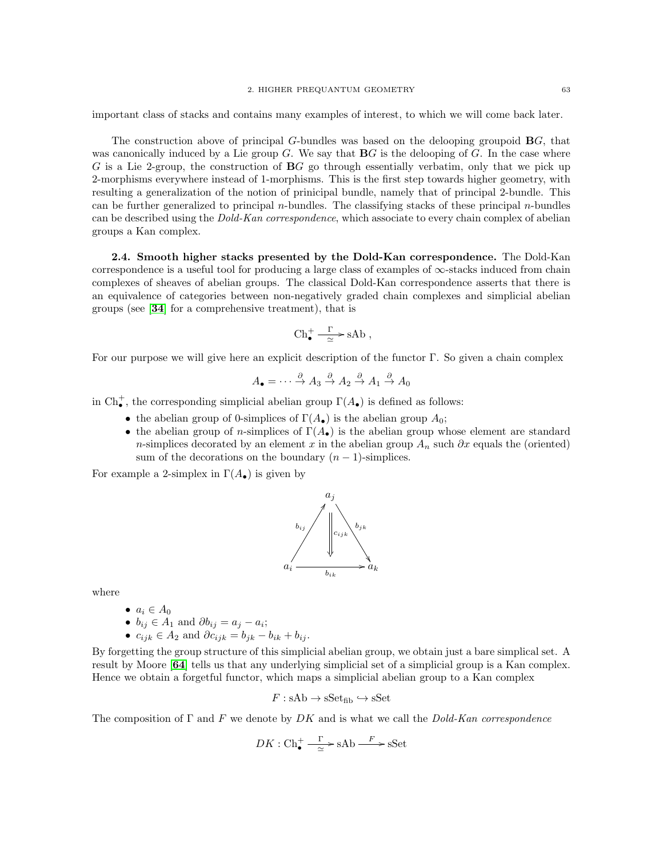important class of stacks and contains many examples of interest, to which we will come back later.

The construction above of principal  $G$ -bundles was based on the delooping groupoid  $\mathbf{B}G$ , that was canonically induced by a Lie group  $G$ . We say that  $\mathbf{B}G$  is the delooping of  $G$ . In the case where G is a Lie 2-group, the construction of  $BG$  go through essentially verbatim, only that we pick up 2-morphisms everywhere instead of 1-morphisms. This is the first step towards higher geometry, with resulting a generalization of the notion of prinicipal bundle, namely that of principal 2-bundle. This can be further generalized to principal *n*-bundles. The classifying stacks of these principal *n*-bundles can be described using the *Dold-Kan correspondence*, which associate to every chain complex of abelian groups a Kan complex.

2.4. Smooth higher stacks presented by the Dold-Kan correspondence. The Dold-Kan correspondence is a useful tool for producing a large class of examples of  $\infty$ -stacks induced from chain complexes of sheaves of abelian groups. The classical Dold-Kan correspondence asserts that there is an equivalence of categories between non-negatively graded chain complexes and simplicial abelian groups (see [[34](#page-117-10)] for a comprehensive treatment), that is

$$
\mathrm{Ch}^+_\bullet \xrightarrow[\simeq]{\Gamma} \mathrm{sAb} \;,
$$

For our purpose we will give here an explicit description of the functor Γ. So given a chain complex

$$
A_{\bullet} = \cdots \stackrel{\partial}{\to} A_3 \stackrel{\partial}{\to} A_2 \stackrel{\partial}{\to} A_1 \stackrel{\partial}{\to} A_0
$$

in  $\text{Ch}^+_{\bullet}$ , the corresponding simplicial abelian group  $\Gamma(A_{\bullet})$  is defined as follows:

- the abelian group of 0-simplices of  $\Gamma(A_{\bullet})$  is the abelian group  $A_0$ ;
- the abelian group of n-simplices of  $\Gamma(A_{\bullet})$  is the abelian group whose element are standard n-simplices decorated by an element x in the abelian group  $A_n$  such  $\partial x$  equals the (oriented) sum of the decorations on the boundary  $(n-1)$ -simplices.

For example a 2-simplex in  $\Gamma(A_{\bullet})$  is given by



where

- $\bullet$   $a_i \in A_0$
- $b_{ij} \in A_1$  and  $\partial b_{ij} = a_j a_i;$
- $c_{ijk} \in A_2$  and  $\partial c_{ijk} = b_{jk} b_{ik} + b_{ij}$ .

By forgetting the group structure of this simplicial abelian group, we obtain just a bare simplical set. A result by Moore [[64](#page-117-11)] tells us that any underlying simplicial set of a simplicial group is a Kan complex. Hence we obtain a forgetful functor, which maps a simplicial abelian group to a Kan complex

$$
F: \mathsf{sAb} \to \mathsf{sSet}_{\mathsf{fib}} \hookrightarrow \mathsf{sSet}
$$

The composition of  $\Gamma$  and  $F$  we denote by DK and is what we call the Dold-Kan correspondence

$$
DK: \mathrm{Ch}^+_{\bullet} \xrightarrow{\Gamma} \mathrm{sAb} \xrightarrow{F} \mathrm{sSet}
$$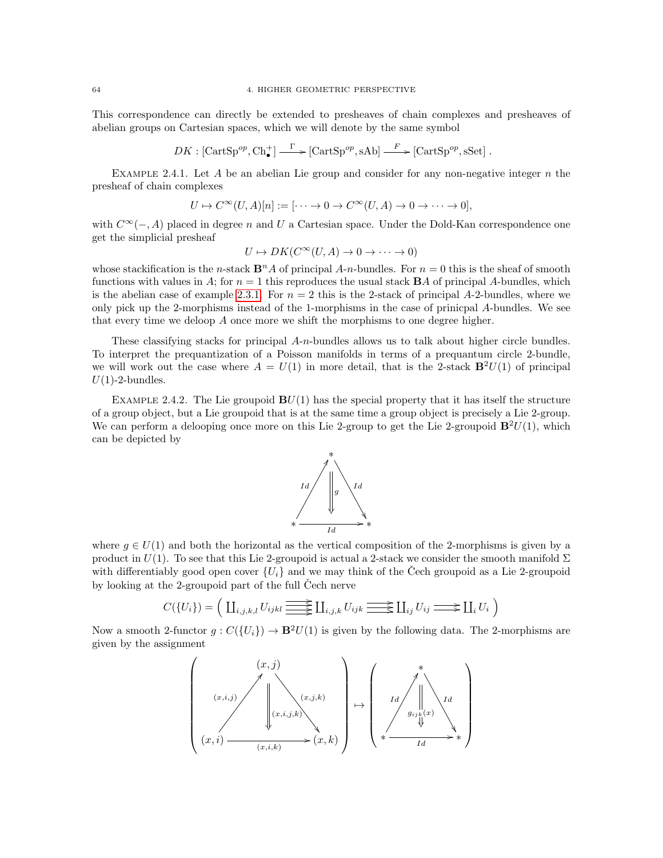64 4. HIGHER GEOMETRIC PERSPECTIVE

This correspondence can directly be extended to presheaves of chain complexes and presheaves of abelian groups on Cartesian spaces, which we will denote by the same symbol

$$
DK: [\text{CartSp}^{op}, \text{Ch}_{\bullet}^{+}] \xrightarrow{\Gamma} [\text{CartSp}^{op}, \text{sAb}] \xrightarrow{F} [\text{CartSp}^{op}, \text{sSet}] .
$$

EXAMPLE 2.4.1. Let A be an abelian Lie group and consider for any non-negative integer  $n$  the presheaf of chain complexes

$$
U \mapsto C^{\infty}(U, A)[n] := [\cdots \to 0 \to C^{\infty}(U, A) \to 0 \to \cdots \to 0],
$$

with  $C^{\infty}(-, A)$  placed in degree n and U a Cartesian space. Under the Dold-Kan correspondence one get the simplicial presheaf

$$
U \mapsto DK(C^{\infty}(U, A) \to 0 \to \cdots \to 0)
$$

whose stackification is the n-stack  $\mathbf{B}^n A$  of principal A-n-bundles. For  $n = 0$  this is the sheaf of smooth functions with values in A; for  $n = 1$  this reproduces the usual stack **B**A of principal A-bundles, which is the abelian case of example [2.3.1.](#page-60-0) For  $n = 2$  this is the 2-stack of principal A-2-bundles, where we only pick up the 2-morphisms instead of the 1-morphisms in the case of prinicpal A-bundles. We see that every time we deloop A once more we shift the morphisms to one degree higher.

These classifying stacks for principal  $A-n$ -bundles allows us to talk about higher circle bundles. To interpret the prequantization of a Poisson manifolds in terms of a prequantum circle 2-bundle, we will work out the case where  $A = U(1)$  in more detail, that is the 2-stack  $\mathbf{B}^2U(1)$  of principal  $U(1)$ -2-bundles.

EXAMPLE 2.4.2. The Lie groupoid  $BU(1)$  has the special property that it has itself the structure of a group object, but a Lie groupoid that is at the same time a group object is precisely a Lie 2-group. We can perform a delooping once more on this Lie 2-group to get the Lie 2-groupoid  $\mathbf{B}^2U(1)$ , which can be depicted by



where  $q \in U(1)$  and both the horizontal as the vertical composition of the 2-morphisms is given by a product in  $U(1)$ . To see that this Lie 2-groupoid is actual a 2-stack we consider the smooth manifold  $\Sigma$ with differentiably good open cover  $\{U_i\}$  and we may think of the Cech groupoid as a Lie 2-groupoid by looking at the 2-groupoid part of the full Čech nerve

$$
C({U_i}) = \left(\coprod_{i,j,k,l} U_{ijkl} \underbrace{\longrightarrow}{\longrightarrow} \coprod_{i,j,k} U_{ijk} \underbrace{\longrightarrow}{\longrightarrow} \coprod_{ij} U_{ij} \longrightarrow \coprod_i U_i\right)
$$

Now a smooth 2-functor  $g: C({U_i}) \to \mathbf{B}^2 U(1)$  is given by the following data. The 2-morphisms are given by the assignment

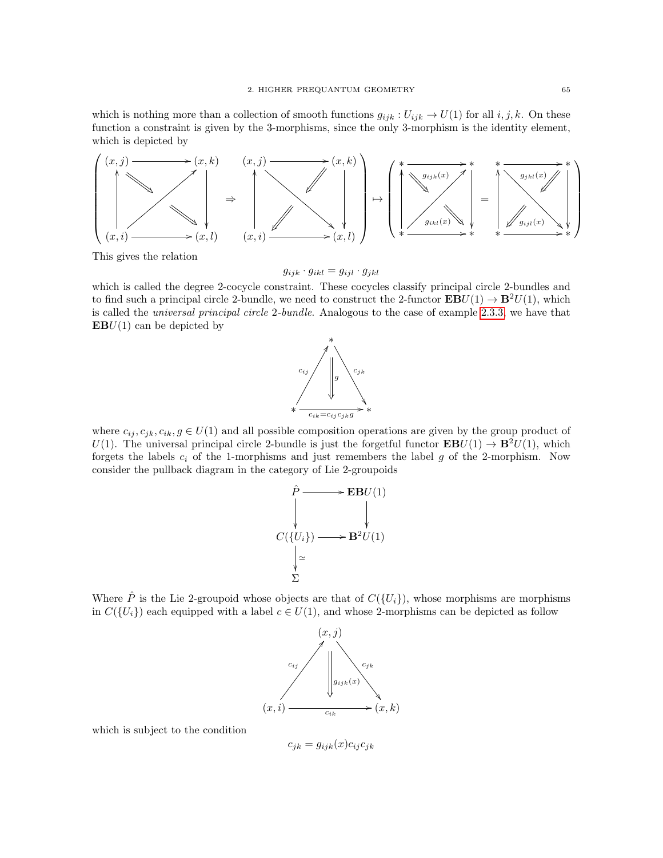which is nothing more than a collection of smooth functions  $g_{ijk}: U_{ijk} \to U(1)$  for all  $i, j, k$ . On these function a constraint is given by the 3-morphisms, since the only 3-morphism is the identity element, which is depicted by



This gives the relation

$$
g_{ijk} \cdot g_{ikl} = g_{ijl} \cdot g_{jkl}
$$

which is called the degree 2-cocycle constraint. These cocycles classify principal circle 2-bundles and to find such a principal circle 2-bundle, we need to construct the 2-functor  $\mathbf{EBU}(1) \rightarrow \mathbf{B}^2U(1)$ , which is called the universal principal circle 2-bundle. Analogous to the case of example [2.3.3,](#page-62-0) we have that  $EBU(1)$  can be depicted by



where  $c_{ij}, c_{jk}, c_{ik}, g \in U(1)$  and all possible composition operations are given by the group product of U(1). The universal principal circle 2-bundle is just the forgetful functor  $\mathbf{EB}U(1) \to \mathbf{B}^2 U(1)$ , which forgets the labels  $c_i$  of the 1-morphisms and just remembers the label g of the 2-morphism. Now consider the pullback diagram in the category of Lie 2-groupoids



Where  $\hat{P}$  is the Lie 2-groupoid whose objects are that of  $C({U_i})$ , whose morphisms are morphisms in  $C({U_i})$  each equipped with a label  $c \in U(1)$ , and whose 2-morphisms can be depicted as follow



which is subject to the condition

 $c_{jk} = g_{ijk}(x)c_{ij}c_{jk}$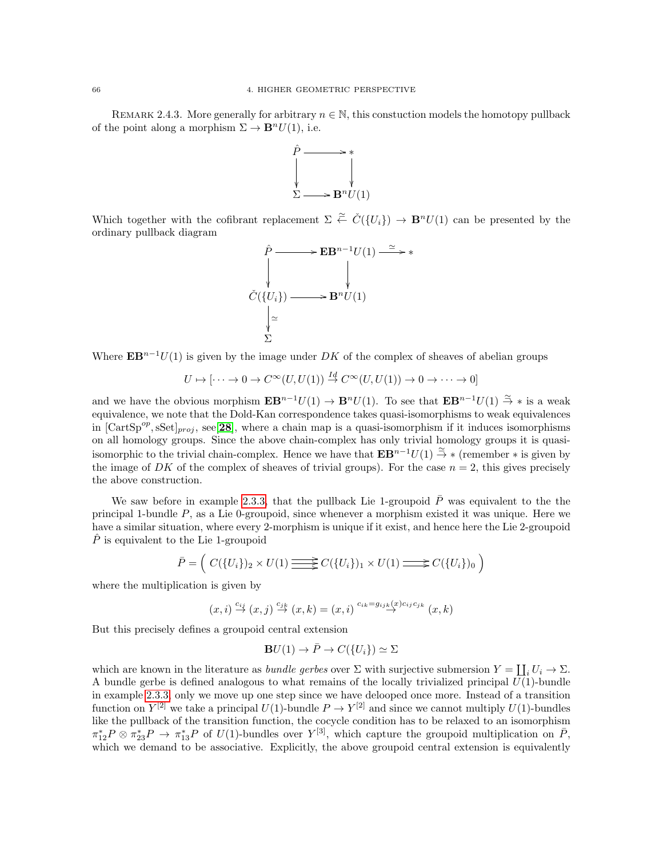REMARK 2.4.3. More generally for arbitrary  $n \in \mathbb{N}$ , this constuction models the homotopy pullback of the point along a morphism  $\Sigma \to \mathbf{B}^n U(1)$ , i.e.



Which together with the cofibrant replacement  $\Sigma \stackrel{\simeq}{\leftarrow} \check{C}(\{U_i\}) \to \mathbf{B}^n U(1)$  can be presented by the ordinary pullback diagram

$$
\hat{C} \longrightarrow \mathbf{EB}^{n-1} U(1) \longrightarrow \ast
$$
\n
$$
\check{C}(\{U_i\}) \longrightarrow \mathbf{B}^n U(1)
$$
\n
$$
\downarrow \sim
$$
\n
$$
\sum_{\sum_{i=1}^{n} \sum_{j=1}^{n} d_{ij}} \sum_{j=1}^{n} d_{ij} U(1)
$$

Where  $\mathbf{E} \mathbf{B}^{n-1}U(1)$  is given by the image under DK of the complex of sheaves of abelian groups

$$
U \mapsto [\cdots \to 0 \to C^{\infty}(U, U(1))] \stackrel{Id}{\to} C^{\infty}(U, U(1)) \to 0 \to \cdots \to 0]
$$

and we have the obvious morphism  $\mathbf{E} \mathbf{B}^{n-1}U(1) \to \mathbf{B}^n U(1)$ . To see that  $\mathbf{E} \mathbf{B}^{n-1}U(1) \stackrel{\sim}{\to} *$  is a weak equivalence, we note that the Dold-Kan correspondence takes quasi-isomorphisms to weak equivalences in  $[\text{CartSp}^{op}, \text{sSet}]_{proj}$ , see $[28]$  $[28]$  $[28]$ , where a chain map is a quasi-isomorphism if it induces isomorphisms on all homology groups. Since the above chain-complex has only trivial homology groups it is quasiisomorphic to the trivial chain-complex. Hence we have that  $\mathbf{EB}^{n-1}U(1) \stackrel{\sim}{\rightarrow} *$  (remember  $*$  is given by the image of DK of the complex of sheaves of trivial groups). For the case  $n = 2$ , this gives precisely the above construction.

We saw before in example [2.3.3,](#page-62-0) that the pullback Lie 1-groupoid  $\bar{P}$  was equivalent to the the principal 1-bundle  $P$ , as a Lie 0-groupoid, since whenever a morphism existed it was unique. Here we have a similar situation, where every 2-morphism is unique if it exist, and hence here the Lie 2-groupoid  $P$  is equivalent to the Lie 1-groupoid

$$
\bar{P} = \left( C(\{U_i\})_2 \times U(1) \longrightarrow C(\{U_i\})_1 \times U(1) \longrightarrow C(\{U_i\})_0 \right)
$$

where the multiplication is given by

$$
(x,i)\stackrel{c_{ij}}{\rightarrow}(x,j)\stackrel{c_{jk}}{\rightarrow}(x,k)=(x,i)\stackrel{c_{ik}=g_{ij_k}(x)c_{ij}c_{jk}}{\rightarrow}(x,k)
$$

But this precisely defines a groupoid central extension

$$
\mathbf{B}U(1) \to \bar{P} \to C({U_i}) \simeq \Sigma
$$

which are known in the literature as *bundle gerbes* over  $\Sigma$  with surjective submersion  $Y = \coprod_i U_i \to \Sigma$ . A bundle gerbe is defined analogous to what remains of the locally trivialized principal  $U(1)$ -bundle in example [2.3.3,](#page-62-0) only we move up one step since we have delooped once more. Instead of a transition function on  $Y^{[2]}$  we take a principal  $U(1)$ -bundle  $P \to Y^{[2]}$  and since we cannot multiply  $U(1)$ -bundles like the pullback of the transition function, the cocycle condition has to be relaxed to an isomorphism  $\pi_{12}^*P\otimes \pi_{23}^*P \to \pi_{13}^*P$  of  $U(1)$ -bundles over  $Y^{[3]}$ , which capture the groupoid multiplication on  $\overline{P}$ , which we demand to be associative. Explicitly, the above groupoid central extension is equivalently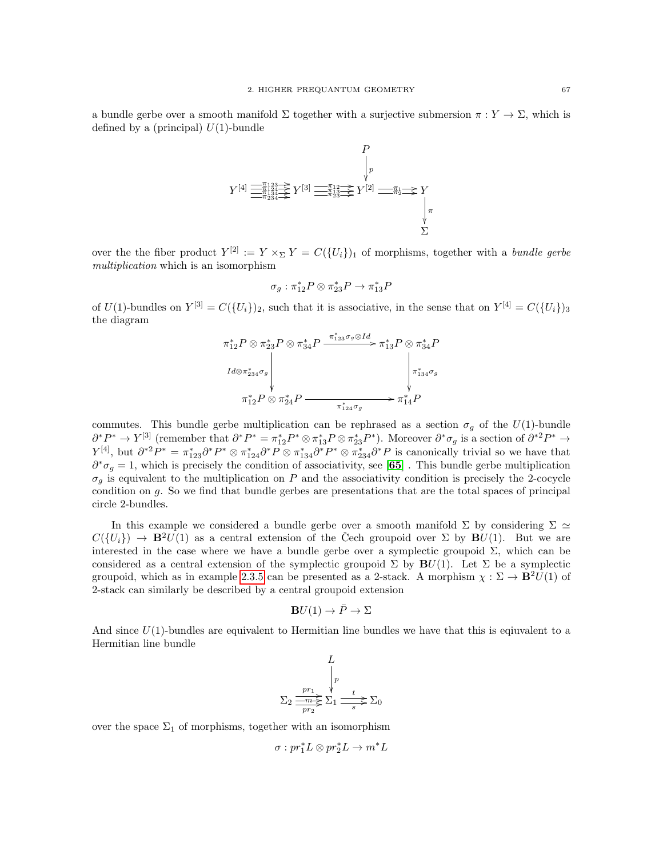a bundle gerbe over a smooth manifold  $\Sigma$  together with a surjective submersion  $\pi: Y \to \Sigma$ , which is defined by a (principal)  $U(1)$ -bundle



over the the fiber product  $Y^{[2]} := Y \times_{\Sigma} Y = C({U_i})_1$  of morphisms, together with a bundle gerbe multiplication which is an isomorphism

$$
\sigma_g: \pi_{12}^*P\otimes \pi_{23}^*P\to \pi_{13}^*P
$$

of  $U(1)$ -bundles on  $Y^{[3]} = C({U_i})_2$ , such that it is associative, in the sense that on  $Y^{[4]} = C({U_i})_3$ the diagram

π ∗ <sup>12</sup>P ⊗ π ∗ <sup>23</sup>P ⊗ π ∗ <sup>34</sup>P Id⊗π ∗ <sup>234</sup>σ<sup>g</sup> π ∗ <sup>123</sup>σg⊗Id /π ∗ <sup>13</sup>P ⊗ π ∗ <sup>34</sup>P π ∗ <sup>134</sup>σ<sup>g</sup> π ∗ <sup>12</sup>P ⊗ π ∗ <sup>24</sup>P π ∗ <sup>124</sup>σ<sup>g</sup> /π ∗ <sup>14</sup>P

commutes. This bundle gerbe multiplication can be rephrased as a section  $\sigma_g$  of the  $U(1)$ -bundle  $\partial^* P^* \to Y^{[3]}$  (remember that  $\partial^* P^* = \pi_{12}^* P^* \otimes \pi_{13}^* P \otimes \pi_{23}^* P^*$ ). Moreover  $\partial^* \sigma_g$  is a section of  $\partial^{*2} P^* \to \partial^* P^* P^* \to \partial^* P^* P^*$  $Y^{[4]}$ , but  $\partial^{*2}P^* = \pi_{123}^* \partial^* P^* \otimes \pi_{124}^* \partial^* P \otimes \pi_{134}^* \partial^* P^* \otimes \pi_{234}^* \partial^* P$  is canonically trivial so we have that  $\partial^* \sigma_g = 1$ , which is precisely the condition of associativity, see [[65](#page-117-12)]. This bundle gerbe multiplication  $\sigma_q$  is equivalent to the multiplication on P and the associativity condition is precisely the 2-cocycle condition on g. So we find that bundle gerbes are presentations that are the total spaces of principal circle 2-bundles.

In this example we considered a bundle gerbe over a smooth manifold  $\Sigma$  by considering  $\Sigma \simeq$  $C({U_i}) \rightarrow \mathbf{B}^2 U(1)$  as a central extension of the Čech groupoid over  $\Sigma$  by  $\mathbf{B}U(1)$ . But we are interested in the case where we have a bundle gerbe over a symplectic groupoid  $\Sigma$ , which can be considered as a central extension of the symplectic groupoid  $\Sigma$  by  $\mathbf{B}U(1)$ . Let  $\Sigma$  be a symplectic groupoid, which as in example [2.3.5](#page-65-0) can be presented as a 2-stack. A morphism  $\chi : \Sigma \to \mathbf{B}^2U(1)$  of 2-stack can similarly be described by a central groupoid extension

$$
\mathbf{B}U(1) \to \bar{P} \to \Sigma
$$

And since  $U(1)$ -bundles are equivalent to Hermitian line bundles we have that this is equivalent to a Hermitian line bundle

$$
\Sigma_2 \frac{p r_1}{\frac{p r_1}{p r_2} \sum_{1}^{r} \frac{t}{s} \sum_{0}^{r} \frac{1}{s}}
$$

over the space  $\Sigma_1$  of morphisms, together with an isomorphism

$$
\sigma: pr_1^* L \otimes pr_2^* L \to m^* L
$$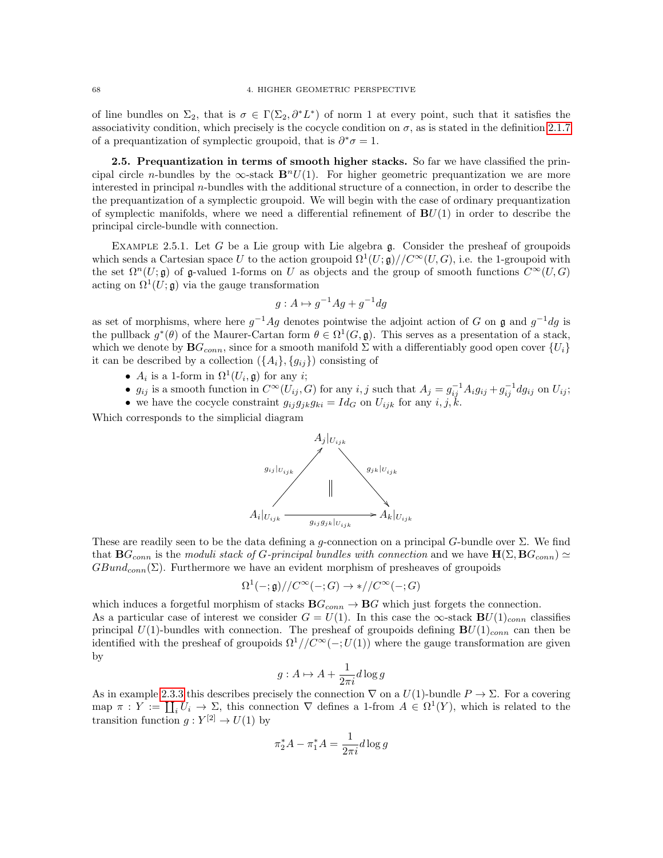of line bundles on  $\Sigma_2$ , that is  $\sigma \in \Gamma(\Sigma_2, \partial^* L^*)$  of norm 1 at every point, such that it satisfies the associativity condition, which precisely is the cocycle condition on  $\sigma$ , as is stated in the definition [2.1.7](#page-32-0) of a prequantization of symplectic groupoid, that is  $\partial^* \sigma = 1$ .

2.5. Prequantization in terms of smooth higher stacks. So far we have classified the principal circle n-bundles by the  $\infty$ -stack  $\mathbf{B}^nU(1)$ . For higher geometric prequantization we are more interested in principal n-bundles with the additional structure of a connection, in order to describe the the prequantization of a symplectic groupoid. We will begin with the case of ordinary prequantization of symplectic manifolds, where we need a differential refinement of  $B<sup>U</sup>(1)$  in order to describe the principal circle-bundle with connection.

EXAMPLE 2.5.1. Let G be a Lie group with Lie algebra  $\mathfrak{g}$ . Consider the presheaf of groupoids which sends a Cartesian space U to the action groupoid  $\Omega^1(U; \mathfrak{g})// C^{\infty}(U, G)$ , i.e. the 1-groupoid with the set  $\Omega^n(U; \mathfrak{g})$  of g-valued 1-forms on U as objects and the group of smooth functions  $C^\infty(U, G)$ acting on  $\Omega^1(U; \mathfrak{g})$  via the gauge transformation

$$
g: A \mapsto g^{-1}Ag + g^{-1}dg
$$

as set of morphisms, where here  $g^{-1}Ag$  denotes pointwise the adjoint action of G on g and  $g^{-1}dg$  is the pullback  $g^*(\theta)$  of the Maurer-Cartan form  $\theta \in \Omega^1(G, \mathfrak{g})$ . This serves as a presentation of a stack, which we denote by  $BG_{conn}$ , since for a smooth manifold  $\Sigma$  with a differentiably good open cover  $\{U_i\}$ it can be described by a collection  $(\{A_i\}, \{g_{ij}\})$  consisting of

- $A_i$  is a 1-form in  $\Omega^1(U_i, \mathfrak{g})$  for any *i*;
- $g_{ij}$  is a smooth function in  $C^{\infty}(U_{ij}, G)$  for any  $i, j$  such that  $A_j = g_{ij}^{-1} A_i g_{ij} + g_{ij}^{-1} dg_{ij}$  on  $U_{ij}$ ;
- we have the cocycle constraint  $g_{ij}g_{jk}g_{ki} = Id_G$  on  $U_{ijk}$  for any  $i, j, k$ .

Which corresponds to the simplicial diagram



These are readily seen to be the data defining a g-connection on a principal G-bundle over  $\Sigma$ . We find that  $BG_{conn}$  is the moduli stack of G-principal bundles with connection and we have  $H(\Sigma, BG_{conn}) \simeq$  $GBund_{conn}(\Sigma)$ . Furthermore we have an evident morphism of presheaves of groupoids

$$
\Omega^1(-;\mathfrak{g})//C^\infty(-;G)\to*//C^\infty(-;G)
$$

which induces a forgetful morphism of stacks  $\mathbf{B}G_{conn} \to \mathbf{B}G$  which just forgets the connection.

As a particular case of interest we consider  $G = U(1)$ . In this case the ∞-stack  $BU(1)_{conn}$  classifies principal  $U(1)$ -bundles with connection. The presheaf of groupoids defining  $BU(1)_{conn}$  can then be identified with the presheaf of groupoids  $\Omega^1//C^{\infty}(-;U(1))$  where the gauge transformation are given by

$$
g: A \mapsto A + \frac{1}{2\pi i} d\log g
$$

As in example [2.3.3](#page-62-0) this describes precisely the connection  $\nabla$  on a  $U(1)$ -bundle  $P \to \Sigma$ . For a covering map  $\pi: Y := \coprod_i U_i \to \Sigma$ , this connection  $\nabla$  defines a 1-from  $A \in \Omega^1(Y)$ , which is related to the transition function  $g: Y^{[2]} \to U(1)$  by

$$
\pi_2^*A-\pi_1^*A=\frac{1}{2\pi i}d\log g
$$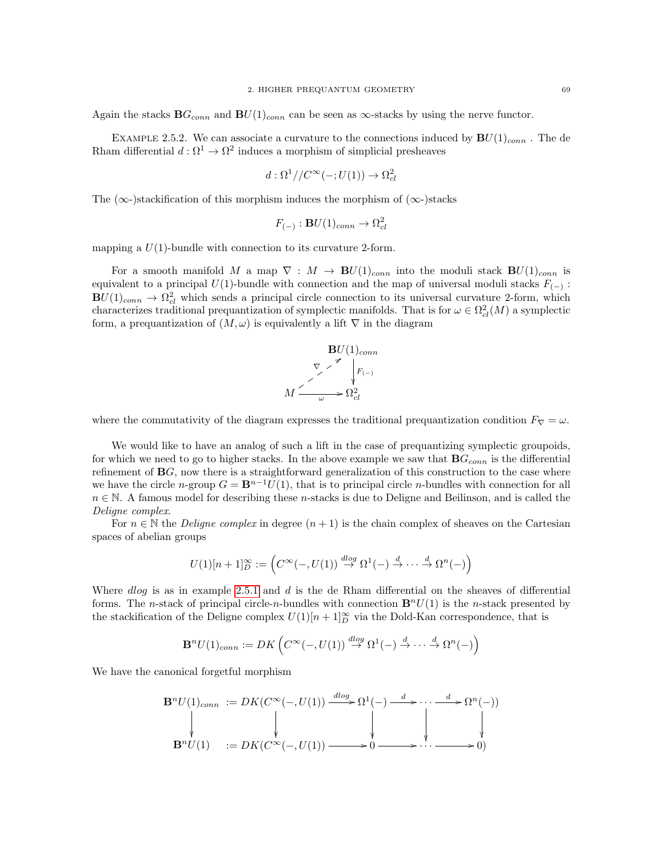Again the stacks  $\mathbf{B}G_{conn}$  and  $\mathbf{B}U(1)_{conn}$  can be seen as  $\infty$ -stacks by using the nerve functor.

<span id="page-72-0"></span>EXAMPLE 2.5.2. We can associate a curvature to the connections induced by  $BU(1)_{conn}$ . The de Rham differential  $d: \Omega^1 \to \Omega^2$  induces a morphism of simplicial presheaves

$$
d:\Omega^1//C^{\infty}(-;U(1))\to\Omega^2_{cl}
$$

The ( $\infty$ -)stackification of this morphism induces the morphism of ( $\infty$ -)stacks

$$
F_{(-)}: \mathbf{B}U(1)_{conn} \to \Omega^2_{cl}
$$

mapping a  $U(1)$ -bundle with connection to its curvature 2-form.

For a smooth manifold M a map  $\nabla : M \to \mathbf{B}U(1)_{conn}$  into the moduli stack  $\mathbf{B}U(1)_{conn}$  is equivalent to a principal  $U(1)$ -bundle with connection and the map of universal moduli stacks  $F_{(-)}$ :  $BU(1)_{conn} \rightarrow \Omega_{cl}^2$  which sends a principal circle connection to its universal curvature 2-form, which characterizes traditional prequantization of symplectic manifolds. That is for  $\omega \in \Omega^2_{cl}(M)$  a symplectic form, a prequantization of  $(M, \omega)$  is equivalently a lift  $\nabla$  in the diagram



where the commutativity of the diagram expresses the traditional prequantization condition  $F_{\nabla} = \omega$ .

We would like to have an analog of such a lift in the case of prequantizing symplectic groupoids, for which we need to go to higher stacks. In the above example we saw that  $\mathbf{B}G_{conn}$  is the differential refinement of  $\bf{B}$ G, now there is a straightforward generalization of this construction to the case where we have the circle n-group  $G = \mathbf{B}^{n-1}U(1)$ , that is to principal circle n-bundles with connection for all  $n \in \mathbb{N}$ . A famous model for describing these n-stacks is due to Deligne and Beilinson, and is called the Deligne complex.

For  $n \in \mathbb{N}$  the *Deligne complex* in degree  $(n+1)$  is the chain complex of sheaves on the Cartesian spaces of abelian groups

$$
U(1)[n+1]^{\infty}_{D} := \left(C^{\infty}(-,U(1)) \stackrel{dlog}{\to} \Omega^1(-) \stackrel{d}{\to} \cdots \stackrel{d}{\to} \Omega^n(-)\right)
$$

Where  $dlog$  is as in example [2.5.1](#page-71-0) and  $d$  is the de Rham differential on the sheaves of differential forms. The n-stack of principal circle-n-bundles with connection  $\mathbf{B}^n U(1)$  is the n-stack presented by the stackification of the Deligne complex  $U(1)[n+1]_D^{\infty}$  via the Dold-Kan correspondence, that is

$$
\mathbf{B}^n U(1)_{conn} := DK \left( C^\infty(-, U(1)) \stackrel{dlog}{\to} \Omega^1(-) \stackrel{d}{\to} \cdots \stackrel{d}{\to} \Omega^n(-) \right)
$$

We have the canonical forgetful morphism

$$
\mathbf{B}^n U(1)_{conn} := DK(C^{\infty}(-, U(1)) \xrightarrow{dlog} \Omega^1(-) \xrightarrow{d} \cdots \xrightarrow{d} \Omega^n(-))
$$
  
\n
$$
\downarrow \qquad \qquad \downarrow \qquad \qquad \downarrow \qquad \qquad \downarrow
$$
  
\n
$$
\mathbf{B}^n U(1) := DK(C^{\infty}(-, U(1)) \xrightarrow{d} \longrightarrow 0 \xrightarrow{d} \cdots \xrightarrow{d} \longrightarrow 0)
$$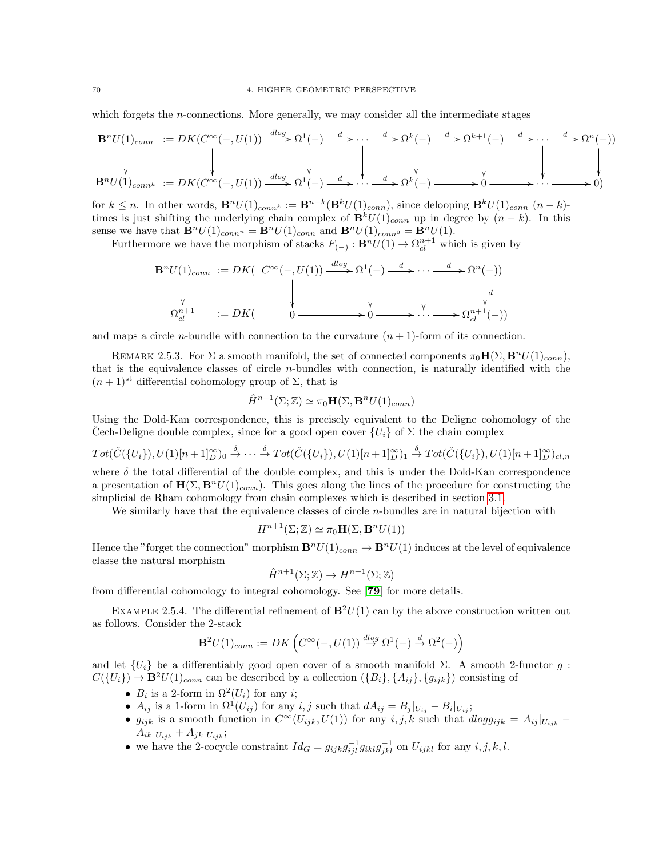which forgets the *n*-connections. More generally, we may consider all the intermediate stages

$$
\mathbf{B}^n U(1)_{conn} := DK(C^{\infty}(-, U(1)) \xrightarrow{dlog} \Omega^1(-) \xrightarrow{d} \cdots \xrightarrow{d} \Omega^k(-) \xrightarrow{d} \Omega^{k+1}(-) \xrightarrow{d} \cdots \xrightarrow{d} \Omega^n(-))
$$
\n
$$
\downarrow \qquad \qquad \downarrow \qquad \qquad \downarrow \qquad \qquad \downarrow \qquad \qquad \downarrow \qquad \qquad \downarrow \qquad \qquad \downarrow \qquad \qquad \downarrow \qquad \qquad \downarrow \qquad \qquad \downarrow \qquad \qquad \downarrow \qquad \qquad \downarrow \qquad \qquad \downarrow \qquad \qquad \downarrow \qquad \qquad \downarrow \qquad \qquad \downarrow \qquad \qquad \downarrow \qquad \qquad \downarrow \qquad \qquad \downarrow \qquad \qquad \downarrow \qquad \qquad \downarrow \qquad \qquad \downarrow \qquad \qquad \downarrow \qquad \qquad \downarrow \qquad \qquad \downarrow \qquad \qquad \downarrow \qquad \qquad \downarrow \qquad \qquad \downarrow \qquad \qquad \downarrow \qquad \qquad \downarrow \qquad \qquad \downarrow \qquad \qquad \downarrow \qquad \qquad \downarrow \qquad \qquad \downarrow \qquad \qquad \downarrow \qquad \qquad \downarrow \qquad \qquad \downarrow \qquad \qquad \downarrow \qquad \qquad \downarrow \qquad \qquad \downarrow \qquad \qquad \downarrow \qquad \qquad \downarrow \qquad \qquad \downarrow \qquad \qquad \downarrow \qquad \qquad \downarrow \qquad \qquad \downarrow \qquad \qquad \downarrow \qquad \qquad \downarrow \qquad \qquad \downarrow \qquad \qquad \downarrow \qquad \qquad \downarrow \qquad \qquad \downarrow \qquad \qquad \downarrow \qquad \qquad \downarrow \qquad \qquad \downarrow \qquad \qquad \downarrow \qquad \qquad \downarrow \qquad \qquad \downarrow \qquad \qquad \downarrow \qquad \qquad \downarrow \qquad \qquad \downarrow \qquad \qquad \downarrow \qquad \qquad \downarrow \qquad \qquad \downarrow \qquad \qquad \downarrow \qquad \qquad \downarrow \qquad \qquad \downarrow \qquad \qquad \downarrow \qquad \qquad \downarrow \qquad \qquad \downarrow \qquad \qquad \downarrow \qquad \qquad \downarrow \qquad \qquad \downarrow \q
$$

for  $k \leq n$ . In other words,  $\mathbf{B}^n U(1)_{conn} := \mathbf{B}^{n-k}(\mathbf{B}^k U(1)_{conn})$ , since delooping  $\mathbf{B}^k U(1)_{conn}$   $(n-k)$ times is just shifting the underlying chain complex of  $\mathbf{B}^k U(1)_{conn}$  up in degree by  $(n - k)$ . In this sense we have that  $\mathbf{B}^nU(1)_{conn} = \mathbf{B}^nU(1)_{conn}$  and  $\mathbf{B}^nU(1)_{conn} = \mathbf{B}^nU(1)$ .

Furthermore we have the morphism of stacks  $F_{(-)} : B<sup>n</sup>U(1) \to \Omega_{cl}^{n+1}$  which is given by

$$
\mathbf{B}^n U(1)_{conn} := DK\left( C^\infty(-, U(1)) \xrightarrow{d \log} \Omega^1(-) \xrightarrow{d} \cdots \xrightarrow{d} \Omega^n(-) \right)
$$
  
\n
$$
\downarrow \qquad \qquad \downarrow \qquad \qquad \downarrow
$$
  
\n
$$
\Omega^{n+1}_{cl} := DK\left( 0 \xrightarrow{0} \longrightarrow 0 \longrightarrow \cdots \longrightarrow \Omega^{n+1}_{cl}(-) \right)
$$

and maps a circle *n*-bundle with connection to the curvature  $(n + 1)$ -form of its connection.

REMARK 2.5.3. For  $\Sigma$  a smooth manifold, the set of connected components  $\pi_0\mathbf{H}(\Sigma, \mathbf{B}^nU(1)_{conn})$ , that is the equivalence classes of circle n-bundles with connection, is naturally identified with the  $(n+1)$ <sup>st</sup> differential cohomology group of  $\Sigma$ , that is

$$
\hat{H}^{n+1}(\Sigma; \mathbb{Z}) \simeq \pi_0 \mathbf{H}(\Sigma, \mathbf{B}^n U(1)_{conn})
$$

Using the Dold-Kan correspondence, this is precisely equivalent to the Deligne cohomology of the Cech-Deligne double complex, since for a good open cover  $\{U_i\}$  of  $\Sigma$  the chain complex

 $Tot(\check{C}(\{U_i\}), U(1)[n+1]_D^{\infty})_0 \stackrel{\delta}{\rightarrow} \cdots \stackrel{\delta}{\rightarrow} Tot(\check{C}(\{U_i\}), U(1)[n+1]_D^{\infty})_1 \stackrel{\delta}{\rightarrow} Tot(\check{C}(\{U_i\}), U(1)[n+1]_D^{\infty})_{cl,n}$ where  $\delta$  the total differential of the double complex, and this is under the Dold-Kan correspondence

a presentation of  $\mathbf{H}(\Sigma, \mathbf{B}^n U(1)_{conn})$ . This goes along the lines of the procedure for constructing the simplicial de Rham cohomology from chain complexes which is described in section [3.1.](#page-76-0)

We similarly have that the equivalence classes of circle  $n$ -bundles are in natural bijection with

$$
H^{n+1}(\Sigma; \mathbb{Z}) \simeq \pi_0 \mathbf{H}(\Sigma, \mathbf{B}^n U(1))
$$

Hence the "forget the connection" morphism  $\mathbf{B}^nU(1)_{conn} \to \mathbf{B}^nU(1)$  induces at the level of equivalence classe the natural morphism

$$
\hat{H}^{n+1}(\Sigma; \mathbb{Z}) \to H^{n+1}(\Sigma; \mathbb{Z})
$$

from differential cohomology to integral cohomology. See [[79](#page-118-0)] for more details.

EXAMPLE 2.5.4. The differential refinement of  $\mathbf{B}^2U(1)$  can by the above construction written out as follows. Consider the 2-stack

$$
\mathbf{B}^2 U(1)_{conn} := DK \left( C^\infty(-, U(1)) \stackrel{dlog}{\to} \Omega^1(-) \stackrel{d}{\to} \Omega^2(-) \right)
$$

and let  $\{U_i\}$  be a differentiably good open cover of a smooth manifold  $\Sigma$ . A smooth 2-functor g:  $C({U_i}) \to \mathbf{B}^2 U(1)_{conn}$  can be described by a collection  $({B_i}, {A_{ij}}, {g_{ijk}})$  consisting of

- $B_i$  is a 2-form in  $\Omega^2(U_i)$  for any *i*;
- $A_{ij}$  is a 1-form in  $\Omega^1(U_{ij})$  for any  $i, j$  such that  $dA_{ij} = B_j|_{U_{ij}} B_i|_{U_{ij}}$ ;
- $g_{ijk}$  is a smooth function in  $C^{\infty}(U_{ijk}, U(1))$  for any  $i, j, k$  such that  $dlogg_{ijk} = A_{ij}|_{U_{ijk}} A_{ik}|_{U_{ijk}} + A_{jk}|_{U_{ijk}};$
- we have the 2-cocycle constraint  $Id_G = g_{ijk}g_{ijl}^{-1}g_{ikl}g_{jkl}^{-1}$  on  $U_{ijkl}$  for any  $i, j, k, l$ .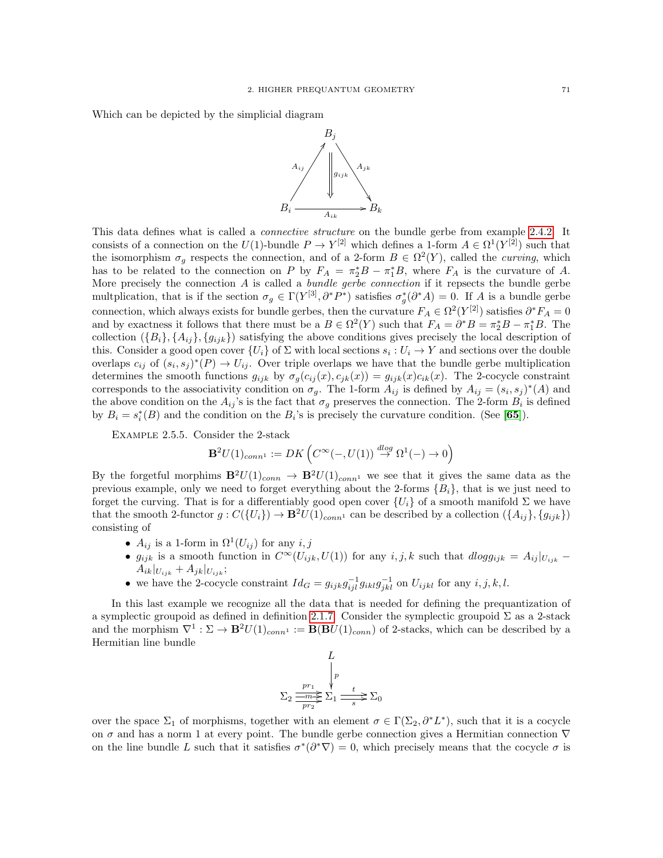Which can be depicted by the simplicial diagram



This data defines what is called a *connective structure* on the bundle gerbe from example [2.4.2.](#page-67-0) It consists of a connection on the  $U(1)$ -bundle  $P \to Y^{[2]}$  which defines a 1-form  $A \in \Omega^1(Y^{[2]})$  such that the isomorphism  $\sigma_g$  respects the connection, and of a 2-form  $B \in \Omega^2(Y)$ , called the *curving*, which has to be related to the connection on P by  $F_A = \pi_2^* B - \pi_1^* B$ , where  $F_A$  is the curvature of A. More precisely the connection  $A$  is called a *bundle gerbe connection* if it repsects the bundle gerbe multplication, that is if the section  $\sigma_g \in \Gamma(Y^{[3]}, \partial^*P^*)$  satisfies  $\sigma_g^*(\partial^*A) = 0$ . If A is a bundle gerbe connection, which always exists for bundle gerbes, then the curvature  $F_A \in \Omega^2(Y^{[2]})$  satisfies  $\partial^* F_A = 0$ and by exactness it follows that there must be a  $B \in \Omega^2(Y)$  such that  $F_A = \partial^* B = \pi_2^* B - \pi_1^* B$ . The collection  $({B_i}, {A_{ij}}, {g_{ijk}})$  satisfying the above conditions gives precisely the local description of this. Consider a good open cover  $\{U_i\}$  of  $\Sigma$  with local sections  $s_i: U_i \to Y$  and sections over the double overlaps  $c_{ij}$  of  $(s_i, s_j)^*(P) \to U_{ij}$ . Over triple overlaps we have that the bundle gerbe multiplication determines the smooth functions  $g_{ijk}$  by  $\sigma_g(c_{ij}(x), c_{jk}(x)) = g_{ijk}(x)c_{ik}(x)$ . The 2-cocycle constraint corresponds to the associativity condition on  $\sigma_g$ . The 1-form  $A_{ij}$  is defined by  $A_{ij} = (s_i, s_j)^*(A)$  and the above condition on the  $A_{ij}$ 's is the fact that  $\sigma_g$  preserves the connection. The 2-form  $B_i$  is defined by  $B_i = s_i^*(B)$  and the condition on the  $B_i$ 's is precisely the curvature condition. (See [[65](#page-117-0)]).

Example 2.5.5. Consider the 2-stack

$$
\mathbf{B}^2 U(1)_{conn^1} := DK \left( C^{\infty}(-, U(1)) \stackrel{dlog}{\to} \Omega^1(-) \to 0 \right)
$$

By the forgetful morphims  $\mathbf{B}^2U(1)_{conn} \to \mathbf{B}^2U(1)_{conn}$  we see that it gives the same data as the previous example, only we need to forget everything about the 2-forms  ${B<sub>i</sub>}$ , that is we just need to forget the curving. That is for a differentiably good open cover  $\{U_i\}$  of a smooth manifold  $\Sigma$  we have that the smooth 2-functor  $g: C({U_i}) \to \mathbf{B}^2U(1)_{conn}$  can be described by a collection  $({{A_{ij}}}, {g_{ijk}})$ consisting of

- $A_{ij}$  is a 1-form in  $\Omega^1(U_{ij})$  for any  $i, j$
- $g_{ijk}$  is a smooth function in  $C^{\infty}(U_{ijk}, U(1))$  for any  $i, j, k$  such that  $dlogg_{ijk} = A_{ij}|_{U_{ijk}} A_{ik}|_{U_{ijk}} + A_{jk}|_{U_{ijk}};$
- we have the 2-cocycle constraint  $Id_G = g_{ijk}g_{ijl}^{-1}g_{ikl}g_{jkl}^{-1}$  on  $U_{ijkl}$  for any  $i, j, k, l$ .

In this last example we recognize all the data that is needed for defining the prequantization of a symplectic groupoid as defined in definition [2.1.7.](#page-32-0) Consider the symplectic groupoid  $\Sigma$  as a 2-stack and the morphism  $\nabla^1 : \Sigma \to \mathbf{B}^2 U(1)_{conn} := \mathbf{B}(\mathbf{B}U(1)_{conn})$  of 2-stacks, which can be described by a Hermitian line bundle

$$
\Sigma_2 \frac{p r_1}{\frac{p r_1}{p r_2}} \sum_{1}^{p} \frac{t}{\frac{1}{s}} \Sigma_0
$$

over the space  $\Sigma_1$  of morphisms, together with an element  $\sigma \in \Gamma(\Sigma_2, \partial^* L^*)$ , such that it is a cocycle on  $\sigma$  and has a norm 1 at every point. The bundle gerbe connection gives a Hermitian connection  $\nabla$ on the line bundle L such that it satisfies  $\sigma^*(\partial^*\nabla) = 0$ , which precisely means that the cocycle  $\sigma$  is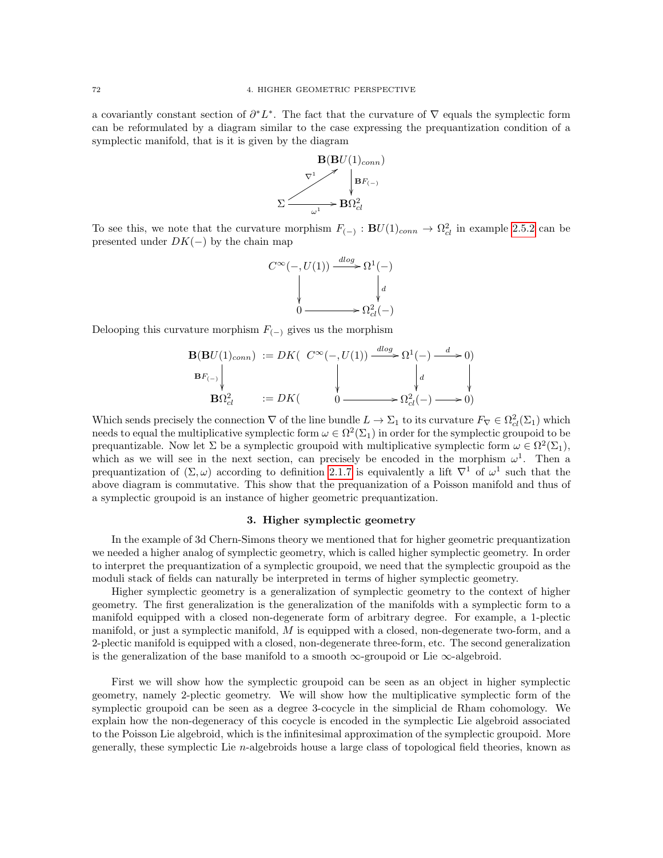a covariantly constant section of  $\partial^* L^*$ . The fact that the curvature of  $\nabla$  equals the symplectic form can be reformulated by a diagram similar to the case expressing the prequantization condition of a symplectic manifold, that is it is given by the diagram



To see this, we note that the curvature morphism  $F_{(-)} : BU(1)_{conn} \to \Omega_{cl}^2$  in example [2.5.2](#page-72-0) can be presented under  $DK(-)$  by the chain map

$$
C^{\infty}(-, U(1)) \xrightarrow{dlog} \Omega^{1}(-)
$$

$$
\downarrow d
$$

$$
0 \xrightarrow{\qquad \qquad } \Omega_{cl}^{2}(-)
$$

Delooping this curvature morphism  $F_{(-)}$  gives us the morphism

$$
\mathbf{B}(\mathbf{B}U(1)_{conn}) := DK\left(\begin{array}{c} C^{\infty}(-, U(1)) \xrightarrow{d \log} \Omega^1(-) \xrightarrow{d} 0 \\ \downarrow \downarrow d \\ \mathbf{B}\Omega^2_{cl} \end{array}\right) \qquad \downarrow d
$$
\n
$$
\mathbf{B}\Omega^2_{cl} \qquad := DK\left(\begin{array}{c} 0 \xrightarrow{d} \Omega^2(-) \xrightarrow{d} 0 \\ \downarrow d \\ 0 \xrightarrow{d} \Omega^2(-) \xrightarrow{d} 0 \end{array}\right)
$$

Which sends precisely the connection  $\nabla$  of the line bundle  $L \to \Sigma_1$  to its curvature  $F_{\nabla} \in \Omega_{cl}^2(\Sigma_1)$  which needs to equal the multiplicative symplectic form  $\omega \in \Omega^2(\Sigma_1)$  in order for the symplectic groupoid to be prequantizable. Now let  $\Sigma$  be a symplectic groupoid with multiplicative symplectic form  $\omega \in \Omega^2(\Sigma_1)$ , which as we will see in the next section, can precisely be encoded in the morphism  $\omega^1$ . Then a prequantization of  $(\Sigma, \omega)$  according to definition [2.1.7](#page-32-0) is equivalently a lift  $\nabla^1$  of  $\omega^1$  such that the above diagram is commutative. This show that the prequanization of a Poisson manifold and thus of a symplectic groupoid is an instance of higher geometric prequantization.

### 3. Higher symplectic geometry

In the example of 3d Chern-Simons theory we mentioned that for higher geometric prequantization we needed a higher analog of symplectic geometry, which is called higher symplectic geometry. In order to interpret the prequantization of a symplectic groupoid, we need that the symplectic groupoid as the moduli stack of fields can naturally be interpreted in terms of higher symplectic geometry.

Higher symplectic geometry is a generalization of symplectic geometry to the context of higher geometry. The first generalization is the generalization of the manifolds with a symplectic form to a manifold equipped with a closed non-degenerate form of arbitrary degree. For example, a 1-plectic manifold, or just a symplectic manifold,  $M$  is equipped with a closed, non-degenerate two-form, and a 2-plectic manifold is equipped with a closed, non-degenerate three-form, etc. The second generalization is the generalization of the base manifold to a smooth  $\infty$ -groupoid or Lie  $\infty$ -algebroid.

First we will show how the symplectic groupoid can be seen as an object in higher symplectic geometry, namely 2-plectic geometry. We will show how the multiplicative symplectic form of the symplectic groupoid can be seen as a degree 3-cocycle in the simplicial de Rham cohomology. We explain how the non-degeneracy of this cocycle is encoded in the symplectic Lie algebroid associated to the Poisson Lie algebroid, which is the infinitesimal approximation of the symplectic groupoid. More generally, these symplectic Lie n-algebroids house a large class of topological field theories, known as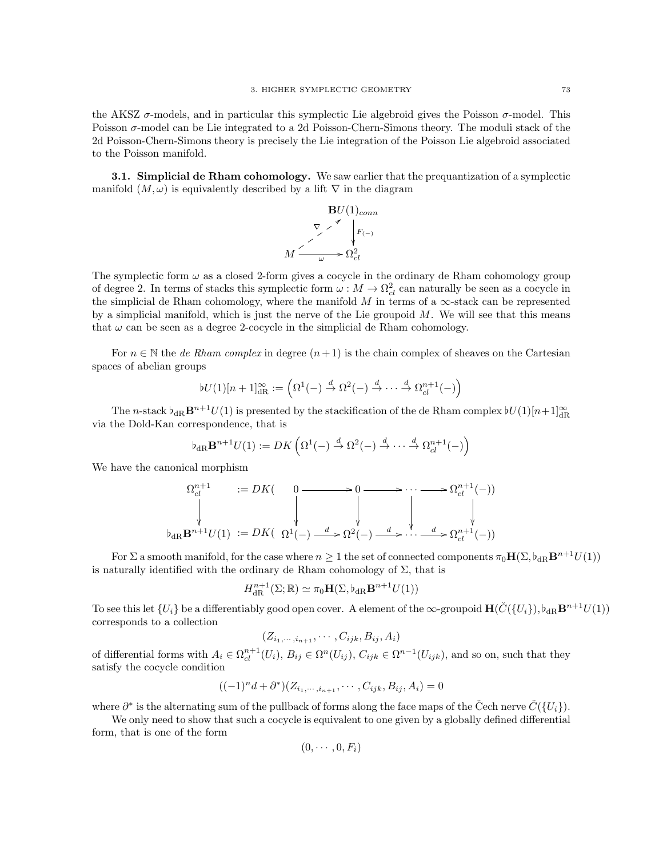the AKSZ  $\sigma$ -models, and in particular this symplectic Lie algebroid gives the Poisson  $\sigma$ -model. This Poisson  $\sigma$ -model can be Lie integrated to a 2d Poisson-Chern-Simons theory. The moduli stack of the 2d Poisson-Chern-Simons theory is precisely the Lie integration of the Poisson Lie algebroid associated to the Poisson manifold.

<span id="page-76-0"></span>3.1. Simplicial de Rham cohomology. We saw earlier that the prequantization of a symplectic manifold  $(M, \omega)$  is equivalently described by a lift  $\nabla$  in the diagram



The symplectic form  $\omega$  as a closed 2-form gives a cocycle in the ordinary de Rham cohomology group of degree 2. In terms of stacks this symplectic form  $\omega : M \to \Omega_{cl}^2$  can naturally be seen as a cocycle in the simplicial de Rham cohomology, where the manifold  $M$  in terms of a  $\infty$ -stack can be represented by a simplicial manifold, which is just the nerve of the Lie groupoid  $M$ . We will see that this means that  $\omega$  can be seen as a degree 2-cocycle in the simplicial de Rham cohomology.

For  $n \in \mathbb{N}$  the *de Rham complex* in degree  $(n+1)$  is the chain complex of sheaves on the Cartesian spaces of abelian groups

$$
bU(1)[n+1]^{\infty}_{\mathrm{dR}} := \left(\Omega^1(-) \stackrel{d}{\to} \Omega^2(-) \stackrel{d}{\to} \cdots \stackrel{d}{\to} \Omega^{n+1}_{\mathrm{cl}}(-)\right)
$$

The n-stack  $\flat_{\text{dR}} \mathbf{B}^{n+1} U(1)$  is presented by the stackification of the de Rham complex  $\flat U(1)[n+1]_{\text{dR}}^{\infty}$ via the Dold-Kan correspondence, that is

$$
\flat_{\mathrm{dR}}\mathbf{B}^{n+1}U(1):=DK\left(\Omega^1(-)\stackrel{d}{\to}\Omega^2(-)\stackrel{d}{\to}\cdots\stackrel{d}{\to}\Omega^{n+1}_{cl}(-)\right)
$$

We have the canonical morphism

$$
\Omega_{cl}^{n+1} := DK \quad \begin{array}{c} 0 \longrightarrow 0 \longrightarrow \cdots \longrightarrow \Omega_{cl}^{n+1}(-) \\ \downarrow \qquad \qquad \downarrow \qquad \qquad \downarrow \qquad \qquad \downarrow \qquad \qquad \downarrow \qquad \qquad \downarrow \qquad \qquad \downarrow \qquad \qquad \downarrow \qquad \qquad \downarrow \qquad \qquad \downarrow \qquad \qquad \downarrow \qquad \qquad \downarrow \qquad \qquad \downarrow \qquad \qquad \downarrow \qquad \qquad \downarrow \qquad \qquad \downarrow \qquad \qquad \downarrow \qquad \qquad \downarrow \qquad \qquad \downarrow \qquad \qquad \downarrow \qquad \qquad \downarrow \qquad \qquad \downarrow \qquad \qquad \downarrow \qquad \qquad \downarrow \qquad \qquad \downarrow \qquad \qquad \downarrow \qquad \qquad \downarrow \qquad \qquad \downarrow \qquad \qquad \downarrow \qquad \qquad \downarrow \qquad \qquad \downarrow \qquad \qquad \downarrow \qquad \qquad \downarrow \qquad \qquad \downarrow \qquad \qquad \downarrow \qquad \qquad \downarrow \qquad \qquad \downarrow \qquad \qquad \downarrow \qquad \qquad \downarrow \qquad \qquad \downarrow \qquad \qquad \downarrow \qquad \qquad \downarrow \qquad \qquad \downarrow \qquad \qquad \downarrow \qquad \qquad \downarrow \qquad \qquad \downarrow \qquad \qquad \downarrow \qquad \qquad \downarrow \qquad \qquad \downarrow \qquad \qquad \downarrow \qquad \qquad \downarrow \qquad \qquad \downarrow \qquad \qquad \downarrow \qquad \qquad \downarrow \qquad \qquad \downarrow \qquad \qquad \downarrow \qquad \qquad \downarrow \qquad \qquad \downarrow \qquad \qquad \downarrow \qquad \qquad \downarrow \qquad \qquad \downarrow \qquad \qquad \downarrow \qquad \qquad \downarrow \qquad \qquad \downarrow \qquad \qquad \downarrow \qquad \qquad \downarrow \qquad \qquad \downarrow \qquad \qquad \downarrow \qquad \qquad \downarrow \qquad \qquad \downarrow \qquad \qquad \downarrow \qquad \qquad \downarrow \qquad \qquad \downarrow \qquad \qquad \downarrow \qquad \qquad \downarrow \qquad \qquad \downarrow \qquad \qquad \downarrow \qquad \qquad \downarrow \qquad \qquad \downarrow \qquad \qquad \down
$$

For  $\Sigma$  a smooth manifold, for the case where  $n \geq 1$  the set of connected components  $\pi_0 \mathbf{H}(\Sigma, \mathfrak{b}_{\mathrm{dR}} \mathbf{B}^{n+1} U(1))$ is naturally identified with the ordinary de Rham cohomology of  $\Sigma$ , that is

$$
H^{n+1}_{\mathrm{dR}}(\Sigma;\mathbb{R}) \simeq \pi_0 \mathbf{H}(\Sigma, \flat_{\mathrm{dR}} \mathbf{B}^{n+1} U(1))
$$

To see this let  $\{U_i\}$  be a differentiably good open cover. A element of the  $\infty$ -groupoid  $\mathbf{H}(\check{C}(\{U_i\}), \flat_{\text{dR}} \mathbf{B}^{n+1}U(1))$ corresponds to a collection

$$
(Z_{i_1,\dots,i_{n+1}},\dots, C_{ijk}, B_{ij}, A_i)
$$

of differential forms with  $A_i \in \Omega_{cl}^{n+1}(U_i)$ ,  $B_{ij} \in \Omega^n(U_{ij})$ ,  $C_{ijk} \in \Omega^{n-1}(U_{ijk})$ , and so on, such that they satisfy the cocycle condition

$$
((-1)^{n}d + \partial^{*})(Z_{i_{1},\cdots,i_{n+1}},\cdots,C_{ijk},B_{ij},A_{i}) = 0
$$

where  $\partial^*$  is the alternating sum of the pullback of forms along the face maps of the Čech nerve  $\check{C}(\{U_i\})$ .

We only need to show that such a cocycle is equivalent to one given by a globally defined differential form, that is one of the form

$$
(0,\cdots,0,F_i)
$$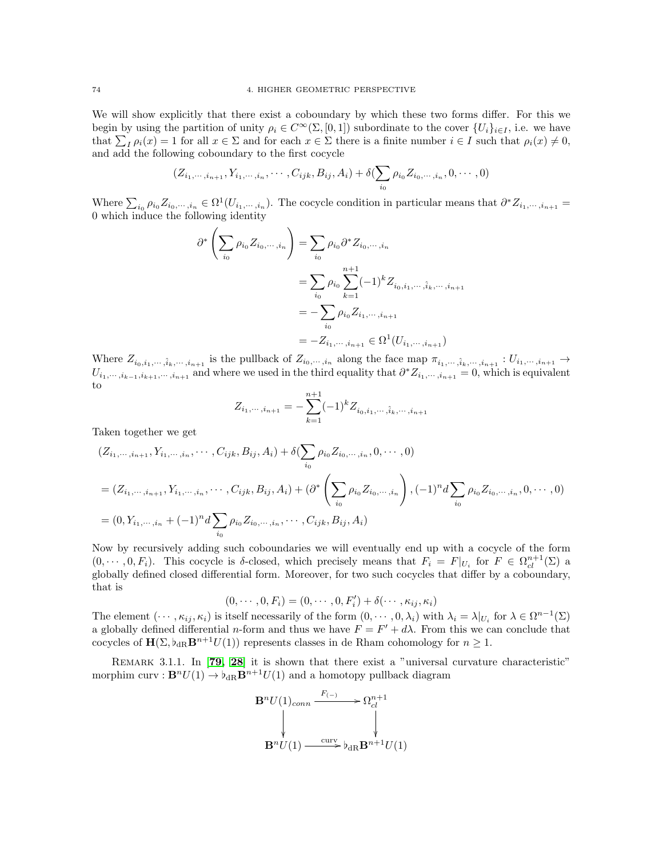We will show explicitly that there exist a coboundary by which these two forms differ. For this we begin by using the partition of unity  $\rho_i \in C^{\infty}(\Sigma, [0, 1])$  subordinate to the cover  $\{U_i\}_{i \in I}$ , i.e. we have that  $\sum_{I} \rho_i(x) = 1$  for all  $x \in \Sigma$  and for each  $x \in \Sigma$  there is a finite number  $i \in I$  such that  $\rho_i(x) \neq 0$ , and add the following coboundary to the first cocycle

$$
(Z_{i_1,\dots,i_{n+1}},Y_{i_1,\dots,i_n},\dots, C_{ijk}, B_{ij}, A_i) + \delta(\sum_{i_0} \rho_{i_0} Z_{i_0,\dots,i_n}, 0,\dots, 0)
$$

Where  $\sum_{i_0} \rho_{i_0} Z_{i_0,\dots,i_n} \in \Omega^1(U_{i_1,\dots,i_n})$ . The cocycle condition in particular means that  $\partial^* Z_{i_1,\dots,i_{n+1}} =$ 0 which induce the following identity

$$
\partial^* \left( \sum_{i_0} \rho_{i_0} Z_{i_0, \dots, i_n} \right) = \sum_{i_0} \rho_{i_0} \partial^* Z_{i_0, \dots, i_n}
$$
  
= 
$$
\sum_{i_0} \rho_{i_0} \sum_{k=1}^{n+1} (-1)^k Z_{i_0, i_1, \dots, \hat{i}_k, \dots, i_{n+1}}
$$
  
= 
$$
-\sum_{i_0} \rho_{i_0} Z_{i_1, \dots, i_{n+1}}
$$
  
= 
$$
-Z_{i_1, \dots, i_{n+1}} \in \Omega^1(U_{i_1, \dots, i_{n+1}})
$$

Where  $Z_{i_0,i_1,\dots,i_k,\dots,i_{n+1}}$  is the pullback of  $Z_{i_0,\dots,i_n}$  along the face map  $\pi_{i_1,\dots,i_k,\dots,i_{n+1}}: U_{i_1,\dots,i_{n+1}} \to$  $U_{i_1,\dots,i_{k-1},i_{k+1},\dots,i_{n+1}}$  and where we used in the third equality that  $\partial^* Z_{i_1,\dots,i_{n+1}} = 0$ , which is equivalent to

$$
Z_{i_1,\dots,i_{n+1}} = -\sum_{k=1}^{n+1} (-1)^k Z_{i_0,i_1,\dots,\hat{i}_k,\dots,i_{n+1}}
$$

Taken together we get

$$
(Z_{i_1,\dots,i_{n+1}}, Y_{i_1,\dots,i_n}, \dots, C_{ijk}, B_{ij}, A_i) + \delta(\sum_{i_0} \rho_{i_0} Z_{i_0,\dots,i_n}, 0, \dots, 0)
$$
  
=  $(Z_{i_1,\dots,i_{n+1}}, Y_{i_1,\dots,i_n}, \dots, C_{ijk}, B_{ij}, A_i) + (\partial^* \left( \sum_{i_0} \rho_{i_0} Z_{i_0,\dots,i_n} \right), (-1)^n d \sum_{i_0} \rho_{i_0} Z_{i_0,\dots,i_n}, 0, \dots, 0)$   
=  $(0, Y_{i_1,\dots,i_n} + (-1)^n d \sum_{i_0} \rho_{i_0} Z_{i_0,\dots,i_n}, \dots, C_{ijk}, B_{ij}, A_i)$ 

Now by recursively adding such coboundaries we will eventually end up with a cocycle of the form  $(0, \dots, 0, F_i)$ . This cocycle is δ-closed, which precisely means that  $F_i = F|_{U_i}$  for  $F \in \Omega_{cl}^{n+1}(\Sigma)$  a globally defined closed differential form. Moreover, for two such cocycles that differ by a coboundary, that is

$$
(0,\cdots,0,F_i)=(0,\cdots,0,F'_i)+\delta(\cdots,\kappa_{ij},\kappa_i)
$$

The element  $(\cdots, \kappa_{ij}, \kappa_i)$  is itself necessarily of the form  $(0, \cdots, 0, \lambda_i)$  with  $\lambda_i = \lambda|_{U_i}$  for  $\lambda \in \Omega^{n-1}(\Sigma)$ a globally defined differential *n*-form and thus we have  $F = F' + d\lambda$ . From this we can conclude that cocycles of  $\mathbf{H}(\Sigma, \mathbf{b}_{\text{dR}}\mathbf{B}^{n+1}U(1))$  represents classes in de Rham cohomology for  $n \geq 1$ .

REMARK 3.1.1. In [[79,](#page-118-0) [28](#page-117-1)] it is shown that there exist a "universal curvature characteristic" morphim curv :  $\mathbf{B}^n U(1) \to b_{\text{dR}} \mathbf{B}^{n+1} U(1)$  and a homotopy pullback diagram

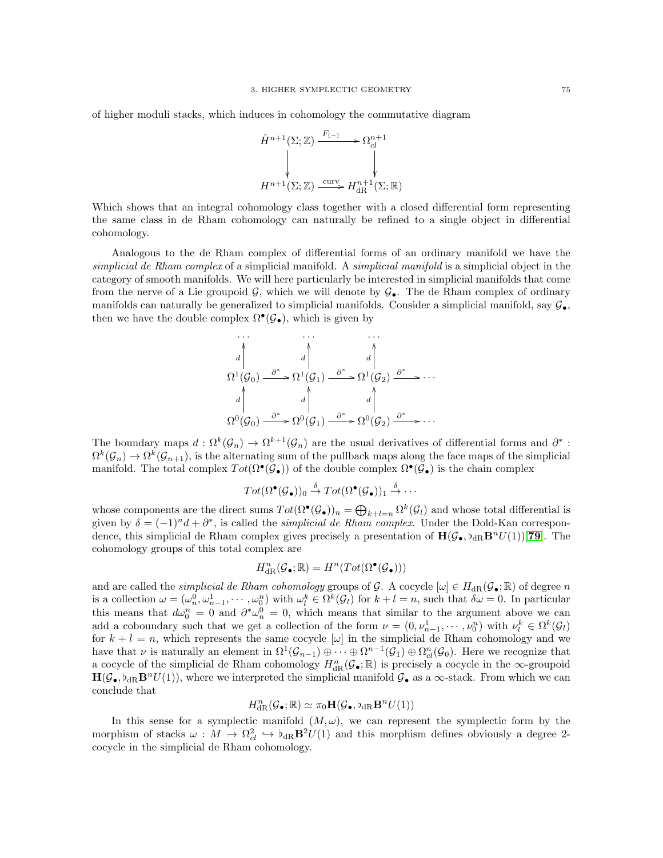of higher moduli stacks, which induces in cohomology the commutative diagram



Which shows that an integral cohomology class together with a closed differential form representing the same class in de Rham cohomology can naturally be refined to a single object in differential cohomology.

Analogous to the de Rham complex of differential forms of an ordinary manifold we have the simplicial de Rham complex of a simplicial manifold. A *simplicial manifold* is a simplicial object in the category of smooth manifolds. We will here particularly be interested in simplicial manifolds that come from the nerve of a Lie groupoid  $\mathcal{G}$ , which we will denote by  $\mathcal{G}_{\bullet}$ . The de Rham complex of ordinary manifolds can naturally be generalized to simplicial manifolds. Consider a simplicial manifold, say  $\mathcal{G}_{\bullet}$ , then we have the double complex  $\Omega^{\bullet}(\mathcal{G}_{\bullet}),$  which is given by

$$
\begin{array}{ccc}\n\cdots & \cdots & \cdots \\
a & d & d & d \\
\Omega^1(\mathcal{G}_0) & \xrightarrow{\partial^*} \Omega^1(\mathcal{G}_1) & \xrightarrow{\partial^*} \Omega^1(\mathcal{G}_2) & \xrightarrow{\partial^*} \cdots \\
a & d & d & d \\
\Omega^0(\mathcal{G}_0) & \xrightarrow{\partial^*} \Omega^0(\mathcal{G}_1) & \xrightarrow{\partial^*} \Omega^0(\mathcal{G}_2) & \xrightarrow{\partial^*} \cdots\n\end{array}
$$

The boundary maps  $d: \Omega^k(\mathcal{G}_n) \to \Omega^{k+1}(\mathcal{G}_n)$  are the usual derivatives of differential forms and  $\partial^*$ :  $\Omega^k(\mathcal{G}_n) \to \Omega^k(\mathcal{G}_{n+1}),$  is the alternating sum of the pullback maps along the face maps of the simplicial manifold. The total complex  $Tot(\Omega^{\bullet}(\mathcal{G}_{\bullet}))$  of the double complex  $\Omega^{\bullet}(\mathcal{G}_{\bullet})$  is the chain complex

$$
Tot(\Omega^\bullet(\mathcal{G}_\bullet))_0 \stackrel{\delta}{\rightarrow} Tot(\Omega^\bullet(\mathcal{G}_\bullet))_1 \stackrel{\delta}{\rightarrow} \cdots
$$

whose components are the direct sums  $Tot(\Omega^{\bullet}(\mathcal{G}_{\bullet}))_n = \bigoplus_{k+l=n} \Omega^k(\mathcal{G}_l)$  and whose total differential is given by  $\delta = (-1)^n d + \partial^*$ , is called the *simplicial de Rham complex*. Under the Dold-Kan correspondence, this simplicial de Rham complex gives precisely a presentation of  $H(\mathcal{G}_{\bullet}, \flat_{\text{dR}} \mathbf{B}^n U(1))$ [[79](#page-118-0)]. The cohomology groups of this total complex are

$$
H^n_{\rm dR}(\mathcal{G}_\bullet;\mathbb{R})=H^n(Tot(\Omega^\bullet(\mathcal{G}_\bullet)))
$$

and are called the *simplicial de Rham cohomology* groups of G. A cocycle  $[\omega] \in H_{dR}(\mathcal{G}_{\bullet}; \mathbb{R})$  of degree n is a collection  $\omega = (\omega_n^0, \omega_{n-1}^1, \dots, \omega_0^n)$  with  $\omega_l^k \in \Omega^k(\mathcal{G}_l)$  for  $k+l=n$ , such that  $\delta \omega = 0$ . In particular this means that  $d\omega_0^n = 0$  and  $\partial^*\omega_n^0 = 0$ , which means that similar to the argument above we can add a coboundary such that we get a collection of the form  $\nu = (0, \nu_{n-1}^1, \dots, \nu_0^n)$  with  $\nu_l^k \in \Omega^k(\mathcal{G}_l)$ for  $k + l = n$ , which represents the same cocycle  $[\omega]$  in the simplicial de Rham cohomology and we have that  $\nu$  is naturally an element in  $\Omega^1(\mathcal{G}_{n-1})\oplus \cdots \oplus \Omega^{n-1}(\mathcal{G}_1)\oplus \Omega^n_{cl}(\mathcal{G}_0)$ . Here we recognize that a cocycle of the simplicial de Rham cohomology  $H_{\text{dR}}^n(\mathcal{G}_\bullet;\mathbb{R})$  is precisely a cocycle in the  $\infty$ -groupoid  $H(\mathcal{G}_\bullet, \flat_{\text{dR}} \mathbf{B}^n U(1)),$  where we interpreted the simplicial manifold  $\mathcal{G}_\bullet$  as a  $\infty$ -stack. From which we can conclude that

$$
H^n_{\mathrm{dR}}(\mathcal{G}_\bullet;\mathbb{R})\simeq \pi_0\mathbf{H}(\mathcal{G}_\bullet,\flat_{\mathrm{dR}}\mathbf{B}^nU(1))
$$

In this sense for a symplectic manifold  $(M, \omega)$ , we can represent the symplectic form by the morphism of stacks  $\omega : M \to \Omega_{cl}^2 \hookrightarrow \phi_{dR} \mathbf{B}^2 U(1)$  and this morphism defines obviously a degree 2cocycle in the simplicial de Rham cohomology.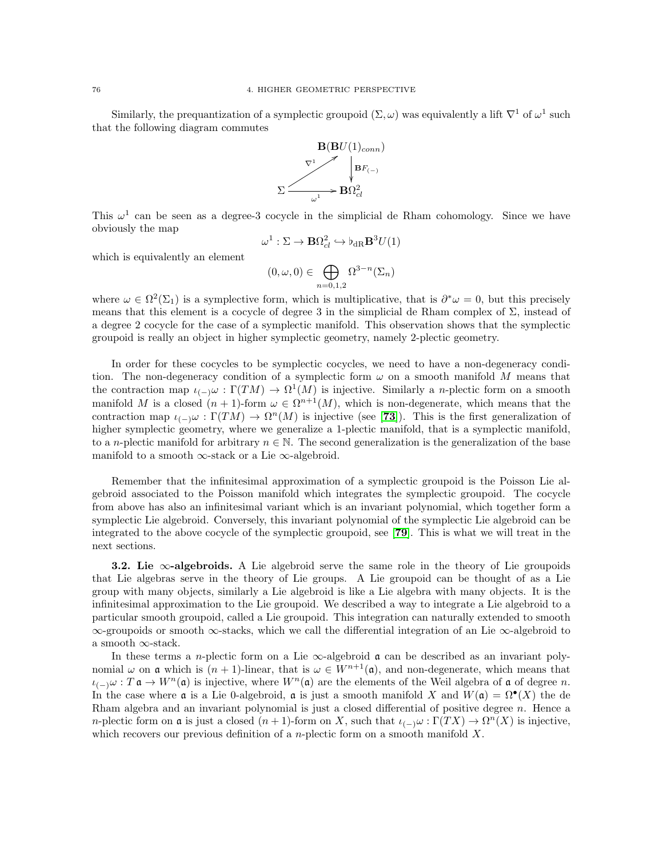Similarly, the prequantization of a symplectic groupoid  $(\Sigma, \omega)$  was equivalently a lift  $\nabla^1$  of  $\omega^1$  such that the following diagram commutes



This  $\omega^1$  can be seen as a degree-3 cocycle in the simplicial de Rham cohomology. Since we have obviously the map

$$
\omega^1 : \Sigma \to \mathbf{B}\Omega^2_{cl} \hookrightarrow \flat_{\mathrm{dR}}\mathbf{B}^3 U(1)
$$

which is equivalently an element

$$
(0,\omega,0)\in\bigoplus_{n=0,1,2}\Omega^{3-n}(\Sigma_n)
$$

where  $\omega \in \Omega^2(\Sigma_1)$  is a symplective form, which is multiplicative, that is  $\partial^*\omega = 0$ , but this precisely means that this element is a cocycle of degree 3 in the simplicial de Rham complex of  $\Sigma$ , instead of a degree 2 cocycle for the case of a symplectic manifold. This observation shows that the symplectic groupoid is really an object in higher symplectic geometry, namely 2-plectic geometry.

In order for these cocycles to be symplectic cocycles, we need to have a non-degeneracy condition. The non-degeneracy condition of a symplectic form  $\omega$  on a smooth manifold M means that the contraction map  $\iota_{(-)}\omega : \Gamma(TM) \to \Omega^1(M)$  is injective. Similarly a *n*-plectic form on a smooth manifold M is a closed  $(n + 1)$ -form  $\omega \in \Omega^{n+1}(M)$ , which is non-degenerate, which means that the contraction map  $\iota_{(-)}\omega : \Gamma(TM) \to \Omega^n(M)$  is injective (see [[73](#page-118-1)]). This is the first generalization of higher symplectic geometry, where we generalize a 1-plectic manifold, that is a symplectic manifold, to a *n*-plectic manifold for arbitrary  $n \in \mathbb{N}$ . The second generalization is the generalization of the base manifold to a smooth  $\infty$ -stack or a Lie  $\infty$ -algebroid.

Remember that the infinitesimal approximation of a symplectic groupoid is the Poisson Lie algebroid associated to the Poisson manifold which integrates the symplectic groupoid. The cocycle from above has also an infinitesimal variant which is an invariant polynomial, which together form a symplectic Lie algebroid. Conversely, this invariant polynomial of the symplectic Lie algebroid can be integrated to the above cocycle of the symplectic groupoid, see [[79](#page-118-0)]. This is what we will treat in the next sections.

**3.2.** Lie  $\infty$ -algebroids. A Lie algebroid serve the same role in the theory of Lie groupoids that Lie algebras serve in the theory of Lie groups. A Lie groupoid can be thought of as a Lie group with many objects, similarly a Lie algebroid is like a Lie algebra with many objects. It is the infinitesimal approximation to the Lie groupoid. We described a way to integrate a Lie algebroid to a particular smooth groupoid, called a Lie groupoid. This integration can naturally extended to smooth ∞-groupoids or smooth ∞-stacks, which we call the differential integration of an Lie ∞-algebroid to a smooth ∞-stack.

In these terms a n-plectic form on a Lie  $\infty$ -algebroid  $\mathfrak a$  can be described as an invariant polynomial  $\omega$  on **a** which is  $(n+1)$ -linear, that is  $\omega \in W^{n+1}(\mathfrak{a})$ , and non-degenerate, which means that  $\iota_{(-)}\omega : T \mathfrak{a} \to W^n(\mathfrak{a})$  is injective, where  $W^n(\mathfrak{a})$  are the elements of the Weil algebra of  $\mathfrak{a}$  of degree n. In the case where **a** is a Lie 0-algebroid, **a** is just a smooth manifold X and  $W(\mathfrak{a}) = \Omega^{\bullet}(X)$  the de Rham algebra and an invariant polynomial is just a closed differential of positive degree  $n$ . Hence a *n*-plectic form on **a** is just a closed  $(n + 1)$ -form on X, such that  $\iota_{(-)}\omega : \Gamma(TX) \to \Omega^n(X)$  is injective, which recovers our previous definition of a *n*-plectic form on a smooth manifold  $X$ .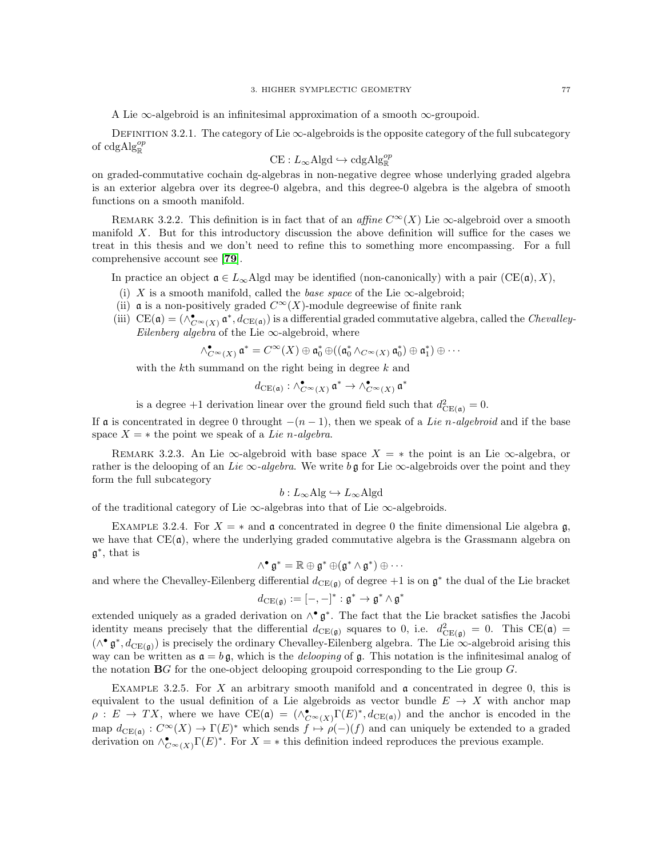A Lie  $\infty$ -algebroid is an infinitesimal approximation of a smooth  $\infty$ -groupoid.

DEFINITION 3.2.1. The category of Lie  $\infty$ -algebroids is the opposite category of the full subcategory of cdg $Alg_{\mathbb{R}}^{op}$ 

$$
CE: L_{\infty} \text{Algd} \hookrightarrow \text{cdgAlg}_{\mathbb{R}}^{op}
$$

on graded-commutative cochain dg-algebras in non-negative degree whose underlying graded algebra is an exterior algebra over its degree-0 algebra, and this degree-0 algebra is the algebra of smooth functions on a smooth manifold.

REMARK 3.2.2. This definition is in fact that of an affine  $C^{\infty}(X)$  Lie  $\infty$ -algebroid over a smooth manifold X. But for this introductory discussion the above definition will suffice for the cases we treat in this thesis and we don't need to refine this to something more encompassing. For a full comprehensive account see [[79](#page-118-0)].

In practice an object  $\mathfrak{a} \in L_{\infty}$  Algd may be identified (non-canonically) with a pair (CE( $\mathfrak{a}$ ), X),

- (i) X is a smooth manifold, called the *base space* of the Lie  $\infty$ -algebroid;
- (ii)  $\alpha$  is a non-positively graded  $C^{\infty}(X)$ -module degreewise of finite rank
- (iii)  $CE(\mathfrak{a}) = (\wedge_{C^{\infty}(X)}^{\bullet} \mathfrak{a}^*, d_{CE(\mathfrak{a})})$  is a differential graded commutative algebra, called the *Chevalley*-Eilenberg algebra of the Lie  $\infty$ -algebroid, where

$$
\wedge_{C^{\infty}(X)}^{\bullet} \mathfrak{a}^* = C^{\infty}(X) \oplus \mathfrak{a}_0^* \oplus ((\mathfrak{a}_0^* \wedge_{C^{\infty}(X)} \mathfrak{a}_0^*) \oplus \mathfrak{a}_1^*) \oplus \cdots
$$

with the k<sup>th</sup> summand on the right being in degree k and

$$
d_{\mathrm{CE}(\mathfrak{a})} : \wedge_{C^{\infty}(X)}^{\bullet} \mathfrak{a}^* \to \wedge_{C^{\infty}(X)}^{\bullet} \mathfrak{a}^*
$$

is a degree +1 derivation linear over the ground field such that  $d_{\text{CE}(\mathfrak{a})}^2 = 0$ .

If a is concentrated in degree 0 throught  $-(n-1)$ , then we speak of a Lie n-algebroid and if the base space  $X = *$  the point we speak of a Lie n-algebra.

REMARK 3.2.3. An Lie  $\infty$ -algebroid with base space  $X = *$  the point is an Lie  $\infty$ -algebra, or rather is the delooping of an Lie  $\infty$ -algebra. We write b g for Lie  $\infty$ -algebroids over the point and they form the full subcategory

$$
b: L_{\infty}Alg \hookrightarrow L_{\infty}Algd
$$

of the traditional category of Lie  $\infty$ -algebras into that of Lie  $\infty$ -algebroids.

EXAMPLE 3.2.4. For  $X = *$  and **a** concentrated in degree 0 the finite dimensional Lie algebra **g**, we have that  $CE(\mathfrak{a})$ , where the underlying graded commutative algebra is the Grassmann algebra on g ∗ , that is

$$
\wedge^\bullet \mathfrak{g}^* = \mathbb{R} \oplus \mathfrak{g}^* \oplus (\mathfrak{g}^* \wedge \mathfrak{g}^*) \oplus \cdots
$$

and where the Chevalley-Eilenberg differential  $d_{CE(\mathfrak{g})}$  of degree +1 is on  $\mathfrak{g}^*$  the dual of the Lie bracket

$$
d_{\mathrm{CE}(\mathfrak{g})} := [-,-]^* : \mathfrak{g}^* \to \mathfrak{g}^* \wedge \mathfrak{g}^*
$$

extended uniquely as a graded derivation on  $\wedge^{\bullet} \mathfrak{g}^*$ . The fact that the Lie bracket satisfies the Jacobi identity means precisely that the differential  $d_{CE(\mathfrak{g})}$  squares to 0, i.e.  $d_{CE(\mathfrak{g})}^2 = 0$ . This  $CE(\mathfrak{a}) =$  $(\wedge^{\bullet} \mathfrak{g}^*, d_{CE(\mathfrak{g})})$  is precisely the ordinary Chevalley-Eilenberg algebra. The Lie  $\infty$ -algebroid arising this way can be written as  $a = b g$ , which is the *delooping* of g. This notation is the infinitesimal analog of the notation  $\mathbf{B}G$  for the one-object delooping groupoid corresponding to the Lie group  $G$ .

EXAMPLE 3.2.5. For X an arbitrary smooth manifold and  $\mathfrak a$  concentrated in degree 0, this is equivalent to the usual definition of a Lie algebroids as vector bundle  $E \to X$  with anchor map  $\rho: E \to TX$ , where we have  $CE(\mathfrak{a}) = (\wedge_{C^{\infty}(X)}^{\bullet} \Gamma(E)^*, d_{CE(\mathfrak{a})})$  and the anchor is encoded in the map  $d_{CE(a)}: C^{\infty}(X) \to \Gamma(E)^*$  which sends  $f \mapsto \rho(-)(f)$  and can uniquely be extended to a graded derivation on  $\wedge_{C^{\infty}(X)}^{\bullet} \Gamma(E)^*$ . For  $X = *$  this definition indeed reproduces the previous example.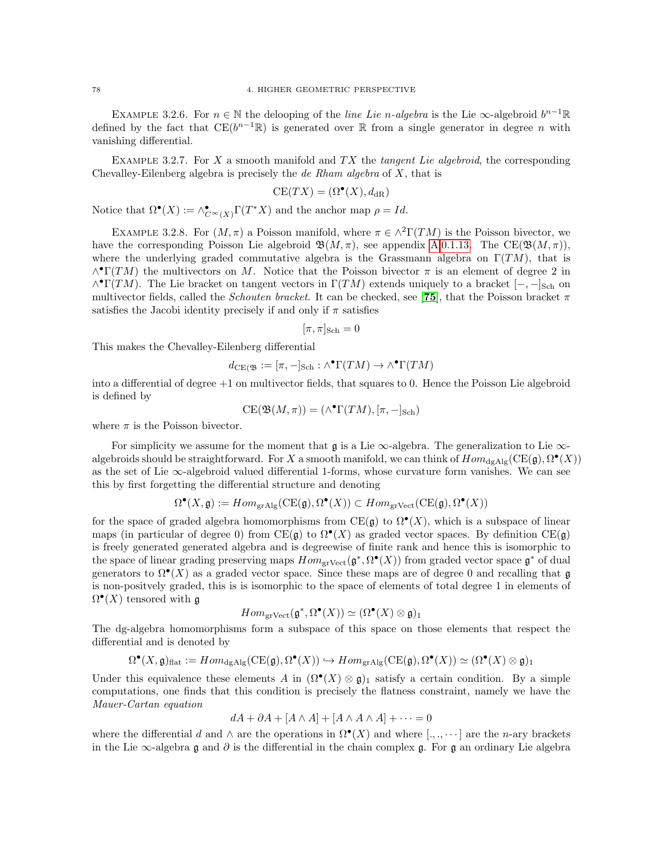EXAMPLE 3.2.6. For  $n \in \mathbb{N}$  the delooping of the *line Lie n-algebra* is the Lie  $\infty$ -algebroid  $b^{n-1}\mathbb{R}$ defined by the fact that  $CE(b^{n-1}\mathbb{R})$  is generated over R from a single generator in degree n with vanishing differential.

<span id="page-81-0"></span>EXAMPLE 3.2.7. For X a smooth manifold and  $TX$  the tangent Lie algebroid, the corresponding Chevalley-Eilenberg algebra is precisely the *de Rham algebra* of  $X$ , that is

$$
CE(TX) = (\Omega^{\bullet}(X), d_{\text{dR}})
$$

Notice that  $\Omega^{\bullet}(X) := \wedge_{C^{\infty}(X)}^{\bullet} \Gamma(T^*X)$  and the anchor map  $\rho = Id$ .

<span id="page-81-1"></span>EXAMPLE 3.2.8. For  $(M, \pi)$  a Poisson manifold, where  $\pi \in \wedge^2\Gamma(TM)$  is the Poisson bivector, we have the corresponding Poisson Lie algebroid  $\mathfrak{B}(M,\pi)$ , see appendix [A.](#page-108-0)[0.1.13.](#page-110-0) The CE( $\mathfrak{B}(M,\pi)$ ), where the underlying graded commutative algebra is the Grassmann algebra on  $\Gamma(TM)$ , that is  $\wedge^{\bullet}\Gamma(TM)$  the multivectors on M. Notice that the Poisson bivector  $\pi$  is an element of degree 2 in  $\wedge^{\bullet}\Gamma(TM)$ . The Lie bracket on tangent vectors in  $\Gamma(TM)$  extends uniquely to a bracket  $[-,-]_{\text{Sch}}$  on multivector fields, called the *Schouten bracket*. It can be checked, see [[75](#page-118-2)], that the Poisson bracket  $\pi$ satisfies the Jacobi identity precisely if and only if  $\pi$  satisfies

$$
[\pi,\pi]_{\mathrm{Sch}}=0
$$

This makes the Chevalley-Eilenberg differential

$$
d_{\mathrm{CE}(\mathfrak{B}}:=[\pi,-]_{\mathrm{Sch}}:\wedge^\bullet \Gamma(TM)\to \wedge^\bullet \Gamma(TM)
$$

into a differential of degree +1 on multivector fields, that squares to 0. Hence the Poisson Lie algebroid is defined by

$$
CE(\mathfrak{B}(M,\pi)) = (\wedge^{\bullet}\Gamma(TM), [\pi,-]_{\mathsf{Sch}})
$$

where  $\pi$  is the Poisson bivector.

For simplicity we assume for the moment that  $\mathfrak g$  is a Lie  $\infty$ -algebra. The generalization to Lie  $\infty$ algebroids should be straightforward. For X a smooth manifold, we can think of  $Hom_{dgAlg}(CE(\mathfrak{g}), \Omega^{\bullet}(X))$ as the set of Lie  $\infty$ -algebroid valued differential 1-forms, whose curvature form vanishes. We can see this by first forgetting the differential structure and denoting

$$
\Omega^{\bullet}(X, \mathfrak{g}) := Hom_{\text{grAlg}}(CE(\mathfrak{g}), \Omega^{\bullet}(X)) \subset Hom_{\text{grVect}}(CE(\mathfrak{g}), \Omega^{\bullet}(X))
$$

for the space of graded algebra homomorphisms from  $CE(\mathfrak{g})$  to  $\Omega^{\bullet}(X)$ , which is a subspace of linear maps (in particular of degree 0) from  $CE(\mathfrak{g})$  to  $\Omega^{\bullet}(X)$  as graded vector spaces. By definition  $CE(\mathfrak{g})$ is freely generated generated algebra and is degreewise of finite rank and hence this is isomorphic to the space of linear grading preserving maps  $Hom_{\text{grVect}}(\mathfrak{g}^*, \Omega^{\bullet}(X))$  from graded vector space  $\mathfrak{g}^*$  of dual generators to  $\Omega^{\bullet}(X)$  as a graded vector space. Since these maps are of degree 0 and recalling that g is non-positvely graded, this is is isomorphic to the space of elements of total degree 1 in elements of  $\Omega^{\bullet}(X)$  tensored with g

$$
Hom_{\mathrm{grVect}}(\mathfrak{g}^*, \Omega^\bullet(X)) \simeq (\Omega^\bullet(X) \otimes \mathfrak{g})_1
$$

The dg-algebra homomorphisms form a subspace of this space on those elements that respect the differential and is denoted by

$$
\Omega^{\bullet}(X, \mathfrak{g})_{\text{flat}} := Hom_{\text{dgAlg}}(CE(\mathfrak{g}), \Omega^{\bullet}(X)) \hookrightarrow Hom_{\text{grAlg}}(CE(\mathfrak{g}), \Omega^{\bullet}(X)) \simeq (\Omega^{\bullet}(X) \otimes \mathfrak{g})_1
$$

Under this equivalence these elements A in  $(\Omega^{\bullet}(X) \otimes \mathfrak{g})_1$  satisfy a certain condition. By a simple computations, one finds that this condition is precisely the flatness constraint, namely we have the Mauer-Cartan equation

$$
dA + \partial A + [A \wedge A] + [A \wedge A \wedge A] + \dots = 0
$$

where the differential d and  $\wedge$  are the operations in  $\Omega^{\bullet}(X)$  and where  $[.,.,\cdots]$  are the n-ary brackets in the Lie  $\infty$ -algebra g and  $\partial$  is the differential in the chain complex g. For g an ordinary Lie algebra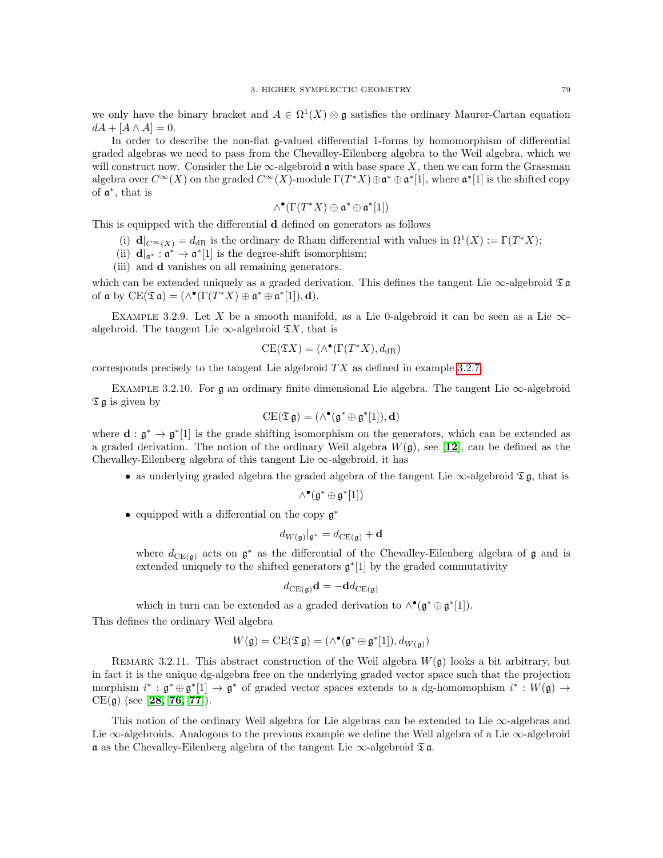we only have the binary bracket and  $A \in \Omega^1(X) \otimes \mathfrak{g}$  satisfies the ordinary Maurer-Cartan equation  $dA + [A \wedge A] = 0.$ 

In order to describe the non-flat g-valued differential 1-forms by homomorphism of differential graded algebras we need to pass from the Chevalley-Eilenberg algebra to the Weil algebra, which we will construct now. Consider the Lie  $\infty$ -algebroid  $\mathfrak a$  with base space X, then we can form the Grassman algebra over  $C^{\infty}(X)$  on the graded  $C^{\infty}(X)$ -module  $\Gamma(T^*X) \oplus \mathfrak{a}^* \oplus \mathfrak{a}^*[1]$ , where  $\mathfrak{a}^*[1]$  is the shifted copy of a ∗ , that is

$$
\wedge^\bullet(\Gamma(T^*X)\oplus\mathfrak{a}^*\oplus\mathfrak{a}^*[1])
$$

This is equipped with the differential d defined on generators as follows

- (i)  $\mathbf{d}|_{C^{\infty}(X)} = d_{\text{dR}}$  is the ordinary de Rham differential with values in  $\Omega^1(X) := \Gamma(T^*X);$
- (ii)  $\mathbf{d}|_{\mathfrak{a}^*}: \mathfrak{a}^* \to \mathfrak{a}^*[1]$  is the degree-shift isomorphism;
- (iii) and d vanishes on all remaining generators.

which can be extended uniquely as a graded derivation. This defines the tangent Lie  $\infty$ -algebroid  $\mathfrak T$  a of  $\mathfrak a$  by  $CE(\mathfrak{To} \mathfrak a) = (\wedge^{\bullet}(\Gamma(T^*X) \oplus \mathfrak a^* \oplus \mathfrak a^*[1]), \mathbf d).$ 

EXAMPLE 3.2.9. Let X be a smooth manifold, as a Lie 0-algebroid it can be seen as a Lie  $\infty$ algebroid. The tangent Lie  $\infty$ -algebroid  $\mathfrak{T}X$ , that is

$$
CE(\mathfrak{T}X) = (\wedge^{\bullet}(\Gamma(T^*X), d_{\mathrm{dR}})
$$

corresponds precisely to the tangent Lie algebroid  $TX$  as defined in example [3.2.7.](#page-81-0)

<span id="page-82-0"></span>EXAMPLE 3.2.10. For  $\mathfrak g$  an ordinary finite dimensional Lie algebra. The tangent Lie  $\infty$ -algebroid  $\mathfrak{I} \mathfrak{g}$  is given by

$$
\mathrm{CE}(\mathfrak{T}\mathfrak{g})=(\wedge^\bullet(\mathfrak{g}^*\oplus\mathfrak{g}^*[1]),\mathbf{d})
$$

where  $\mathbf{d} : \mathfrak{g}^* \to \mathfrak{g}^*[1]$  is the grade shifting isomorphism on the generators, which can be extended as a graded derivation. The notion of the ordinary Weil algebra  $W(\mathfrak{g})$ , see [[12](#page-116-0)], can be defined as the Chevalley-Eilenberg algebra of this tangent Lie  $\infty$ -algebroid, it has

• as underlying graded algebra the graded algebra of the tangent Lie  $\infty$ -algebroid  $\mathfrak{I}$  g, that is

$$
\wedge^{\bullet}(\mathfrak{g}^*\oplus\mathfrak{g}^*[1])
$$

• equipped with a differential on the copy g ∗

$$
d_{W(\mathfrak{g})}|_{\mathfrak{g}^*} = d_{\text{CE}(\mathfrak{g})} + \mathbf{d}
$$

where  $d_{CE(\mathfrak{g})}$  acts on  $\mathfrak{g}^*$  as the differential of the Chevalley-Eilenberg algebra of  $\mathfrak{g}$  and is extended uniquely to the shifted generators  $\mathfrak{g}^*[1]$  by the graded commutativity

$$
d_{\mathrm{CE}(\mathfrak{g})}\mathbf{d} = -\mathbf{d}d_{\mathrm{CE}(\mathfrak{g})}
$$

which in turn can be extended as a graded derivation to  $\wedge^{\bullet}(\mathfrak{g}^*\oplus \mathfrak{g}^*[1])$ . This defines the ordinary Weil algebra

$$
W(\mathfrak{g}) = \mathrm{CE}(\mathfrak{T}\mathfrak{g}) = (\wedge^{\bullet}(\mathfrak{g}^* \oplus \mathfrak{g}^*[1]), d_{W(\mathfrak{g})})
$$

REMARK 3.2.11. This abstract construction of the Weil algebra  $W(\mathfrak{g})$  looks a bit arbitrary, but in fact it is the unique dg-algebra free on the underlying graded vector space such that the projection morphism  $i^* : \mathfrak{g}^* \oplus \mathfrak{g}^*[1] \to \mathfrak{g}^*$  of graded vector spaces extends to a dg-homomophism  $i^* : W(\mathfrak{g}) \to$  $CE(g)$  (see [[28,](#page-117-1) [76,](#page-118-3) [77](#page-118-4)]).

This notion of the ordinary Weil algebra for Lie algebras can be extended to Lie  $\infty$ -algebras and Lie ∞-algebroids. Analogous to the previous example we define the Weil algebra of a Lie ∞-algebroid  $\alpha$  as the Chevalley-Eilenberg algebra of the tangent Lie  $\infty$ -algebroid  $\mathfrak{I} \mathfrak{a}$ .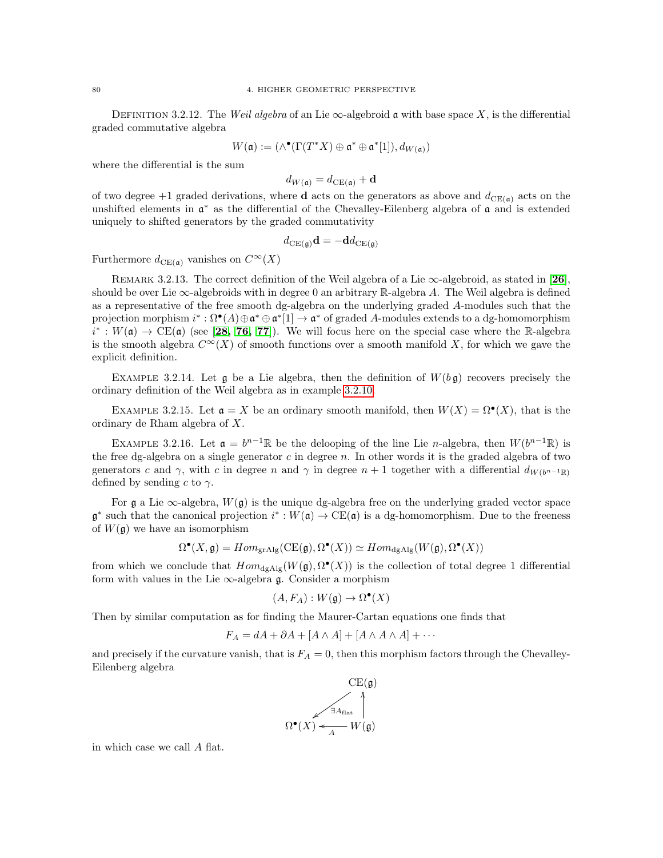DEFINITION 3.2.12. The Weil algebra of an Lie  $\infty$ -algebroid a with base space X, is the differential graded commutative algebra

$$
W(\mathfrak{a}) := (\wedge^\bullet(\Gamma(T^*X) \oplus \mathfrak{a}^* \oplus \mathfrak{a}^*[1]), d_{W(\mathfrak{a})})
$$

where the differential is the sum

$$
d_{W(\mathfrak{a})} = d_{\mathrm{CE}(\mathfrak{a})} + \mathbf{d}
$$

of two degree +1 graded derivations, where **d** acts on the generators as above and  $d_{CE(a)}$  acts on the unshifted elements in  $\mathfrak{a}^*$  as the differential of the Chevalley-Eilenberg algebra of  $\mathfrak{a}$  and is extended uniquely to shifted generators by the graded commutativity

$$
d_{\mathrm{CE}(\mathfrak{g})}\mathbf{d} = -\mathbf{d}d_{\mathrm{CE}(\mathfrak{g})}
$$

Furthermore  $d_{\mathrm{CE}(\mathfrak{a})}$  vanishes on  $C^{\infty}(X)$ 

REMARK 3.2.13. The correct definition of the Weil algebra of a Lie  $\infty$ -algebroid, as stated in [[26](#page-116-1)], should be over Lie  $\infty$ -algebroids with in degree 0 an arbitrary R-algebra A. The Weil algebra is defined as a representative of the free smooth dg-algebra on the underlying graded A-modules such that the projection morphism  $i^*: \Omega^{\bullet}(A) \oplus \mathfrak{a}^* \oplus \mathfrak{a}^*[1] \to \mathfrak{a}^*$  of graded A-modules extends to a dg-homomorphism  $\tilde{i}^*: W(\mathfrak{a}) \to \text{CE}(\mathfrak{a})$  (see [[28,](#page-117-1) [76,](#page-118-3) [77](#page-118-4)]). We will focus here on the special case where the R-algebra is the smooth algebra  $C^{\infty}(X)$  of smooth functions over a smooth manifold X, for which we gave the explicit definition.

EXAMPLE 3.2.14. Let  $\mathfrak g$  be a Lie algebra, then the definition of  $W(b\mathfrak g)$  recovers precisely the ordinary definition of the Weil algebra as in example [3.2.10.](#page-82-0)

EXAMPLE 3.2.15. Let  $\mathfrak{a} = X$  be an ordinary smooth manifold, then  $W(X) = \Omega^{\bullet}(X)$ , that is the ordinary de Rham algebra of X.

EXAMPLE 3.2.16. Let  $\mathfrak{a} = b^{n-1} \mathbb{R}$  be the delooping of the line Lie n-algebra, then  $W(b^{n-1} \mathbb{R})$  is the free dg-algebra on a single generator  $c$  in degree  $n$ . In other words it is the graded algebra of two generators c and  $\gamma$ , with c in degree n and  $\gamma$  in degree  $n + 1$  together with a differential  $d_{W(b^{n-1},\mathbb{R})}$ defined by sending c to  $\gamma$ .

For  $\frak{g}$  a Lie  $\infty$ -algebra,  $W(\frak{g})$  is the unique dg-algebra free on the underlying graded vector space  $\mathfrak{g}^*$  such that the canonical projection  $i^*: W(\mathfrak{a}) \to \mathrm{CE}(\mathfrak{a})$  is a dg-homomorphism. Due to the freeness of  $W(\mathfrak{g})$  we have an isomorphism

$$
\Omega^{\bullet}(X, \mathfrak{g}) = Hom_{\text{grAlg}}(\text{CE}(\mathfrak{g}), \Omega^{\bullet}(X)) \simeq Hom_{\text{dgAlg}}(W(\mathfrak{g}), \Omega^{\bullet}(X))
$$

from which we conclude that  $Hom_{dgAlg}(W(\mathfrak{g}), \Omega^{\bullet}(X))$  is the collection of total degree 1 differential form with values in the Lie  $\infty$ -algebra g. Consider a morphism

$$
(A, F_A): W(\mathfrak{g}) \to \Omega^\bullet(X)
$$

Then by similar computation as for finding the Maurer-Cartan equations one finds that

$$
F_A = dA + \partial A + [A \wedge A] + [A \wedge A \wedge A] + \cdots
$$

and precisely if the curvature vanish, that is  $F_A = 0$ , then this morphism factors through the Chevalley-Eilenberg algebra



in which case we call A flat.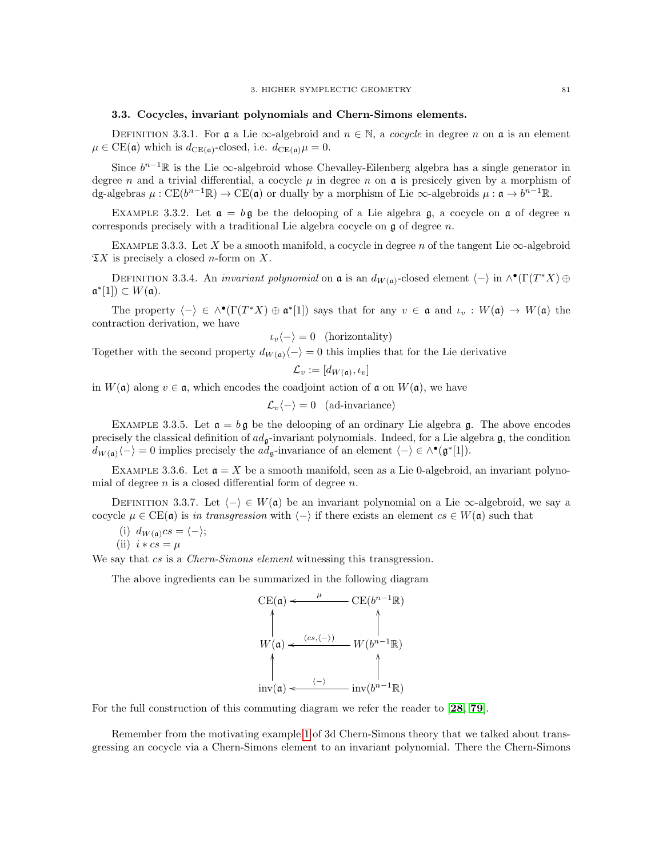### 3.3. Cocycles, invariant polynomials and Chern-Simons elements.

DEFINITION 3.3.1. For a a Lie  $\infty$ -algebroid and  $n \in \mathbb{N}$ , a cocycle in degree n on a is an element  $\mu \in \text{CE}(\mathfrak{a})$  which is  $d_{\text{CE}(\mathfrak{a})}$ -closed, i.e.  $d_{\text{CE}(\mathfrak{a})}\mu = 0$ .

Since  $b^{n-1}\mathbb{R}$  is the Lie  $\infty$ -algebroid whose Chevalley-Eilenberg algebra has a single generator in degree n and a trivial differential, a cocycle  $\mu$  in degree n on  $\mathfrak a$  is presicely given by a morphism of dg-algebras  $\mu: CE(b^{n-1}\mathbb{R}) \to CE(\mathfrak{a})$  or dually by a morphism of Lie  $\infty$ -algebroids  $\mu: \mathfrak{a} \to b^{n-1}\mathbb{R}$ .

EXAMPLE 3.3.2. Let  $\mathfrak{a} = b\mathfrak{g}$  be the delooping of a Lie algebra g, a cocycle on  $\mathfrak{a}$  of degree n corresponds precisely with a traditional Lie algebra cocycle on  $\mathfrak g$  of degree n.

EXAMPLE 3.3.3. Let X be a smooth manifold, a cocycle in degree n of the tangent Lie  $\infty$ -algebroid  $\mathfrak{T}X$  is precisely a closed *n*-form on X.

DEFINITION 3.3.4. An *invariant polynomial* on  $\mathfrak a$  is an  $d_{W(\mathfrak a)}$ -closed element  $\langle - \rangle$  in  $\wedge^{\bullet}(\Gamma(T^*X) \oplus$  $\mathfrak{a}^*[1]) \subset W(\mathfrak{a}).$ 

The property  $\langle - \rangle \in \wedge^{\bullet}(\Gamma(T^*X) \oplus \mathfrak{a}^*[1])$  says that for any  $v \in \mathfrak{a}$  and  $\iota_v : W(\mathfrak{a}) \to W(\mathfrak{a})$  the contraction derivation, we have

$$
\iota_v \langle - \rangle = 0 \quad \text{(horizontally)}
$$

Together with the second property  $d_{W(\mathfrak{a})}\langle - \rangle = 0$  this implies that for the Lie derivative

$$
\mathcal{L}_v := [d_{W(\mathfrak{a})}, \iota_v]
$$

in  $W(\mathfrak{a})$  along  $v \in \mathfrak{a}$ , which encodes the coadjoint action of  $\mathfrak{a}$  on  $W(\mathfrak{a})$ , we have

$$
\mathcal{L}_v \langle - \rangle = 0 \quad \text{(ad-invariance)}
$$

EXAMPLE 3.3.5. Let  $\mathfrak{a} = b \mathfrak{g}$  be the delooping of an ordinary Lie algebra g. The above encodes precisely the classical definition of  $ad_{\mathfrak{g}}$ -invariant polynomials. Indeed, for a Lie algebra  $\mathfrak{g}$ , the condition  $d_{W(\mathfrak{a})}\langle -\rangle = 0$  implies precisely the  $ad_{\mathfrak{g}}$ -invariance of an element  $\langle -\rangle \in \wedge^{\bullet}(\mathfrak{g}^*[1])$ .

EXAMPLE 3.3.6. Let  $\mathfrak{a} = X$  be a smooth manifold, seen as a Lie 0-algebroid, an invariant polynomial of degree  $n$  is a closed differential form of degree  $n$ .

DEFINITION 3.3.7. Let  $\langle - \rangle \in W(\mathfrak{a})$  be an invariant polynomial on a Lie  $\infty$ -algebroid, we say a cocycle  $\mu \in \text{CE}(\mathfrak{a})$  is in transgression with  $\langle - \rangle$  if there exists an element  $cs \in W(\mathfrak{a})$  such that

- (i)  $d_{W(\mathfrak{a})} c s = \langle \rangle;$
- (ii)  $i * cs = \mu$

We say that cs is a Chern-Simons element witnessing this transgression.

The above ingredients can be summarized in the following diagram

$$
\text{CE}(\mathfrak{a}) \leftarrow \begin{array}{c} \mu & \text{CE}(b^{n-1}\mathbb{R}) \\ \uparrow & \\ W(\mathfrak{a}) \leftarrow \begin{array}{c} (cs, \langle -\rangle) & \\ \uparrow & \\ W(b^{n-1}\mathbb{R}) \end{array} \\ \uparrow & \\ \text{inv}(\mathfrak{a}) \leftarrow \begin{array}{c} \uparrow & \\ \langle -\rangle & \\ \text{inv}(b^{n-1}\mathbb{R}) \end{array} \end{array}
$$

For the full construction of this commuting diagram we refer the reader to [[28,](#page-117-1) [79](#page-118-0)].

Remember from the motivating example [1](#page-50-0) of 3d Chern-Simons theory that we talked about transgressing an cocycle via a Chern-Simons element to an invariant polynomial. There the Chern-Simons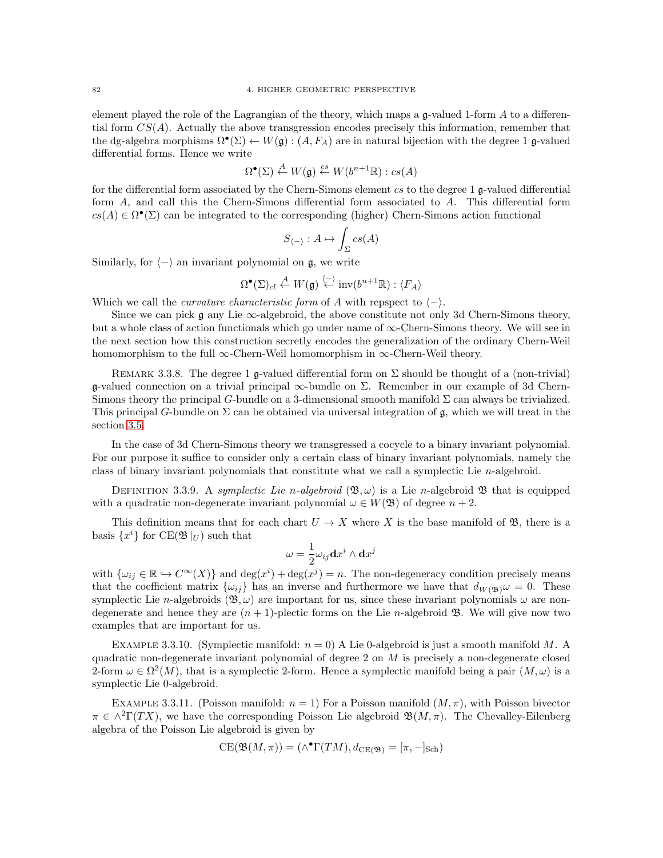element played the role of the Lagrangian of the theory, which maps a g-valued 1-form A to a differential form  $CS(A)$ . Actually the above transgression encodes precisely this information, remember that the dg-algebra morphisms  $\Omega^{\bullet}(\Sigma) \leftarrow W(\mathfrak{g}) : (A, F_A)$  are in natural bijection with the degree 1 g-valued differential forms. Hence we write

$$
\Omega^{\bullet}(\Sigma) \stackrel{A}{\leftarrow} W(\mathfrak{g}) \stackrel{cs}{\leftarrow} W(b^{n+1}\mathbb{R}) : cs(A)
$$

for the differential form associated by the Chern-Simons element cs to the degree 1 g-valued differential form A, and call this the Chern-Simons differential form associated to A. This differential form  $cs(A) \in \Omega^{\bullet}(\Sigma)$  can be integrated to the corresponding (higher) Chern-Simons action functional

$$
S_{\langle - \rangle}: A \mapsto \int_{\Sigma} cs(A)
$$

Similarly, for  $\langle -\rangle$  an invariant polynomial on g, we write

$$
\Omega^{\bullet}(\Sigma)_{cl} \stackrel{A}{\leftarrow} W(\mathfrak{g}) \stackrel{\langle - \rangle}{\leftarrow} \text{inv}(b^{n+1}\mathbb{R}) : \langle F_A \rangle
$$

Which we call the *curvature characteristic form* of A with repspect to  $\langle - \rangle$ .

Since we can pick g any Lie  $\infty$ -algebroid, the above constitute not only 3d Chern-Simons theory, but a whole class of action functionals which go under name of ∞-Chern-Simons theory. We will see in the next section how this construction secretly encodes the generalization of the ordinary Chern-Weil homomorphism to the full  $\infty$ -Chern-Weil homomorphism in  $\infty$ -Chern-Weil theory.

REMARK 3.3.8. The degree 1 g-valued differential form on  $\Sigma$  should be thought of a (non-trivial) g-valued connection on a trivial principal  $\infty$ -bundle on  $\Sigma$ . Remember in our example of 3d Chern-Simons theory the principal G-bundle on a 3-dimensional smooth manifold  $\Sigma$  can always be trivialized. This principal G-bundle on  $\Sigma$  can be obtained via universal integration of g, which we will treat in the section [3.5.](#page-88-0)

In the case of 3d Chern-Simons theory we transgressed a cocycle to a binary invariant polynomial. For our purpose it suffice to consider only a certain class of binary invariant polynomials, namely the class of binary invariant polynomials that constitute what we call a symplectic Lie n-algebroid.

DEFINITION 3.3.9. A symplectic Lie n-algebroid  $(\mathfrak{B}, \omega)$  is a Lie n-algebroid  $\mathfrak{B}$  that is equipped with a quadratic non-degenerate invariant polynomial  $\omega \in W(\mathfrak{B})$  of degree  $n+2$ .

This definition means that for each chart  $U \to X$  where X is the base manifold of  $\mathfrak{B}$ , there is a basis  $\{x^i\}$  for  $CE(\mathfrak{B}|_U)$  such that

$$
\omega=\frac{1}{2}\omega_{ij}\mathbf{d} x^i\wedge\mathbf{d} x^j
$$

with  $\{\omega_{ij} \in \mathbb{R} \hookrightarrow C^{\infty}(X)\}\$  and  $\deg(x^i) + \deg(x^j) = n$ . The non-degeneracy condition precisely means that the coefficient matrix  $\{\omega_{ij}\}\$ has an inverse and furthermore we have that  $d_{W(\mathfrak{B})}\omega = 0$ . These symplectic Lie *n*-algebroids  $(\mathfrak{B}, \omega)$  are important for us, since these invariant polynomials  $\omega$  are nondegenerate and hence they are  $(n + 1)$ -plectic forms on the Lie n-algebroid  $\mathfrak{B}$ . We will give now two examples that are important for us.

EXAMPLE 3.3.10. (Symplectic manifold:  $n = 0$ ) A Lie 0-algebroid is just a smooth manifold M. A quadratic non-degenerate invariant polynomial of degree 2 on  $M$  is precisely a non-degenerate closed 2-form  $\omega \in \Omega^2(M)$ , that is a symplectic 2-form. Hence a symplectic manifold being a pair  $(M, \omega)$  is a symplectic Lie 0-algebroid.

EXAMPLE 3.3.11. (Poisson manifold:  $n = 1$ ) For a Poisson manifold  $(M, \pi)$ , with Poisson bivector  $\pi \in \wedge^2\Gamma(TX)$ , we have the corresponding Poisson Lie algebroid  $\mathfrak{B}(M,\pi)$ . The Chevalley-Eilenberg algebra of the Poisson Lie algebroid is given by

$$
CE(\mathfrak{B}(M,\pi)) = (\wedge^{\bullet} \Gamma(TM), d_{\mathrm{CE}(\mathfrak{B})} = [\pi, -]_{\mathrm{Sch}})
$$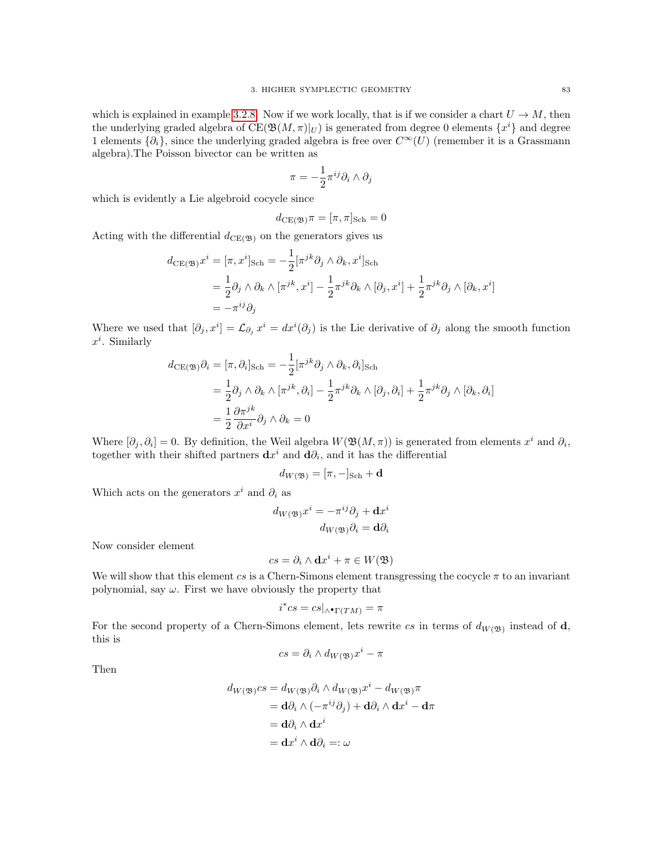which is explained in example [3.2.8.](#page-81-1) Now if we work locally, that is if we consider a chart  $U \to M$ , then the underlying graded algebra of  $CE(\mathfrak{B}(M,\pi)|_U)$  is generated from degree 0 elements  $\{x^i\}$  and degree 1 elements  $\{\partial_i\}$ , since the underlying graded algebra is free over  $C^{\infty}(U)$  (remember it is a Grassmann algebra).The Poisson bivector can be written as

$$
\pi=-\frac{1}{2}\pi^{ij}\partial_i\wedge\partial_j
$$

which is evidently a Lie algebroid cocycle since

$$
d_{\mathrm{CE}(\mathfrak{B})}\pi = [\pi, \pi]_{\mathrm{Sch}} = 0
$$

Acting with the differential  $d_{CE(\mathfrak{B})}$  on the generators gives us

$$
d_{\text{CE}(\mathfrak{B})}x^{i} = [\pi, x^{i}]_{\text{Sch}} = -\frac{1}{2} [\pi^{jk}\partial_{j} \wedge \partial_{k}, x^{i}]_{\text{Sch}}
$$
  

$$
= \frac{1}{2}\partial_{j} \wedge \partial_{k} \wedge [\pi^{jk}, x^{i}] - \frac{1}{2}\pi^{jk}\partial_{k} \wedge [\partial_{j}, x^{i}] + \frac{1}{2}\pi^{jk}\partial_{j} \wedge [\partial_{k}, x^{i}]
$$
  

$$
= -\pi^{ij}\partial_{j}
$$

Where we used that  $[\partial_j x^i] = \mathcal{L}_{\partial_j} x^i = dx^i(\partial_j)$  is the Lie derivative of  $\partial_j$  along the smooth function  $x^i$ . Similarly

$$
d_{\text{CE}(\mathfrak{B})}\partial_i = [\pi, \partial_i]_{\text{Sch}} = -\frac{1}{2} [\pi^{jk}\partial_j \wedge \partial_k, \partial_i]_{\text{Sch}}
$$
  
\n
$$
= \frac{1}{2} \partial_j \wedge \partial_k \wedge [\pi^{jk}, \partial_i] - \frac{1}{2} \pi^{jk} \partial_k \wedge [\partial_j, \partial_i] + \frac{1}{2} \pi^{jk} \partial_j \wedge [\partial_k, \partial_i]
$$
  
\n
$$
= \frac{1}{2} \frac{\partial \pi^{jk}}{\partial x^i} \partial_j \wedge \partial_k = 0
$$

Where  $[\partial_j, \partial_i] = 0$ . By definition, the Weil algebra  $W(\mathfrak{B}(M,\pi))$  is generated from elements  $x^i$  and  $\partial_i$ , together with their shifted partners  $\mathbf{d}x^i$  and  $\mathbf{d}\partial_i$ , and it has the differential

$$
d_{W(\mathfrak{B})} = [\pi,-]_{\text{Sch}} + \mathbf{d}
$$

Which acts on the generators  $x^i$  and  $\partial_i$  as

$$
d_{W(\mathfrak{B})}x^{i} = -\pi^{ij}\partial_{j} + \mathbf{d}x^{i}
$$

$$
d_{W(\mathfrak{B})}\partial_{i} = \mathbf{d}\partial_{i}
$$

Now consider element

$$
cs = \partial_i \wedge \mathbf{d}x^i + \pi \in W(\mathfrak{B})
$$

We will show that this element cs is a Chern-Simons element transgressing the cocycle  $\pi$  to an invariant polynomial, say  $\omega$ . First we have obviously the property that

$$
i^*cs = cs|_{\wedge \bullet \Gamma(TM)} = \pi
$$

For the second property of a Chern-Simons element, lets rewrite cs in terms of  $d_{W(\mathfrak{B})}$  instead of d, this is

$$
cs = \partial_i \wedge d_{W(\mathfrak{B})} x^i - \pi
$$

Then

$$
d_{W(\mathfrak{B})}cs = d_{W(\mathfrak{B})}\partial_i \wedge d_{W(\mathfrak{B})}x^i - d_{W(\mathfrak{B})}\pi
$$
  
= d\partial\_i \wedge (-\pi^{ij}\partial\_j) + d\partial\_i \wedge dx^i - d\pi  
= d\partial\_i \wedge dx^i  
= dx^i \wedge d\partial\_i =: \omega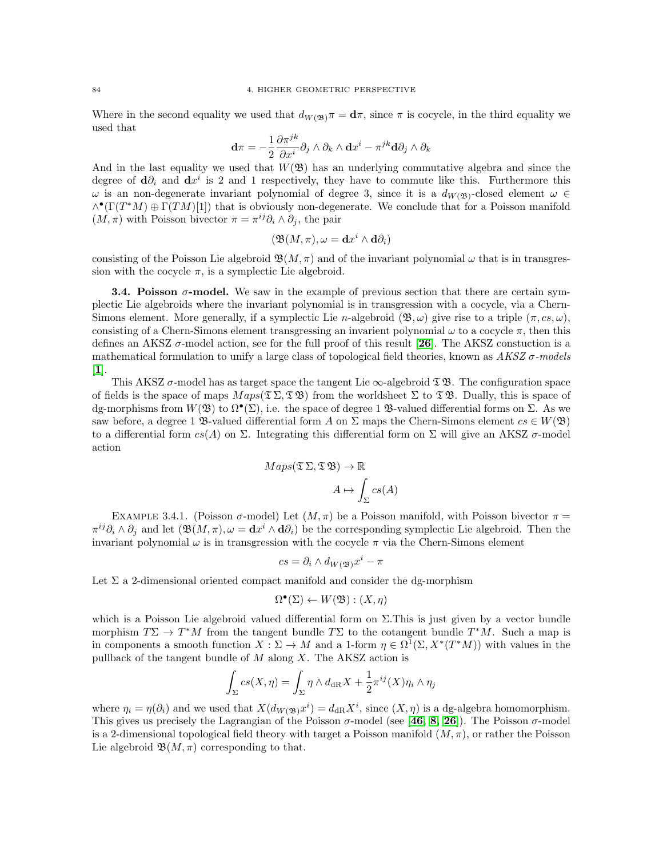Where in the second equality we used that  $d_{W(\mathfrak{B})}\pi = \mathbf{d}\pi$ , since  $\pi$  is cocycle, in the third equality we used that

$$
\mathbf{d}\pi=-\frac{1}{2}\frac{\partial\pi^{jk}}{\partial x^i}\partial_j\wedge\partial_k\wedge\mathbf{d} x^i-\pi^{jk}\mathbf{d}\partial_j\wedge\partial_k
$$

And in the last equality we used that  $W(\mathfrak{B})$  has an underlying commutative algebra and since the degree of  $\mathbf{d}\partial_i$  and  $\mathbf{d}x^i$  is 2 and 1 respectively, they have to commute like this. Furthermore this  $\omega$  is an non-degenerate invariant polynomial of degree 3, since it is a  $d_{W(\mathfrak{B})}$ -closed element  $\omega \in$  $\wedge^{\bullet}(\Gamma(T^*M) \oplus \Gamma(TM)[1])$  that is obviously non-degenerate. We conclude that for a Poisson manifold  $(M, \pi)$  with Poisson bivector  $\pi = \pi^{ij} \partial_i \wedge \partial_j$ , the pair

$$
(\mathfrak{B}(M,\pi),\omega=\mathbf{d}x^i\wedge\mathbf{d}\partial_i)
$$

consisting of the Poisson Lie algebroid  $\mathfrak{B}(M,\pi)$  and of the invariant polynomial  $\omega$  that is in transgression with the cocycle  $\pi$ , is a symplectic Lie algebroid.

**3.4. Poisson**  $\sigma$ **-model.** We saw in the example of previous section that there are certain symplectic Lie algebroids where the invariant polynomial is in transgression with a cocycle, via a Chern-Simons element. More generally, if a symplectic Lie n-algebroid  $(\mathfrak{B}, \omega)$  give rise to a triple  $(\pi, cs, \omega)$ , consisting of a Chern-Simons element transgressing an invarient polynomial  $\omega$  to a cocycle  $\pi$ , then this defines an AKSZ  $\sigma$ -model action, see for the full proof of this result [[26](#page-116-1)]. The AKSZ constuction is a mathematical formulation to unify a large class of topological field theories, known as  $AKSZ\sigma$ -models [[1](#page-116-2)].

This AKSZ  $\sigma$ -model has as target space the tangent Lie  $\infty$ -algebroid  $\mathfrak{D}$ . The configuration space of fields is the space of maps  $Maps(\mathfrak{T} \Sigma, \mathfrak{T} \mathfrak{B})$  from the worldsheet  $\Sigma$  to  $\mathfrak{T} \mathfrak{B}$ . Dually, this is space of dg-morphisms from  $W(\mathfrak{B})$  to  $\Omega^{\bullet}(\Sigma)$ , i.e. the space of degree 1  $\mathfrak{B}$ -valued differential forms on  $\Sigma$ . As we saw before, a degree 1  $\mathfrak{B}$ -valued differential form A on  $\Sigma$  maps the Chern-Simons element  $cs \in W(\mathfrak{B})$ to a differential form  $cs(A)$  on  $\Sigma$ . Integrating this differential form on  $\Sigma$  will give an AKSZ  $\sigma$ -model action

$$
Maps(\mathfrak{T} \Sigma, \mathfrak{T} \mathfrak{B}) \to \mathbb{R}
$$

$$
A \mapsto \int_{\Sigma} cs(A)
$$

EXAMPLE 3.4.1. (Poisson  $\sigma$ -model) Let  $(M, \pi)$  be a Poisson manifold, with Poisson bivector  $\pi$  =  $\pi^{ij}\partial_i\wedge\partial_j$  and let  $(\mathfrak{B}(M,\pi),\omega=\mathbf{d}x^i\wedge\mathbf{d}\partial_i)$  be the corresponding symplectic Lie algebroid. Then the invariant polynomial  $\omega$  is in transgression with the cocycle  $\pi$  via the Chern-Simons element

$$
cs = \partial_i \wedge d_{W(\mathfrak{B})} x^i - \pi
$$

Let  $\Sigma$  a 2-dimensional oriented compact manifold and consider the dg-morphism

$$
\Omega^\bullet(\Sigma) \leftarrow W(\mathfrak{B}) : (X, \eta)
$$

which is a Poisson Lie algebroid valued differential form on  $\Sigma$ . This is just given by a vector bundle morphism  $T\Sigma \to T^*M$  from the tangent bundle  $T\Sigma$  to the cotangent bundle  $T^*M$ . Such a map is in components a smooth function  $X : \Sigma \to M$  and a 1-form  $\eta \in \Omega^1(\Sigma, X^*(T^*M))$  with values in the pullback of the tangent bundle of  $M$  along  $X$ . The AKSZ action is

$$
\int_{\Sigma} cs(X, \eta) = \int_{\Sigma} \eta \wedge d_{\mathrm{dR}} X + \frac{1}{2} \pi^{ij}(X) \eta_i \wedge \eta_j
$$

where  $\eta_i = \eta(\partial_i)$  and we used that  $X(d_{W(\mathfrak{B})}x^i) = d_{\text{dR}}X^i$ , since  $(X, \eta)$  is a dg-algebra homomorphism. This gives us precisely the Lagrangian of the Poisson  $\sigma$ -model (see [[46,](#page-117-2) [8,](#page-116-3) [26](#page-116-1)]). The Poisson  $\sigma$ -model is a 2-dimensional topological field theory with target a Poisson manifold  $(M, \pi)$ , or rather the Poisson Lie algebroid  $\mathfrak{B}(M,\pi)$  corresponding to that.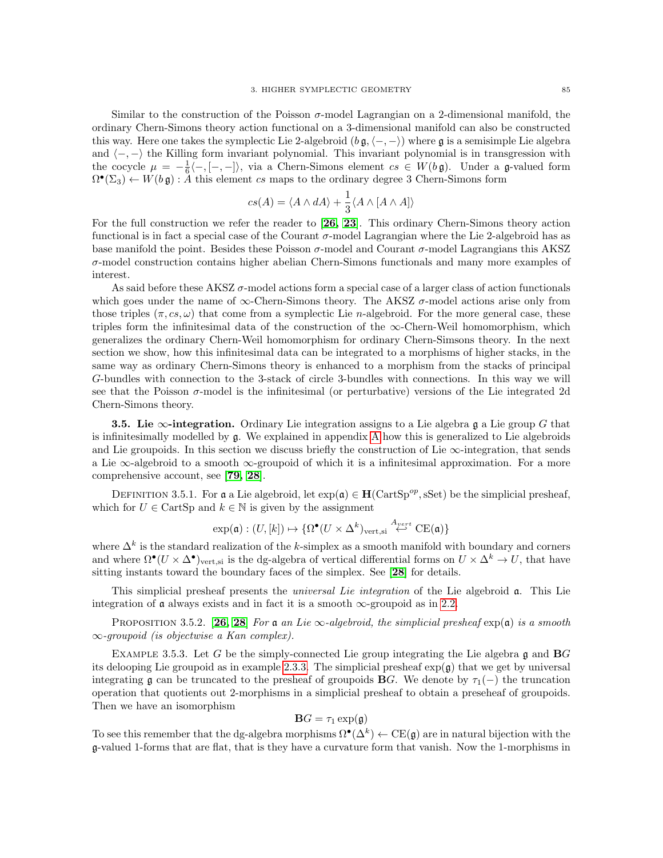Similar to the construction of the Poisson  $\sigma$ -model Lagrangian on a 2-dimensional manifold, the ordinary Chern-Simons theory action functional on a 3-dimensional manifold can also be constructed this way. Here one takes the symplectic Lie 2-algebroid  $(b \, \mathfrak{g}, \langle -, - \rangle)$  where  $\mathfrak{g}$  is a semisimple Lie algebra and  $\langle -, - \rangle$  the Killing form invariant polynomial. This invariant polynomial is in transgression with the cocycle  $\mu = -\frac{1}{6}\langle -, [-, -] \rangle$ , via a Chern-Simons element  $cs \in W(b\mathfrak{g})$ . Under a g-valued form  $\Omega^{\bullet}(\Sigma_3) \leftarrow W(b\,\mathfrak{g}) : A$  this element cs maps to the ordinary degree 3 Chern-Simons form

$$
cs(A) = \langle A \wedge dA \rangle + \frac{1}{3} \langle A \wedge [A \wedge A] \rangle
$$

For the full construction we refer the reader to [[26,](#page-116-1) [23](#page-116-4)]. This ordinary Chern-Simons theory action functional is in fact a special case of the Courant  $\sigma$ -model Lagrangian where the Lie 2-algebroid has as base manifold the point. Besides these Poisson  $\sigma$ -model and Courant  $\sigma$ -model Lagrangians this AKSZ  $\sigma$ -model construction contains higher abelian Chern-Simons functionals and many more examples of interest.

As said before these AKSZ  $\sigma$ -model actions form a special case of a larger class of action functionals which goes under the name of  $\infty$ -Chern-Simons theory. The AKSZ  $\sigma$ -model actions arise only from those triples  $(\pi, cs, \omega)$  that come from a symplectic Lie *n*-algebroid. For the more general case, these triples form the infinitesimal data of the construction of the  $\infty$ -Chern-Weil homomorphism, which generalizes the ordinary Chern-Weil homomorphism for ordinary Chern-Simsons theory. In the next section we show, how this infinitesimal data can be integrated to a morphisms of higher stacks, in the same way as ordinary Chern-Simons theory is enhanced to a morphism from the stacks of principal G-bundles with connection to the 3-stack of circle 3-bundles with connections. In this way we will see that the Poisson  $\sigma$ -model is the infinitesimal (or perturbative) versions of the Lie integrated 2d Chern-Simons theory.

<span id="page-88-0"></span>**3.5.** Lie  $\infty$ -integration. Ordinary Lie integration assigns to a Lie algebra g a Lie group G that is infinitesimally modelled by g. We explained in appendix [A](#page-108-0) how this is generalized to Lie algebroids and Lie groupoids. In this section we discuss briefly the construction of Lie  $\infty$ -integration, that sends a Lie ∞-algebroid to a smooth ∞-groupoid of which it is a infinitesimal approximation. For a more comprehensive account, see [[79,](#page-118-0) [28](#page-117-1)].

DEFINITION 3.5.1. For a a Lie algebroid, let  $\exp(\mathfrak{a}) \in \mathbf{H}(\text{CartSp}^{op}, \text{sSet})$  be the simplicial presheaf, which for  $U \in \text{CartSp}$  and  $k \in \mathbb{N}$  is given by the assignment

$$
\exp(\mathfrak{a}) : (U, [k]) \mapsto \{ \Omega^{\bullet}(U \times \Delta^k)_{\text{vert,si}} \stackrel{A_{vert}}{\leftrightarrow} \text{CE}(\mathfrak{a}) \}
$$

where  $\Delta^k$  is the standard realization of the k-simplex as a smooth manifold with boundary and corners and where  $\Omega^{\bullet}(U \times \Delta^{\bullet})_{\text{vert,si}}$  is the dg-algebra of vertical differential forms on  $U \times \Delta^k \to U$ , that have sitting instants toward the boundary faces of the simplex. See [[28](#page-117-1)] for details.

This simplicial presheaf presents the universal Lie integration of the Lie algebroid a. This Lie integration of  $\mathfrak a$  always exists and in fact it is a smooth  $\infty$ -groupoid as in [2.2.](#page-57-0)

PROPOSITION 3.5.2. [[26,](#page-116-1) [28](#page-117-1)] For a an Lie  $\infty$ -algebroid, the simplicial presheaf  $\exp(\mathfrak{a})$  is a smooth ∞-groupoid (is objectwise a Kan complex).

EXAMPLE 3.5.3. Let G be the simply-connected Lie group integrating the Lie algebra  $\mathfrak g$  and BG its delooping Lie groupoid as in example [2.3.3.](#page-62-0) The simplicial presheaf  $exp(\mathfrak{g})$  that we get by universal integrating g can be truncated to the presheaf of groupoids **BG**. We denote by  $\tau_1(-)$  the truncation operation that quotients out 2-morphisms in a simplicial presheaf to obtain a preseheaf of groupoids. Then we have an isomorphism

$$
\mathbf{B}G = \tau_1 \exp(\mathfrak{g})
$$

To see this remember that the dg-algebra morphisms  $\Omega^{\bullet}(\Delta^k) \leftarrow \text{CE}(\mathfrak{g})$  are in natural bijection with the g-valued 1-forms that are flat, that is they have a curvature form that vanish. Now the 1-morphisms in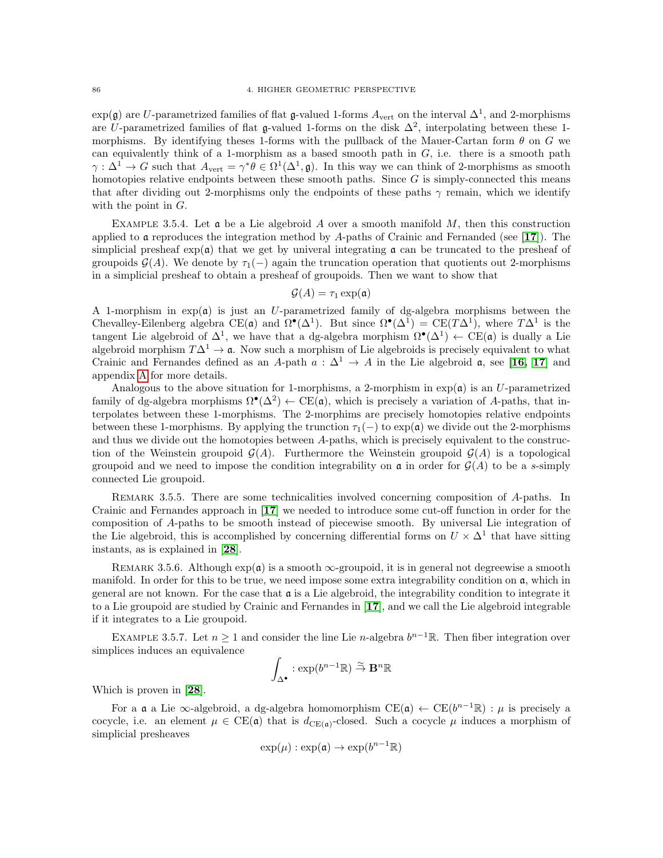$\exp(\mathfrak{g})$  are U-parametrized families of flat  $\mathfrak{g}$ -valued 1-forms  $A_{\text{vert}}$  on the interval  $\Delta^1$ , and 2-morphisms are U-parametrized families of flat g-valued 1-forms on the disk  $\Delta^2$ , interpolating between these 1morphisms. By identifying theses 1-forms with the pullback of the Mauer-Cartan form  $\theta$  on G we can equivalently think of a 1-morphism as a based smooth path in  $G$ , i.e. there is a smooth path  $\gamma: \Delta^1 \to G$  such that  $A_{\text{vert}} = \gamma^* \theta \in \Omega^1(\Delta^1, \mathfrak{g})$ . In this way we can think of 2-morphisms as smooth homotopies relative endpoints between these smooth paths. Since  $G$  is simply-connected this means that after dividing out 2-morphisms only the endpoints of these paths  $\gamma$  remain, which we identify with the point in G.

<span id="page-89-0"></span>EXAMPLE 3.5.4. Let  $\mathfrak a$  be a Lie algebroid A over a smooth manifold M, then this construction applied to a reproduces the integration method by A-paths of Crainic and Fernanded (see [[17](#page-116-5)]). The simplicial presheaf  $\exp(\mathfrak{a})$  that we get by univeral integrating  $\mathfrak{a}$  can be truncated to the presheaf of groupoids  $\mathcal{G}(A)$ . We denote by  $\tau_1(-)$  again the truncation operation that quotients out 2-morphisms in a simplicial presheaf to obtain a presheaf of groupoids. Then we want to show that

$$
\mathcal{G}(A) = \tau_1 \exp(\mathfrak{a})
$$

A 1-morphism in  $exp(\mathfrak{a})$  is just an U-parametrized family of dg-algebra morphisms between the Chevalley-Eilenberg algebra CE( $\mathfrak{a}$ ) and  $\Omega^{\bullet}(\Delta^1)$ . But since  $\Omega^{\bullet}(\Delta^1) = \text{CE}(T\Delta^1)$ , where  $T\Delta^1$  is the tangent Lie algebroid of  $\Delta^1$ , we have that a dg-algebra morphism  $\Omega^{\bullet}(\Delta^1) \leftarrow \text{CE}(\mathfrak{a})$  is dually a Lie algebroid morphism  $T\Delta^1 \to \mathfrak{a}$ . Now such a morphism of Lie algebroids is precisely equivalent to what Crainic and Fernandes defined as an A-path  $a : \Delta^1 \to A$  in the Lie algebroid a, see [[16,](#page-116-6) [17](#page-116-5)] and appendix [A](#page-108-0) for more details.

Analogous to the above situation for 1-morphisms, a 2-morphism in  $exp(\mathfrak{a})$  is an U-parametrized family of dg-algebra morphisms  $\Omega^{\bullet}(\Delta^2) \leftarrow \text{CE}(\mathfrak{a})$ , which is precisely a variation of A-paths, that interpolates between these 1-morphisms. The 2-morphims are precisely homotopies relative endpoints between these 1-morphisms. By applying the trunction  $\tau_1(-)$  to  $\exp(\mathfrak{a})$  we divide out the 2-morphisms and thus we divide out the homotopies between A-paths, which is precisely equivalent to the construction of the Weinstein groupoid  $\mathcal{G}(A)$ . Furthermore the Weinstein groupoid  $\mathcal{G}(A)$  is a topological groupoid and we need to impose the condition integrability on  $\mathfrak{a}$  in order for  $\mathcal{G}(A)$  to be a s-simply connected Lie groupoid.

REMARK 3.5.5. There are some technicalities involved concerning composition of A-paths. In Crainic and Fernandes approach in [[17](#page-116-5)] we needed to introduce some cut-off function in order for the composition of A-paths to be smooth instead of piecewise smooth. By universal Lie integration of the Lie algebroid, this is accomplished by concerning differential forms on  $U \times \Delta^1$  that have sitting instants, as is explained in [[28](#page-117-1)].

REMARK 3.5.6. Although  $exp(\mathfrak{a})$  is a smooth  $\infty$ -groupoid, it is in general not degreewise a smooth manifold. In order for this to be true, we need impose some extra integrability condition on a, which in general are not known. For the case that  $\mathfrak a$  is a Lie algebroid, the integrability condition to integrate it to a Lie groupoid are studied by Crainic and Fernandes in [[17](#page-116-5)], and we call the Lie algebroid integrable if it integrates to a Lie groupoid.

EXAMPLE 3.5.7. Let  $n \geq 1$  and consider the line Lie n-algebra  $b^{n-1}\mathbb{R}$ . Then fiber integration over simplices induces an equivalence

$$
\int_{\Delta^\bullet} : \exp(b^{n-1}\mathbb{R}) \stackrel{\simeq}{\to} \mathbf{B}^n \mathbb{R}
$$

Which is proven in [[28](#page-117-1)].

For a  $\mathfrak a$  a Lie  $\infty$ -algebroid, a dg-algebra homomorphism  $CE(\mathfrak a) \leftarrow CE(b^{n-1}\mathbb{R}) : \mu$  is precisely a cocycle, i.e. an element  $\mu \in \text{CE}(\mathfrak{a})$  that is  $d_{\text{CE}(\mathfrak{a})}$ -closed. Such a cocycle  $\mu$  induces a morphism of simplicial presheaves

$$
\exp(\mu) : \exp(\mathfrak{a}) \to \exp(b^{n-1}\mathbb{R})
$$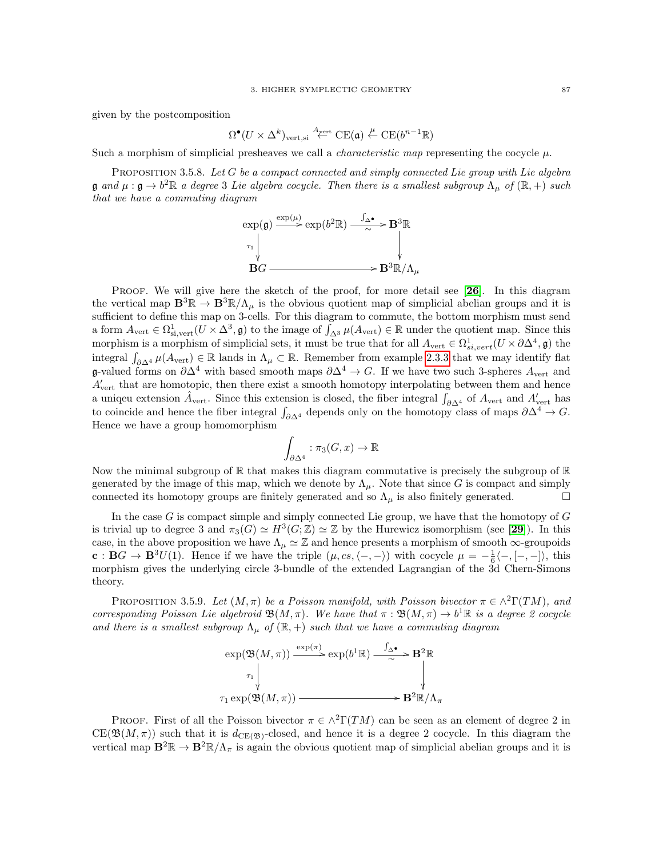given by the postcomposition

$$
\Omega^\bullet(U\times\Delta^k)_{\mathrm{vert,si}}\stackrel{A_{\mathrm{vert}}}{\leftarrow} \mathrm{CE}(\mathfrak{a})\stackrel{\mu}{\leftarrow} \mathrm{CE}(b^{n-1}\mathbb{R})
$$

Such a morphism of simplicial presheaves we call a *characteristic map* representing the cocycle  $\mu$ .

<span id="page-90-0"></span>PROPOSITION 3.5.8. Let  $G$  be a compact connected and simply connected Lie group with Lie algebra  $\mathfrak g$  and  $\mu: \mathfrak g \to b^2\mathbb R$  a degree 3 Lie algebra cocycle. Then there is a smallest subgroup  $\Lambda_\mu$  of  $(\mathbb R, +)$  such that we have a commuting diagram

$$
\exp(\mathfrak{g}) \xrightarrow{\exp(\mu)} \exp(b^2 \mathbb{R}) \xrightarrow{\int_{\Delta} \bullet} \mathbf{B}^3 \mathbb{R}
$$
\n
$$
\uparrow \qquad \qquad \downarrow
$$
\n
$$
\mathbf{B}G \longrightarrow \mathbf{B}^3 \mathbb{R}/\Lambda_{\mu}
$$

PROOF. We will give here the sketch of the proof, for more detail see [[26](#page-116-1)]. In this diagram the vertical map  $\mathbf{B}^3\mathbb{R}\to\mathbf{B}^3\mathbb{R}/\Lambda_\mu$  is the obvious quotient map of simplicial abelian groups and it is sufficient to define this map on 3-cells. For this diagram to commute, the bottom morphism must send a form  $A_{vert} \in \Omega_{\mathrm{s_i,vert}}^1(U \times \Delta^3, \mathfrak{g})$  to the image of  $\int_{\Delta^3} \mu(A_{vert}) \in \mathbb{R}$  under the quotient map. Since this morphism is a morphism of simplicial sets, it must be true that for all  $A_{vert} \in \Omega^1_{s_i,vert}(U \times \partial \Delta^4, \mathfrak{g})$  the integral  $\int_{\partial \Delta^4} \mu(A_{\text{vert}}) \in \mathbb{R}$  lands in  $\Lambda_\mu \subset \mathbb{R}$ . Remember from example [2.3.3](#page-62-0) that we may identify flat g-valued forms on  $\partial \Delta^4$  with based smooth maps  $\partial \Delta^4 \to G$ . If we have two such 3-spheres  $A_{\text{vert}}$  and  $A'_{\text{vert}}$  that are homotopic, then there exist a smooth homotopy interpolating between them and hence a uniqeu extension  $\hat{A}_{vert}$ . Since this extension is closed, the fiber integral  $\int_{\partial \Delta^4}$  of  $A_{vert}$  and  $A'_{vert}$  has to coincide and hence the fiber integral  $\int_{\partial \Delta^4}$  depends only on the homotopy class of maps  $\partial \Delta^4 \to G$ . Hence we have a group homomorphism

$$
\int_{\partial \Delta^4} : \pi_3(G, x) \to \mathbb{R}
$$

Now the minimal subgroup of  $\mathbb R$  that makes this diagram commutative is precisely the subgroup of  $\mathbb R$ generated by the image of this map, which we denote by  $\Lambda_{\mu}$ . Note that since G is compact and simply connected its homotopy groups are finitely generated and so  $\Lambda_{\mu}$  is also finitely generated.

In the case  $G$  is compact simple and simply connected Lie group, we have that the homotopy of  $G$ is trivial up to degree 3 and  $\pi_3(G) \simeq H^3(G; \mathbb{Z}) \simeq \mathbb{Z}$  by the Hurewicz isomorphism (see [[29](#page-117-3)]). In this case, in the above proposition we have  $\Lambda_{\mu} \simeq \mathbb{Z}$  and hence presents a morphism of smooth  $\infty$ -groupoids  $\mathbf{c}: \mathbf{B}G \to \mathbf{B}^3U(1)$ . Hence if we have the triple  $(\mu, cs, \langle -, -\rangle)$  with cocycle  $\mu = -\frac{1}{6}\langle -, [-, -]\rangle$ , this morphism gives the underlying circle 3-bundle of the extended Lagrangian of the 3d Chern-Simons theory.

<span id="page-90-1"></span>PROPOSITION 3.5.9. Let  $(M, \pi)$  be a Poisson manifold, with Poisson bivector  $\pi \in \wedge^2\Gamma(TM)$ , and corresponding Poisson Lie algebroid  $\mathfrak{B}(M,\pi)$ . We have that  $\pi : \mathfrak{B}(M,\pi) \to b^1\mathbb{R}$  is a degree 2 cocycle and there is a smallest subgroup  $\Lambda_{\mu}$  of  $(\mathbb{R}, +)$  such that we have a commuting diagram

$$
\exp(\mathfrak{B}(M,\pi)) \xrightarrow{\exp(\pi)} \exp(b^1 \mathbb{R}) \xrightarrow{\int_{\Delta^{\bullet}} \mathbf{B}^2 \mathbb{R}} \mathbb{R}
$$
\n
$$
\uparrow \qquad \qquad \downarrow
$$
\n
$$
\tau_1 \exp(\mathfrak{B}(M,\pi)) \xrightarrow{\qquad \qquad \downarrow} \mathbf{B}^2 \mathbb{R}/\Lambda_{\pi}
$$

PROOF. First of all the Poisson bivector  $\pi \in \wedge^2\Gamma(TM)$  can be seen as an element of degree 2 in  $CE(\mathfrak{B}(M,\pi))$  such that it is  $d_{CE(\mathfrak{B})}$ -closed, and hence it is a degree 2 cocycle. In this diagram the vertical map  $\mathbf{B}^2\mathbb{R}\to\mathbf{B}^2\mathbb{R}/\Lambda_\pi$  is again the obvious quotient map of simplicial abelian groups and it is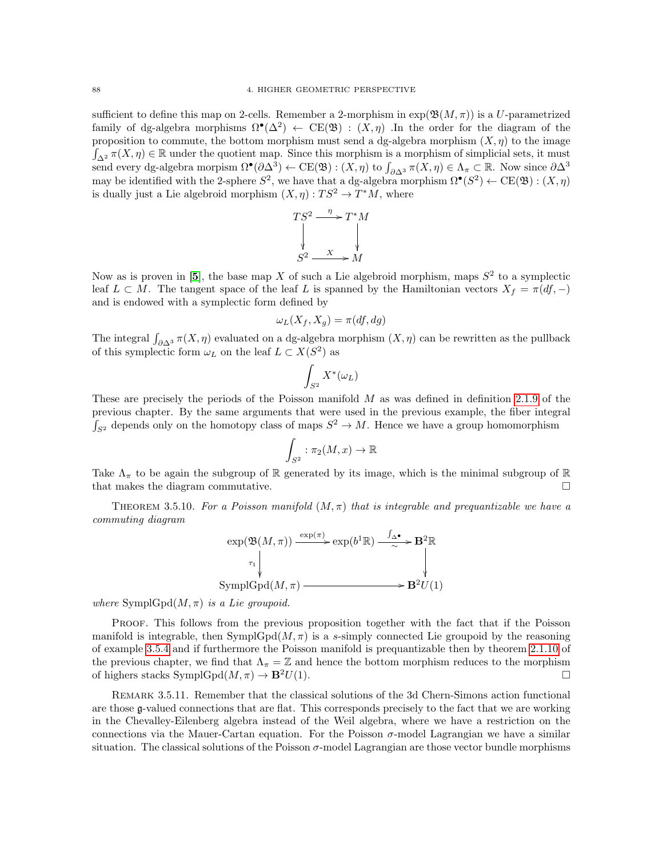sufficient to define this map on 2-cells. Remember a 2-morphism in  $\exp(\mathfrak{B}(M,\pi))$  is a U-parametrized family of dg-algebra morphisms  $\Omega^{\bullet}(\Delta^2) \leftarrow \text{CE}(\mathfrak{B}) : (X, \eta)$ . In the order for the diagram of the proposition to commute, the bottom morphism must send a dg-algebra morphism  $(X, \eta)$  to the image  $\int_{\Delta^2} \pi(X,\eta) \in \mathbb{R}$  under the quotient map. Since this morphism is a morphism of simplicial sets, it must send every dg-algebra morpism  $\Omega^{\bullet}(\partial \Delta^3) \leftarrow \text{CE}(\mathfrak{B}) : (X, \eta)$  to  $\int_{\partial \Delta^3} \pi(X, \eta) \in \Lambda_{\pi} \subset \mathbb{R}$ . Now since  $\partial \Delta^3$ may be identified with the 2-sphere  $S^2$ , we have that a dg-algebra morphism  $\Omega^{\bullet}(S^2) \leftarrow \text{CE}(\mathfrak{B}) : (X, \eta)$ is dually just a Lie algebroid morphism  $(X, \eta) : TS^2 \to T^*M$ , where

$$
TS^2 \xrightarrow{\eta} T^*M
$$
  
\n
$$
S^2 \xrightarrow{X} M
$$

Now as is proven in [[5](#page-116-7)], the base map X of such a Lie algebroid morphism, maps  $S^2$  to a symplectic leaf  $L \subset M$ . The tangent space of the leaf L is spanned by the Hamiltonian vectors  $X_f = \pi(df, -)$ and is endowed with a symplectic form defined by

$$
\omega_L(X_f, X_g) = \pi(df, dg)
$$

The integral  $\int_{\partial \Delta^3} \pi(X, \eta)$  evaluated on a dg-algebra morphism  $(X, \eta)$  can be rewritten as the pullback of this symplectic form  $\omega_L$  on the leaf  $L \subset X(S^2)$  as

$$
\int_{S^2} X^*(\omega_L)
$$

These are precisely the periods of the Poisson manifold M as was defined in definition [2.1.9](#page-32-1) of the previous chapter. By the same arguments that were used in the previous example, the fiber integral  $\int_{S^2}$  depends only on the homotopy class of maps  $S^2 \to M$ . Hence we have a group homomorphism

$$
\int_{S^2} : \pi_2(M, x) \to \mathbb{R}
$$

Take  $\Lambda_{\pi}$  to be again the subgroup of R generated by its image, which is the minimal subgroup of R that makes the diagram commutative.  $\square$ 

THEOREM 3.5.10. For a Poisson manifold  $(M, \pi)$  that is integrable and prequantizable we have a commuting diagram

$$
\exp(\mathfrak{B}(M,\pi)) \xrightarrow{\exp(\pi)} \exp(b^1 \mathbb{R}) \xrightarrow{\int_{\Delta^{\bullet}} \mathbf{B}^2 \mathbb{R}}
$$
\n
$$
\downarrow
$$
\n
$$
\text{SymplGpd}(M,\pi) \xrightarrow{\exp(\pi^1 \mathbb{R})} \mathbf{B}^2 U(1)
$$

where  $SymplGpd(M, \pi)$  is a Lie groupoid.

Proof. This follows from the previous proposition together with the fact that if the Poisson manifold is integrable, then SymplGpd $(M, \pi)$  is a s-simply connected Lie groupoid by the reasoning of example [3.5.4](#page-89-0) and if furthermore the Poisson manifold is prequantizable then by theorem [2.1.10](#page-32-2) of the previous chapter, we find that  $\Lambda_{\pi} = \mathbb{Z}$  and hence the bottom morphism reduces to the morphism of highers stacks  $SymplGpd(M, \pi) \rightarrow \mathbf{B}^2U(1)$ .

Remark 3.5.11. Remember that the classical solutions of the 3d Chern-Simons action functional are those g-valued connections that are flat. This corresponds precisely to the fact that we are working in the Chevalley-Eilenberg algebra instead of the Weil algebra, where we have a restriction on the connections via the Mauer-Cartan equation. For the Poisson  $\sigma$ -model Lagrangian we have a similar situation. The classical solutions of the Poisson  $\sigma$ -model Lagrangian are those vector bundle morphisms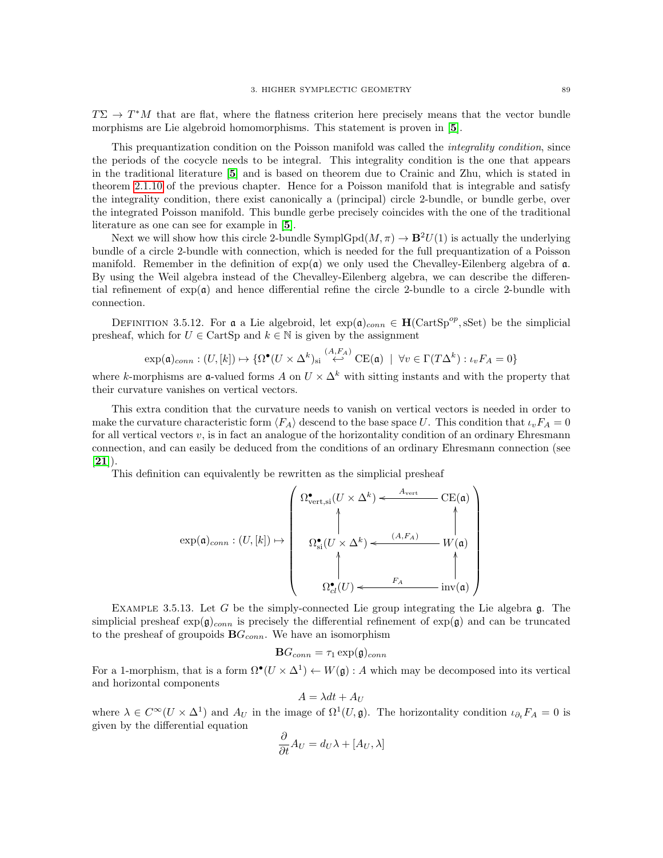$T\Sigma \to T^*M$  that are flat, where the flatness criterion here precisely means that the vector bundle morphisms are Lie algebroid homomorphisms. This statement is proven in [[5](#page-116-7)].

This prequantization condition on the Poisson manifold was called the *integrality condition*, since the periods of the cocycle needs to be integral. This integrality condition is the one that appears in the traditional literature [[5](#page-116-7)] and is based on theorem due to Crainic and Zhu, which is stated in theorem [2.1.10](#page-32-2) of the previous chapter. Hence for a Poisson manifold that is integrable and satisfy the integrality condition, there exist canonically a (principal) circle 2-bundle, or bundle gerbe, over the integrated Poisson manifold. This bundle gerbe precisely coincides with the one of the traditional literature as one can see for example in [[5](#page-116-7)].

Next we will show how this circle 2-bundle SymplGpd $(M, \pi) \to \mathbf{B}^2 U(1)$  is actually the underlying bundle of a circle 2-bundle with connection, which is needed for the full prequantization of a Poisson manifold. Remember in the definition of  $exp(\mathfrak{a})$  we only used the Chevalley-Eilenberg algebra of  $\mathfrak{a}$ . By using the Weil algebra instead of the Chevalley-Eilenberg algebra, we can describe the differential refinement of  $exp(a)$  and hence differential refine the circle 2-bundle to a circle 2-bundle with connection.

DEFINITION 3.5.12. For a a Lie algebroid, let  $\exp(\mathfrak{a})_{conn} \in \mathbf{H}(\mathrm{CartSp}^{op}, \mathrm{sSet})$  be the simplicial presheaf, which for  $U \in \text{CartSp}$  and  $k \in \mathbb{N}$  is given by the assignment

$$
\exp(\mathfrak{a})_{conn} : (U, [k]) \mapsto \{ \Omega^{\bullet}(U \times \Delta^k)_{si} \stackrel{(A, F_A)}{\leftarrow} CE(\mathfrak{a}) \mid \forall v \in \Gamma(T\Delta^k) : \iota_v F_A = 0 \}
$$

where k-morphisms are **a**-valued forms A on  $U \times \Delta^k$  with sitting instants and with the property that their curvature vanishes on vertical vectors.

This extra condition that the curvature needs to vanish on vertical vectors is needed in order to make the curvature characteristic form  $\langle F_A \rangle$  descend to the base space U. This condition that  $\iota_v F_A = 0$ for all vertical vectors  $v$ , is in fact an analogue of the horizontality condition of an ordinary Ehresmann connection, and can easily be deduced from the conditions of an ordinary Ehresmann connection (see  $[21]$  $[21]$  $[21]$ .

This definition can equivalently be rewritten as the simplicial presheaf

$$
\exp(\mathfrak{a})_{conn}: (U, [k]) \mapsto \begin{pmatrix} \Omega^{\bullet}_{\mathrm{vert, si}}(U \times \Delta^{k}) \leftarrow \xrightarrow{A_{\mathrm{vert}}} \mathrm{CE}(\mathfrak{a}) \\ \uparrow \\ \Omega^{\bullet}_{\mathrm{si}}(U \times \Delta^{k}) \leftarrow \xrightarrow{(A, F_{A})} W(\mathfrak{a}) \\ \uparrow \\ \Omega^{\bullet}_{cl}(U) \leftarrow \xrightarrow{F_{A}} \mathrm{inv}(\mathfrak{a}) \end{pmatrix}
$$

EXAMPLE 3.5.13. Let G be the simply-connected Lie group integrating the Lie algebra  $\mathfrak{g}$ . The simplicial presheaf  $exp(g)_{conn}$  is precisely the differential refinement of  $exp(g)$  and can be truncated to the presheaf of groupoids  $\mathbf{B}G_{conn}$ . We have an isomorphism

$$
\mathbf{B} G_{conn} = \tau_1 \exp(\mathfrak{g})_{conn}
$$

For a 1-morphism, that is a form  $\Omega^{\bullet}(U \times \Delta^1) \leftarrow W(\mathfrak{g}) : A$  which may be decomposed into its vertical and horizontal components

$$
A = \lambda dt + A_U
$$

where  $\lambda \in C^{\infty}(U \times \Delta^1)$  and  $A_U$  in the image of  $\Omega^1(U, \mathfrak{g})$ . The horizontality condition  $\iota_{\partial_t} F_A = 0$  is given by the differential equation

$$
\frac{\partial}{\partial t}A_U = d_U \lambda + [A_U, \lambda]
$$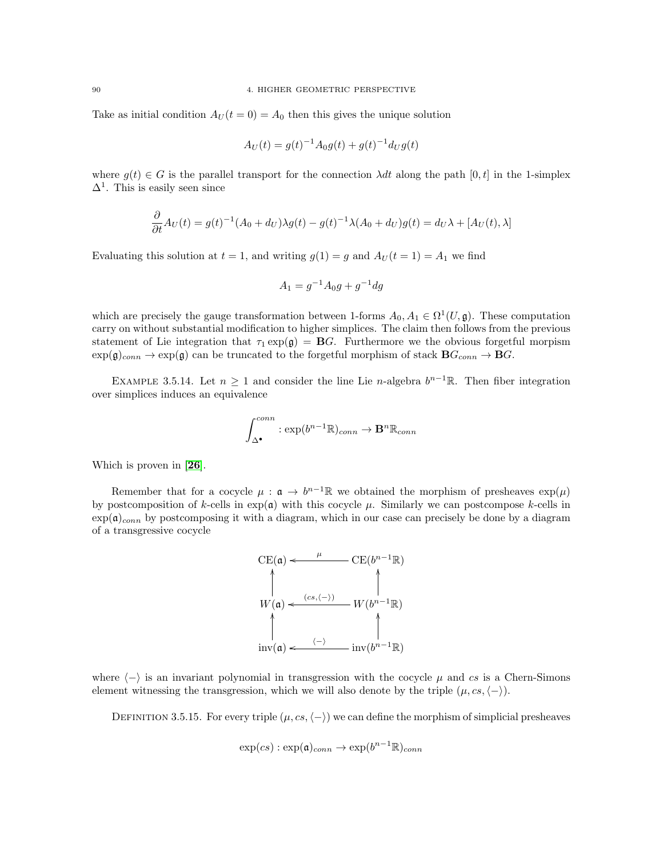Take as initial condition  $A_U(t=0) = A_0$  then this gives the unique solution

$$
A_U(t) = g(t)^{-1} A_0 g(t) + g(t)^{-1} d_U g(t)
$$

where  $q(t) \in G$  is the parallel transport for the connection  $\lambda dt$  along the path  $[0, t]$  in the 1-simplex  $\Delta^1$ . This is easily seen since

$$
\frac{\partial}{\partial t}A_U(t) = g(t)^{-1}(A_0 + d_U)\lambda g(t) - g(t)^{-1}\lambda(A_0 + d_U)g(t) = d_U\lambda + [A_U(t), \lambda]
$$

Evaluating this solution at  $t = 1$ , and writing  $g(1) = g$  and  $A_U(t = 1) = A_1$  we find

$$
A_1 = g^{-1}A_0g + g^{-1}dg
$$

which are precisely the gauge transformation between 1-forms  $A_0, A_1 \in \Omega^1(U, \mathfrak{g})$ . These computation carry on without substantial modification to higher simplices. The claim then follows from the previous statement of Lie integration that  $\tau_1 \exp(\mathfrak{g}) = \mathbf{B}G$ . Furthermore we the obvious forgetful morpism  $\exp(\mathfrak{g})_{conn} \to \exp(\mathfrak{g})$  can be truncated to the forgetful morphism of stack  $\mathbf{B}G_{conn} \to \mathbf{B}G$ .

EXAMPLE 3.5.14. Let  $n \geq 1$  and consider the line Lie n-algebra  $b^{n-1}\mathbb{R}$ . Then fiber integration over simplices induces an equivalence

$$
\int_{\Delta^{\bullet}}^{conn} : \exp(b^{n-1}\mathbb{R})_{conn} \to \mathbf{B}^n \mathbb{R}_{conn}
$$

Which is proven in [[26](#page-116-1)].

Remember that for a cocycle  $\mu : \mathfrak{a} \to b^{n-1}\mathbb{R}$  we obtained the morphism of presheaves  $\exp(\mu)$ by postcomposition of k-cells in  $exp(a)$  with this cocycle  $\mu$ . Similarly we can postcompose k-cells in  $\exp(\mathfrak{a})_{conn}$  by postcomposing it with a diagram, which in our case can precisely be done by a diagram of a transgressive cocycle



where  $\langle - \rangle$  is an invariant polynomial in transgression with the cocycle  $\mu$  and cs is a Chern-Simons element witnessing the transgression, which we will also denote by the triple  $(\mu, cs, \langle -\rangle)$ .

DEFINITION 3.5.15. For every triple  $(\mu, cs, \langle -\rangle)$  we can define the morphism of simplicial presheaves

$$
\exp(cs): \exp(\mathfrak{a})_{conn} \to \exp(b^{n-1}\mathbb{R})_{conn}
$$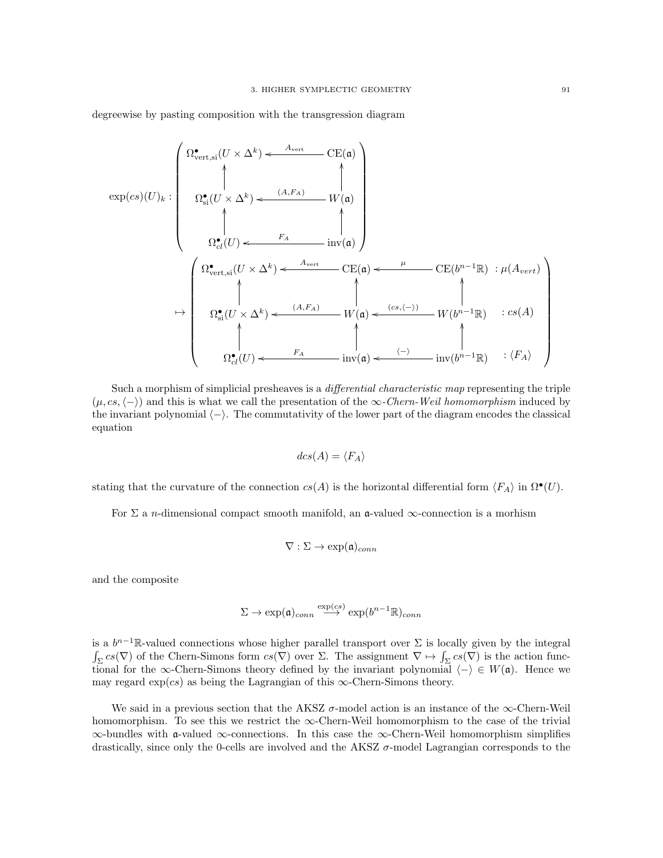degreewise by pasting composition with the transgression diagram

$$
\exp(cs)(U)_k : \begin{pmatrix} \Omega^{\bullet}_{\text{vert,si}}(U \times \Delta^k) \leftarrow \frac{A_{\text{vert}}}{\Lambda} & \text{CE}(\mathfrak{a}) \\ \uparrow & & & \\ \Omega^{\bullet}_{\text{si}}(U \times \Delta^k) \leftarrow \frac{(A, F_A)}{\Lambda} & W(\mathfrak{a}) \\ \uparrow & & & \\ \Omega^{\bullet}_{\text{vert,si}}(U) \leftarrow \frac{F_A}{\Lambda} & \text{inv}(\mathfrak{a}) \end{pmatrix} \\ \rightarrow \begin{pmatrix} \Omega^{\bullet}_{\text{vert,si}}(U \times \Delta^k) \leftarrow \frac{A_{\text{vert}}}{\Lambda} & \text{CE}(\mathfrak{a}) \leftarrow \frac{\mu}{\Lambda} & \text{CE}(b^{n-1}\mathbb{R}) : \mu(A_{\text{vert}}) \\ \uparrow & & & \\ \Omega^{\bullet}_{\text{si}}(U \times \Delta^k) \leftarrow \frac{(A, F_A)}{\Lambda} & W(\mathfrak{a}) \leftarrow \frac{(cs, \langle - \rangle)}{\Lambda} & W(b^{n-1}\mathbb{R}) : cs(A) \\ \uparrow & & & \\ \Omega^{\bullet}_{\text{el}}(U) \leftarrow \frac{F_A}{\Lambda} & \text{inv}(\mathfrak{a}) \leftarrow \frac{\langle - \rangle}{\Lambda} & \text{inv}(b^{n-1}\mathbb{R}) : \langle F_A \rangle \end{pmatrix}
$$

Such a morphism of simplicial presheaves is a differential characteristic map representing the triple  $(\mu, cs, \langle -\rangle)$  and this is what we call the presentation of the  $\infty$ -Chern-Weil homomorphism induced by the invariant polynomial  $\langle - \rangle$ . The commutativity of the lower part of the diagram encodes the classical equation

$$
dcs(A) = \langle F_A \rangle
$$

stating that the curvature of the connection  $cs(A)$  is the horizontal differential form  $\langle F_A \rangle$  in  $\Omega^{\bullet}(U)$ .

For  $\Sigma$  a *n*-dimensional compact smooth manifold, an **a**-valued  $\infty$ -connection is a morhism

$$
\nabla : \Sigma \to \exp(\mathfrak{a})_{conn}
$$

and the composite

$$
\Sigma \to \exp(\mathfrak{a})_{conn} \stackrel{\exp(cs)}{\longrightarrow} \exp(b^{n-1}\mathbb{R})_{conn}
$$

is a  $b^{n-1}$ R-valued connections whose higher parallel transport over  $\Sigma$  is locally given by the integral  $\int_{\Sigma} cs(\nabla)$  of the Chern-Simons form  $cs(\nabla)$  over  $\Sigma$ . The assignment  $\nabla \mapsto \int_{\Sigma} cs(\nabla)$  is the action functional for the ∞-Chern-Simons theory defined by the invariant polynomial  $\langle - \rangle \in W(\mathfrak{a})$ . Hence we may regard  $\exp(cs)$  as being the Lagrangian of this  $\infty$ -Chern-Simons theory.

We said in a previous section that the AKSZ  $\sigma$ -model action is an instance of the  $\infty$ -Chern-Weil homomorphism. To see this we restrict the  $\infty$ -Chern-Weil homomorphism to the case of the trivial ∞-bundles with a-valued ∞-connections. In this case the ∞-Chern-Weil homomorphism simplifies drastically, since only the 0-cells are involved and the AKSZ  $\sigma$ -model Lagrangian corresponds to the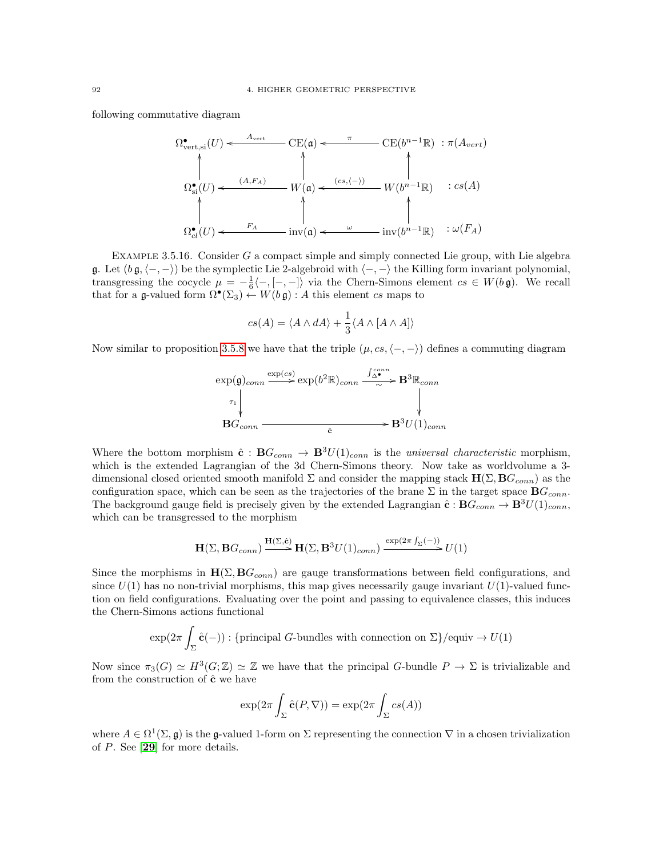following commutative diagram

$$
\Omega^{\bullet}_{\text{vert,si}}(U) \leftarrow \begin{array}{c}\n\text{C}\text{E}(\mathfrak{a}) \leftarrow \pi \\
\uparrow \\
\downarrow \\
\Omega^{\bullet}_{\text{si}}(U) \leftarrow \begin{array}{c}\n(A, F_A) \\
\downarrow \\
\downarrow \\
\downarrow \\
\Omega^{\bullet}_{cl}(U) \leftarrow \begin{array}{c}\n(A, F_A) \\
\downarrow \\
\downarrow \\
\downarrow \\
\Omega^{\bullet}_{cl}(U) \leftarrow \begin{array}{c}\n\end{array} & \downarrow \\
\downarrow \\
\downarrow \\
\downarrow \\
\Omega^{\bullet}_{cl}(U) \leftarrow \begin{array}{c}\n\end{array} & \downarrow \\
\downarrow \\
\downarrow \\
\downarrow \\
\Omega^{\bullet}_{cl}(U) \leftarrow \begin{array}{c}\n\end{array} & \downarrow \\
\downarrow \\
\downarrow \\
\downarrow \\
\Omega^{\bullet}_{cl}(U) \leftarrow \begin{array}{c}\n\end{array} & \downarrow \\
\downarrow \\
\downarrow \\
\downarrow \\
\Omega^{\bullet}_{cl}(U) \leftarrow \begin{array}{c}\n\end{array} & \downarrow \\
\downarrow \\
\downarrow \\
\downarrow \\
\Omega^{\bullet}_{cl}(U) \leftarrow \begin{array}{c}\n\end{array} & \downarrow \\
\downarrow \\
\downarrow \\
\downarrow \\
\Omega^{\bullet}_{cl}(U) \leftarrow \begin{array}{c}\n\end{array} & \downarrow \\
\downarrow \\
\downarrow \\
\downarrow \\
\Omega^{\bullet}_{cl}(U) \leftarrow \begin{array}{c}\n\end{array} & \downarrow \\
\downarrow \\
\downarrow \\
\downarrow \\
\Omega^{\bullet}_{cl}(U) \leftarrow \begin{array}{c}\n\end{array} & \downarrow \\
\downarrow \\
\downarrow \\
\downarrow \\
\downarrow \\
\Omega^{\bullet}_{cl}(U) \leftarrow \begin{array}{c}\n\end{array} & \downarrow \\
\downarrow \\
\downarrow \\
\downarrow \\
\downarrow \\
\Omega^{\bullet}_{cl}(U) \leftarrow \begin{array}{c}\n\end{array} & \downarrow \\
\downarrow \\
\downarrow \\
\downarrow \\
\downarrow \\
\Omega^{\bullet}_{cl}(U) \leftarrow \begin{array}{c}\n\end{array} & \downarrow \\
\downarrow \\
\downarrow \\
\downarrow \\
\Omega^{\bullet}_{cl}(U) \leftarrow \begin{array}{c}\n\end{array} & \downarrow \\
\downarrow \\
\downarrow \\
\downarrow \\
\Omega^{\bullet}_{cl}(U) \leftarrow \begin{array}{c}\n\end{array} & \downarrow \\
\downarrow \\
\downarrow \\
\downarrow \\
\downarrow \\
\Omega^
$$

Example 3.5.16. Consider G a compact simple and simply connected Lie group, with Lie algebra g. Let  $(b \, \mathfrak{g}, \langle -, - \rangle)$  be the symplectic Lie 2-algebroid with  $\langle -, - \rangle$  the Killing form invariant polynomial, transgressing the cocycle  $\mu = -\frac{1}{6}\langle -, [-, -] \rangle$  via the Chern-Simons element  $cs \in W(b\mathfrak{g})$ . We recall that for a g-valued form  $\Omega^{\bullet}(\Sigma_3) \stackrel{\sim}{\leftarrow} W(b \mathfrak{g}) : A$  this element cs maps to

$$
cs(A) = \langle A \wedge dA \rangle + \frac{1}{3} \langle A \wedge [A \wedge A] \rangle
$$

Now similar to proposition [3.5.8](#page-90-0) we have that the triple  $(\mu, cs, \langle -, - \rangle)$  defines a commuting diagram

$$
\exp(\mathfrak{g})_{conn} \xrightarrow{\exp(c s)} \exp(b^2 \mathbb{R})_{conn} \xrightarrow{\int_{\Delta}^{con} \mathbf{B}^3 \mathbb{R}_{conn}} \mathbf{B}^3 \mathbb{R}_{conn}
$$
\n
$$
\downarrow \downarrow
$$
\n
$$
\mathbf{B} G_{conn} \xrightarrow{\epsilon} \mathbf{B}^3 U(1)_{conn}
$$

Where the bottom morphism  $\hat{\mathbf{c}} : \mathbf{B}G_{conn} \to \mathbf{B}^{3}U(1)_{conn}$  is the universal characteristic morphism, which is the extended Lagrangian of the 3d Chern-Simons theory. Now take as worldvolume a 3 dimensional closed oriented smooth manifold  $\Sigma$  and consider the mapping stack  $H(\Sigma, BG_{conn})$  as the configuration space, which can be seen as the trajectories of the brane  $\Sigma$  in the target space  $BG_{conn}$ . The background gauge field is precisely given by the extended Lagrangian  $\hat{\mathbf{c}} : \mathbf{B} G_{conn} \to \mathbf{B}^{3}U(1)_{conn}$ , which can be transgressed to the morphism

$$
\mathbf{H}(\Sigma,\mathbf{B} G_{conn})\xrightarrow{\mathbf{H}(\Sigma,\hat{\mathbf{c}})} \mathbf{H}(\Sigma,\mathbf{B}^3 U(1)_{conn})\xrightarrow{\exp(2\pi\int_\Sigma(-))} U(1)
$$

Since the morphisms in  $H(\Sigma, BG_{conn})$  are gauge transformations between field configurations, and since  $U(1)$  has no non-trivial morphisms, this map gives necessarily gauge invariant  $U(1)$ -valued function on field configurations. Evaluating over the point and passing to equivalence classes, this induces the Chern-Simons actions functional

$$
\exp(2\pi \int_{\Sigma} \hat{\mathbf{c}}(-)) : \{\text{principal } G\text{-bundles with connection on } \Sigma\}/\text{equiv} \to U(1)
$$

Now since  $\pi_3(G) \simeq H^3(G; \mathbb{Z}) \simeq \mathbb{Z}$  we have that the principal G-bundle  $P \to \Sigma$  is trivializable and from the construction of  $\hat{\mathbf{c}}$  we have

$$
\exp(2\pi \int_{\Sigma} \hat{\mathbf{c}}(P, \nabla)) = \exp(2\pi \int_{\Sigma} cs(A))
$$

where  $A \in \Omega^1(\Sigma, \mathfrak{g})$  is the g-valued 1-form on  $\Sigma$  representing the connection  $\nabla$  in a chosen trivialization of P. See [[29](#page-117-3)] for more details.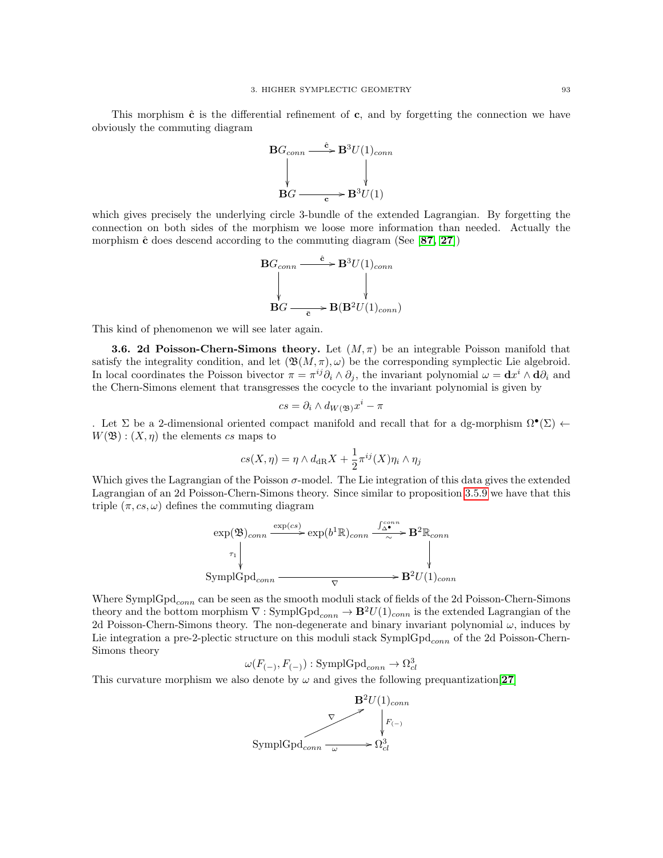This morphism  $\hat{\mathbf{c}}$  is the differential refinement of  $\mathbf{c}$ , and by forgetting the connection we have obviously the commuting diagram



which gives precisely the underlying circle 3-bundle of the extended Lagrangian. By forgetting the connection on both sides of the morphism we loose more information than needed. Actually the morphism  $\hat{\mathbf{c}}$  does descend according to the commuting diagram (See [[87,](#page-118-5) [27](#page-116-9)])

$$
\mathbf{B}G_{conn} \xrightarrow{\hat{\mathbf{c}}} \mathbf{B}^{3}U(1)_{conn}
$$
  
 
$$
\downarrow \qquad \qquad \downarrow
$$
  
 
$$
\mathbf{B}G \xrightarrow{\bar{\mathbf{c}}} \mathbf{B}(\mathbf{B}^{2}U(1)_{conn})
$$

This kind of phenomenon we will see later again.

**3.6. 2d Poisson-Chern-Simons theory.** Let  $(M, \pi)$  be an integrable Poisson manifold that satisfy the integrality condition, and let  $(\mathfrak{B}(M,\pi), \omega)$  be the corresponding symplectic Lie algebroid. In local coordinates the Poisson bivector  $\pi = \pi^{ij}\partial_i \wedge \partial_j$ , the invariant polynomial  $\omega = \mathbf{d}x^i \wedge \mathbf{d}\partial_i$  and the Chern-Simons element that transgresses the cocycle to the invariant polynomial is given by

$$
cs = \partial_i \wedge d_{W(\mathfrak{B})} x^i - \pi
$$

. Let  $\Sigma$  be a 2-dimensional oriented compact manifold and recall that for a dg-morphism  $\Omega^{\bullet}(\Sigma)$   $\leftarrow$  $W(\mathfrak{B})$ :  $(X, \eta)$  the elements cs maps to

$$
cs(X, \eta) = \eta \wedge d_{\mathrm{dR}}X + \frac{1}{2}\pi^{ij}(X)\eta_i \wedge \eta_j
$$

Which gives the Lagrangian of the Poisson  $\sigma$ -model. The Lie integration of this data gives the extended Lagrangian of an 2d Poisson-Chern-Simons theory. Since similar to proposition [3.5.9](#page-90-1) we have that this triple  $(\pi, cs, \omega)$  defines the commuting diagram

$$
\exp(\mathfrak{B})_{conn} \xrightarrow{\exp(cs)} \exp(b^1 \mathbb{R})_{conn} \xrightarrow{\int_{\Delta^{\bullet}}^{\Delta^{\bullet}} \mathbf{B}^2 \mathbb{R}_{conn}} \mathbf{B}^2 \mathbb{R}_{conn}
$$
\n
$$
\downarrow \downarrow
$$
\n
$$
\text{SymplGpd}_{conn} \xrightarrow{\nabla} \mathbf{B}^2 U(1)_{conn}
$$

Where  $\text{SymplGpd}_{conn}$  can be seen as the smooth moduli stack of fields of the 2d Poisson-Chern-Simons theory and the bottom morphism  $\nabla$  : SymplGpd<sub>conn</sub>  $\rightarrow \mathbf{B}^2U(1)_{conn}$  is the extended Lagrangian of the 2d Poisson-Chern-Simons theory. The non-degenerate and binary invariant polynomial  $\omega$ , induces by Lie integration a pre-2-plectic structure on this moduli stack  $\text{SymplGpd}_{conn}$  of the 2d Poisson-Chern-Simons theory

$$
\omega(F_{(-)}, F_{(-)}) : \text{SymplGpd}_{conn} \to \Omega^3_{cl}
$$

This curvature morphism we also denote by  $\omega$  and gives the following prequantization [[27](#page-116-9)]

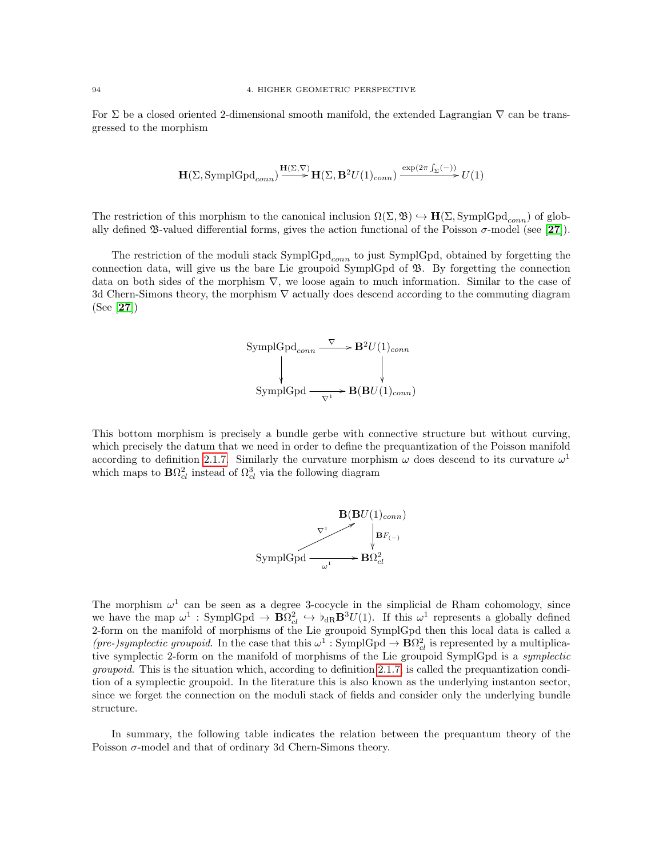For  $\Sigma$  be a closed oriented 2-dimensional smooth manifold, the extended Lagrangian  $\nabla$  can be transgressed to the morphism

$$
\mathbf{H}(\Sigma, \text{SymplGpd}_{conn}) \xrightarrow{\mathbf{H}(\Sigma, \nabla)} \mathbf{H}(\Sigma, \mathbf{B}^2 U(1)_{conn}) \xrightarrow{\exp(2\pi \int_{\Sigma} (-))} U(1)
$$

The restriction of this morphism to the canonical inclusion  $\Omega(\Sigma, \mathfrak{B}) \hookrightarrow \mathbf{H}(\Sigma, \mathrm{SymplGpd}_{conn})$  of globally defined  $\mathfrak{B}\text{-valued}$  differential forms, gives the action functional of the Poisson  $\sigma$ -model (see [[27](#page-116-9)]).

The restriction of the moduli stack  $SymplGpd_{conn}$  to just SymplGpd, obtained by forgetting the connection data, will give us the bare Lie groupoid SymplGpd of B. By forgetting the connection data on both sides of the morphism ∇, we loose again to much information. Similar to the case of 3d Chern-Simons theory, the morphism ∇ actually does descend according to the commuting diagram (See [[27](#page-116-9)])



This bottom morphism is precisely a bundle gerbe with connective structure but without curving, which precisely the datum that we need in order to define the prequantization of the Poisson manifold according to definition [2.1.7.](#page-32-0) Similarly the curvature morphism  $\omega$  does descend to its curvature  $\omega^1$ which maps to  $\mathbf{B}\Omega_{cl}^2$  instead of  $\Omega_{cl}^3$  via the following diagram



The morphism  $\omega^1$  can be seen as a degree 3-cocycle in the simplicial de Rham cohomology, since we have the map  $\omega^1$ : SymplGpd  $\to \mathbf{B}\Omega_{cl}^2 \hookrightarrow \mathfrak{b}_{dR}\mathbf{B}^3U(1)$ . If this  $\omega^1$  represents a globally defined 2-form on the manifold of morphisms of the Lie groupoid SymplGpd then this local data is called a (pre-)symplectic groupoid. In the case that this  $\omega^1$ : SymplGpd  $\rightarrow \mathbf{B}\Omega_{cl}^2$  is represented by a multiplicative symplectic 2-form on the manifold of morphisms of the Lie groupoid SymplGpd is a symplectic groupoid. This is the situation which, according to definition [2.1.7,](#page-32-0) is called the prequantization condition of a symplectic groupoid. In the literature this is also known as the underlying instanton sector, since we forget the connection on the moduli stack of fields and consider only the underlying bundle structure.

In summary, the following table indicates the relation between the prequantum theory of the Poisson  $\sigma$ -model and that of ordinary 3d Chern-Simons theory.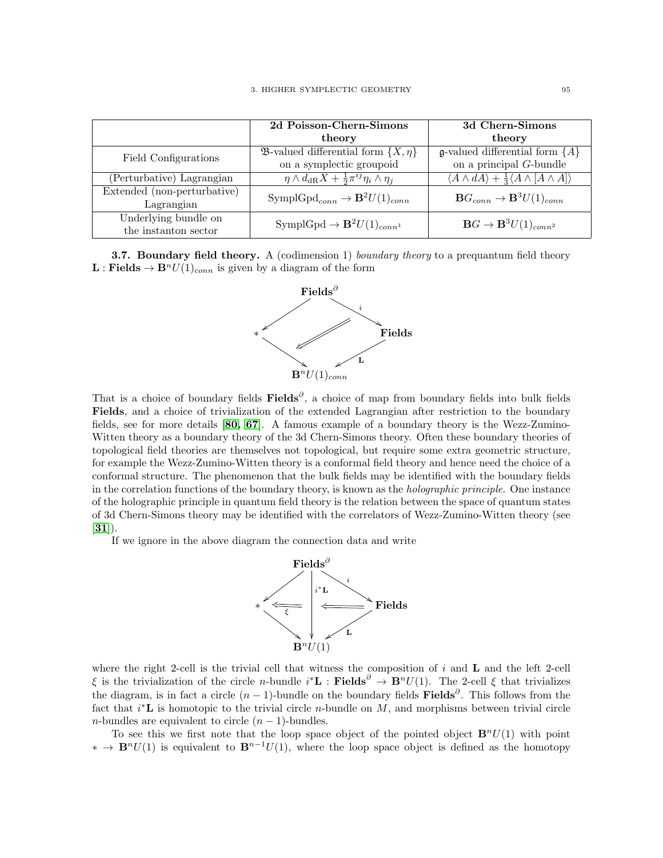|                             | 2d Poisson-Chern-Simons                                                | 3d Chern-Simons                                                                   |
|-----------------------------|------------------------------------------------------------------------|-----------------------------------------------------------------------------------|
|                             | theory                                                                 | theory                                                                            |
| Field Configurations        | <b>23</b> -valued differential form $\{X, \eta\}$                      | <b>g</b> -valued differential form $\overline{\{A\}}$                             |
|                             | on a symplectic groupoid                                               | on a principal $G$ -bundle                                                        |
| (Perturbative) Lagrangian   | $\eta \wedge d_{\text{dR}}X + \frac{1}{2}\pi^{ij}\eta_i \wedge \eta_j$ | $\langle A \wedge dA \rangle + \frac{1}{3} \langle A \wedge [A \wedge A] \rangle$ |
| Extended (non-perturbative) | $\text{SymplGpd}_{conn} \rightarrow \mathbf{B}^2 U(1)_{conn}$          | $\mathbf{B} G_{conn} \rightarrow \mathbf{B}^3 U(1)_{conn}$                        |
| Lagrangian                  |                                                                        |                                                                                   |
| Underlying bundle on        | SymplGpd $\rightarrow \mathbf{B}^2 U(1)_{conn}$                        | $\mathbf{B}G \to \mathbf{B}^3 U(1)_{conn^2}$                                      |
| the instanton sector        |                                                                        |                                                                                   |

**3.7. Boundary field theory.** A (codimension 1) *boundary theory* to a prequantum field theory  $\mathbf{L} : \mathbf{Fields} \to \mathbf{B}^n U(1)_{conn}$  is given by a diagram of the form



That is a choice of boundary fields Fields<sup>∂</sup>, a choice of map from boundary fields into bulk fields Fields, and a choice of trivialization of the extended Lagrangian after restriction to the boundary fields, see for more details [[80,](#page-118-6) [67](#page-118-7)]. A famous example of a boundary theory is the Wezz-Zumino-Witten theory as a boundary theory of the 3d Chern-Simons theory. Often these boundary theories of topological field theories are themselves not topological, but require some extra geometric structure, for example the Wezz-Zumino-Witten theory is a conformal field theory and hence need the choice of a conformal structure. The phenomenon that the bulk fields may be identified with the boundary fields in the correlation functions of the boundary theory, is known as the holographic principle. One instance of the holographic principle in quantum field theory is the relation between the space of quantum states of 3d Chern-Simons theory may be identified with the correlators of Wezz-Zumino-Witten theory (see  $[31]$  $[31]$  $[31]$ .

If we ignore in the above diagram the connection data and write



where the right 2-cell is the trivial cell that witness the composition of  $i$  and  $L$  and the left 2-cell  $\xi$  is the trivialization of the circle *n*-bundle  $i^*$ **L** : **Fields**<sup> $\partial$ </sup>  $\rightarrow$  **B**<sup>n</sup>U(1). The 2-cell  $\xi$  that trivializes the diagram, is in fact a circle  $(n-1)$ -bundle on the boundary fields Fields<sup>∂</sup>. This follows from the fact that  $i^*$ **L** is homotopic to the trivial circle *n*-bundle on  $M$ , and morphisms between trivial circle *n*-bundles are equivalent to circle  $(n - 1)$ -bundles.

To see this we first note that the loop space object of the pointed object  $\mathbf{B}^nU(1)$  with point  $* \to \mathbf{B}^n U(1)$  is equivalent to  $\mathbf{B}^{n-1} U(1)$ , where the loop space object is defined as the homotopy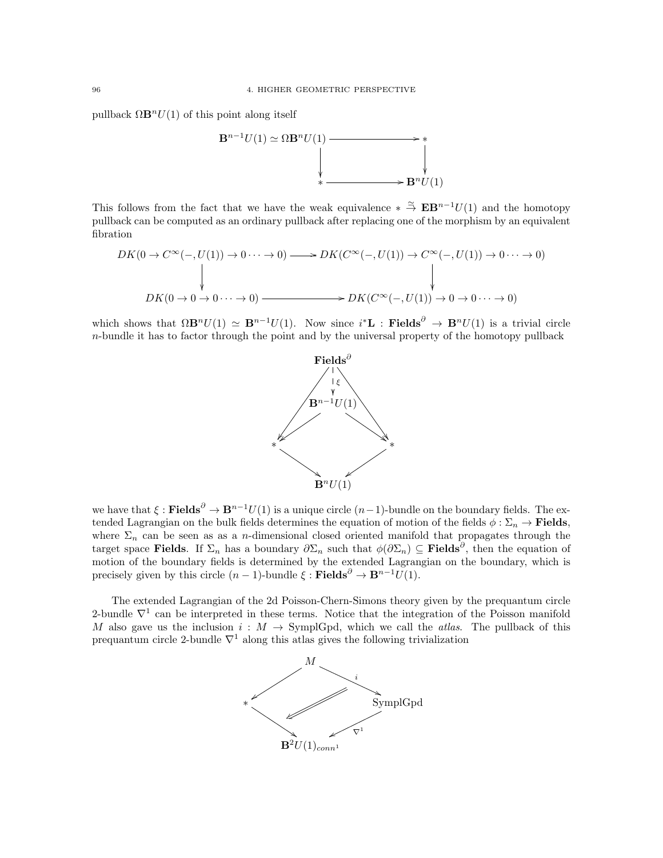pullback  $\Omega \mathbf{B}^n U(1)$  of this point along itself



This follows from the fact that we have the weak equivalence  $* \stackrel{\simeq}{\to} \mathbf{E} \mathbf{B}^{n-1}U(1)$  and the homotopy pullback can be computed as an ordinary pullback after replacing one of the morphism by an equivalent fibration

$$
DK(0 \to C^{\infty}(-,U(1)) \to 0 \cdots \to 0) \longrightarrow DK(C^{\infty}(-,U(1)) \to C^{\infty}(-,U(1)) \to 0 \cdots \to 0)
$$
  
\n
$$
DK(0 \to 0 \to 0 \cdots \to 0) \longrightarrow DK(C^{\infty}(-,U(1)) \to 0 \to 0 \cdots \to 0)
$$

which shows that  $\Omega \mathbf{B}^n U(1) \simeq \mathbf{B}^{n-1} U(1)$ . Now since  $i^* \mathbf{L}$ : Fields<sup> $\partial \to \mathbf{B}^n U(1)$  is a trivial circle</sup>  $n$ -bundle it has to factor through the point and by the universal property of the homotopy pullback



we have that  $\xi$  : **Fields**<sup> $\partial$ </sup> →  $\mathbf{B}^{n-1}U(1)$  is a unique circle  $(n-1)$ -bundle on the boundary fields. The extended Lagrangian on the bulk fields determines the equation of motion of the fields  $\phi : \Sigma_n \to \textbf{Fields}$ , where  $\Sigma_n$  can be seen as as a *n*-dimensional closed oriented manifold that propagates through the target space Fields. If  $\Sigma_n$  has a boundary  $\partial \Sigma_n$  such that  $\phi(\partial \Sigma_n) \subseteq$  Fields<sup>∂</sup>, then the equation of motion of the boundary fields is determined by the extended Lagrangian on the boundary, which is precisely given by this circle  $(n - 1)$ -bundle  $\xi$ : Fields<sup>∂</sup>  $\rightarrow$  B<sup>n-1</sup>U(1).

The extended Lagrangian of the 2d Poisson-Chern-Simons theory given by the prequantum circle 2-bundle  $\nabla^1$  can be interpreted in these terms. Notice that the integration of the Poisson manifold M also gave us the inclusion  $i : M \to \text{SymplGpd}$ , which we call the *atlas*. The pullback of this prequantum circle 2-bundle  $\nabla^1$  along this atlas gives the following trivialization

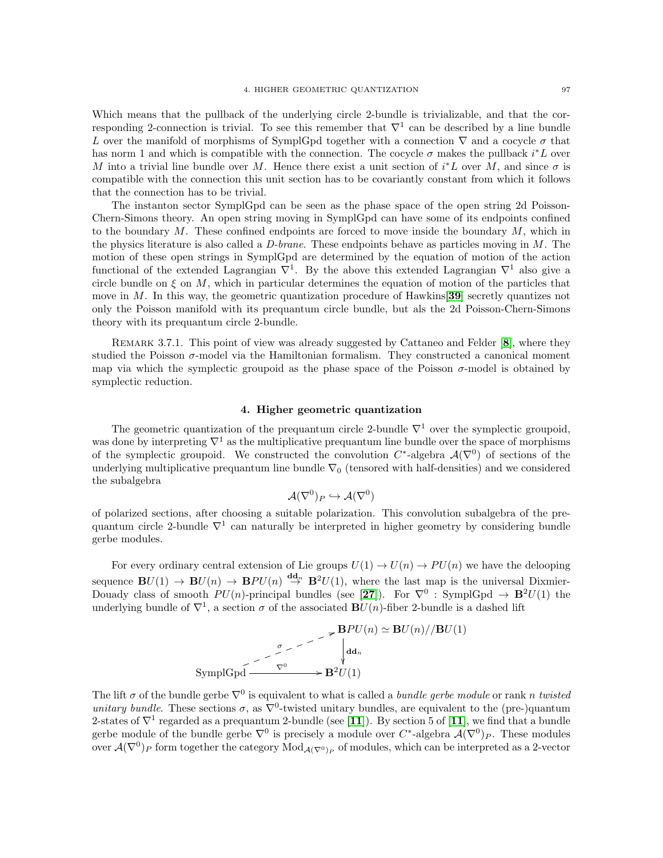Which means that the pullback of the underlying circle 2-bundle is trivializable, and that the corresponding 2-connection is trivial. To see this remember that  $\nabla^1$  can be described by a line bundle L over the manifold of morphisms of SymplGpd together with a connection  $\nabla$  and a cocycle  $\sigma$  that has norm 1 and which is compatible with the connection. The cocycle  $\sigma$  makes the pullback  $i^*L$  over M into a trivial line bundle over M. Hence there exist a unit section of  $i^*L$  over M, and since  $\sigma$  is compatible with the connection this unit section has to be covariantly constant from which it follows that the connection has to be trivial.

The instanton sector SymplGpd can be seen as the phase space of the open string 2d Poisson-Chern-Simons theory. An open string moving in SymplGpd can have some of its endpoints confined to the boundary  $M$ . These confined endpoints are forced to move inside the boundary  $M$ , which in the physics literature is also called a  $D\text{-}brane$ . These endpoints behave as particles moving in  $M$ . The motion of these open strings in SymplGpd are determined by the equation of motion of the action functional of the extended Lagrangian  $\nabla^1$ . By the above this extended Lagrangian  $\nabla^1$  also give a circle bundle on  $\xi$  on  $M$ , which in particular determines the equation of motion of the particles that move in M. In this way, the geometric quantization procedure of Hawkins [[39](#page-117-5)] secretly quantizes not only the Poisson manifold with its prequantum circle bundle, but als the 2d Poisson-Chern-Simons theory with its prequantum circle 2-bundle.

REMARK 3.7.1. This point of view was already suggested by Cattaneo and Felder [[8](#page-116-3)], where they studied the Poisson  $\sigma$ -model via the Hamiltonian formalism. They constructed a canonical moment map via which the symplectic groupoid as the phase space of the Poisson  $\sigma$ -model is obtained by symplectic reduction.

## 4. Higher geometric quantization

The geometric quantization of the prequantum circle 2-bundle  $\nabla^1$  over the symplectic groupoid, was done by interpreting  $\nabla^1$  as the multiplicative prequantum line bundle over the space of morphisms of the symplectic groupoid. We constructed the convolution  $C^*$ -algebra  $\mathcal{A}(\nabla^0)$  of sections of the underlying multiplicative prequantum line bundle  $\nabla_0$  (tensored with half-densities) and we considered the subalgebra

$$
{\mathcal {A}}(\nabla^0)_P\hookrightarrow {\mathcal {A}}(\nabla^0)
$$

of polarized sections, after choosing a suitable polarization. This convolution subalgebra of the prequantum circle 2-bundle  $\nabla^1$  can naturally be interpreted in higher geometry by considering bundle gerbe modules.

For every ordinary central extension of Lie groups  $U(1) \rightarrow U(n) \rightarrow PU(n)$  we have the delooping sequence  $\mathbf{B}U(1) \to \mathbf{B}U(n) \to \mathbf{B}PU(n) \stackrel{\mathrm{dd}_n}{\to} \mathbf{B}^2U(1)$ , where the last map is the universal Dixmier-Douady class of smooth  $PU(n)$ -principal bundles (see [[27](#page-116-9)]). For  $\nabla^0$ : SymplGpd  $\rightarrow \mathbf{B}^2U(1)$  the underlying bundle of  $\nabla^1$ , a section  $\sigma$  of the associated  $\mathbf{B}U(n)$ -fiber 2-bundle is a dashed lift

$$
\mathbf{SymplGpd} \xrightarrow{\sigma} \mathbf{B}^{2}U(n) \simeq \mathbf{B}^{2}U(n)/\mathbf{B}^{2}U(1)
$$

The lift  $\sigma$  of the bundle gerbe  $\nabla^0$  is equivalent to what is called a *bundle gerbe module* or rank n twisted unitary bundle. These sections  $\sigma$ , as  $\nabla^0$ -twisted unitary bundles, are equivalent to the (pre-)quantum 2-states of  $\nabla^1$  regarded as a prequantum 2-bundle (see [[11](#page-116-10)]). By section 5 of [11], we find that a bundle gerbe module of the bundle gerbe  $\nabla^0$  is precisely a module over  $C^*$ -algebra  $\mathcal{A}(\nabla^0)_P$ . These modules over  $\mathcal{A}(\nabla^0)_P$  form together the category  $\text{Mod}_{\mathcal{A}(\nabla^0)_P}$  of modules, which can be interpreted as a 2-vector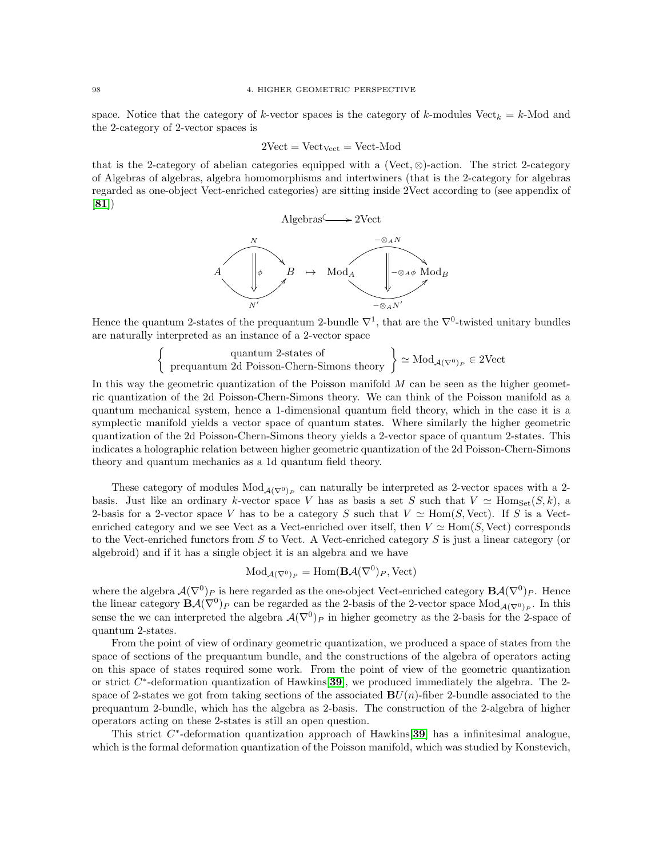space. Notice that the category of k-vector spaces is the category of k-modules Vect<sub>k</sub> = k-Mod and the 2-category of 2-vector spaces is

$$
2Vect = \mathrm{Vect}_{\mathrm{Vect}} = \mathrm{Vect}\text{-}\mathrm{Mod}
$$

that is the 2-category of abelian categories equipped with a (Vect, ⊗)-action. The strict 2-category of Algebras of algebras, algebra homomorphisms and intertwiners (that is the 2-category for algebras regarded as one-object Vect-enriched categories) are sitting inside 2Vect according to (see appendix of [[81](#page-118-8)])



Hence the quantum 2-states of the prequantum 2-bundle  $\nabla^1$ , that are the  $\nabla^0$ -twisted unitary bundles are naturally interpreted as an instance of a 2-vector space

> $\begin{Bmatrix} \text{quantum 2-states of} \\ \text{prequantum 2d Poisson-Chern-Simons theory} \end{Bmatrix}$  $\simeq \text{Mod}_{\mathcal{A}(\nabla^0)_P} \in 2\text{Vect}$

In this way the geometric quantization of the Poisson manifold  $M$  can be seen as the higher geometric quantization of the 2d Poisson-Chern-Simons theory. We can think of the Poisson manifold as a quantum mechanical system, hence a 1-dimensional quantum field theory, which in the case it is a symplectic manifold yields a vector space of quantum states. Where similarly the higher geometric quantization of the 2d Poisson-Chern-Simons theory yields a 2-vector space of quantum 2-states. This indicates a holographic relation between higher geometric quantization of the 2d Poisson-Chern-Simons theory and quantum mechanics as a 1d quantum field theory.

These category of modules  $Mod_{\mathcal{A}(\nabla^0)_P}$  can naturally be interpreted as 2-vector spaces with a 2basis. Just like an ordinary k-vector space V has as basis a set S such that  $V \simeq \text{Hom}_{\text{Set}}(S, k)$ , a 2-basis for a 2-vector space V has to be a category S such that  $V \simeq Hom(S, Vect)$ . If S is a Vectenriched category and we see Vect as a Vect-enriched over itself, then  $V \simeq Hom(S, Vect)$  corresponds to the Vect-enriched functors from  $S$  to Vect. A Vect-enriched category  $S$  is just a linear category (or algebroid) and if it has a single object it is an algebra and we have

$$
\text{Mod}_{\mathcal{A}(\nabla^0)_P} = \text{Hom}(\mathbf{B}\mathcal{A}(\nabla^0)_P, \text{Vect})
$$

where the algebra  $\mathcal{A}(\nabla^0)_P$  is here regarded as the one-object Vect-enriched category  $\mathbf{B}\mathcal{A}(\nabla^0)_P$ . Hence the linear category  $\mathbf{B}\mathcal{A}(\nabla^0)_P$  can be regarded as the 2-basis of the 2-vector space  $\text{Mod}_{\mathcal{A}(\nabla^0)_P}$ . In this sense the we can interpreted the algebra  $\mathcal{A}(\nabla^0)_P$  in higher geometry as the 2-basis for the 2-space of quantum 2-states.

From the point of view of ordinary geometric quantization, we produced a space of states from the space of sections of the prequantum bundle, and the constructions of the algebra of operators acting on this space of states required some work. From the point of view of the geometric quantization or strict  $C^*$ -deformation quantization of Hawkins[[39](#page-117-5)], we produced immediately the algebra. The 2space of 2-states we got from taking sections of the associated  $BU(n)$ -fiber 2-bundle associated to the prequantum 2-bundle, which has the algebra as 2-basis. The construction of the 2-algebra of higher operators acting on these 2-states is still an open question.

This strict  $C^*$ -deformation quantization approach of Hawkins[[39](#page-117-5)] has a infinitesimal analogue, which is the formal deformation quantization of the Poisson manifold, which was studied by Konstevich,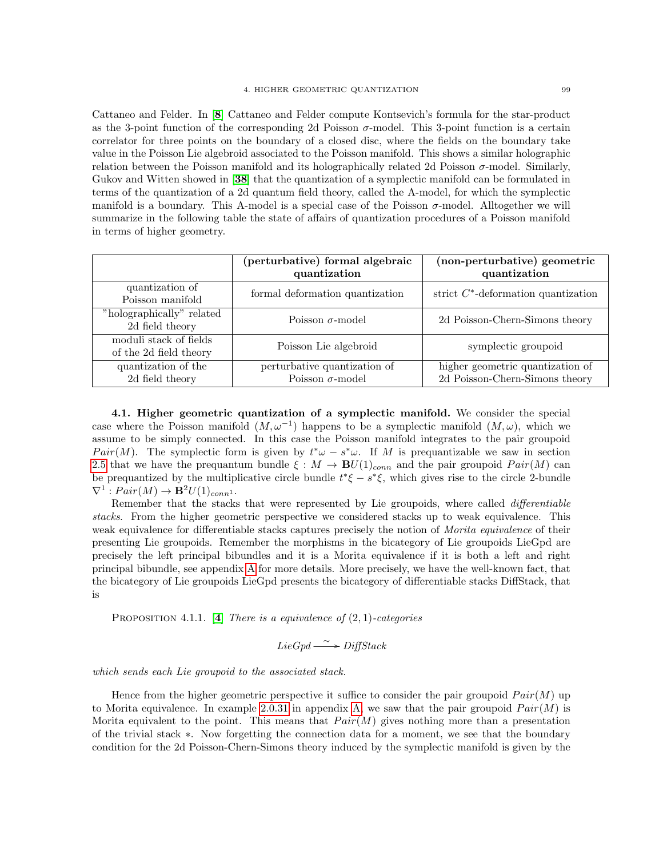Cattaneo and Felder. In [[8](#page-116-3)] Cattaneo and Felder compute Kontsevich's formula for the star-product as the 3-point function of the corresponding 2d Poisson  $\sigma$ -model. This 3-point function is a certain correlator for three points on the boundary of a closed disc, where the fields on the boundary take value in the Poisson Lie algebroid associated to the Poisson manifold. This shows a similar holographic relation between the Poisson manifold and its holographically related 2d Poisson  $\sigma$ -model. Similarly, Gukov and Witten showed in [[38](#page-117-6)] that the quantization of a symplectic manifold can be formulated in terms of the quantization of a 2d quantum field theory, called the A-model, for which the symplectic manifold is a boundary. This A-model is a special case of the Poisson  $\sigma$ -model. Alltogether we will summarize in the following table the state of affairs of quantization procedures of a Poisson manifold in terms of higher geometry.

| quantization<br>quantization                                                                                                  |
|-------------------------------------------------------------------------------------------------------------------------------|
| strict $C^*$ -deformation quantization<br>formal deformation quantization                                                     |
| 2d Poisson-Chern-Simons theory<br>Poisson $\sigma$ -model                                                                     |
| Poisson Lie algebroid<br>symplectic groupoid                                                                                  |
| higher geometric quantization of<br>perturbative quantization of<br>2d Poisson-Chern-Simons theory<br>Poisson $\sigma$ -model |
|                                                                                                                               |

4.1. Higher geometric quantization of a symplectic manifold. We consider the special case where the Poisson manifold  $(M, \omega^{-1})$  happens to be a symplectic manifold  $(M, \omega)$ , which we assume to be simply connected. In this case the Poisson manifold integrates to the pair groupoid Pair(M). The symplectic form is given by  $t^*\omega - s^*\omega$ . If M is prequantizable we saw in section [2.5](#page-71-1) that we have the prequantum bundle  $\xi : M \to \mathbf{B}U(1)_{conn}$  and the pair groupoid  $Pair(M)$  can be prequantized by the multiplicative circle bundle  $t^*\xi - s^*\xi$ , which gives rise to the circle 2-bundle  $\nabla^1 : Pair(M) \rightarrow \mathbf{B}^2U(1)_{conn^1}.$ 

Remember that the stacks that were represented by Lie groupoids, where called differentiable stacks. From the higher geometric perspective we considered stacks up to weak equivalence. This weak equivalence for differentiable stacks captures precisely the notion of *Morita equivalence* of their presenting Lie groupoids. Remember the morphisms in the bicategory of Lie groupoids LieGpd are precisely the left principal bibundles and it is a Morita equivalence if it is both a left and right principal bibundle, see appendix [A](#page-108-0) for more details. More precisely, we have the well-known fact, that the bicategory of Lie groupoids LieGpd presents the bicategory of differentiable stacks DiffStack, that is

PROPOSITION [4](#page-116-11).1.1. [4] There is a equivalence of  $(2, 1)$ -categories

 $LieGpd \longrightarrow DiffStack$ 

which sends each Lie groupoid to the associated stack.

Hence from the higher geometric perspective it suffice to consider the pair groupoid  $Pair(M)$  up to Morita equivalence. In example [2.0.31](#page-115-0) in appendix [A,](#page-108-0) we saw that the pair groupoid  $Pair(M)$  is Morita equivalent to the point. This means that  $Pair(M)$  gives nothing more than a presentation of the trivial stack ∗. Now forgetting the connection data for a moment, we see that the boundary condition for the 2d Poisson-Chern-Simons theory induced by the symplectic manifold is given by the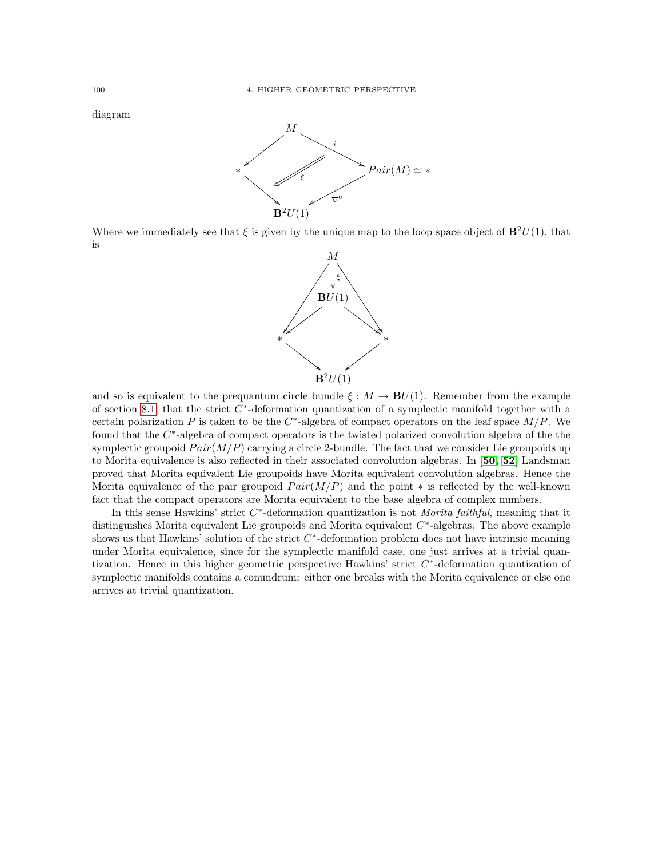diagram



Where we immediately see that  $\xi$  is given by the unique map to the loop space object of  $\mathbf{B}^2U(1)$ , that is



and so is equivalent to the prequantum circle bundle  $\xi : M \to \mathbf{B}U(1)$ . Remember from the example of section [8.1,](#page-45-0) that the strict  $C^*$ -deformation quantization of a symplectic manifold together with a certain polarization P is taken to be the  $C^*$ -algebra of compact operators on the leaf space  $M/P$ . We found that the  $C^*$ -algebra of compact operators is the twisted polarized convolution algebra of the the symplectic groupoid  $Pair(M/P)$  carrying a circle 2-bundle. The fact that we consider Lie groupoids up to Morita equivalence is also reflected in their associated convolution algebras. In [[50,](#page-117-7) [52](#page-117-8)] Landsman proved that Morita equivalent Lie groupoids have Morita equivalent convolution algebras. Hence the Morita equivalence of the pair groupoid  $Pair(M/P)$  and the point \* is reflected by the well-known fact that the compact operators are Morita equivalent to the base algebra of complex numbers.

In this sense Hawkins' strict  $C^*$ -deformation quantization is not *Morita faithful*, meaning that it distinguishes Morita equivalent Lie groupoids and Morita equivalent  $C^*$ -algebras. The above example shows us that Hawkins' solution of the strict  $C^*$ -deformation problem does not have intrinsic meaning under Morita equivalence, since for the symplectic manifold case, one just arrives at a trivial quantization. Hence in this higher geometric perspective Hawkins' strict  $C^*$ -deformation quantization of symplectic manifolds contains a conundrum: either one breaks with the Morita equivalence or else one arrives at trivial quantization.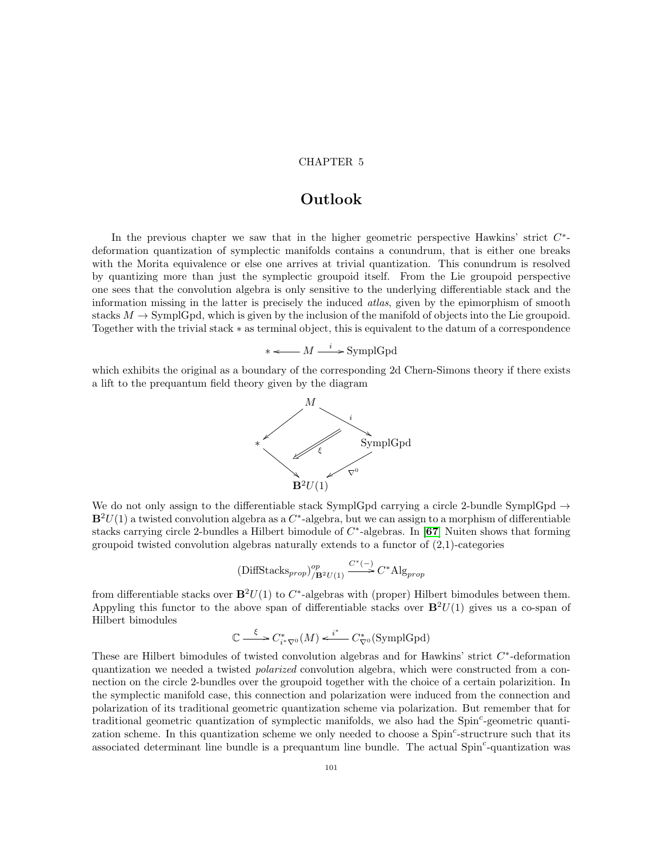## CHAPTER 5

# Outlook

In the previous chapter we saw that in the higher geometric perspective Hawkins' strict  $C^*$ deformation quantization of symplectic manifolds contains a conundrum, that is either one breaks with the Morita equivalence or else one arrives at trivial quantization. This conundrum is resolved by quantizing more than just the symplectic groupoid itself. From the Lie groupoid perspective one sees that the convolution algebra is only sensitive to the underlying differentiable stack and the information missing in the latter is precisely the induced atlas, given by the epimorphism of smooth stacks  $M \to \text{SymplGpd}$ , which is given by the inclusion of the manifold of objects into the Lie groupoid. Together with the trivial stack ∗ as terminal object, this is equivalent to the datum of a correspondence

 $*\longleftarrow M \xrightarrow{i} \text{SymplGpd}$ 

which exhibits the original as a boundary of the corresponding 2d Chern-Simons theory if there exists a lift to the prequantum field theory given by the diagram



We do not only assign to the differentiable stack SymplGpd carrying a circle 2-bundle SymplGpd  $\rightarrow$  $\mathbf{B}^2U(1)$  a twisted convolution algebra as a  $C^*$ -algebra, but we can assign to a morphism of differentiable stacks carrying circle 2-bundles a Hilbert bimodule of  $C^*$ -algebras. In [[67](#page-118-7)] Nuiten shows that forming groupoid twisted convolution algebras naturally extends to a functor of  $(2,1)$ -categories

(DiffStacks<sub>prop</sub>)<sup>op</sup><sub>/B<sup>2</sup>U(1)</sub> 
$$
\xrightarrow{C^*(-)} C^*
$$
Alg<sub>prop</sub>

from differentiable stacks over  $\mathbf{B}^2U(1)$  to  $C^*$ -algebras with (proper) Hilbert bimodules between them. Appyling this functor to the above span of differentiable stacks over  $\mathbf{B}^2U(1)$  gives us a co-span of Hilbert bimodules

$$
\mathbb{C} \xrightarrow{\xi} C_{i^* \nabla^0}^*(M) \xleftarrow{i^*} C_{\nabla^0}^*(\text{SymplGpd})
$$

These are Hilbert bimodules of twisted convolution algebras and for Hawkins' strict  $C^*$ -deformation quantization we needed a twisted *polarized* convolution algebra, which were constructed from a connection on the circle 2-bundles over the groupoid together with the choice of a certain polarizition. In the symplectic manifold case, this connection and polarization were induced from the connection and polarization of its traditional geometric quantization scheme via polarization. But remember that for traditional geometric quantization of symplectic manifolds, we also had the  $Spin<sup>c</sup>$ -geometric quantization scheme. In this quantization scheme we only needed to choose a Spin<sup>c</sup>-structrure such that its associated determinant line bundle is a prequantum line bundle. The actual Spin<sup>c</sup>-quantization was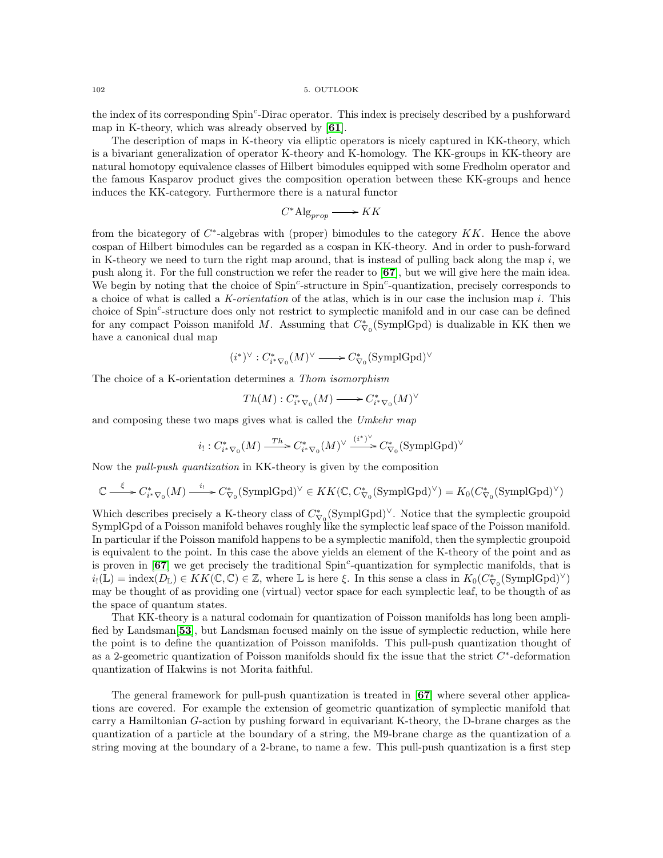the index of its corresponding Spin<sup>c</sup>-Dirac operator. This index is precisely described by a pushforward map in K-theory, which was already observed by [[61](#page-117-9)].

The description of maps in K-theory via elliptic operators is nicely captured in KK-theory, which is a bivariant generalization of operator K-theory and K-homology. The KK-groups in KK-theory are natural homotopy equivalence classes of Hilbert bimodules equipped with some Fredholm operator and the famous Kasparov product gives the composition operation between these KK-groups and hence induces the KK-category. Furthermore there is a natural functor

$$
C^*\mathrm{Alg}_{prop} \longrightarrow KK
$$

from the bicategory of  $C^*$ -algebras with (proper) bimodules to the category  $KK$ . Hence the above cospan of Hilbert bimodules can be regarded as a cospan in KK-theory. And in order to push-forward in K-theory we need to turn the right map around, that is instead of pulling back along the map i, we push along it. For the full construction we refer the reader to [[67](#page-118-7)], but we will give here the main idea. We begin by noting that the choice of  $Spin^c$ -structure in  $Spin^c$ -quantization, precisely corresponds to a choice of what is called a K-orientation of the atlas, which is in our case the inclusion map i. This choice of Spin<sup>c</sup>-structure does only not restrict to symplectic manifold and in our case can be defined for any compact Poisson manifold M. Assuming that  $C^*_{\nabla o}$  (SymplGpd) is dualizable in KK then we have a canonical dual map

$$
(i^*)^\vee:C^*_{i^*\nabla_0}(M)^\vee\longrightarrow C^*_{\nabla_0}(\mathrm{SymplGpd})^\vee
$$

The choice of a K-orientation determines a Thom isomorphism

$$
Th(M): C^*_{i^*\nabla_0}(M) \longrightarrow C^*_{i^*\nabla_0}(M)^\vee
$$

and composing these two maps gives what is called the Umkehr map

$$
i_! : C^*_{i^*\nabla_0}(M) \xrightarrow{Th} C^*_{i^*\nabla_0}(M)^\vee \xrightarrow{(i^*)^\vee} C^*_{\nabla_0}(\text{SymplGpd})^\vee
$$

Now the pull-push quantization in KK-theory is given by the composition

$$
\mathbb{C} \xrightarrow{\xi} C_{i^* \nabla_0}^*(M) \xrightarrow{i_!} C_{\nabla_0}^*(\text{SymplGpd})^{\vee} \in KK(\mathbb{C}, C_{\nabla_0}^*(\text{SymplGpd})^{\vee}) = K_0(C_{\nabla_0}^*(\text{SymplGpd})^{\vee})
$$

Which describes precisely a K-theory class of  $C^*_{\nabla_0}(\mathrm{SymplGpd})^{\vee}$ . Notice that the symplectic groupoid SymplGpd of a Poisson manifold behaves roughly like the symplectic leaf space of the Poisson manifold. In particular if the Poisson manifold happens to be a symplectic manifold, then the symplectic groupoid is equivalent to the point. In this case the above yields an element of the K-theory of the point and as is proven in  $[67]$  $[67]$  $[67]$  we get precisely the traditional  $Spin<sup>c</sup>$ -quantization for symplectic manifolds, that is  $i_!(\mathbb{L}) = \text{index}(D_{\mathbb{L}}) \in KK(\mathbb{C}, \mathbb{C}) \in \mathbb{Z}$ , where  $\mathbb{L}$  is here  $\xi$ . In this sense a class in  $K_0(C_{\nabla_0}^*(\text{SymplGpd})^\vee)$ may be thought of as providing one (virtual) vector space for each symplectic leaf, to be thougth of as the space of quantum states.

That KK-theory is a natural codomain for quantization of Poisson manifolds has long been amplified by Landsman[[53](#page-117-10)], but Landsman focused mainly on the issue of symplectic reduction, while here the point is to define the quantization of Poisson manifolds. This pull-push quantization thought of as a 2-geometric quantization of Poisson manifolds should fix the issue that the strict  $C^*$ -deformation quantization of Hakwins is not Morita faithful.

The general framework for pull-push quantization is treated in [[67](#page-118-7)] where several other applications are covered. For example the extension of geometric quantization of symplectic manifold that carry a Hamiltonian G-action by pushing forward in equivariant K-theory, the D-brane charges as the quantization of a particle at the boundary of a string, the M9-brane charge as the quantization of a string moving at the boundary of a 2-brane, to name a few. This pull-push quantization is a first step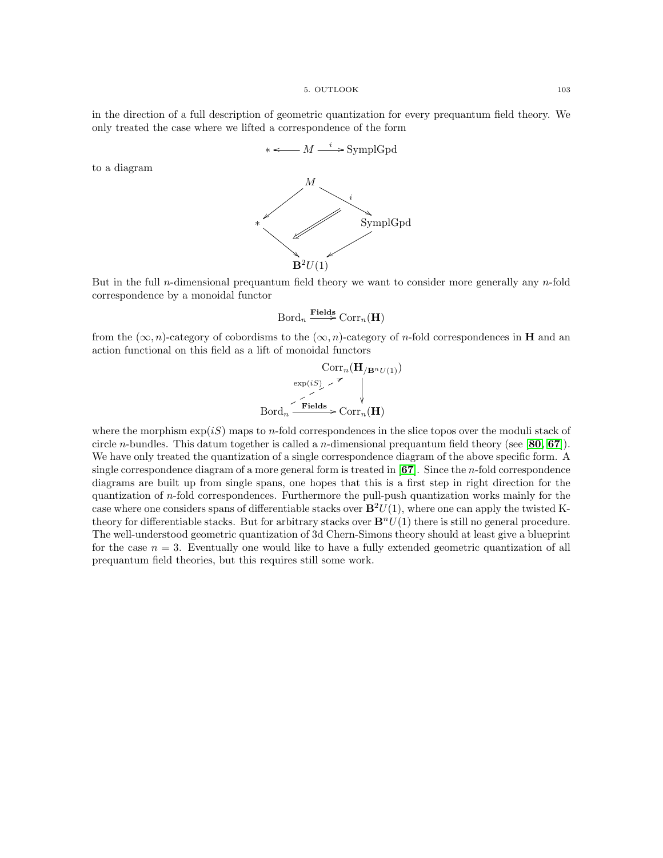5. OUTLOOK 103

in the direction of a full description of geometric quantization for every prequantum field theory. We only treated the case where we lifted a correspondence of the form



to a diagram



$$
\mathrm{Bord}_n\xrightarrow{\mathbf{Fields}}\mathrm{Corr}_n(\mathbf{H})
$$

from the  $(\infty, n)$ -category of cobordisms to the  $(\infty, n)$ -category of n-fold correspondences in **H** and an action functional on this field as a lift of monoidal functors

$$
\operatorname{Corr}_{n}(\mathbf{H}_{/\mathbf{B}^{n}U(1)})
$$
\n
$$
\operatorname{exp}(iS) \sim \mathcal{I}
$$
\n
$$
\downarrow
$$
\n
$$
\operatorname{Bord}_{n} \xrightarrow{\mathbf{Fields}} \operatorname{Corr}_{n}(\mathbf{H})
$$

where the morphism  $\exp(iS)$  maps to *n*-fold correspondences in the slice topos over the moduli stack of circle *n*-bundles. This datum together is called a *n*-dimensional prequantum field theory (see [[80,](#page-118-6) [67](#page-118-7)]). We have only treated the quantization of a single correspondence diagram of the above specific form. A single correspondence diagram of a more general form is treated in [[67](#page-118-7)]. Since the n-fold correspondence diagrams are built up from single spans, one hopes that this is a first step in right direction for the quantization of n-fold correspondences. Furthermore the pull-push quantization works mainly for the case where one considers spans of differentiable stacks over  $\mathbf{B}^2U(1)$ , where one can apply the twisted Ktheory for differentiable stacks. But for arbitrary stacks over  $\mathbf{B}^n U(1)$  there is still no general procedure. The well-understood geometric quantization of 3d Chern-Simons theory should at least give a blueprint for the case  $n = 3$ . Eventually one would like to have a fully extended geometric quantization of all prequantum field theories, but this requires still some work.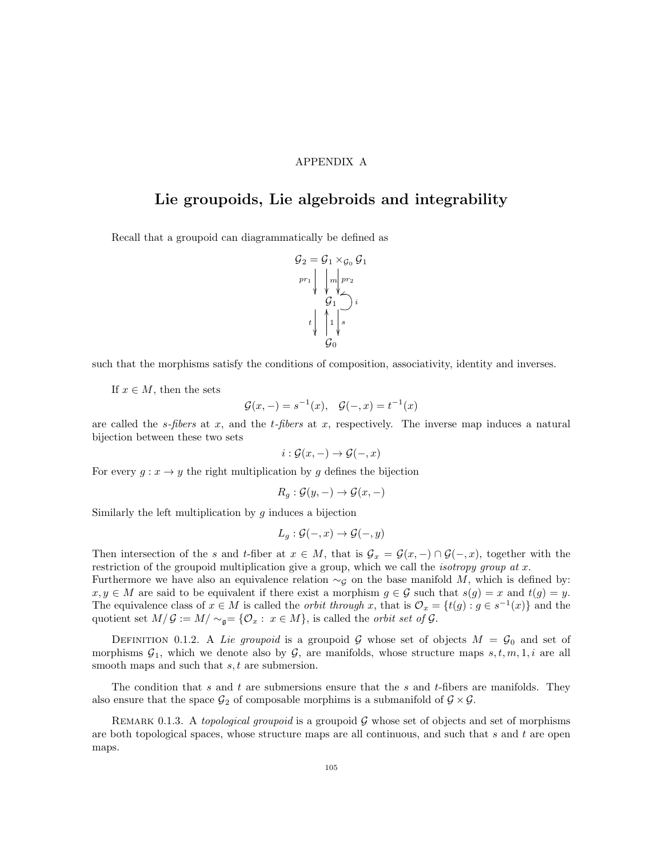### APPENDIX A

## Lie groupoids, Lie algebroids and integrability

Recall that a groupoid can diagrammatically be defined as



such that the morphisms satisfy the conditions of composition, associativity, identity and inverses.

If  $x \in M$ , then the sets

$$
\mathcal{G}(x, -) = s^{-1}(x), \quad \mathcal{G}(-, x) = t^{-1}(x)
$$

are called the s-fibers at x, and the t-fibers at x, respectively. The inverse map induces a natural bijection between these two sets

$$
i: \mathcal{G}(x, -) \to \mathcal{G}(-, x)
$$

For every  $g: x \to y$  the right multiplication by g defines the bijection

$$
R_g: \mathcal{G}(y, -) \to \mathcal{G}(x, -)
$$

Similarly the left multiplication by  $g$  induces a bijection

$$
L_g: \mathcal{G}(-,x) \to \mathcal{G}(-,y)
$$

Then intersection of the s and t-fiber at  $x \in M$ , that is  $\mathcal{G}_x = \mathcal{G}(x, -) \cap \mathcal{G}(-, x)$ , together with the restriction of the groupoid multiplication give a group, which we call the *isotropy group at x*.

Furthermore we have also an equivalence relation  $\sim_G$  on the base manifold M, which is defined by:  $x, y \in M$  are said to be equivalent if there exist a morphism  $g \in \mathcal{G}$  such that  $s(g) = x$  and  $t(g) = y$ . The equivalence class of  $x \in M$  is called the *orbit through* x, that is  $\mathcal{O}_x = \{t(g) : g \in s^{-1}(x)\}\$ and the quotient set  $M/\mathcal{G} := M/\sim_{\mathfrak{g}} \in \{\mathcal{O}_x : x \in M\}$ , is called the *orbit set of*  $\mathcal{G}$ .

DEFINITION 0.1.2. A Lie groupoid is a groupoid G whose set of objects  $M = \mathcal{G}_0$  and set of morphisms  $G_1$ , which we denote also by  $G$ , are manifolds, whose structure maps  $s, t, m, 1, i$  are all smooth maps and such that  $s, t$  are submersion.

The condition that s and t are submersions ensure that the s and t-fibers are manifolds. They also ensure that the space  $G_2$  of composable morphims is a submanifold of  $\mathcal{G} \times \mathcal{G}$ .

REMARK 0.1.3. A topological groupoid is a groupoid  $\mathcal G$  whose set of objects and set of morphisms are both topological spaces, whose structure maps are all continuous, and such that s and t are open maps.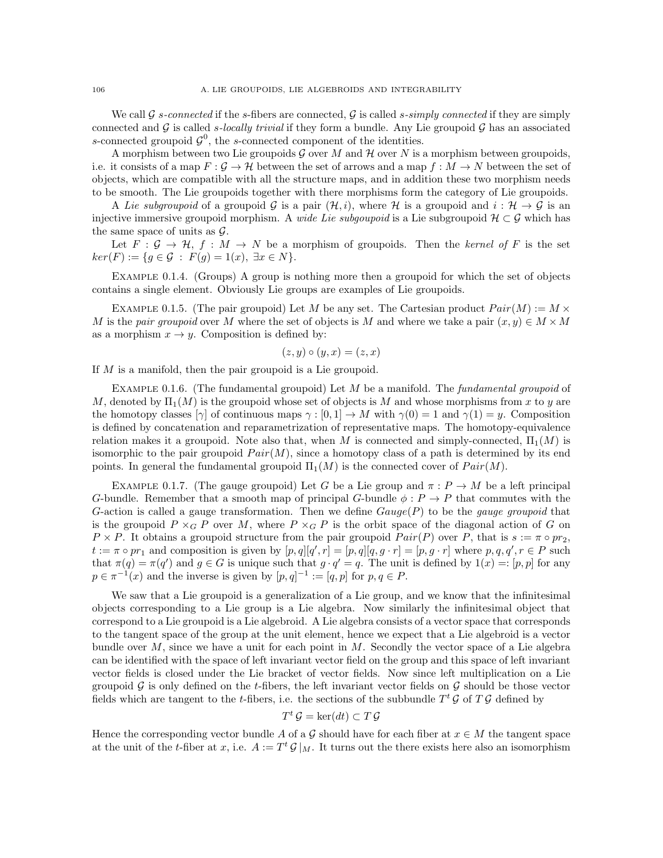We call G s-connected if the s-fibers are connected, G is called s-simply connected if they are simply connected and  $\mathcal G$  is called s-locally trivial if they form a bundle. Any Lie groupoid  $\mathcal G$  has an associated s-connected groupoid  $\mathcal{G}^0$ , the s-connected component of the identities.

A morphism between two Lie groupoids  $\mathcal G$  over M and  $\mathcal H$  over N is a morphism between groupoids, i.e. it consists of a map  $F : \mathcal{G} \to \mathcal{H}$  between the set of arrows and a map  $f : M \to N$  between the set of objects, which are compatible with all the structure maps, and in addition these two morphism needs to be smooth. The Lie groupoids together with there morphisms form the category of Lie groupoids.

A Lie subgroupoid of a groupoid G is a pair  $(\mathcal{H}, i)$ , where H is a groupoid and  $i : \mathcal{H} \to \mathcal{G}$  is an injective immersive groupoid morphism. A *wide Lie subgoupoid* is a Lie subgroupoid  $\mathcal{H} \subset \mathcal{G}$  which has the same space of units as  $\mathcal{G}$ .

Let  $F : \mathcal{G} \to \mathcal{H}, f : M \to N$  be a morphism of groupoids. Then the kernel of F is the set  $ker(F) := \{ g \in \mathcal{G} : F(g) = 1(x), \exists x \in N \}.$ 

Example 0.1.4. (Groups) A group is nothing more then a groupoid for which the set of objects contains a single element. Obviously Lie groups are examples of Lie groupoids.

EXAMPLE 0.1.5. (The pair groupoid) Let M be any set. The Cartesian product  $Pair(M) := M \times$ M is the pair groupoid over M where the set of objects is M and where we take a pair  $(x, y) \in M \times M$ as a morphism  $x \to y$ . Composition is defined by:

$$
(z, y) \circ (y, x) = (z, x)
$$

If M is a manifold, then the pair groupoid is a Lie groupoid.

EXAMPLE 0.1.6. (The fundamental groupoid) Let M be a manifold. The *fundamental groupoid* of M, denoted by  $\Pi_1(M)$  is the groupoid whose set of objects is M and whose morphisms from x to y are the homotopy classes  $[\gamma]$  of continuous maps  $\gamma : [0,1] \to M$  with  $\gamma(0) = 1$  and  $\gamma(1) = y$ . Composition is defined by concatenation and reparametrization of representative maps. The homotopy-equivalence relation makes it a groupoid. Note also that, when M is connected and simply-connected,  $\Pi_1(M)$  is isomorphic to the pair groupoid  $Pair(M)$ , since a homotopy class of a path is determined by its end points. In general the fundamental groupoid  $\Pi_1(M)$  is the connected cover of  $Pair(M)$ .

<span id="page-109-0"></span>EXAMPLE 0.1.7. (The gauge groupoid) Let G be a Lie group and  $\pi : P \to M$  be a left principal G-bundle. Remember that a smooth map of principal G-bundle  $\phi : P \to P$  that commutes with the G-action is called a gauge transformation. Then we define  $Gauge(P)$  to be the *gauge groupoid* that is the groupoid  $P \times_G P$  over M, where  $P \times_G P$  is the orbit space of the diagonal action of G on  $P \times P$ . It obtains a groupoid structure from the pair groupoid  $Pair(P)$  over P, that is  $s := \pi \circ pr_2$ ,  $t := \pi \circ pr_1$  and composition is given by  $[p, q][q', r] = [p, q][q, g \cdot r] = [p, g \cdot r]$  where  $p, q, q', r \in P$  such that  $\pi(q) = \pi(q')$  and  $g \in G$  is unique such that  $g \cdot q' = q$ . The unit is defined by  $\pi(x) = \pi(p, p]$  for any  $p \in \pi^{-1}(x)$  and the inverse is given by  $[p, q]^{-1} := [q, p]$  for  $p, q \in P$ .

We saw that a Lie groupoid is a generalization of a Lie group, and we know that the infinitesimal objects corresponding to a Lie group is a Lie algebra. Now similarly the infinitesimal object that correspond to a Lie groupoid is a Lie algebroid. A Lie algebra consists of a vector space that corresponds to the tangent space of the group at the unit element, hence we expect that a Lie algebroid is a vector bundle over  $M$ , since we have a unit for each point in  $M$ . Secondly the vector space of a Lie algebra can be identified with the space of left invariant vector field on the group and this space of left invariant vector fields is closed under the Lie bracket of vector fields. Now since left multiplication on a Lie groupoid  $\mathcal G$  is only defined on the t-fibers, the left invariant vector fields on  $\mathcal G$  should be those vector fields which are tangent to the *t*-fibers, i.e. the sections of the subbundle  $T^t \mathcal{G}$  of  $T \mathcal{G}$  defined by

$$
T^t \mathcal{G} = \ker(dt) \subset T \mathcal{G}
$$

Hence the corresponding vector bundle A of a G should have for each fiber at  $x \in M$  the tangent space at the unit of the t-fiber at x, i.e.  $A := T^t \mathcal{G}|_M$ . It turns out the there exists here also an isomorphism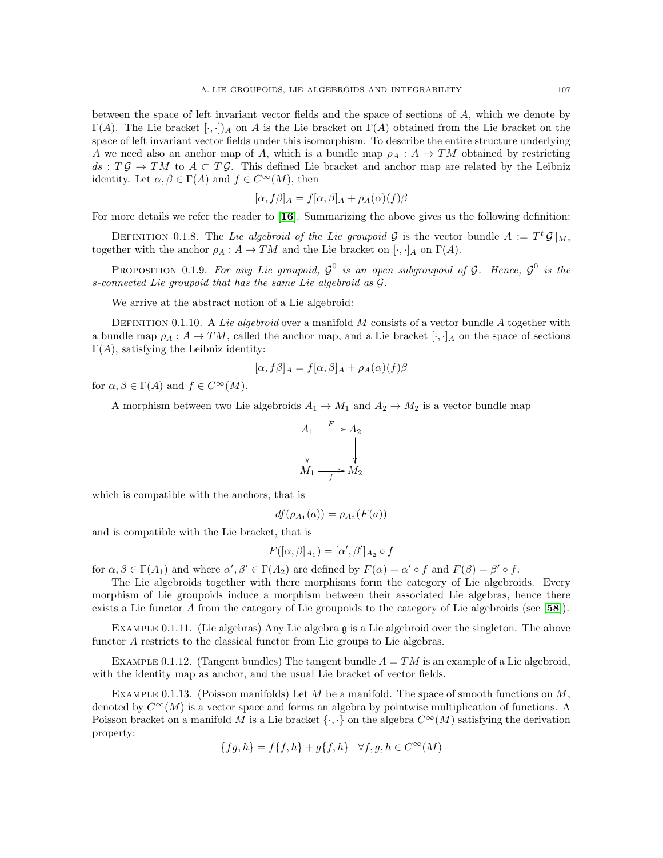between the space of left invariant vector fields and the space of sections of A, which we denote by  $\Gamma(A)$ . The Lie bracket  $[\cdot, \cdot]_A$  on A is the Lie bracket on  $\Gamma(A)$  obtained from the Lie bracket on the space of left invariant vector fields under this isomorphism. To describe the entire structure underlying A we need also an anchor map of A, which is a bundle map  $\rho_A : A \to TM$  obtained by restricting  $ds: T\mathcal{G} \to TM$  to  $A \subset T\mathcal{G}$ . This defined Lie bracket and anchor map are related by the Leibniz identity. Let  $\alpha, \beta \in \Gamma(A)$  and  $f \in C^{\infty}(M)$ , then

$$
[\alpha, f\beta]_A = f[\alpha, \beta]_A + \rho_A(\alpha)(f)\beta
$$

For more details we refer the reader to  $[16]$  $[16]$  $[16]$ . Summarizing the above gives us the following definition:

DEFINITION 0.1.8. The Lie algebroid of the Lie groupoid G is the vector bundle  $A := T^t \mathcal{G}|_M$ , together with the anchor  $\rho_A : A \to TM$  and the Lie bracket on  $[\cdot, \cdot]_A$  on  $\Gamma(A)$ .

PROPOSITION 0.1.9. For any Lie groupoid,  $\mathcal{G}^0$  is an open subgroupoid of  $\mathcal{G}$ . Hence,  $\mathcal{G}^0$  is the s-connected Lie groupoid that has the same Lie algebroid as G.

We arrive at the abstract notion of a Lie algebroid:

DEFINITION 0.1.10. A Lie algebroid over a manifold  $M$  consists of a vector bundle  $A$  together with a bundle map  $\rho_A : A \to TM$ , called the anchor map, and a Lie bracket  $[\cdot, \cdot]_A$  on the space of sections  $\Gamma(A)$ , satisfying the Leibniz identity:

$$
[\alpha, f\beta]_A = f[\alpha, \beta]_A + \rho_A(\alpha)(f)\beta
$$

for  $\alpha, \beta \in \Gamma(A)$  and  $f \in C^{\infty}(M)$ .

A morphism between two Lie algebroids  $A_1 \rightarrow M_1$  and  $A_2 \rightarrow M_2$  is a vector bundle map



which is compatible with the anchors, that is

$$
df(\rho_{A_1}(a)) = \rho_{A_2}(F(a))
$$

and is compatible with the Lie bracket, that is

$$
F([\alpha,\beta]_{A_1}) = [\alpha',\beta']_{A_2} \circ f
$$

for  $\alpha, \beta \in \Gamma(A_1)$  and where  $\alpha', \beta' \in \Gamma(A_2)$  are defined by  $F(\alpha) = \alpha' \circ f$  and  $F(\beta) = \beta' \circ f$ .

The Lie algebroids together with there morphisms form the category of Lie algebroids. Every morphism of Lie groupoids induce a morphism between their associated Lie algebras, hence there exists a Lie functor A from the category of Lie groupoids to the category of Lie algebroids (see [[58](#page-117-0)]).

EXAMPLE 0.1.11. (Lie algebras) Any Lie algebra  $\mathfrak g$  is a Lie algebroid over the singleton. The above functor A restricts to the classical functor from Lie groups to Lie algebras.

EXAMPLE 0.1.12. (Tangent bundles) The tangent bundle  $A = TM$  is an example of a Lie algebroid, with the identity map as anchor, and the usual Lie bracket of vector fields.

<span id="page-110-0"></span>EXAMPLE 0.1.13. (Poisson manifolds) Let M be a manifold. The space of smooth functions on M, denoted by  $C^{\infty}(M)$  is a vector space and forms an algebra by pointwise multiplication of functions. A Poisson bracket on a manifold M is a Lie bracket  $\{\cdot,\cdot\}$  on the algebra  $C^{\infty}(M)$  satisfying the derivation property:

$$
\{fg, h\} = f\{f, h\} + g\{f, h\} \quad \forall f, g, h \in C^{\infty}(M)
$$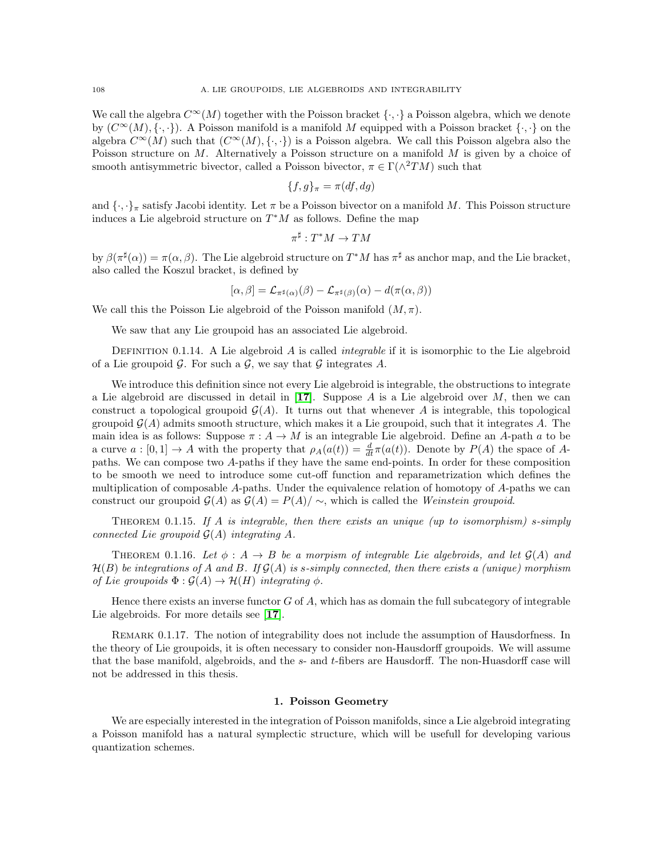We call the algebra  $C^{\infty}(M)$  together with the Poisson bracket  $\{\cdot,\cdot\}$  a Poisson algebra, which we denote by  $(C^{\infty}(M), \{\cdot,\cdot\})$ . A Poisson manifold is a manifold M equipped with a Poisson bracket  $\{\cdot,\cdot\}$  on the algebra  $C^{\infty}(M)$  such that  $(C^{\infty}(M), \{\cdot,\cdot\})$  is a Poisson algebra. We call this Poisson algebra also the Poisson structure on M. Alternatively a Poisson structure on a manifold M is given by a choice of smooth antisymmetric bivector, called a Poisson bivector,  $\pi \in \Gamma(\wedge^2 TM)$  such that

$$
\{f,g\}_{\pi} = \pi(df,dg)
$$

and  $\{\cdot,\cdot\}_\pi$  satisfy Jacobi identity. Let  $\pi$  be a Poisson bivector on a manifold M. This Poisson structure induces a Lie algebroid structure on  $T^*M$  as follows. Define the map

$$
\pi^\sharp:T^*M\to TM
$$

by  $\beta(\pi^{\sharp}(\alpha)) = \pi(\alpha, \beta)$ . The Lie algebroid structure on  $T^*M$  has  $\pi^{\sharp}$  as anchor map, and the Lie bracket, also called the Koszul bracket, is defined by

$$
[\alpha, \beta] = \mathcal{L}_{\pi^{\sharp}(\alpha)}(\beta) - \mathcal{L}_{\pi^{\sharp}(\beta)}(\alpha) - d(\pi(\alpha, \beta))
$$

We call this the Poisson Lie algebroid of the Poisson manifold  $(M, \pi)$ .

We saw that any Lie groupoid has an associated Lie algebroid.

DEFINITION 0.1.14. A Lie algebroid  $A$  is called *integrable* if it is isomorphic to the Lie algebroid of a Lie groupoid  $\mathcal G$ . For such a  $\mathcal G$ , we say that  $\mathcal G$  integrates A.

We introduce this definition since not every Lie algebroid is integrable, the obstructions to integrate a Lie algebroid are discussed in detail in [[17](#page-116-1)]. Suppose A is a Lie algebroid over M, then we can construct a topological groupoid  $\mathcal{G}(A)$ . It turns out that whenever A is integrable, this topological groupoid  $\mathcal{G}(A)$  admits smooth structure, which makes it a Lie groupoid, such that it integrates A. The main idea is as follows: Suppose  $\pi : A \to M$  is an integrable Lie algebroid. Define an A-path a to be a curve  $a:[0,1]\to A$  with the property that  $\rho_A(a(t))=\frac{d}{dt}\pi(a(t))$ . Denote by  $P(A)$  the space of Apaths. We can compose two A-paths if they have the same end-points. In order for these composition to be smooth we need to introduce some cut-off function and reparametrization which defines the multiplication of composable A-paths. Under the equivalence relation of homotopy of A-paths we can construct our groupoid  $\mathcal{G}(A)$  as  $\mathcal{G}(A) = P(A)/\sim$ , which is called the Weinstein groupoid.

THEOREM 0.1.15. If A is integrable, then there exists an unique (up to isomorphism) s-simply connected Lie groupoid  $\mathcal{G}(A)$  integrating A.

THEOREM 0.1.16. Let  $\phi : A \rightarrow B$  be a morpism of integrable Lie algebroids, and let  $\mathcal{G}(A)$  and  $\mathcal{H}(B)$  be integrations of A and B. If  $\mathcal{G}(A)$  is s-simply connected, then there exists a (unique) morphism of Lie groupoids  $\Phi : \mathcal{G}(A) \to \mathcal{H}(H)$  integrating  $\phi$ .

Hence there exists an inverse functor  $G$  of  $A$ , which has as domain the full subcategory of integrable Lie algebroids. For more details see [[17](#page-116-1)].

Remark 0.1.17. The notion of integrability does not include the assumption of Hausdorfness. In the theory of Lie groupoids, it is often necessary to consider non-Hausdorff groupoids. We will assume that the base manifold, algebroids, and the  $s$ - and  $t$ -fibers are Hausdorff. The non-Huasdorff case will not be addressed in this thesis.

### 1. Poisson Geometry

We are especially interested in the integration of Poisson manifolds, since a Lie algebroid integrating a Poisson manifold has a natural symplectic structure, which will be usefull for developing various quantization schemes.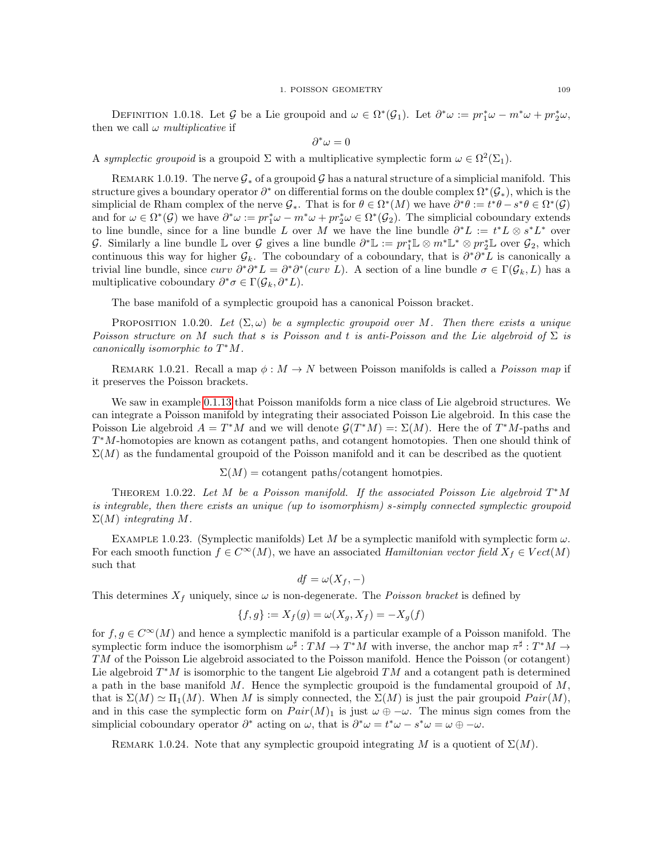DEFINITION 1.0.18. Let G be a Lie groupoid and  $\omega \in \Omega^*(\mathcal{G}_1)$ . Let  $\partial^*\omega := pr_1^*\omega - m^*\omega + pr_2^*\omega$ , then we call  $\omega$  multiplicative if

$$
\partial^*\omega=0
$$

A symplectic groupoid is a groupoid  $\Sigma$  with a multiplicative symplectic form  $\omega \in \Omega^2(\Sigma_1)$ .

REMARK 1.0.19. The nerve  $\mathcal{G}_*$  of a groupoid  $\mathcal{G}$  has a natural structure of a simplicial manifold. This structure gives a boundary operator  $\partial^*$  on differential forms on the double complex  $\Omega^*(\mathcal{G}_*)$ , which is the simplicial de Rham complex of the nerve  $\mathcal{G}_*$ . That is for  $\theta \in \Omega^*(M)$  we have  $\partial^*\theta := t^*\theta - s^*\theta \in \Omega^*(\mathcal{G})$ and for  $\omega \in \Omega^*(\mathcal{G})$  we have  $\partial^*\omega := pr_1^*\omega - m^*\omega + pr_2^*\omega \in \Omega^*(\mathcal{G}_2)$ . The simplicial coboundary extends to line bundle, since for a line bundle L over M we have the line bundle  $\partial^*L := t^*L \otimes s^*L^*$  over G. Similarly a line bundle  $\mathbb L$  over G gives a line bundle  $\partial^* \mathbb L := pr_1^* \mathbb L \otimes m^* \mathbb L^* \otimes pr_2^* \mathbb L$  over  $\mathcal G_2$ , which continuous this way for higher  $\mathcal{G}_k$ . The coboundary of a coboundary, that is  $\partial^*\partial^*L$  is canonically a trivial line bundle, since  $curv \partial^* \partial^* L = \partial^* \partial^* (curv L)$ . A section of a line bundle  $\sigma \in \Gamma(\mathcal{G}_k, L)$  has a multiplicative coboundary  $\partial^* \sigma \in \Gamma(\mathcal{G}_k, \partial^* L)$ .

The base manifold of a symplectic groupoid has a canonical Poisson bracket.

PROPOSITION 1.0.20. Let  $(\Sigma, \omega)$  be a symplectic groupoid over M. Then there exists a unique Poisson structure on M such that s is Poisson and t is anti-Poisson and the Lie algebroid of  $\Sigma$  is canonically isomorphic to  $T^*M$ .

REMARK 1.0.21. Recall a map  $\phi : M \to N$  between Poisson manifolds is called a *Poisson map* if it preserves the Poisson brackets.

We saw in example [0.1.13](#page-110-0) that Poisson manifolds form a nice class of Lie algebroid structures. We can integrate a Poisson manifold by integrating their associated Poisson Lie algebroid. In this case the Poisson Lie algebroid  $A = T^*M$  and we will denote  $\mathcal{G}(T^*M) =: \Sigma(M)$ . Here the of  $T^*M$ -paths and T<sup>\*</sup>M-homotopies are known as cotangent paths, and cotangent homotopies. Then one should think of  $\Sigma(M)$  as the fundamental groupoid of the Poisson manifold and it can be described as the quotient

 $\Sigma(M) =$  cotangent paths/cotangent homotpies.

THEOREM 1.0.22. Let M be a Poisson manifold. If the associated Poisson Lie algebroid  $T^*M$ is integrable, then there exists an unique (up to isomorphism) s-simply connected symplectic groupoid  $\Sigma(M)$  integrating M.

EXAMPLE 1.0.23. (Symplectic manifolds) Let M be a symplectic manifold with symplectic form  $\omega$ . For each smooth function  $f \in C^{\infty}(M)$ , we have an associated Hamiltonian vector field  $X_f \in Vect(M)$ such that

$$
df = \omega(X_f, -)
$$

This determines  $X_f$  uniquely, since  $\omega$  is non-degenerate. The *Poisson bracket* is defined by

$$
\{f, g\} := X_f(g) = \omega(X_g, X_f) = -X_g(f)
$$

for  $f, g \in C^{\infty}(M)$  and hence a symplectic manifold is a particular example of a Poisson manifold. The symplectic form induce the isomorphism  $\omega^{\sharp}: TM \to T^*M$  with inverse, the anchor map  $\pi^{\sharp}: T^*M \to T^*M$ TM of the Poisson Lie algebroid associated to the Poisson manifold. Hence the Poisson (or cotangent) Lie algebroid  $T^*M$  is isomorphic to the tangent Lie algebroid  $TM$  and a cotangent path is determined a path in the base manifold  $M$ . Hence the symplectic groupoid is the fundamental groupoid of  $M$ , that is  $\Sigma(M) \simeq \Pi_1(M)$ . When M is simply connected, the  $\Sigma(M)$  is just the pair groupoid  $Pair(M)$ , and in this case the symplectic form on  $Pair(M)_1$  is just  $\omega \oplus -\omega$ . The minus sign comes from the simplicial coboundary operator  $\partial^*$  acting on  $\omega$ , that is  $\partial^*\omega = t^*\omega - s^*\omega = \omega \oplus -\omega$ .

REMARK 1.0.24. Note that any symplectic groupoid integrating M is a quotient of  $\Sigma(M)$ .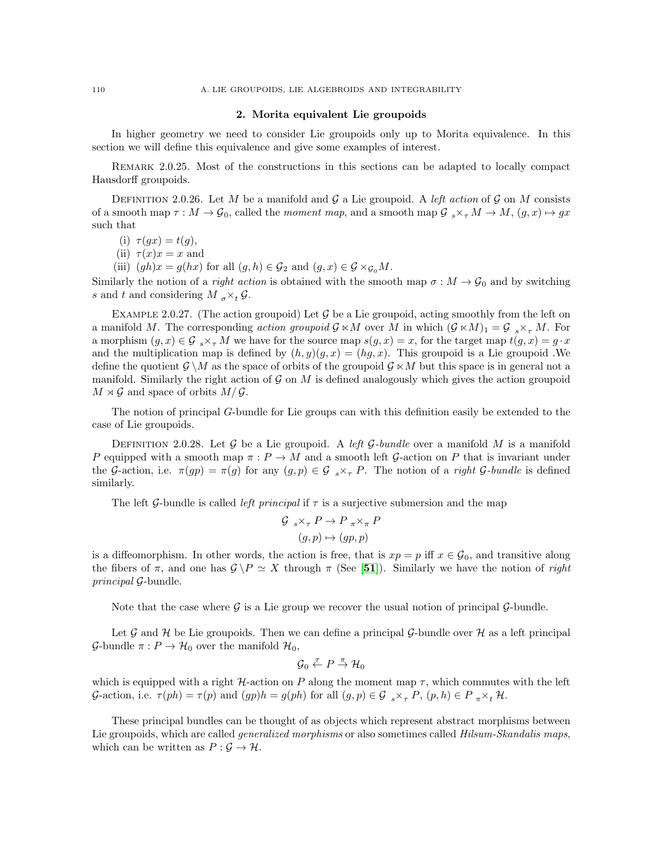### 2. Morita equivalent Lie groupoids

In higher geometry we need to consider Lie groupoids only up to Morita equivalence. In this section we will define this equivalence and give some examples of interest.

Remark 2.0.25. Most of the constructions in this sections can be adapted to locally compact Hausdorff groupoids.

DEFINITION 2.0.26. Let M be a manifold and G a Lie groupoid. A left action of G on M consists of a smooth map  $\tau : M \to \mathcal{G}_0$ , called the moment map, and a smooth map  $\mathcal{G}_{s} \times_{\tau} M \to M$ ,  $(g, x) \mapsto gx$ such that

- (i)  $\tau(gx) = t(g)$ ,
- (ii)  $\tau(x)x = x$  and
- (iii)  $(gh)x = g(hx)$  for all  $(g, h) \in \mathcal{G}_2$  and  $(g, x) \in \mathcal{G} \times_{\mathcal{G}_0} M$ .

Similarly the notion of a *right action* is obtained with the smooth map  $\sigma : M \to \mathcal{G}_0$  and by switching s and t and considering  $M_{\sigma} \times_{t} \mathcal{G}$ .

EXAMPLE 2.0.27. (The action groupoid) Let  $\mathcal G$  be a Lie groupoid, acting smoothly from the left on a manifold M. The corresponding action groupoid  $\mathcal{G} \ltimes M$  over M in which  $(\mathcal{G} \ltimes M)_1 = \mathcal{G}_{s \times \tau} M$ . For a morphism  $(g, x) \in \mathcal{G}_{s} \times_{\tau} M$  we have for the source map  $s(g, x) = x$ , for the target map  $t(g, x) = g \cdot x$ and the multiplication map is defined by  $(h, y)(g, x) = (hg, x)$ . This groupoid is a Lie groupoid .We define the quotient  $\mathcal{G} \setminus M$  as the space of orbits of the groupoid  $\mathcal{G} \ltimes M$  but this space is in general not a manifold. Similarly the right action of  $\mathcal G$  on  $M$  is defined analogously which gives the action groupoid  $M \rtimes \mathcal{G}$  and space of orbits  $M/\mathcal{G}$ .

The notion of principal G-bundle for Lie groups can with this definition easily be extended to the case of Lie groupoids.

DEFINITION 2.0.28. Let G be a Lie groupoid. A left G-bundle over a manifold M is a manifold P equipped with a smooth map  $\pi : P \to M$  and a smooth left G-action on P that is invariant under the G-action, i.e.  $\pi(gp) = \pi(g)$  for any  $(g, p) \in \mathcal{G}_{s \times_{\tau} P}$ . The notion of a *right G-bundle* is defined similarly.

The left G-bundle is called *left principal* if  $\tau$  is a surjective submersion and the map

$$
\mathcal{G}_{s} \times_{\tau} P \to P_{\pi} \times_{\pi} P
$$

$$
(g, p) \mapsto (gp, p)
$$

is a diffeomorphism. In other words, the action is free, that is  $xp = p$  iff  $x \in \mathcal{G}_0$ , and transitive along the fibers of  $\pi$ , and one has  $\mathcal{G} \backslash P \simeq X$  through  $\pi$  (See [[51](#page-117-1)]). Similarly we have the notion of *right* principal G-bundle.

Note that the case where  $\mathcal G$  is a Lie group we recover the usual notion of principal  $\mathcal G$ -bundle.

Let  $\mathcal G$  and  $\mathcal H$  be Lie groupoids. Then we can define a principal  $\mathcal G$ -bundle over  $\mathcal H$  as a left principal G-bundle  $\pi: P \to H_0$  over the manifold  $H_0$ ,

$$
\mathcal{G}_0 \overset{\tau}{\leftarrow} P \overset{\pi}{\rightarrow} \mathcal{H}_0
$$

which is equipped with a right  $H$ -action on P along the moment map  $\tau$ , which commutes with the left G-action, i.e.  $\tau(ph) = \tau(p)$  and  $(gph) = g(ph)$  for all  $(g, p) \in G_{s \times_{\tau} P}$ ,  $(p, h) \in P_{\pi \times t} H$ .

These principal bundles can be thought of as objects which represent abstract morphisms between Lie groupoids, which are called *generalized morphisms* or also sometimes called *Hilsum-Skandalis maps*, which can be written as  $P: \mathcal{G} \to \mathcal{H}$ .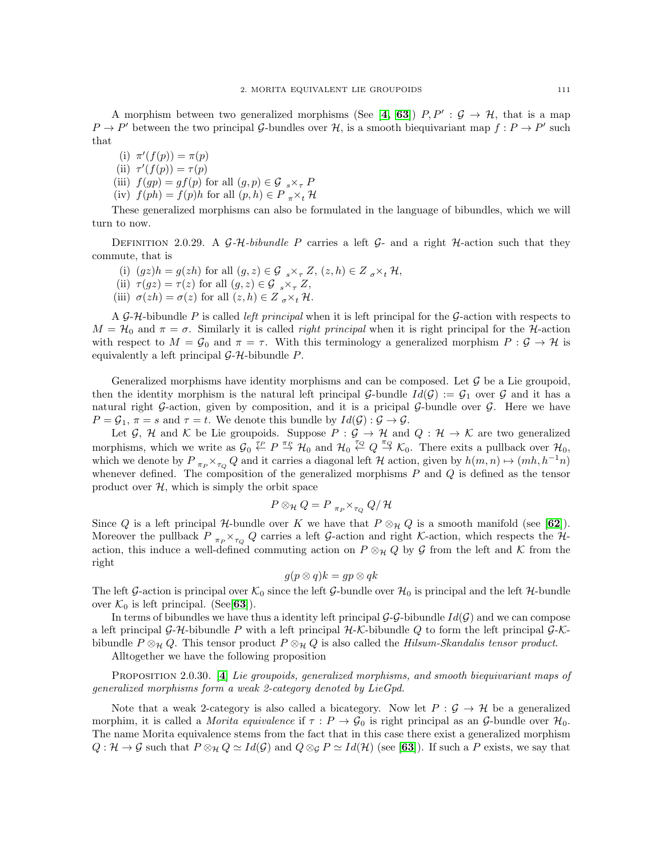A morphism between two generalized morphisms (See [[4,](#page-116-2) [63](#page-117-2)])  $P, P' : G \rightarrow H$ , that is a map  $P \to P'$  between the two principal G-bundles over H, is a smooth biequivariant map  $f : P \to P'$  such that

(i)  $\pi'(f(p)) = \pi(p)$ (ii)  $\tau'(f(p)) = \tau(p)$ (iii)  $f(gp) = gf(p)$  for all  $(g, p) \in \mathcal{G}_{\infty} \times_{\tau} P$ (iv)  $f(ph) = f(p)h$  for all  $(p, h) \in P_{\pi} \times_t \mathcal{H}$ 

These generalized morphisms can also be formulated in the language of bibundles, which we will turn to now.

DEFINITION 2.0.29. A  $\mathcal{G}-\mathcal{H}-bibundle$  P carries a left  $\mathcal{G}-$  and a right  $\mathcal{H}-$ action such that they commute, that is

- (i)  $(gz)h = g(zh)$  for all  $(g, z) \in \mathcal{G}_{s} \times_{\tau} \mathbb{Z}$ ,  $(z, h) \in \mathbb{Z}_{\sigma} \times_{t} \mathcal{H}$ ,
- (ii)  $\tau(gz) = \tau(z)$  for all  $(g, z) \in \mathcal{G}_{s \times \tau} Z$ ,
- (iii)  $\sigma(zh) = \sigma(z)$  for all  $(z, h) \in Z_{\sigma} \times_t \mathcal{H}$ .

A G-H-bibundle P is called left principal when it is left principal for the G-action with respects to  $M = H_0$  and  $\pi = \sigma$ . Similarly it is called *right principal* when it is right principal for the H-action with respect to  $M = \mathcal{G}_0$  and  $\pi = \tau$ . With this terminology a generalized morphism  $P : \mathcal{G} \to \mathcal{H}$  is equivalently a left principal  $G-H$ -bibundle  $P$ .

Generalized morphisms have identity morphisms and can be composed. Let  $\mathcal G$  be a Lie groupoid, then the identity morphism is the natural left principal G-bundle  $Id(G) := G_1$  over G and it has a natural right G-action, given by composition, and it is a pricipal G-bundle over  $\mathcal G$ . Here we have  $P = \mathcal{G}_1$ ,  $\pi = s$  and  $\tau = t$ . We denote this bundle by  $Id(\mathcal{G}) : \mathcal{G} \to \mathcal{G}$ .

Let G, H and K be Lie groupoids. Suppose  $P : \mathcal{G} \to \mathcal{H}$  and  $Q : \mathcal{H} \to \mathcal{K}$  are two generalized morphisms, which we write as  $\mathcal{G}_0 \stackrel{\tau_P}{\leftarrow} P \stackrel{\pi_P}{\rightarrow} \mathcal{H}_0$  and  $\mathcal{H}_0 \stackrel{\tau_Q}{\leftarrow} Q \stackrel{\pi_Q}{\rightarrow} \mathcal{K}_0$ . There exits a pullback over  $\mathcal{H}_0$ , which we denote by  $P_{\pi_P} \times_{\tau_Q} Q$  and it carries a diagonal left H action, given by  $h(m, n) \mapsto (mh, h^{-1}n)$ whenever defined. The composition of the generalized morphisms  $P$  and  $Q$  is defined as the tensor product over  $H$ , which is simply the orbit space

$$
P\otimes_{\mathcal{H}}Q=P_{\pi_{P}}\times_{\tau_{Q}}Q/\mathcal{H}
$$

Since Q is a left principal H-bundle over K we have that  $P \otimes_{\mathcal{H}} Q$  is a smooth manifold (see [[62](#page-117-3)]). Moreover the pullback  $P_{\pi_P} \times_{\tau_Q} Q$  carries a left G-action and right K-action, which respects the Haction, this induce a well-defined commuting action on  $P \otimes_{\mathcal{H}} Q$  by G from the left and K from the right

$$
g(p \otimes q)k = gp \otimes qk
$$

The left G-action is principal over  $\mathcal{K}_0$  since the left G-bundle over  $\mathcal{H}_0$  is principal and the left H-bundle over  $\mathcal{K}_0$  is left principal. (See[[63](#page-117-2)]).

In terms of bibundles we have thus a identity left principal  $G-G$ -bibundle  $Id(G)$  and we can compose a left principal G-H-bibundle P with a left principal  $H-K$ -bibundle Q to form the left principal G-Kbibundle  $P \otimes_{\mathcal{H}} Q$ . This tensor product  $P \otimes_{\mathcal{H}} Q$  is also called the Hilsum-Skandalis tensor product.

Alltogether we have the following proposition

PROPOSITION 2.0.30. [[4](#page-116-2)] Lie groupoids, generalized morphisms, and smooth biequivariant maps of generalized morphisms form a weak 2-category denoted by LieGpd.

Note that a weak 2-category is also called a bicategory. Now let  $P : \mathcal{G} \to \mathcal{H}$  be a generalized morphim, it is called a *Morita equivalence* if  $\tau$  :  $P \to \mathcal{G}_0$  is right principal as an  $\mathcal{G}\text{-bundle over } \mathcal{H}_0$ . The name Morita equivalence stems from the fact that in this case there exist a generalized morphism  $Q : \mathcal{H} \to \mathcal{G}$  such that  $P \otimes_{\mathcal{H}} Q \simeq Id(\mathcal{G})$  and  $Q \otimes_{\mathcal{G}} P \simeq Id(\mathcal{H})$  (see [[63](#page-117-2)]). If such a P exists, we say that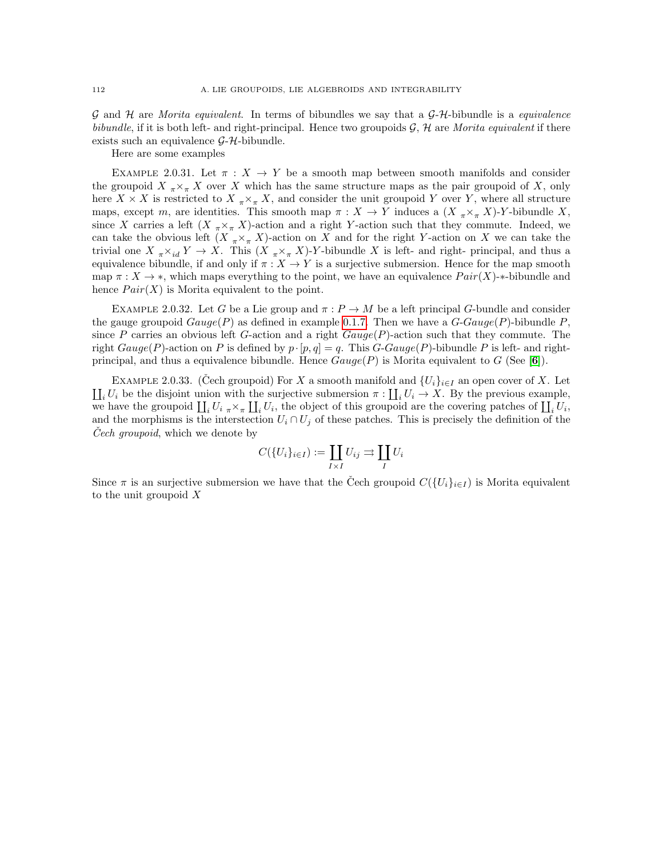G and H are *Morita equivalent*. In terms of bibundles we say that a  $G-H$ -bibundle is a *equivalence* bibundle, if it is both left- and right-principal. Hence two groupoids  $\mathcal{G}, \mathcal{H}$  are Morita equivalent if there exists such an equivalence  $G-H$ -bibundle.

Here are some examples

EXAMPLE 2.0.31. Let  $\pi$  :  $X \to Y$  be a smooth map between smooth manifolds and consider the groupoid  $X_{\pi} \times_{\pi} X$  over X which has the same structure maps as the pair groupoid of X, only here  $X \times X$  is restricted to  $X_{\pi} \times_{\pi} X$ , and consider the unit groupoid Y over Y, where all structure maps, except m, are identities. This smooth map  $\pi : X \to Y$  induces a  $(X_{\pi} \times_{\pi} X)$ -Y-bibundle X, since X carries a left  $(X_{\pi} \times_{\pi} X)$ -action and a right Y-action such that they commute. Indeed, we can take the obvious left  $(X_{\pi} \times_{\pi} X)$ -action on X and for the right Y-action on X we can take the trivial one  $X_{\pi} \times_{id} Y \to X$ . This  $(X_{\pi} \times_{\pi} X)$ -Y-bibundle X is left- and right- principal, and thus a equivalence bibundle, if and only if  $\pi : X \to Y$  is a surjective submersion. Hence for the map smooth map  $\pi : X \to *$ , which maps everything to the point, we have an equivalence  $Pair(X) *$ -bibundle and hence  $Pair(X)$  is Morita equivalent to the point.

EXAMPLE 2.0.32. Let G be a Lie group and  $\pi : P \to M$  be a left principal G-bundle and consider the gauge groupoid  $Gauge(P)$  as defined in example [0.1.7.](#page-109-0) Then we have a  $G-Gauge(P)$ -bibundle P, since P carries an obvious left G-action and a right  $Gauge(P)$ -action such that they commute. The right  $Gauge(P)$ -action on P is defined by  $p \cdot [p,q] = q$ . This G-Gauge(P)-bibundle P is left- and rightprincipal, and thus a equivalence bibundle. Hence  $Gauge(P)$  is Morita equivalent to G (See [[6](#page-116-3)]).

EXAMPLE 2.0.33. (Cech groupoid) For X a smooth manifold and  $\{U_i\}_{i\in I}$  an open cover of X. Let  $\prod_i U_i$  be the disjoint union with the surjective submersion  $\pi : \prod_i U_i \to X$ . By the previous example, we have the groupoid  $\prod_i U_i \underset{\pi}{\times}_{\pi} \prod_i U_i$ , the object of this groupoid are the covering patches of  $\prod_i U_i$ , and the morphisms is the interstection  $U_i \cap U_j$  of these patches. This is precisely the definition of the Cech groupoid, which we denote by

$$
C(\{U_i\}_{i\in I}) := \coprod_{I\times I} U_{ij} \rightrightarrows \coprod_{I} U_i
$$

Since  $\pi$  is an surjective submersion we have that the Čech groupoid  $C({U_i}_{i\in I})$  is Morita equivalent to the unit groupoid  $X$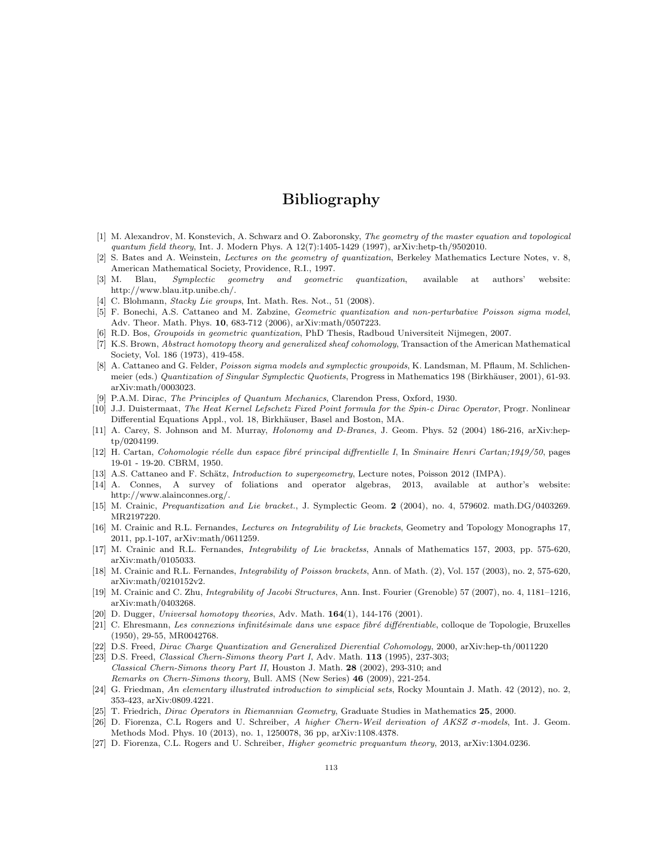# Bibliography

- [1] M. Alexandrov, M. Konstevich, A. Schwarz and O. Zaboronsky, The geometry of the master equation and topological quantum field theory, Int. J. Modern Phys. A 12(7):1405-1429 (1997), arXiv:hetp-th/9502010.
- [2] S. Bates and A. Weinstein, Lectures on the geometry of quantization, Berkeley Mathematics Lecture Notes, v. 8, American Mathematical Society, Providence, R.I., 1997.
- [3] M. Blau, Symplectic geometry and geometric quantization, available at authors' website: http://www.blau.itp.unibe.ch/.
- <span id="page-116-2"></span>[4] C. Blohmann, *Stacky Lie groups*, Int. Math. Res. Not., 51 (2008).
- [5] F. Bonechi, A.S. Cattaneo and M. Zabzine, Geometric quantization and non-perturbative Poisson sigma model, Adv. Theor. Math. Phys. 10, 683-712 (2006), arXiv:math/0507223.
- <span id="page-116-3"></span>[6] R.D. Bos, Groupoids in geometric quantization, PhD Thesis, Radboud Universiteit Nijmegen, 2007.
- [7] K.S. Brown, Abstract homotopy theory and generalized sheaf cohomology, Transaction of the American Mathematical Society, Vol. 186 (1973), 419-458.
- [8] A. Cattaneo and G. Felder, Poisson sigma models and symplectic groupoids, K. Landsman, M. Pflaum, M. Schlichenmeier (eds.) Quantization of Singular Symplectic Quotients, Progress in Mathematics 198 (Birkhäuser, 2001), 61-93. arXiv:math/0003023.
- [9] P.A.M. Dirac, The Principles of Quantum Mechanics, Clarendon Press, Oxford, 1930.
- [10] J.J. Duistermaat, The Heat Kernel Lefschetz Fixed Point formula for the Spin-c Dirac Operator, Progr. Nonlinear Differential Equations Appl., vol. 18, Birkhäuser, Basel and Boston, MA.
- [11] A. Carey, S. Johnson and M. Murray, Holonomy and D-Branes, J. Geom. Phys. 52 (2004) 186-216, arXiv:heptp/0204199.
- [12] H. Cartan, Cohomologie réelle dun espace fibré principal diffrentielle I, In Sminaire Henri Cartan;1949/50, pages 19-01 - 19-20. CBRM, 1950.
- [13] A.S. Cattaneo and F. Schätz, *Introduction to supergeometry*, Lecture notes, Poisson 2012 (IMPA).
- [14] A. Connes, A survey of foliations and operator algebras, 2013, available at author's website: http://www.alainconnes.org/.
- [15] M. Crainic, Prequantization and Lie bracket., J. Symplectic Geom. 2 (2004), no. 4, 579602. math.DG/0403269. MR2197220.
- <span id="page-116-0"></span>[16] M. Crainic and R.L. Fernandes, Lectures on Integrability of Lie brackets, Geometry and Topology Monographs 17, 2011, pp.1-107, arXiv:math/0611259.
- <span id="page-116-1"></span>[17] M. Crainic and R.L. Fernandes, Integrability of Lie bracketss, Annals of Mathematics 157, 2003, pp. 575-620, arXiv:math/0105033.
- [18] M. Crainic and R.L. Fernandes, *Integrability of Poisson brackets*, Ann. of Math. (2), Vol. 157 (2003), no. 2, 575-620, arXiv:math/0210152v2.
- [19] M. Crainic and C. Zhu, Integrability of Jacobi Structures, Ann. Inst. Fourier (Grenoble) 57 (2007), no. 4, 1181–1216, arXiv:math/0403268.
- [20] D. Dugger, Universal homotopy theories, Adv. Math.  $164(1)$ , 144-176 (2001).
- [21] C. Ehresmann, Les connexions infinitésimale dans une espace fibré différentiable, colloque de Topologie, Bruxelles (1950), 29-55, MR0042768.
- [22] D.S. Freed, Dirac Charge Quantization and Generalized Dierential Cohomology, 2000, arXiv:hep-th/0011220
- [23] D.S. Freed, *Classical Chern-Simons theory Part I*, Adv. Math. **113** (1995), 237-303; Classical Chern-Simons theory Part II, Houston J. Math. 28 (2002), 293-310; and Remarks on Chern-Simons theory, Bull. AMS (New Series) 46 (2009), 221-254.
- [24] G. Friedman, An elementary illustrated introduction to simplicial sets, Rocky Mountain J. Math. 42 (2012), no. 2, 353-423, arXiv:0809.4221.
- [25] T. Friedrich, *Dirac Operators in Riemannian Geometry*, Graduate Studies in Mathematics 25, 2000.
- [26] D. Fiorenza, C.L Rogers and U. Schreiber, A higher Chern-Weil derivation of AKSZ σ-models, Int. J. Geom. Methods Mod. Phys. 10 (2013), no. 1, 1250078, 36 pp, arXiv:1108.4378.
- [27] D. Fiorenza, C.L. Rogers and U. Schreiber, Higher geometric prequantum theory, 2013, arXiv:1304.0236.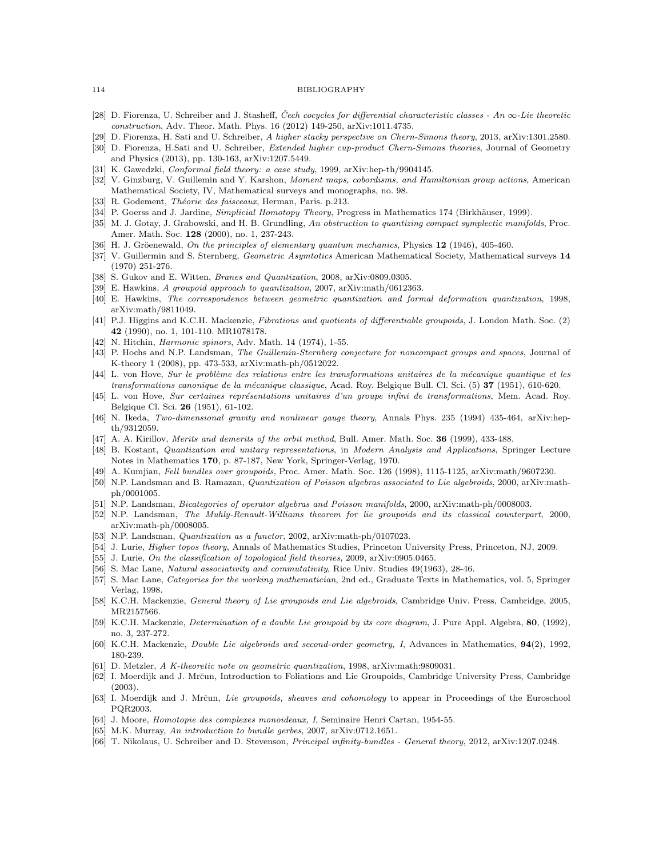#### 114 BIBLIOGRAPHY

- [28] D. Fiorenza, U. Schreiber and J. Stasheff, Čech cocycles for differential characteristic classes An  $\infty$ -Lie theoretic construction, Adv. Theor. Math. Phys. 16 (2012) 149-250, arXiv:1011.4735.
- [29] D. Fiorenza, H. Sati and U. Schreiber, A higher stacky perspective on Chern-Simons theory, 2013, arXiv:1301.2580.
- [30] D. Fiorenza, H.Sati and U. Schreiber, Extended higher cup-product Chern-Simons theories, Journal of Geometry and Physics (2013), pp. 130-163, arXiv:1207.5449.
- [31] K. Gawedzki, *Conformal field theory: a case study*, 1999, arXiv:hep-th/9904145.
- [32] V. Ginzburg, V. Guillemin and Y. Karshon, Moment maps, cobordisms, and Hamiltonian group actions, American Mathematical Society, IV, Mathematical surveys and monographs, no. 98.
- [33] R. Godement, Théorie des faisceaux, Herman, Paris. p.213.
- [34] P. Goerss and J. Jardine, Simplicial Homotopy Theory, Progress in Mathematics 174 (Birkhäuser, 1999).
- [35] M. J. Gotay, J. Grabowski, and H. B. Grundling, An obstruction to quantizing compact symplectic manifolds, Proc. Amer. Math. Soc. 128 (2000), no. 1, 237-243.
- [36] H. J. Gröenewald, On the principles of elementary quantum mechanics, Physics 12 (1946), 405-460.
- [37] V. Guillermin and S. Sternberg, Geometric Asymtotics American Mathematical Society, Mathematical surveys 14 (1970) 251-276.
- [38] S. Gukov and E. Witten, *Branes and Quantization*, 2008, arXiv:0809.0305.
- [39] E. Hawkins, A groupoid approach to quantization, 2007, arXiv:math/0612363.
- [40] E. Hawkins, The correspondence between geometric quantization and formal deformation quantization, 1998, arXiv:math/9811049.
- [41] P.J. Higgins and K.C.H. Mackenzie, Fibrations and quotients of differentiable groupoids, J. London Math. Soc. (2) 42 (1990), no. 1, 101-110. MR1078178.
- [42] N. Hitchin, *Harmonic spinors*, Adv. Math. 14 (1974), 1-55.
- [43] P. Hochs and N.P. Landsman, The Guillemin-Sternberg conjecture for noncompact groups and spaces, Journal of K-theory 1 (2008), pp. 473-533, arXiv:math-ph/0512022.
- [44] L. von Hove, Sur le problème des relations entre les transformations unitaires de la mécanique quantique et les transformations canonique de la mécanique classique, Acad. Roy. Belgique Bull. Cl. Sci. (5) 37 (1951), 610-620.
- [45] L. von Hove, Sur certaines représentations unitaires d'un groupe infini de transformations, Mem. Acad. Roy. Belgique Cl. Sci. 26 (1951), 61-102.
- [46] N. Ikeda, Two-dimensional gravity and nonlinear gauge theory, Annals Phys. 235 (1994) 435-464, arXiv:hepth/9312059.
- [47] A. A. Kirillov, Merits and demerits of the orbit method, Bull. Amer. Math. Soc. 36 (1999), 433-488.
- [48] B. Kostant, Quantization and unitary representations, in Modern Analysis and Applications, Springer Lecture Notes in Mathematics 170, p. 87-187, New York, Springer-Verlag, 1970.
- [49] A. Kumjian, Fell bundles over groupoids, Proc. Amer. Math. Soc. 126 (1998), 1115-1125, arXiv:math/9607230.
- [50] N.P. Landsman and B. Ramazan, Quantization of Poisson algebras associated to Lie algebroids, 2000, arXiv:mathph/0001005.
- <span id="page-117-1"></span>[51] N.P. Landsman, *Bicategories of operator algebras and Poisson manifolds*, 2000, arXiv:math-ph/0008003.
- [52] N.P. Landsman, The Muhly-Renault-Williams theorem for lie groupoids and its classical counterpart, 2000, arXiv:math-ph/0008005.
- [53] N.P. Landsman, Quantization as a functor, 2002, arXiv:math-ph/0107023.
- [54] J. Lurie, *Higher topos theory*, Annals of Mathematics Studies, Princeton University Press, Princeton, NJ, 2009.
- [55] J. Lurie, On the classification of topological field theories, 2009, arXiv:0905.0465.
- [56] S. Mac Lane, *Natural associativity and commutativity*, Rice Univ. Studies 49(1963), 28-46.
- [57] S. Mac Lane, Categories for the working mathematician, 2nd ed., Graduate Texts in Mathematics, vol. 5, Springer Verlag, 1998.
- <span id="page-117-0"></span>[58] K.C.H. Mackenzie, *General theory of Lie groupoids and Lie algebroids*, Cambridge Univ. Press, Cambridge, 2005, MR2157566.
- [59] K.C.H. Mackenzie, *Determination of a double Lie groupoid by its core diagram*, J. Pure Appl. Algebra, 80, (1992), no. 3, 237-272.
- [60] K.C.H. Mackenzie, *Double Lie algebroids and second-order geometry, I*, Advances in Mathematics,  $94(2)$ , 1992, 180-239.
- [61] D. Metzler, A K-theoretic note on geometric quantization, 1998, arXiv:math:9809031.
- <span id="page-117-3"></span>[62] I. Moerdijk and J. Mrčun, Introduction to Foliations and Lie Groupoids, Cambridge University Press, Cambridge (2003).
- <span id="page-117-2"></span>[63] I. Moerdijk and J. Mrčun, Lie groupoids, sheaves and cohomology to appear in Proceedings of the Euroschool PQR2003.
- [64] J. Moore, Homotopie des complexes monoideaux, I, Seminaire Henri Cartan, 1954-55.
- [65] M.K. Murray, An introduction to bundle gerbes, 2007, arXiv:0712.1651.
- [66] T. Nikolaus, U. Schreiber and D. Stevenson, Principal infinity-bundles General theory, 2012, arXiv:1207.0248.